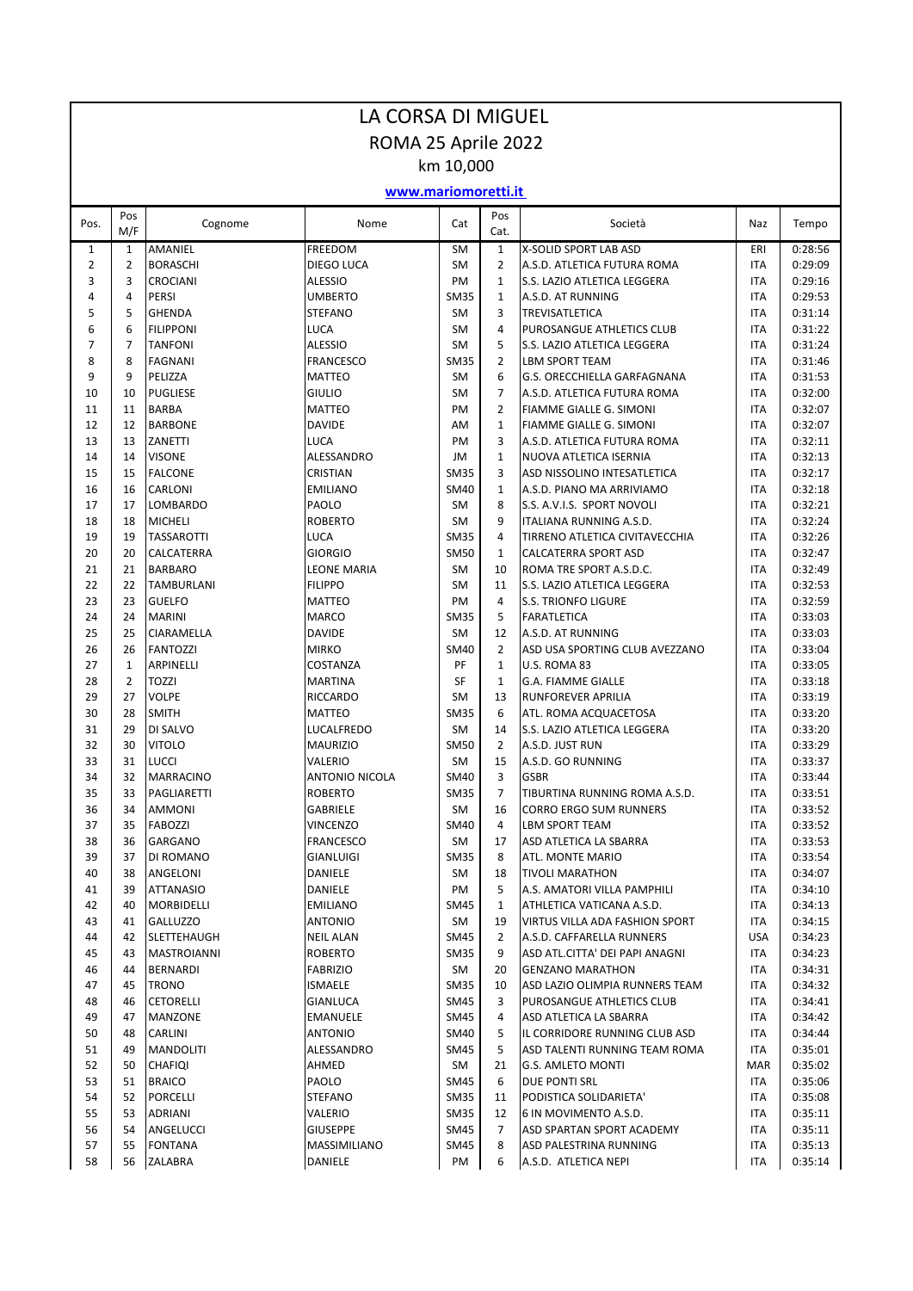| LA CORSA DI MIGUEL |                     |                                 |                                  |                          |                      |                                                           |                          |                    |  |  |  |
|--------------------|---------------------|---------------------------------|----------------------------------|--------------------------|----------------------|-----------------------------------------------------------|--------------------------|--------------------|--|--|--|
|                    | ROMA 25 Aprile 2022 |                                 |                                  |                          |                      |                                                           |                          |                    |  |  |  |
|                    |                     |                                 |                                  | km 10,000                |                      |                                                           |                          |                    |  |  |  |
|                    |                     |                                 | www.mariomoretti.it              |                          |                      |                                                           |                          |                    |  |  |  |
| Pos.               | Pos<br>M/F          | Cognome                         | Nome                             | Cat                      | Pos<br>Cat.          | Società                                                   | Naz                      | Tempo              |  |  |  |
| 1                  | $\mathbf{1}$        | AMANIEL                         | <b>FREEDOM</b>                   | <b>SM</b>                | $\mathbf{1}$         | <b>X-SOLID SPORT LAB ASD</b>                              | ERI                      | 0:28:56            |  |  |  |
| $\overline{2}$     | 2                   | <b>BORASCHI</b>                 | DIEGO LUCA                       | <b>SM</b>                | $\overline{2}$       | A.S.D. ATLETICA FUTURA ROMA                               | <b>ITA</b>               | 0:29:09            |  |  |  |
| 3                  | 3                   | <b>CROCIANI</b>                 | <b>ALESSIO</b>                   | <b>PM</b>                | $\mathbf{1}$         | S.S. LAZIO ATLETICA LEGGERA                               | <b>ITA</b>               | 0:29:16            |  |  |  |
| 4<br>5             | 4<br>5              | <b>PERSI</b><br><b>GHENDA</b>   | <b>UMBERTO</b><br><b>STEFANO</b> | <b>SM35</b><br><b>SM</b> | $\mathbf{1}$<br>3    | A.S.D. AT RUNNING<br>TREVISATLETICA                       | <b>ITA</b><br><b>ITA</b> | 0:29:53<br>0:31:14 |  |  |  |
| 6                  | 6                   | <b>FILIPPONI</b>                | <b>LUCA</b>                      | <b>SM</b>                | 4                    | PUROSANGUE ATHLETICS CLUB                                 | <b>ITA</b>               | 0:31:22            |  |  |  |
| $\overline{7}$     | 7                   | <b>TANFONI</b>                  | <b>ALESSIO</b>                   | <b>SM</b>                | 5                    | S.S. LAZIO ATLETICA LEGGERA                               | <b>ITA</b>               | 0:31:24            |  |  |  |
| 8                  | 8                   | <b>FAGNANI</b>                  | <b>FRANCESCO</b>                 | <b>SM35</b>              | $\overline{2}$       | <b>LBM SPORT TEAM</b>                                     | <b>ITA</b>               | 0:31:46            |  |  |  |
| 9                  | 9                   | PELIZZA                         | <b>MATTEO</b>                    | <b>SM</b>                | 6                    | G.S. ORECCHIELLA GARFAGNANA                               | <b>ITA</b>               | 0:31:53            |  |  |  |
| 10                 | 10                  | <b>PUGLIESE</b>                 | <b>GIULIO</b>                    | <b>SM</b>                | $\overline{7}$       | A.S.D. ATLETICA FUTURA ROMA                               | <b>ITA</b>               | 0:32:00            |  |  |  |
| 11                 | 11                  | <b>BARBA</b>                    | <b>MATTEO</b>                    | PM                       | $\overline{2}$       | FIAMME GIALLE G. SIMONI                                   | <b>ITA</b>               | 0:32:07            |  |  |  |
| 12                 | 12                  | <b>BARBONE</b>                  | <b>DAVIDE</b>                    | AM                       | $\mathbf{1}$         | FIAMME GIALLE G. SIMONI                                   | <b>ITA</b>               | 0:32:07            |  |  |  |
| 13<br>14           | 13<br>14            | ZANETTI<br><b>VISONE</b>        | <b>LUCA</b><br>ALESSANDRO        | PM<br>JM                 | 3<br>$\mathbf{1}$    | A.S.D. ATLETICA FUTURA ROMA<br>NUOVA ATLETICA ISERNIA     | <b>ITA</b><br><b>ITA</b> | 0:32:11<br>0:32:13 |  |  |  |
| 15                 | 15                  | <b>FALCONE</b>                  | <b>CRISTIAN</b>                  | <b>SM35</b>              | 3                    | ASD NISSOLINO INTESATLETICA                               | <b>ITA</b>               | 0:32:17            |  |  |  |
| 16                 | 16                  | CARLONI                         | <b>EMILIANO</b>                  | <b>SM40</b>              | $\mathbf{1}$         | A.S.D. PIANO MA ARRIVIAMO                                 | <b>ITA</b>               | 0:32:18            |  |  |  |
| 17                 | 17                  | <b>LOMBARDO</b>                 | PAOLO                            | <b>SM</b>                | 8                    | S.S. A.V.I.S. SPORT NOVOLI                                | <b>ITA</b>               | 0:32:21            |  |  |  |
| 18                 | 18                  | <b>MICHELI</b>                  | <b>ROBERTO</b>                   | <b>SM</b>                | 9                    | ITALIANA RUNNING A.S.D.                                   | <b>ITA</b>               | 0:32:24            |  |  |  |
| 19                 | 19                  | <b>TASSAROTTI</b>               | <b>LUCA</b>                      | <b>SM35</b>              | 4                    | TIRRENO ATLETICA CIVITAVECCHIA                            | <b>ITA</b>               | 0:32:26            |  |  |  |
| 20                 | 20                  | CALCATERRA                      | <b>GIORGIO</b>                   | <b>SM50</b>              | $\mathbf{1}$         | CALCATERRA SPORT ASD                                      | <b>ITA</b>               | 0:32:47            |  |  |  |
| 21                 | 21                  | <b>BARBARO</b>                  | <b>LEONE MARIA</b>               | <b>SM</b>                | 10                   | ROMA TRE SPORT A.S.D.C.                                   | <b>ITA</b>               | 0:32:49            |  |  |  |
| 22                 | 22                  | <b>TAMBURLANI</b>               | <b>FILIPPO</b>                   | <b>SM</b>                | 11                   | S.S. LAZIO ATLETICA LEGGERA                               | <b>ITA</b>               | 0:32:53            |  |  |  |
| 23<br>24           | 23<br>24            | <b>GUELFO</b><br><b>MARINI</b>  | <b>MATTEO</b><br><b>MARCO</b>    | <b>PM</b><br><b>SM35</b> | 4<br>5               | <b>S.S. TRIONFO LIGURE</b><br><b>FARATLETICA</b>          | <b>ITA</b><br><b>ITA</b> | 0:32:59<br>0:33:03 |  |  |  |
| 25                 | 25                  | CIARAMELLA                      | <b>DAVIDE</b>                    | <b>SM</b>                | 12                   | A.S.D. AT RUNNING                                         | <b>ITA</b>               | 0:33:03            |  |  |  |
| 26                 | 26                  | <b>FANTOZZI</b>                 | <b>MIRKO</b>                     | <b>SM40</b>              | $\overline{2}$       | ASD USA SPORTING CLUB AVEZZANO                            | <b>ITA</b>               | 0:33:04            |  |  |  |
| 27                 | 1                   | ARPINELLI                       | COSTANZA                         | PF                       | $\mathbf{1}$         | U.S. ROMA 83                                              | <b>ITA</b>               | 0:33:05            |  |  |  |
| 28                 | 2                   | <b>TOZZI</b>                    | <b>MARTINA</b>                   | <b>SF</b>                | 1                    | <b>G.A. FIAMME GIALLE</b>                                 | <b>ITA</b>               | 0:33:18            |  |  |  |
| 29                 | 27                  | <b>VOLPE</b>                    | <b>RICCARDO</b>                  | <b>SM</b>                | 13                   | <b>RUNFOREVER APRILIA</b>                                 | <b>ITA</b>               | 0:33:19            |  |  |  |
| 30                 | 28                  | <b>SMITH</b>                    | <b>MATTEO</b>                    | <b>SM35</b>              | 6                    | ATL. ROMA ACQUACETOSA                                     | <b>ITA</b>               | 0:33:20            |  |  |  |
| 31                 | 29                  | DI SALVO                        | LUCALFREDO                       | <b>SM</b>                | 14                   | S.S. LAZIO ATLETICA LEGGERA                               | <b>ITA</b>               | 0:33:20            |  |  |  |
| 32<br>33           | 30<br>31            | <b>VITOLO</b><br><b>LUCCI</b>   | <b>MAURIZIO</b><br>VALERIO       | <b>SM50</b><br><b>SM</b> | $\overline{2}$<br>15 | A.S.D. JUST RUN<br>A.S.D. GO RUNNING                      | <b>ITA</b><br><b>ITA</b> | 0:33:29<br>0:33:37 |  |  |  |
| 34                 | 32                  | <b>MARRACINO</b>                | <b>ANTONIO NICOLA</b>            | SM40                     | 3                    | <b>GSBR</b>                                               | ITA                      | 0:33:44            |  |  |  |
| 35                 | 33                  | PAGLIARETTI                     | <b>ROBERTO</b>                   | <b>SM35</b>              | 7                    | TIBURTINA RUNNING ROMA A.S.D.                             | ITA                      | 0:33:51            |  |  |  |
| 36                 | 34                  | <b>AMMONI</b>                   | GABRIELE                         | SM                       | 16                   | <b>CORRO ERGO SUM RUNNERS</b>                             | ITA                      | 0:33:52            |  |  |  |
| 37                 | 35                  | FABOZZI                         | VINCENZO                         | SM40                     | 4                    | LBM SPORT TEAM                                            | ITA                      | 0:33:52            |  |  |  |
| 38                 | 36                  | GARGANO                         | <b>FRANCESCO</b>                 | SM                       | 17                   | ASD ATLETICA LA SBARRA                                    | ITA                      | 0:33:53            |  |  |  |
| 39                 | 37                  | DI ROMANO                       | <b>GIANLUIGI</b>                 | <b>SM35</b>              | 8                    | ATL. MONTE MARIO                                          | ITA                      | 0:33:54            |  |  |  |
| 40                 | 38                  | ANGELONI                        | DANIELE                          | SM                       | 18                   | <b>TIVOLI MARATHON</b>                                    | ITA                      | 0:34:07            |  |  |  |
| 41<br>42           | 39<br>40            | <b>ATTANASIO</b><br>MORBIDELLI  | DANIELE<br><b>EMILIANO</b>       | PM<br><b>SM45</b>        | 5<br>1               | A.S. AMATORI VILLA PAMPHILI<br>ATHLETICA VATICANA A.S.D.  | ITA<br>ITA               | 0:34:10<br>0:34:13 |  |  |  |
| 43                 | 41                  | <b>GALLUZZO</b>                 | <b>ANTONIO</b>                   | SM                       | 19                   | VIRTUS VILLA ADA FASHION SPORT                            | ITA                      | 0:34:15            |  |  |  |
| 44                 | 42                  | SLETTEHAUGH                     | <b>NEIL ALAN</b>                 | SM45                     | $\overline{2}$       | A.S.D. CAFFARELLA RUNNERS                                 | <b>USA</b>               | 0:34:23            |  |  |  |
| 45                 | 43                  | <b>MASTROIANNI</b>              | <b>ROBERTO</b>                   | <b>SM35</b>              | 9                    | ASD ATL.CITTA' DEI PAPI ANAGNI                            | ITA                      | 0:34:23            |  |  |  |
| 46                 | 44                  | BERNARDI                        | <b>FABRIZIO</b>                  | SM                       | 20                   | <b>GENZANO MARATHON</b>                                   | ITA                      | 0:34:31            |  |  |  |
| 47                 | 45                  | <b>TRONO</b>                    | <b>ISMAELE</b>                   | <b>SM35</b>              | 10                   | ASD LAZIO OLIMPIA RUNNERS TEAM                            | ITA                      | 0:34:32            |  |  |  |
| 48                 | 46                  | <b>CETORELLI</b>                | GIANLUCA                         | SM45                     | 3                    | PUROSANGUE ATHLETICS CLUB                                 | ITA                      | 0:34:41            |  |  |  |
| 49                 | 47                  | <b>MANZONE</b>                  | <b>EMANUELE</b>                  | <b>SM45</b>              | 4                    | ASD ATLETICA LA SBARRA                                    | ITA                      | 0:34:42            |  |  |  |
| 50                 | 48                  | CARLINI                         | <b>ANTONIO</b>                   | SM40                     | 5                    | IL CORRIDORE RUNNING CLUB ASD                             | ITA                      | 0:34:44            |  |  |  |
| 51                 | 49                  | <b>MANDOLITI</b>                | ALESSANDRO                       | SM45                     | 5                    | ASD TALENTI RUNNING TEAM ROMA<br><b>G.S. AMLETO MONTI</b> | ITA                      | 0:35:01            |  |  |  |
| 52<br>53           | 50<br>51            | <b>CHAFIQI</b><br><b>BRAICO</b> | AHMED<br>PAOLO                   | SM<br><b>SM45</b>        | 21<br>6              | <b>DUE PONTI SRL</b>                                      | <b>MAR</b><br>ITA        | 0:35:02<br>0:35:06 |  |  |  |
| 54                 | 52                  | PORCELLI                        | STEFANO                          | SM35                     | 11                   | PODISTICA SOLIDARIETA'                                    | ITA                      | 0:35:08            |  |  |  |
| 55                 | 53                  | ADRIANI                         | VALERIO                          | SM35                     | 12                   | 6 IN MOVIMENTO A.S.D.                                     | ITA                      | 0:35:11            |  |  |  |
| 56                 | 54                  | ANGELUCCI                       | <b>GIUSEPPE</b>                  | SM45                     | 7                    | ASD SPARTAN SPORT ACADEMY                                 | ITA                      | 0:35:11            |  |  |  |
| 57                 | 55                  | <b>FONTANA</b>                  | MASSIMILIANO                     | SM45                     | 8                    | ASD PALESTRINA RUNNING                                    | ITA                      | 0:35:13            |  |  |  |
| 58                 | 56                  | ZALABRA                         | DANIELE                          | PM                       | 6                    | A.S.D. ATLETICA NEPI                                      | ITA                      | 0:35:14            |  |  |  |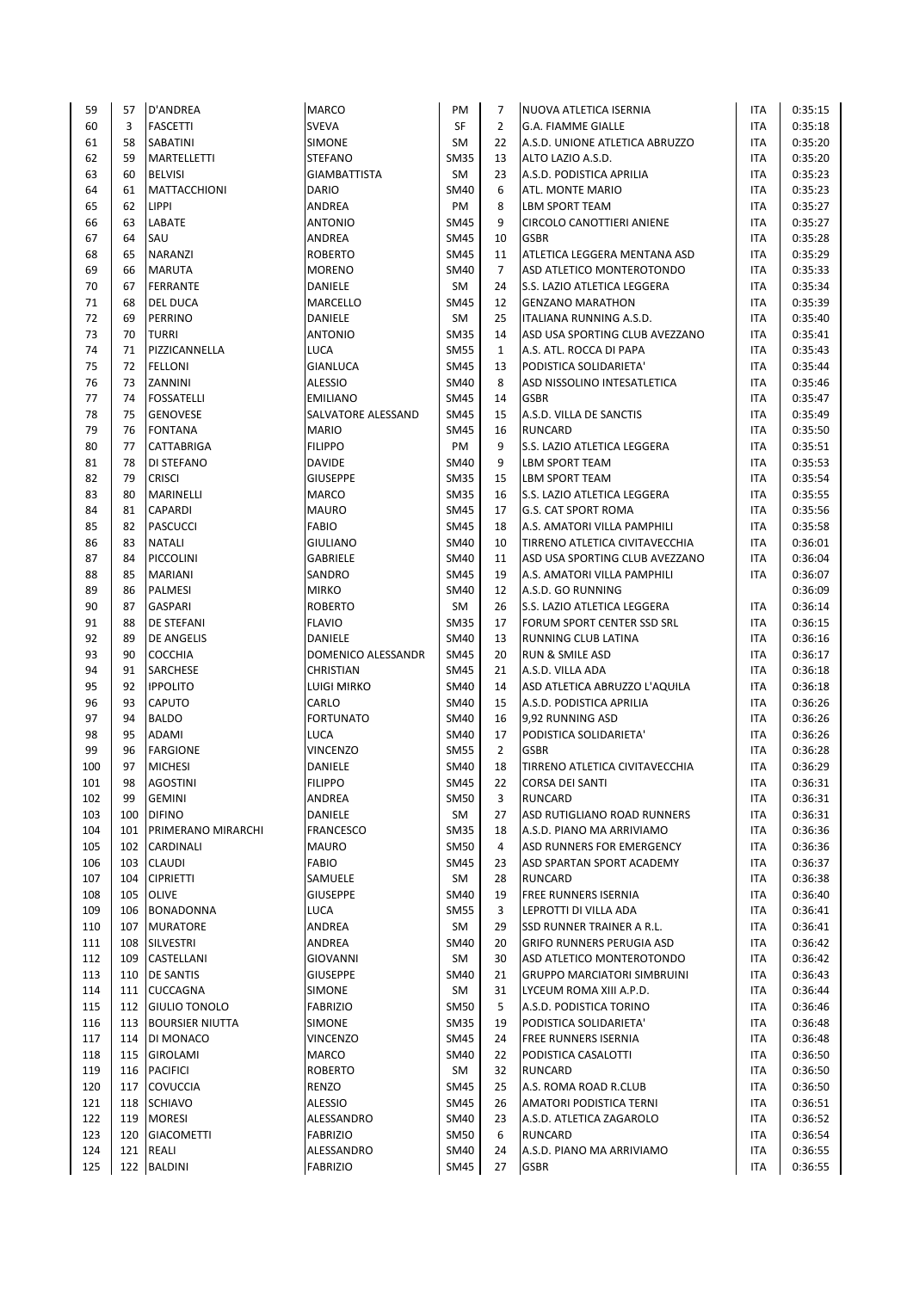| 59  | 57  | <b>D'ANDREA</b>      | <b>MARCO</b>                   | PM                       | 7              | NUOVA ATLETICA ISERNIA                           | ITA                      | 0:35:15            |
|-----|-----|----------------------|--------------------------------|--------------------------|----------------|--------------------------------------------------|--------------------------|--------------------|
| 60  | 3   | <b>FASCETTI</b>      | <b>SVEVA</b>                   | SF                       | $\overline{2}$ | <b>G.A. FIAMME GIALLE</b>                        | <b>ITA</b>               | 0:35:18            |
| 61  | 58  | <b>SABATINI</b>      | <b>SIMONE</b>                  | <b>SM</b>                | 22             | A.S.D. UNIONE ATLETICA ABRUZZO                   | ITA                      | 0:35:20            |
| 62  | 59  | <b>MARTELLETTI</b>   | <b>STEFANO</b>                 | <b>SM35</b>              | 13             | ALTO LAZIO A.S.D.                                | <b>ITA</b>               | 0:35:20            |
| 63  | 60  | <b>BELVISI</b>       | <b>GIAMBATTISTA</b>            | <b>SM</b>                | 23             | A.S.D. PODISTICA APRILIA                         | <b>ITA</b>               | 0:35:23            |
| 64  | 61  | <b>MATTACCHIONI</b>  | <b>DARIO</b>                   | <b>SM40</b>              | 6              | ATL. MONTE MARIO                                 | <b>ITA</b>               | 0:35:23            |
| 65  | 62  | <b>LIPPI</b>         | ANDREA                         | PM                       | 8              | <b>LBM SPORT TEAM</b>                            | <b>ITA</b>               | 0:35:27            |
| 66  | 63  | LABATE               | <b>ANTONIO</b>                 | <b>SM45</b>              | 9              | <b>CIRCOLO CANOTTIERI ANIENE</b>                 | <b>ITA</b>               | 0:35:27            |
| 67  | 64  | SAU                  | ANDREA                         | <b>SM45</b>              | 10             | <b>GSBR</b>                                      | <b>ITA</b>               | 0:35:28            |
| 68  | 65  | <b>NARANZI</b>       | <b>ROBERTO</b>                 | <b>SM45</b>              | 11             | ATLETICA LEGGERA MENTANA ASD                     | <b>ITA</b>               | 0:35:29            |
| 69  | 66  | <b>MARUTA</b>        | <b>MORENO</b>                  | <b>SM40</b>              | $\overline{7}$ | ASD ATLETICO MONTEROTONDO                        | ITA                      | 0:35:33            |
| 70  | 67  | <b>FERRANTE</b>      | <b>DANIELE</b>                 | SM                       | 24             | S.S. LAZIO ATLETICA LEGGERA                      | <b>ITA</b>               | 0:35:34            |
| 71  | 68  | <b>DEL DUCA</b>      | MARCELLO                       | <b>SM45</b>              | 12             | <b>GENZANO MARATHON</b>                          | <b>ITA</b>               | 0:35:39            |
| 72  | 69  | <b>PERRINO</b>       | DANIELE                        | <b>SM</b>                | 25             | ITALIANA RUNNING A.S.D.                          | ITA                      | 0:35:40            |
| 73  | 70  | <b>TURRI</b>         | <b>ANTONIO</b>                 | <b>SM35</b>              | 14             | ASD USA SPORTING CLUB AVEZZANO                   | ITA                      | 0:35:41            |
| 74  | 71  | PIZZICANNELLA        | LUCA                           | <b>SM55</b>              | $\mathbf{1}$   | A.S. ATL. ROCCA DI PAPA                          | <b>ITA</b>               | 0:35:43            |
| 75  | 72  | <b>FELLONI</b>       | <b>GIANLUCA</b>                | <b>SM45</b>              | 13             | PODISTICA SOLIDARIETA'                           | ITA                      | 0:35:44            |
| 76  | 73  | ZANNINI              | <b>ALESSIO</b>                 | <b>SM40</b>              | 8              | ASD NISSOLINO INTESATLETICA                      | <b>ITA</b>               | 0:35:46            |
| 77  | 74  | <b>FOSSATELLI</b>    | <b>EMILIANO</b>                | <b>SM45</b>              | 14             | <b>GSBR</b>                                      | ITA                      | 0:35:47            |
| 78  | 75  | <b>GENOVESE</b>      | SALVATORE ALESSAND             | <b>SM45</b>              | 15             | A.S.D. VILLA DE SANCTIS                          | <b>ITA</b>               | 0:35:49            |
| 79  | 76  | <b>FONTANA</b>       | <b>MARIO</b>                   | <b>SM45</b>              | 16             | <b>RUNCARD</b>                                   | <b>ITA</b>               | 0:35:50            |
| 80  | 77  | <b>CATTABRIGA</b>    | <b>FILIPPO</b>                 | PM                       | 9              | S.S. LAZIO ATLETICA LEGGERA                      | ITA                      | 0:35:51            |
| 81  | 78  | DI STEFANO           | <b>DAVIDE</b>                  | <b>SM40</b>              | 9              | <b>LBM SPORT TEAM</b>                            | <b>ITA</b>               | 0:35:53            |
| 82  | 79  | <b>CRISCI</b>        | <b>GIUSEPPE</b>                | <b>SM35</b>              | 15             | LBM SPORT TEAM                                   | <b>ITA</b>               | 0:35:54            |
| 83  | 80  | <b>MARINELLI</b>     | <b>MARCO</b>                   | <b>SM35</b>              | 16             | S.S. LAZIO ATLETICA LEGGERA                      | <b>ITA</b>               | 0:35:55            |
| 84  | 81  | <b>CAPARDI</b>       | <b>MAURO</b>                   | <b>SM45</b>              | 17             | <b>G.S. CAT SPORT ROMA</b>                       | ITA                      | 0:35:56            |
| 85  | 82  | <b>PASCUCCI</b>      | <b>FABIO</b>                   | <b>SM45</b>              | 18             | A.S. AMATORI VILLA PAMPHILI                      | <b>ITA</b>               | 0:35:58            |
| 86  | 83  | <b>NATALI</b>        | <b>GIULIANO</b>                | <b>SM40</b>              | 10             | TIRRENO ATLETICA CIVITAVECCHIA                   | <b>ITA</b>               | 0:36:01            |
| 87  | 84  | PICCOLINI            | <b>GABRIELE</b>                | <b>SM40</b>              | 11             | ASD USA SPORTING CLUB AVEZZANO                   | <b>ITA</b>               | 0:36:04            |
| 88  | 85  | <b>MARIANI</b>       | SANDRO                         | <b>SM45</b>              | 19             | A.S. AMATORI VILLA PAMPHILI                      | <b>ITA</b>               | 0:36:07            |
| 89  | 86  |                      |                                |                          |                |                                                  |                          |                    |
| 90  | 87  | <b>PALMESI</b>       | <b>MIRKO</b><br><b>ROBERTO</b> | <b>SM40</b><br><b>SM</b> | 12<br>26       | A.S.D. GO RUNNING<br>S.S. LAZIO ATLETICA LEGGERA |                          | 0:36:09<br>0:36:14 |
|     | 88  | <b>GASPARI</b>       |                                | <b>SM35</b>              | 17             |                                                  | <b>ITA</b><br><b>ITA</b> |                    |
| 91  |     | <b>DE STEFANI</b>    | <b>FLAVIO</b>                  |                          |                | FORUM SPORT CENTER SSD SRL                       |                          | 0:36:15            |
| 92  | 89  | <b>DE ANGELIS</b>    | <b>DANIELE</b>                 | <b>SM40</b>              | 13             | RUNNING CLUB LATINA                              | <b>ITA</b>               | 0:36:16            |
| 93  | 90  | <b>COCCHIA</b>       | DOMENICO ALESSANDR             | <b>SM45</b>              | 20             | RUN & SMILE ASD                                  | <b>ITA</b>               | 0:36:17            |
| 94  | 91  | <b>SARCHESE</b>      | CHRISTIAN                      | <b>SM45</b>              | 21             | A.S.D. VILLA ADA                                 | <b>ITA</b>               | 0:36:18            |
| 95  | 92  | <b>IPPOLITO</b>      | LUIGI MIRKO                    | <b>SM40</b>              | 14             | ASD ATLETICA ABRUZZO L'AQUILA                    | <b>ITA</b>               | 0:36:18<br>0:36:26 |
| 96  | 93  | <b>CAPUTO</b>        | CARLO                          | <b>SM40</b>              | 15             | A.S.D. PODISTICA APRILIA                         | ITA                      |                    |
| 97  | 94  | <b>BALDO</b>         | <b>FORTUNATO</b>               | <b>SM40</b>              | 16             | 9,92 RUNNING ASD                                 | ITA                      | 0:36:26            |
| 98  | 95  | <b>ADAMI</b>         | LUCA                           | <b>SM40</b>              | 17             | PODISTICA SOLIDARIETA'                           | ITA                      | 0:36:26            |
| 99  | 96  | <b>FARGIONE</b>      | <b>VINCENZO</b>                | <b>SM55</b>              | $\overline{2}$ | <b>GSBR</b>                                      | ITA                      | 0:36:28            |
| 100 | 97  | <b>MICHESI</b>       | <b>DANIELE</b>                 | <b>SM40</b>              | 18             | TIRRENO ATLETICA CIVITAVECCHIA                   | <b>ITA</b>               | 0:36:29            |
| 101 | 98  | <b>AGOSTINI</b>      | <b>FILIPPO</b>                 | <b>SM45</b>              | 22             | <b>CORSA DEI SANTI</b>                           | <b>ITA</b>               | 0:36:31            |
| 102 | 99  | <b>GEMINI</b>        | ANDREA                         | <b>SM50</b>              | 3              | RUNCARD                                          | ITA                      | 0:36:31            |
| 103 | 100 | <b>DIFINO</b>        | DANIELE                        | SM                       | 27             | ASD RUTIGLIANO ROAD RUNNERS                      | ITA                      | 0:36:31            |
| 104 | 101 | PRIMERANO MIRARCHI   | <b>FRANCESCO</b>               | <b>SM35</b>              | 18             | A.S.D. PIANO MA ARRIVIAMO                        | ITA                      | 0:36:36            |
| 105 |     | 102 CARDINALI        | MAURO                          | <b>SM50</b>              | 4              | ASD RUNNERS FOR EMERGENCY                        | <b>ITA</b>               | 0:36:36            |
| 106 |     | 103 CLAUDI           | <b>FABIO</b>                   | SM45                     | 23             | ASD SPARTAN SPORT ACADEMY                        | <b>ITA</b>               | 0:36:37            |
| 107 | 104 | <b>CIPRIETTI</b>     | SAMUELE                        | SM                       | 28             | <b>RUNCARD</b>                                   | ITA                      | 0:36:38            |
| 108 |     | 105 OLIVE            | <b>GIUSEPPE</b>                | <b>SM40</b>              | 19             | FREE RUNNERS ISERNIA                             | ITA                      | 0:36:40            |
| 109 |     | 106 BONADONNA        | LUCA                           | <b>SM55</b>              | 3              | LEPROTTI DI VILLA ADA                            | ITA                      | 0:36:41            |
| 110 |     | 107 MURATORE         | ANDREA                         | SM                       | 29             | SSD RUNNER TRAINER A R.L.                        | <b>ITA</b>               | 0:36:41            |
| 111 | 108 | <b>SILVESTRI</b>     | ANDREA                         | <b>SM40</b>              | 20             | <b>GRIFO RUNNERS PERUGIA ASD</b>                 | ITA                      | 0:36:42            |
| 112 |     | 109 CASTELLANI       | GIOVANNI                       | SM                       | 30             | ASD ATLETICO MONTEROTONDO                        | ITA                      | 0:36:42            |
| 113 |     | 110 <b>DE SANTIS</b> | <b>GIUSEPPE</b>                | <b>SM40</b>              | 21             | <b>GRUPPO MARCIATORI SIMBRUINI</b>               | ITA                      | 0:36:43            |
| 114 |     | 111 CUCCAGNA         | SIMONE                         | SM                       | 31             | LYCEUM ROMA XIII A.P.D.                          | <b>ITA</b>               | 0:36:44            |
| 115 |     | 112 GIULIO TONOLO    | <b>FABRIZIO</b>                | <b>SM50</b>              | 5              | A.S.D. PODISTICA TORINO                          | ITA                      | 0:36:46            |
| 116 |     | 113 BOURSIER NIUTTA  | SIMONE                         | <b>SM35</b>              | 19             | PODISTICA SOLIDARIETA'                           | <b>ITA</b>               | 0:36:48            |
| 117 | 114 | DI MONACO            | VINCENZO                       | <b>SM45</b>              | 24             | FREE RUNNERS ISERNIA                             | <b>ITA</b>               | 0:36:48            |
| 118 | 115 | <b>GIROLAMI</b>      | <b>MARCO</b>                   | <b>SM40</b>              | 22             | PODISTICA CASALOTTI                              | ITA                      | 0:36:50            |
| 119 |     | 116 PACIFICI         | <b>ROBERTO</b>                 | SM                       | 32             | RUNCARD                                          | ITA                      | 0:36:50            |
| 120 | 117 | <b>COVUCCIA</b>      | RENZO                          | <b>SM45</b>              | 25             | A.S. ROMA ROAD R.CLUB                            | <b>ITA</b>               | 0:36:50            |
| 121 |     | 118 SCHIAVO          | <b>ALESSIO</b>                 | <b>SM45</b>              | 26             | AMATORI PODISTICA TERNI                          | <b>ITA</b>               | 0:36:51            |
| 122 |     | 119 MORESI           | ALESSANDRO                     | <b>SM40</b>              | 23             | A.S.D. ATLETICA ZAGAROLO                         | <b>ITA</b>               | 0:36:52            |
| 123 | 120 | <b>GIACOMETTI</b>    | <b>FABRIZIO</b>                | <b>SM50</b>              | 6              | RUNCARD                                          | ITA                      | 0:36:54            |
| 124 |     | 121 REALI            | ALESSANDRO                     | <b>SM40</b>              | 24             | A.S.D. PIANO MA ARRIVIAMO                        | ITA                      | 0:36:55            |
| 125 |     | 122 BALDINI          | <b>FABRIZIO</b>                | <b>SM45</b>              | 27             | <b>GSBR</b>                                      | ITA                      | 0:36:55            |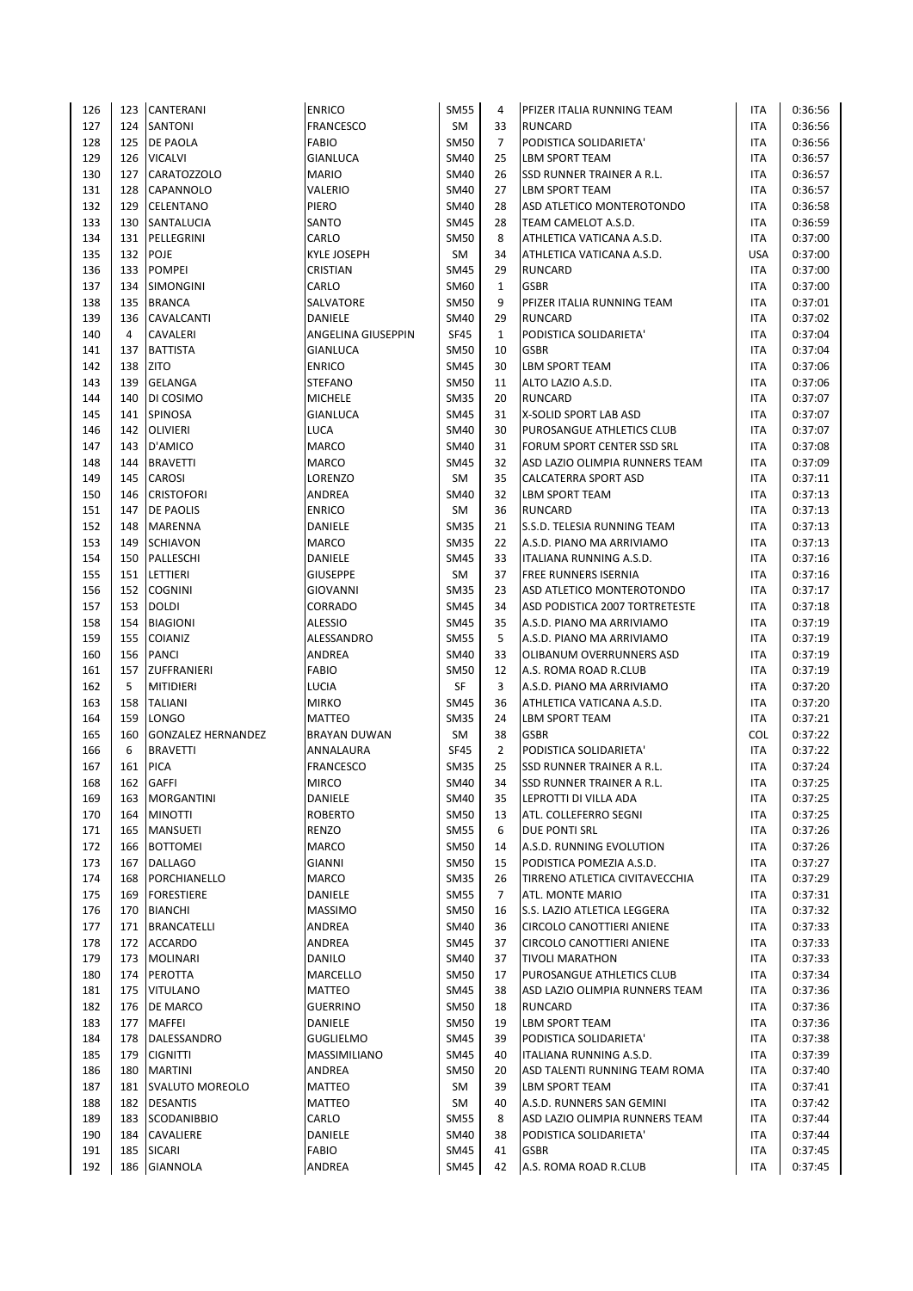| 126 | 123 | <b>CANTERANI</b>          | <b>ENRICO</b>           | <b>SM55</b> | 4              | PFIZER ITALIA RUNNING TEAM       | ITA        | 0:36:56 |
|-----|-----|---------------------------|-------------------------|-------------|----------------|----------------------------------|------------|---------|
| 127 |     | 124   SANTONI             | <b>FRANCESCO</b>        | SM          | 33             | <b>RUNCARD</b>                   | <b>ITA</b> | 0:36:56 |
| 128 |     | 125 <b>DE PAOLA</b>       | <b>FABIO</b>            | <b>SM50</b> | $\overline{7}$ | PODISTICA SOLIDARIETA'           | <b>ITA</b> | 0:36:56 |
| 129 | 126 | <b>VICALVI</b>            | <b>GIANLUCA</b>         | <b>SM40</b> | 25             | <b>LBM SPORT TEAM</b>            | <b>ITA</b> | 0:36:57 |
| 130 | 127 | <b>CARATOZZOLO</b>        | <b>MARIO</b>            | <b>SM40</b> | 26             | SSD RUNNER TRAINER A R.L.        | <b>ITA</b> | 0:36:57 |
| 131 | 128 | <b>CAPANNOLO</b>          | VALERIO                 | <b>SM40</b> | 27             | LBM SPORT TEAM                   | <b>ITA</b> | 0:36:57 |
| 132 | 129 | <b>CELENTANO</b>          | PIERO                   | <b>SM40</b> | 28             | ASD ATLETICO MONTEROTONDO        | ITA        | 0:36:58 |
| 133 | 130 | SANTALUCIA                | SANTO                   | <b>SM45</b> | 28             | TEAM CAMELOT A.S.D.              | ITA        | 0:36:59 |
|     |     |                           |                         |             | 8              |                                  |            |         |
| 134 |     | 131 PELLEGRINI            | CARLO                   | <b>SM50</b> |                | ATHLETICA VATICANA A.S.D.        | <b>ITA</b> | 0:37:00 |
| 135 | 132 | <b>POJE</b>               | <b>KYLE JOSEPH</b>      | SM          | 34             | ATHLETICA VATICANA A.S.D.        | <b>USA</b> | 0:37:00 |
| 136 | 133 | <b>POMPEI</b>             | <b>CRISTIAN</b>         | <b>SM45</b> | 29             | <b>RUNCARD</b>                   | ITA        | 0:37:00 |
| 137 | 134 | <b>SIMONGINI</b>          | CARLO                   | SM60        | $\mathbf{1}$   | <b>GSBR</b>                      | <b>ITA</b> | 0:37:00 |
| 138 | 135 | <b>BRANCA</b>             | SALVATORE               | <b>SM50</b> | 9              | PFIZER ITALIA RUNNING TEAM       | <b>ITA</b> | 0:37:01 |
| 139 | 136 | CAVALCANTI                | <b>DANIELE</b>          | <b>SM40</b> | 29             | <b>RUNCARD</b>                   | <b>ITA</b> | 0:37:02 |
| 140 | 4   | <b>CAVALERI</b>           | ANGELINA GIUSEPPIN      | <b>SF45</b> | $\mathbf{1}$   | PODISTICA SOLIDARIETA'           | <b>ITA</b> | 0:37:04 |
| 141 | 137 | <b>BATTISTA</b>           | <b>GIANLUCA</b>         | <b>SM50</b> | 10             | <b>GSBR</b>                      | <b>ITA</b> | 0:37:04 |
| 142 |     | 138 ZITO                  | <b>ENRICO</b>           | <b>SM45</b> | 30             | <b>LBM SPORT TEAM</b>            | <b>ITA</b> | 0:37:06 |
| 143 | 139 | <b>GELANGA</b>            | <b>STEFANO</b>          | <b>SM50</b> | 11             | ALTO LAZIO A.S.D.                | <b>ITA</b> | 0:37:06 |
| 144 | 140 | DI COSIMO                 | <b>MICHELE</b>          | <b>SM35</b> | 20             | <b>RUNCARD</b>                   | ITA        | 0:37:07 |
| 145 | 141 | <b>SPINOSA</b>            | <b>GIANLUCA</b>         | <b>SM45</b> | 31             | X-SOLID SPORT LAB ASD            | <b>ITA</b> | 0:37:07 |
| 146 | 142 | <b>OLIVIERI</b>           | <b>LUCA</b>             | <b>SM40</b> | 30             | PUROSANGUE ATHLETICS CLUB        | <b>ITA</b> | 0:37:07 |
| 147 | 143 | D'AMICO                   | <b>MARCO</b>            | <b>SM40</b> | 31             | FORUM SPORT CENTER SSD SRL       | <b>ITA</b> | 0:37:08 |
| 148 | 144 | <b>BRAVETTI</b>           | <b>MARCO</b>            | <b>SM45</b> | 32             | ASD LAZIO OLIMPIA RUNNERS TEAM   | <b>ITA</b> | 0:37:09 |
| 149 | 145 | <b>CAROSI</b>             | LORENZO                 | SM          | 35             | CALCATERRA SPORT ASD             | <b>ITA</b> | 0:37:11 |
| 150 | 146 | <b>CRISTOFORI</b>         | ANDREA                  | <b>SM40</b> | 32             | <b>LBM SPORT TEAM</b>            | ITA        | 0:37:13 |
| 151 | 147 | DE PAOLIS                 | <b>ENRICO</b>           | SM          | 36             | <b>RUNCARD</b>                   | ITA        | 0:37:13 |
| 152 | 148 | MARENNA                   | DANIELE                 | <b>SM35</b> | 21             | S.S.D. TELESIA RUNNING TEAM      | <b>ITA</b> | 0:37:13 |
| 153 | 149 | <b>SCHIAVON</b>           | MARCO                   | <b>SM35</b> | 22             | A.S.D. PIANO MA ARRIVIAMO        | <b>ITA</b> | 0:37:13 |
| 154 | 150 | PALLESCHI                 | DANIELE                 | <b>SM45</b> | 33             | ITALIANA RUNNING A.S.D.          | <b>ITA</b> | 0:37:16 |
| 155 | 151 | <b>LETTIERI</b>           | <b>GIUSEPPE</b>         | SM          | 37             | FREE RUNNERS ISERNIA             | <b>ITA</b> | 0:37:16 |
| 156 | 152 | <b>COGNINI</b>            | <b>GIOVANNI</b>         | <b>SM35</b> | 23             | ASD ATLETICO MONTEROTONDO        | ITA        | 0:37:17 |
| 157 |     | 153 DOLDI                 | CORRADO                 | <b>SM45</b> | 34             | ASD PODISTICA 2007 TORTRETESTE   | <b>ITA</b> | 0:37:18 |
|     |     |                           |                         |             |                |                                  |            |         |
| 158 | 154 | <b>BIAGIONI</b>           | <b>ALESSIO</b>          | <b>SM45</b> | 35             | A.S.D. PIANO MA ARRIVIAMO        | ITA        | 0:37:19 |
| 159 | 155 | <b>COIANIZ</b>            | ALESSANDRO              | <b>SM55</b> | 5              | A.S.D. PIANO MA ARRIVIAMO        | ITA        | 0:37:19 |
| 160 | 156 | <b>PANCI</b>              | ANDREA                  | SM40        | 33             | OLIBANUM OVERRUNNERS ASD         | ITA        | 0:37:19 |
| 161 | 157 | ZUFFRANIERI               | <b>FABIO</b>            | <b>SM50</b> | 12             | A.S. ROMA ROAD R.CLUB            | <b>ITA</b> | 0:37:19 |
| 162 | 5   | MITIDIERI                 | LUCIA                   | SF          | 3              | A.S.D. PIANO MA ARRIVIAMO        | ITA        | 0:37:20 |
| 163 | 158 | <b>TALIANI</b>            | <b>MIRKO</b>            | <b>SM45</b> | 36             | ATHLETICA VATICANA A.S.D.        | ITA        | 0:37:20 |
| 164 | 159 | LONGO                     | <b>MATTEO</b>           | <b>SM35</b> | 24             | <b>LBM SPORT TEAM</b>            | <b>ITA</b> | 0:37:21 |
| 165 | 160 | <b>GONZALEZ HERNANDEZ</b> | <b>BRAYAN DUWAN</b>     | SM          | 38             | <b>GSBR</b>                      | COL        | 0:37:22 |
| 166 | 6   | <b>BRAVETTI</b>           | ANNALAURA               | <b>SF45</b> | $\overline{2}$ | PODISTICA SOLIDARIETA'           | <b>ITA</b> | 0:37:22 |
| 167 | 161 | <b>PICA</b>               | <b>FRANCESCO</b>        | <b>SM35</b> | 25             | <b>SSD RUNNER TRAINER A R.L.</b> | <b>ITA</b> | 0:37:24 |
| 168 | 162 | <b>GAFFI</b>              | <b>MIRCO</b>            | <b>SM40</b> | 34             | <b>SSD RUNNER TRAINER A R.L.</b> | <b>ITA</b> | 0:37:25 |
| 169 | 163 | MORGANTINI                | DANIELE                 | <b>SM40</b> | 35             | LEPROTTI DI VILLA ADA            | ITA        | 0:37:25 |
| 170 | 164 | <b>MINOTTI</b>            | <b>ROBERTO</b>          | <b>SM50</b> | 13             | ATL. COLLEFERRO SEGNI            | ITA        | 0:37:25 |
| 171 | 165 | <b>MANSUETI</b>           | RENZO                   | <b>SM55</b> | 6              | DUE PONTI SRL                    | ITA        | 0:37:26 |
| 172 |     | 166 BOTTOMEI              | MARCO                   | <b>SM50</b> | 14             | A.S.D. RUNNING EVOLUTION         | ITA        | 0:37:26 |
| 173 |     | 167 DALLAGO               | <b>GIANNI</b>           | <b>SM50</b> | 15             | PODISTICA POMEZIA A.S.D.         | ITA        | 0:37:27 |
| 174 |     | 168   PORCHIANELLO        | MARCO                   | <b>SM35</b> | 26             | TIRRENO ATLETICA CIVITAVECCHIA   | ITA        | 0:37:29 |
| 175 |     | 169   FORESTIERE          | DANIELE                 | <b>SM55</b> | 7              | ATL. MONTE MARIO                 | ITA        | 0:37:31 |
| 176 |     | 170 BIANCHI               | <b>MASSIMO</b>          | <b>SM50</b> | 16             | S.S. LAZIO ATLETICA LEGGERA      | ITA        | 0:37:32 |
| 177 |     | 171   BRANCATELLI         | ANDREA                  | <b>SM40</b> | 36             | CIRCOLO CANOTTIERI ANIENE        | ITA        | 0:37:33 |
| 178 |     | 172 ACCARDO               | ANDREA                  | <b>SM45</b> | 37             | CIRCOLO CANOTTIERI ANIENE        | ITA        | 0:37:33 |
| 179 | 173 | <b>MOLINARI</b>           | DANILO                  | SM40        | 37             | <b>TIVOLI MARATHON</b>           | ITA        | 0:37:33 |
| 180 |     | 174 PEROTTA               | MARCELLO                | <b>SM50</b> | 17             | PUROSANGUE ATHLETICS CLUB        | <b>ITA</b> | 0:37:34 |
| 181 |     | 175 VITULANO              | <b>MATTEO</b>           | <b>SM45</b> | 38             | ASD LAZIO OLIMPIA RUNNERS TEAM   | ITA        | 0:37:36 |
| 182 |     | 176 <b>DE MARCO</b>       | GUERRINO                | <b>SM50</b> | 18             | RUNCARD                          | ITA        | 0:37:36 |
| 183 |     | 177   MAFFEI              | DANIELE                 | <b>SM50</b> | 19             | LBM SPORT TEAM                   | ITA        | 0:37:36 |
| 184 |     | 178   DALESSANDRO         | <b>GUGLIELMO</b>        | <b>SM45</b> | 39             | PODISTICA SOLIDARIETA'           | <b>ITA</b> | 0:37:38 |
| 185 |     | 179 CIGNITTI              | MASSIMILIANO            | <b>SM45</b> | 40             | ITALIANA RUNNING A.S.D.          | ITA        | 0:37:39 |
| 186 |     | 180   MARTINI             | ANDREA                  | <b>SM50</b> | 20             | ASD TALENTI RUNNING TEAM ROMA    | ITA        | 0:37:40 |
| 187 |     | 181   SVALUTO MOREOLO     | MATTEO                  | SM          | 39             | LBM SPORT TEAM                   | ITA        | 0:37:41 |
| 188 |     | 182 DESANTIS              | <b>MATTEO</b>           | SM          | 40             | A.S.D. RUNNERS SAN GEMINI        | <b>ITA</b> | 0:37:42 |
|     |     |                           |                         |             | 8              |                                  |            |         |
| 189 |     | 183 SCODANIBBIO           | CARLO                   | <b>SM55</b> |                | ASD LAZIO OLIMPIA RUNNERS TEAM   | ITA        | 0:37:44 |
| 190 |     | 184 CAVALIERE             | DANIELE<br><b>FABIO</b> | <b>SM40</b> | 38             | PODISTICA SOLIDARIETA'           | ITA        | 0:37:44 |
| 191 |     | 185 SICARI                |                         | <b>SM45</b> | 41             | <b>GSBR</b>                      | <b>ITA</b> | 0:37:45 |
| 192 | 186 | <b>GIANNOLA</b>           | ANDREA                  | SM45        | 42             | A.S. ROMA ROAD R.CLUB            | <b>ITA</b> | 0:37:45 |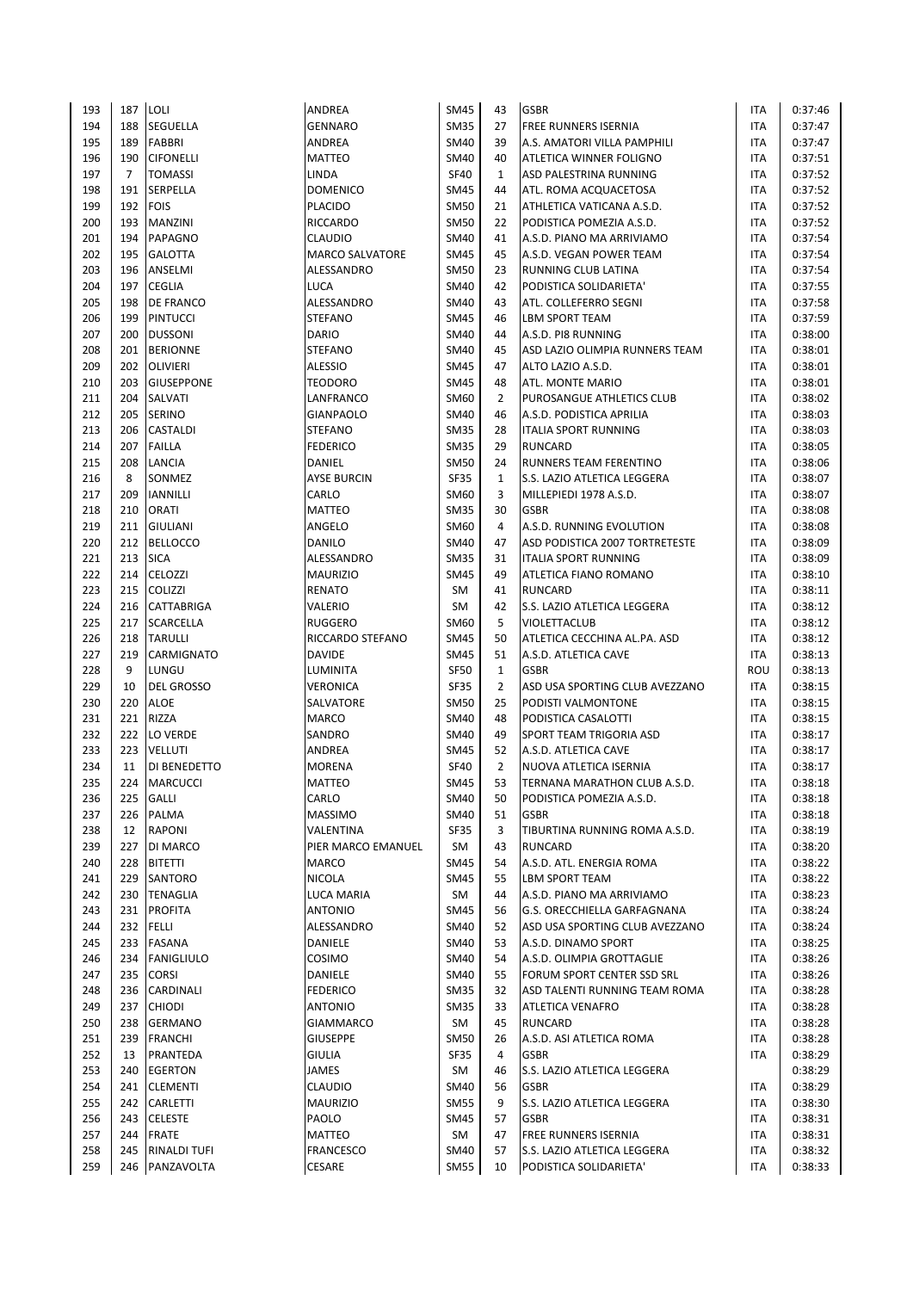| 193 | 187 | LOLI              | ANDREA                 | <b>SM45</b>                | 43             | <b>GSBR</b>                    | <b>ITA</b> | 0:37:46 |
|-----|-----|-------------------|------------------------|----------------------------|----------------|--------------------------------|------------|---------|
| 194 | 188 | SEGUELLA          | <b>GENNARO</b>         | <b>SM35</b>                | 27             | FREE RUNNERS ISERNIA           | <b>ITA</b> | 0:37:47 |
| 195 | 189 | <b>FABBRI</b>     | ANDREA                 | <b>SM40</b>                | 39             | A.S. AMATORI VILLA PAMPHILI    | <b>ITA</b> | 0:37:47 |
| 196 | 190 | <b>CIFONELLI</b>  | <b>MATTEO</b>          | <b>SM40</b>                | 40             | ATLETICA WINNER FOLIGNO        | <b>ITA</b> | 0:37:51 |
| 197 | 7   | <b>TOMASSI</b>    | LINDA                  | <b>SF40</b>                | $\mathbf{1}$   | ASD PALESTRINA RUNNING         | <b>ITA</b> | 0:37:52 |
| 198 | 191 | SERPELLA          | <b>DOMENICO</b>        | <b>SM45</b>                | 44             | ATL. ROMA ACQUACETOSA          | <b>ITA</b> | 0:37:52 |
| 199 | 192 | <b>FOIS</b>       | <b>PLACIDO</b>         | <b>SM50</b>                | 21             | ATHLETICA VATICANA A.S.D.      | <b>ITA</b> | 0:37:52 |
| 200 | 193 | MANZINI           | <b>RICCARDO</b>        | <b>SM50</b>                | 22             | PODISTICA POMEZIA A.S.D.       | <b>ITA</b> | 0:37:52 |
| 201 | 194 | PAPAGNO           | <b>CLAUDIO</b>         | <b>SM40</b>                | 41             | A.S.D. PIANO MA ARRIVIAMO      | <b>ITA</b> | 0:37:54 |
| 202 | 195 | <b>GALOTTA</b>    | <b>MARCO SALVATORE</b> | <b>SM45</b>                | 45             | A.S.D. VEGAN POWER TEAM        | <b>ITA</b> | 0:37:54 |
|     |     |                   |                        |                            |                |                                |            |         |
| 203 | 196 | ANSELMI           | ALESSANDRO             | <b>SM50</b><br><b>SM40</b> | 23             | RUNNING CLUB LATINA            | <b>ITA</b> | 0:37:54 |
| 204 | 197 | <b>CEGLIA</b>     | LUCA                   |                            | 42             | PODISTICA SOLIDARIETA'         | <b>ITA</b> | 0:37:55 |
| 205 | 198 | DE FRANCO         | ALESSANDRO             | <b>SM40</b>                | 43             | ATL. COLLEFERRO SEGNI          | <b>ITA</b> | 0:37:58 |
| 206 | 199 | <b>PINTUCCI</b>   | <b>STEFANO</b>         | <b>SM45</b>                | 46             | <b>LBM SPORT TEAM</b>          | <b>ITA</b> | 0:37:59 |
| 207 | 200 | <b>DUSSONI</b>    | <b>DARIO</b>           | <b>SM40</b>                | 44             | A.S.D. PI8 RUNNING             | <b>ITA</b> | 0:38:00 |
| 208 | 201 | <b>BERIONNE</b>   | <b>STEFANO</b>         | <b>SM40</b>                | 45             | ASD LAZIO OLIMPIA RUNNERS TEAM | <b>ITA</b> | 0:38:01 |
| 209 | 202 | <b>OLIVIERI</b>   | <b>ALESSIO</b>         | <b>SM45</b>                | 47             | ALTO LAZIO A.S.D.              | <b>ITA</b> | 0:38:01 |
| 210 | 203 | <b>GIUSEPPONE</b> | <b>TEODORO</b>         | <b>SM45</b>                | 48             | ATL. MONTE MARIO               | <b>ITA</b> | 0:38:01 |
| 211 | 204 | SALVATI           | LANFRANCO              | SM60                       | $\overline{2}$ | PUROSANGUE ATHLETICS CLUB      | <b>ITA</b> | 0:38:02 |
| 212 | 205 | <b>SERINO</b>     | <b>GIANPAOLO</b>       | <b>SM40</b>                | 46             | A.S.D. PODISTICA APRILIA       | <b>ITA</b> | 0:38:03 |
| 213 | 206 | <b>CASTALDI</b>   | <b>STEFANO</b>         | <b>SM35</b>                | 28             | <b>ITALIA SPORT RUNNING</b>    | <b>ITA</b> | 0:38:03 |
| 214 | 207 | <b>FAILLA</b>     | <b>FEDERICO</b>        | <b>SM35</b>                | 29             | <b>RUNCARD</b>                 | <b>ITA</b> | 0:38:05 |
| 215 | 208 | LANCIA            | DANIEL                 | <b>SM50</b>                | 24             | RUNNERS TEAM FERENTINO         | <b>ITA</b> | 0:38:06 |
| 216 | 8   | SONMEZ            | <b>AYSE BURCIN</b>     | <b>SF35</b>                | $\mathbf{1}$   | S.S. LAZIO ATLETICA LEGGERA    | <b>ITA</b> | 0:38:07 |
| 217 | 209 | <b>IANNILLI</b>   | CARLO                  | <b>SM60</b>                | 3              | MILLEPIEDI 1978 A.S.D.         | <b>ITA</b> | 0:38:07 |
| 218 | 210 | ORATI             | <b>MATTEO</b>          | <b>SM35</b>                | 30             | <b>GSBR</b>                    | <b>ITA</b> | 0:38:08 |
| 219 | 211 | <b>GIULIANI</b>   | ANGELO                 | SM60                       | 4              | A.S.D. RUNNING EVOLUTION       | <b>ITA</b> | 0:38:08 |
| 220 | 212 | <b>BELLOCCO</b>   | <b>DANILO</b>          | <b>SM40</b>                | 47             | ASD PODISTICA 2007 TORTRETESTE | <b>ITA</b> | 0:38:09 |
| 221 | 213 | <b>SICA</b>       | ALESSANDRO             | <b>SM35</b>                | 31             | <b>ITALIA SPORT RUNNING</b>    | <b>ITA</b> | 0:38:09 |
| 222 | 214 | <b>CELOZZI</b>    | <b>MAURIZIO</b>        | <b>SM45</b>                | 49             | ATLETICA FIANO ROMANO          | <b>ITA</b> | 0:38:10 |
| 223 | 215 | <b>COLIZZI</b>    | <b>RENATO</b>          | <b>SM</b>                  | 41             | <b>RUNCARD</b>                 | <b>ITA</b> | 0:38:11 |
| 224 | 216 | <b>CATTABRIGA</b> | VALERIO                | <b>SM</b>                  | 42             | S.S. LAZIO ATLETICA LEGGERA    | <b>ITA</b> | 0:38:12 |
| 225 | 217 | <b>SCARCELLA</b>  | <b>RUGGERO</b>         | SM60                       | 5              | <b>VIOLETTACLUB</b>            | <b>ITA</b> | 0:38:12 |
| 226 | 218 | <b>TARULLI</b>    | RICCARDO STEFANO       | <b>SM45</b>                | 50             | ATLETICA CECCHINA AL.PA. ASD   |            | 0:38:12 |
|     |     |                   |                        |                            |                |                                | <b>ITA</b> |         |
| 227 | 219 | CARMIGNATO        | <b>DAVIDE</b>          | <b>SM45</b>                | 51             | A.S.D. ATLETICA CAVE           | <b>ITA</b> | 0:38:13 |
| 228 | 9   | LUNGU             | LUMINITA               | <b>SF50</b>                | $\mathbf{1}$   | <b>GSBR</b>                    | ROU        | 0:38:13 |
| 229 | 10  | <b>DEL GROSSO</b> | VERONICA               | <b>SF35</b>                | $\overline{2}$ | ASD USA SPORTING CLUB AVEZZANO | <b>ITA</b> | 0:38:15 |
| 230 | 220 | <b>ALOE</b>       | SALVATORE              | <b>SM50</b>                | 25             | PODISTI VALMONTONE             | <b>ITA</b> | 0:38:15 |
| 231 | 221 | RIZZA             | MARCO                  | <b>SM40</b>                | 48             | PODISTICA CASALOTTI            | <b>ITA</b> | 0:38:15 |
| 232 | 222 | LO VERDE          | SANDRO                 | <b>SM40</b>                | 49             | SPORT TEAM TRIGORIA ASD        | <b>ITA</b> | 0:38:17 |
| 233 | 223 | <b>VELLUTI</b>    | ANDREA                 | <b>SM45</b>                | 52             | A.S.D. ATLETICA CAVE           | <b>ITA</b> | 0:38:17 |
| 234 | 11  | DI BENEDETTO      | <b>MORENA</b>          | <b>SF40</b>                | $\overline{2}$ | NUOVA ATLETICA ISERNIA         | <b>ITA</b> | 0:38:17 |
| 235 | 224 | <b>MARCUCCI</b>   | <b>MATTEO</b>          | <b>SM45</b>                | 53             | TERNANA MARATHON CLUB A.S.D.   | <b>ITA</b> | 0:38:18 |
| 236 | 225 | GALLI             | CARLO                  | <b>SM40</b>                | 50             | PODISTICA POMEZIA A.S.D.       | ITA        | 0:38:18 |
| 237 | 226 | PALMA             | <b>MASSIMO</b>         | <b>SM40</b>                | 51             | <b>GSBR</b>                    | ITA        | 0:38:18 |
| 238 | 12  | <b>RAPONI</b>     | VALENTINA              | SF35                       | 3              | TIBURTINA RUNNING ROMA A.S.D.  | <b>ITA</b> | 0:38:19 |
| 239 | 227 | DI MARCO          | PIER MARCO EMANUEL     | SM                         | 43             | <b>RUNCARD</b>                 | ITA        | 0:38:20 |
| 240 | 228 | <b>BITETTI</b>    | MARCO                  | <b>SM45</b>                | 54             | A.S.D. ATL. ENERGIA ROMA       | ITA        | 0:38:22 |
| 241 | 229 | SANTORO           | NICOLA                 | <b>SM45</b>                | 55             | <b>LBM SPORT TEAM</b>          | ITA        | 0:38:22 |
| 242 |     | 230 TENAGLIA      | LUCA MARIA             | SM                         | 44             | A.S.D. PIANO MA ARRIVIAMO      | ITA        | 0:38:23 |
| 243 | 231 | <b>PROFITA</b>    | <b>ANTONIO</b>         | <b>SM45</b>                | 56             | G.S. ORECCHIELLA GARFAGNANA    | <b>ITA</b> | 0:38:24 |
| 244 | 232 | <b>FELLI</b>      | ALESSANDRO             | SM40                       | 52             | ASD USA SPORTING CLUB AVEZZANO | ITA        | 0:38:24 |
| 245 | 233 | FASANA            | DANIELE                | SM40                       | 53             | A.S.D. DINAMO SPORT            | ITA        | 0:38:25 |
| 246 | 234 | <b>FANIGLIULO</b> | <b>COSIMO</b>          | <b>SM40</b>                | 54             | A.S.D. OLIMPIA GROTTAGLIE      | <b>ITA</b> | 0:38:26 |
| 247 | 235 | <b>CORSI</b>      | DANIELE                | <b>SM40</b>                | 55             | FORUM SPORT CENTER SSD SRL     | <b>ITA</b> | 0:38:26 |
| 248 | 236 | CARDINALI         | <b>FEDERICO</b>        | <b>SM35</b>                | 32             | ASD TALENTI RUNNING TEAM ROMA  | ITA        | 0:38:28 |
| 249 | 237 | <b>CHIODI</b>     | <b>ANTONIO</b>         | <b>SM35</b>                | 33             | ATLETICA VENAFRO               | ITA        | 0:38:28 |
| 250 | 238 | GERMANO           | <b>GIAMMARCO</b>       | SM                         | 45             | <b>RUNCARD</b>                 | ITA        | 0:38:28 |
| 251 | 239 | <b>FRANCHI</b>    | <b>GIUSEPPE</b>        | <b>SM50</b>                | 26             | A.S.D. ASI ATLETICA ROMA       | ITA        | 0:38:28 |
| 252 | 13  | PRANTEDA          | <b>GIULIA</b>          | <b>SF35</b>                | 4              | <b>GSBR</b>                    | ITA        | 0:38:29 |
| 253 | 240 | EGERTON           | JAMES                  | SM                         | 46             | S.S. LAZIO ATLETICA LEGGERA    |            | 0:38:29 |
| 254 | 241 | <b>CLEMENTI</b>   | <b>CLAUDIO</b>         | SM40                       | 56             | <b>GSBR</b>                    | ITA        | 0:38:29 |
| 255 | 242 | CARLETTI          | <b>MAURIZIO</b>        | <b>SM55</b>                | 9              | S.S. LAZIO ATLETICA LEGGERA    | ITA        | 0:38:30 |
| 256 | 243 | <b>CELESTE</b>    | PAOLO                  | <b>SM45</b>                | 57             | <b>GSBR</b>                    | ITA        | 0:38:31 |
| 257 | 244 | <b>FRATE</b>      | MATTEO                 | SM                         | 47             | <b>FREE RUNNERS ISERNIA</b>    | ITA        | 0:38:31 |
| 258 | 245 | RINALDI TUFI      | FRANCESCO              | <b>SM40</b>                | 57             | S.S. LAZIO ATLETICA LEGGERA    | <b>ITA</b> | 0:38:32 |
| 259 | 246 | PANZAVOLTA        | CESARE                 | <b>SM55</b>                | 10             | PODISTICA SOLIDARIETA'         | ITA        | 0:38:33 |
|     |     |                   |                        |                            |                |                                |            |         |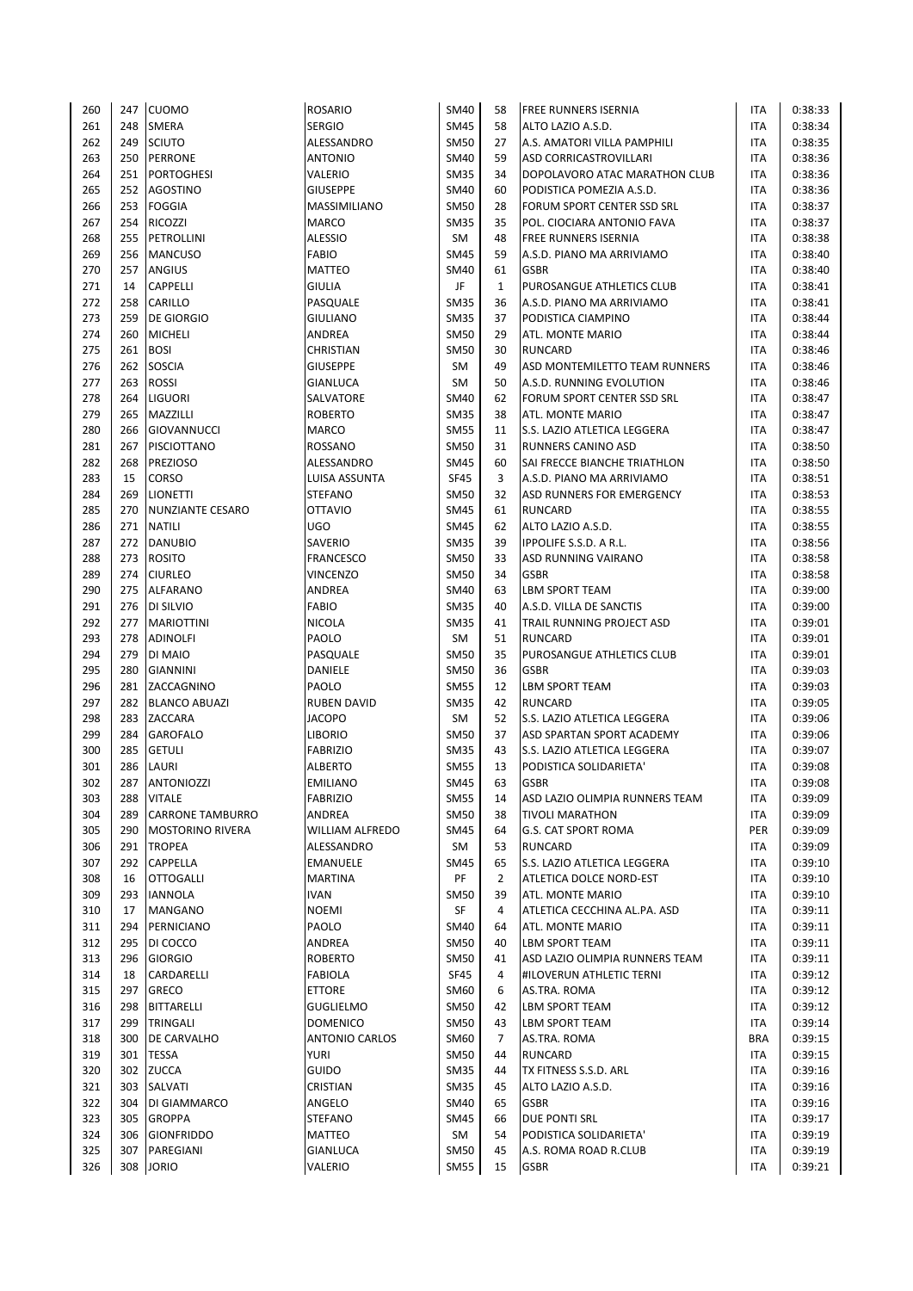| 260 | 247 | <b>CUOMO</b>            | <b>ROSARIO</b>         | <b>SM40</b> | 58             | <b>FREE RUNNERS ISERNIA</b>    | ITA        | 0:38:33 |
|-----|-----|-------------------------|------------------------|-------------|----------------|--------------------------------|------------|---------|
| 261 | 248 | <b>SMERA</b>            | <b>SERGIO</b>          | <b>SM45</b> | 58             | ALTO LAZIO A.S.D.              | <b>ITA</b> | 0:38:34 |
| 262 | 249 | <b>SCIUTO</b>           | ALESSANDRO             | <b>SM50</b> | 27             | A.S. AMATORI VILLA PAMPHILI    | <b>ITA</b> | 0:38:35 |
| 263 | 250 | PERRONE                 | <b>ANTONIO</b>         | SM40        | 59             | ASD CORRICASTROVILLARI         | <b>ITA</b> | 0:38:36 |
| 264 | 251 | <b>PORTOGHESI</b>       | VALERIO                | <b>SM35</b> | 34             | DOPOLAVORO ATAC MARATHON CLUB  | <b>ITA</b> | 0:38:36 |
| 265 | 252 | <b>AGOSTINO</b>         | <b>GIUSEPPE</b>        | <b>SM40</b> | 60             | PODISTICA POMEZIA A.S.D.       | <b>ITA</b> | 0:38:36 |
| 266 | 253 | <b>FOGGIA</b>           | MASSIMILIANO           | <b>SM50</b> | 28             | FORUM SPORT CENTER SSD SRL     | ITA        | 0:38:37 |
| 267 | 254 | <b>RICOZZI</b>          | <b>MARCO</b>           | <b>SM35</b> | 35             | POL. CIOCIARA ANTONIO FAVA     | <b>ITA</b> | 0:38:37 |
| 268 | 255 | PETROLLINI              | ALESSIO                | SM          | 48             | <b>FREE RUNNERS ISERNIA</b>    | <b>ITA</b> | 0:38:38 |
| 269 | 256 | <b>MANCUSO</b>          | <b>FABIO</b>           | <b>SM45</b> | 59             | A.S.D. PIANO MA ARRIVIAMO      | <b>ITA</b> | 0:38:40 |
| 270 | 257 | <b>ANGIUS</b>           | <b>MATTEO</b>          | <b>SM40</b> | 61             | <b>GSBR</b>                    | ITA        | 0:38:40 |
| 271 | 14  | <b>CAPPELLI</b>         | <b>GIULIA</b>          | JF          | $\mathbf{1}$   | PUROSANGUE ATHLETICS CLUB      | <b>ITA</b> | 0:38:41 |
| 272 | 258 | CARILLO                 | PASQUALE               | <b>SM35</b> | 36             | A.S.D. PIANO MA ARRIVIAMO      | <b>ITA</b> | 0:38:41 |
| 273 | 259 | <b>DE GIORGIO</b>       | <b>GIULIANO</b>        | <b>SM35</b> | 37             | PODISTICA CIAMPINO             | ITA        | 0:38:44 |
| 274 | 260 | <b>MICHELI</b>          | ANDREA                 | <b>SM50</b> | 29             | ATL. MONTE MARIO               | <b>ITA</b> | 0:38:44 |
| 275 |     | 261 BOSI                | CHRISTIAN              | <b>SM50</b> | 30             | <b>RUNCARD</b>                 | <b>ITA</b> | 0:38:46 |
| 276 | 262 | SOSCIA                  | <b>GIUSEPPE</b>        | SM          | 49             | ASD MONTEMILETTO TEAM RUNNERS  | <b>ITA</b> | 0:38:46 |
| 277 | 263 | <b>ROSSI</b>            | <b>GIANLUCA</b>        | <b>SM</b>   | 50             | A.S.D. RUNNING EVOLUTION       | <b>ITA</b> | 0:38:46 |
| 278 | 264 | LIGUORI                 | SALVATORE              | <b>SM40</b> | 62             | FORUM SPORT CENTER SSD SRL     | <b>ITA</b> | 0:38:47 |
| 279 | 265 | MAZZILLI                | <b>ROBERTO</b>         | <b>SM35</b> | 38             | ATL. MONTE MARIO               | <b>ITA</b> | 0:38:47 |
| 280 | 266 | <b>GIOVANNUCCI</b>      | MARCO                  | <b>SM55</b> | 11             | S.S. LAZIO ATLETICA LEGGERA    | <b>ITA</b> | 0:38:47 |
| 281 | 267 | PISCIOTTANO             | <b>ROSSANO</b>         | <b>SM50</b> | 31             | RUNNERS CANINO ASD             | ITA        | 0:38:50 |
| 282 | 268 | <b>PREZIOSO</b>         | ALESSANDRO             | <b>SM45</b> | 60             | SAI FRECCE BIANCHE TRIATHLON   | <b>ITA</b> | 0:38:50 |
| 283 | 15  | CORSO                   | LUISA ASSUNTA          | <b>SF45</b> | 3              | A.S.D. PIANO MA ARRIVIAMO      | <b>ITA</b> | 0:38:51 |
| 284 | 269 | <b>LIONETTI</b>         | <b>STEFANO</b>         | <b>SM50</b> | 32             | ASD RUNNERS FOR EMERGENCY      | <b>ITA</b> | 0:38:53 |
| 285 | 270 | <b>NUNZIANTE CESARO</b> | <b>OTTAVIO</b>         | <b>SM45</b> | 61             | <b>RUNCARD</b>                 | <b>ITA</b> | 0:38:55 |
| 286 | 271 | <b>NATILI</b>           | UGO                    | <b>SM45</b> | 62             | ALTO LAZIO A.S.D.              | <b>ITA</b> | 0:38:55 |
| 287 | 272 | <b>DANUBIO</b>          | SAVERIO                | <b>SM35</b> | 39             | IPPOLIFE S.S.D. A R.L.         | <b>ITA</b> | 0:38:56 |
| 288 | 273 | <b>ROSITO</b>           | <b>FRANCESCO</b>       | <b>SM50</b> | 33             | ASD RUNNING VAIRANO            | <b>ITA</b> | 0:38:58 |
| 289 | 274 | <b>CIURLEO</b>          | <b>VINCENZO</b>        | <b>SM50</b> | 34             | <b>GSBR</b>                    | <b>ITA</b> | 0:38:58 |
| 290 |     | 275 ALFARANO            | ANDREA                 | SM40        | 63             | <b>LBM SPORT TEAM</b>          | <b>ITA</b> | 0:39:00 |
| 291 |     | 276 DI SILVIO           | <b>FABIO</b>           | <b>SM35</b> | 40             | A.S.D. VILLA DE SANCTIS        | <b>ITA</b> | 0:39:00 |
| 292 | 277 | <b>MARIOTTINI</b>       | <b>NICOLA</b>          | <b>SM35</b> | 41             | TRAIL RUNNING PROJECT ASD      | ITA        | 0:39:01 |
| 293 | 278 | <b>ADINOLFI</b>         | PAOLO                  | <b>SM</b>   | 51             | <b>RUNCARD</b>                 | <b>ITA</b> | 0:39:01 |
| 294 | 279 | DI MAIO                 | PASQUALE               | <b>SM50</b> | 35             | PUROSANGUE ATHLETICS CLUB      | <b>ITA</b> | 0:39:01 |
| 295 | 280 | <b>GIANNINI</b>         | DANIELE                | <b>SM50</b> | 36             | <b>GSBR</b>                    | <b>ITA</b> | 0:39:03 |
| 296 | 281 | ZACCAGNINO              | PAOLO                  | <b>SM55</b> | 12             | <b>LBM SPORT TEAM</b>          | ITA        | 0:39:03 |
| 297 | 282 | <b>BLANCO ABUAZI</b>    | <b>RUBEN DAVID</b>     | <b>SM35</b> | 42             | <b>RUNCARD</b>                 | ITA        | 0:39:05 |
| 298 | 283 | ZACCARA                 | <b>JACOPO</b>          | SM          | 52             | S.S. LAZIO ATLETICA LEGGERA    | <b>ITA</b> | 0:39:06 |
| 299 | 284 | <b>GAROFALO</b>         | LIBORIO                | <b>SM50</b> | 37             | ASD SPARTAN SPORT ACADEMY      | <b>ITA</b> | 0:39:06 |
| 300 | 285 | <b>GETULI</b>           | <b>FABRIZIO</b>        | <b>SM35</b> | 43             | S.S. LAZIO ATLETICA LEGGERA    | <b>ITA</b> | 0:39:07 |
| 301 | 286 | LAURI                   | <b>ALBERTO</b>         | <b>SM55</b> | 13             | PODISTICA SOLIDARIETA'         | <b>ITA</b> | 0:39:08 |
| 302 | 287 | <b>ANTONIOZZI</b>       | <b>EMILIANO</b>        | <b>SM45</b> | 63             | <b>GSBR</b>                    | <b>ITA</b> | 0:39:08 |
| 303 | 288 | <b>VITALE</b>           | <b>FABRIZIO</b>        | <b>SM55</b> | 14             | ASD LAZIO OLIMPIA RUNNERS TEAM | ITA        | 0:39:09 |
| 304 | 289 | <b>CARRONE TAMBURRO</b> | ANDREA                 | <b>SM50</b> | 38             | <b>TIVOLI MARATHON</b>         | ITA        | 0:39:09 |
| 305 | 290 | <b>MOSTORINO RIVERA</b> | <b>WILLIAM ALFREDO</b> | <b>SM45</b> | 64             | G.S. CAT SPORT ROMA            | PER        | 0:39:09 |
| 306 | 291 | <b>TROPEA</b>           | ALESSANDRO             | SM          | 53             | <b>RUNCARD</b>                 | ITA        | 0:39:09 |
| 307 | 292 | CAPPELLA                | EMANUELE               | <b>SM45</b> | 65             | S.S. LAZIO ATLETICA LEGGERA    | ITA        | 0:39:10 |
| 308 | 16  | <b>OTTOGALLI</b>        | MARTINA                | PF          | $\overline{2}$ | ATLETICA DOLCE NORD-EST        | ITA        | 0:39:10 |
| 309 | 293 | <b>IANNOLA</b>          | <b>IVAN</b>            | SM50        | 39             | ATL. MONTE MARIO               | ITA        | 0:39:10 |
| 310 | 17  | MANGANO                 | <b>NOEMI</b>           | SF          | 4              | ATLETICA CECCHINA AL.PA. ASD   | ITA        | 0:39:11 |
| 311 | 294 | PERNICIANO              | PAOLO                  | SM40        | 64             | ATL. MONTE MARIO               | ITA        | 0:39:11 |
| 312 | 295 | DI COCCO                | ANDREA                 | <b>SM50</b> | 40             | <b>LBM SPORT TEAM</b>          | ITA        | 0:39:11 |
| 313 | 296 | <b>GIORGIO</b>          | <b>ROBERTO</b>         | <b>SM50</b> | 41             | ASD LAZIO OLIMPIA RUNNERS TEAM | <b>ITA</b> | 0:39:11 |
| 314 | 18  | CARDARELLI              | <b>FABIOLA</b>         | <b>SF45</b> | 4              | #ILOVERUN ATHLETIC TERNI       | <b>ITA</b> | 0:39:12 |
| 315 | 297 | GRECO                   | <b>ETTORE</b>          | SM60        | 6              | AS.TRA. ROMA                   | ITA        | 0:39:12 |
| 316 | 298 | <b>BITTARELLI</b>       | <b>GUGLIELMO</b>       | <b>SM50</b> | 42             | <b>LBM SPORT TEAM</b>          | ITA        | 0:39:12 |
| 317 | 299 | TRINGALI                | <b>DOMENICO</b>        | <b>SM50</b> | 43             | <b>LBM SPORT TEAM</b>          | <b>ITA</b> | 0:39:14 |
| 318 | 300 | DE CARVALHO             | ANTONIO CARLOS         | SM60        | $\overline{7}$ | AS.TRA. ROMA                   | <b>BRA</b> | 0:39:15 |
| 319 | 301 | <b>TESSA</b>            | YURI                   | <b>SM50</b> | 44             | RUNCARD                        | ITA        | 0:39:15 |
| 320 | 302 | <b>ZUCCA</b>            | <b>GUIDO</b>           | <b>SM35</b> | 44             | TX FITNESS S.S.D. ARL          | ITA        | 0:39:16 |
| 321 | 303 | SALVATI                 | CRISTIAN               | <b>SM35</b> | 45             | ALTO LAZIO A.S.D.              | ITA        | 0:39:16 |
| 322 | 304 | DI GIAMMARCO            | ANGELO                 | SM40        | 65             | <b>GSBR</b>                    | ITA        | 0:39:16 |
| 323 | 305 | <b>GROPPA</b>           | STEFANO                | <b>SM45</b> | 66             | DUE PONTI SRL                  | ITA        | 0:39:17 |
| 324 | 306 | <b>GIONFRIDDO</b>       | MATTEO                 | SM          | 54             | PODISTICA SOLIDARIETA'         | ITA        | 0:39:19 |
| 325 | 307 | PAREGIANI               | GIANLUCA               | <b>SM50</b> | 45             | A.S. ROMA ROAD R.CLUB          | <b>ITA</b> | 0:39:19 |
| 326 | 308 | <b>JORIO</b>            | VALERIO                | <b>SM55</b> | 15             | <b>GSBR</b>                    | <b>ITA</b> | 0:39:21 |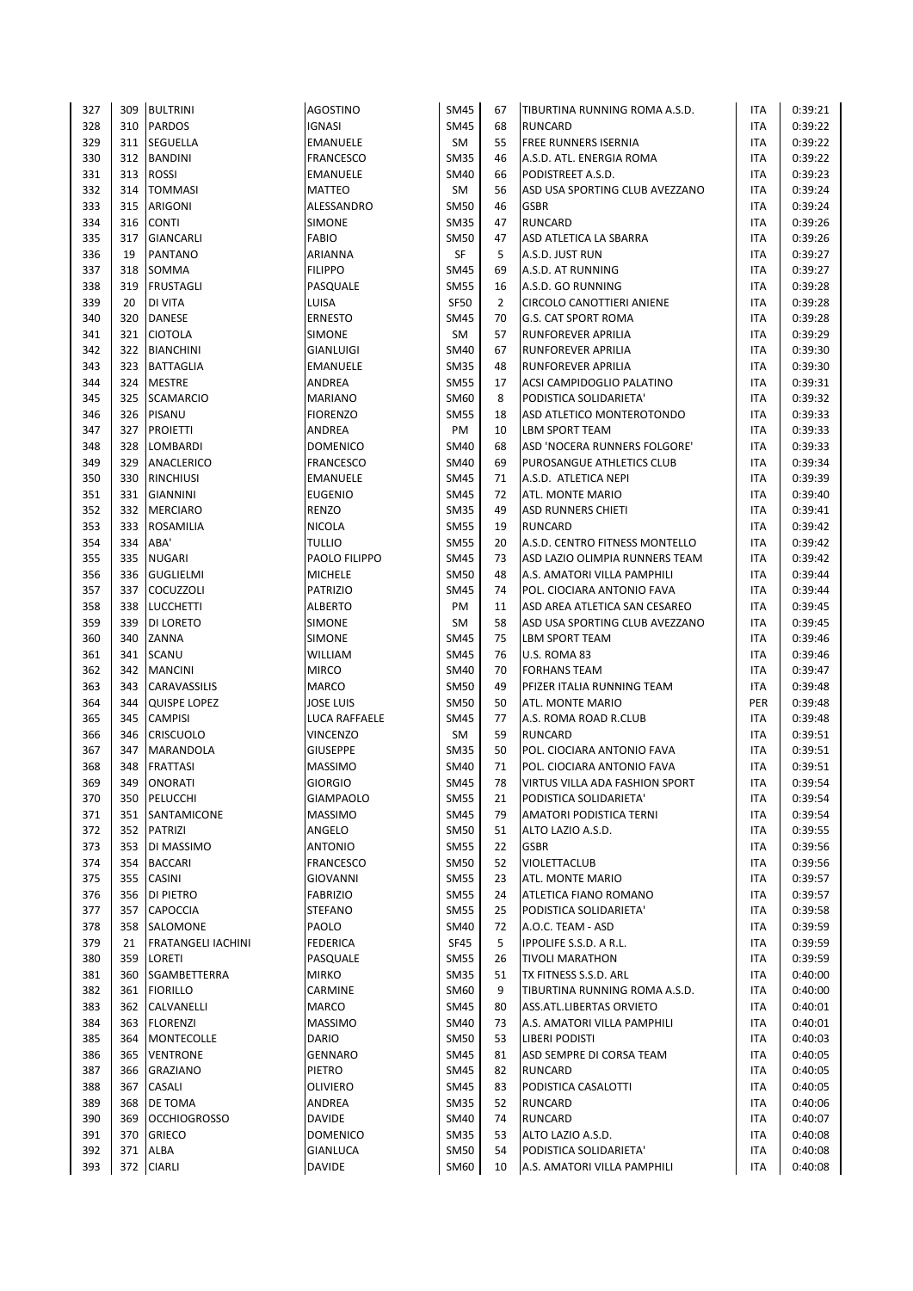| 327        | 309        | <b>BULTRINI</b>                     | <b>AGOSTINO</b>            | <b>SM45</b>                | 67             | TIBURTINA RUNNING ROMA A.S.D.                 | ITA                      | 0:39:21            |
|------------|------------|-------------------------------------|----------------------------|----------------------------|----------------|-----------------------------------------------|--------------------------|--------------------|
| 328        | 310        | <b>PARDOS</b>                       | <b>IGNASI</b>              | <b>SM45</b>                | 68             | <b>RUNCARD</b>                                | <b>ITA</b>               | 0:39:22            |
| 329        |            | 311 SEGUELLA                        | <b>EMANUELE</b>            | SM                         | 55             | <b>FREE RUNNERS ISERNIA</b>                   | <b>ITA</b>               | 0:39:22            |
| 330        |            | 312 BANDINI                         | <b>FRANCESCO</b>           | <b>SM35</b>                | 46             | A.S.D. ATL. ENERGIA ROMA                      | <b>ITA</b>               | 0:39:22            |
| 331        | 313        | <b>ROSSI</b>                        | EMANUELE                   | <b>SM40</b>                | 66             | PODISTREET A.S.D.                             | <b>ITA</b>               | 0:39:23            |
| 332        | 314        | <b>TOMMASI</b>                      | MATTEO                     | SM                         | 56             | ASD USA SPORTING CLUB AVEZZANO                | <b>ITA</b>               | 0:39:24            |
| 333        | 315        | ARIGONI                             | ALESSANDRO                 | <b>SM50</b>                | 46             | <b>GSBR</b>                                   | ITA                      | 0:39:24            |
| 334        | 316        | <b>CONTI</b>                        | <b>SIMONE</b>              | <b>SM35</b>                | 47             | <b>RUNCARD</b>                                | <b>ITA</b>               | 0:39:26            |
| 335        | 317        | <b>GIANCARLI</b>                    | <b>FABIO</b>               | <b>SM50</b>                | 47             | ASD ATLETICA LA SBARRA                        | <b>ITA</b>               | 0:39:26            |
| 336        | 19         | PANTANO                             | ARIANNA                    | SF                         | 5              | A.S.D. JUST RUN                               | <b>ITA</b>               | 0:39:27            |
| 337        | 318        | SOMMA                               | <b>FILIPPO</b>             | <b>SM45</b>                | 69             | A.S.D. AT RUNNING                             | <b>ITA</b>               | 0:39:27            |
| 338        | 319        | <b>FRUSTAGLI</b>                    | PASQUALE                   | <b>SM55</b>                | 16             | A.S.D. GO RUNNING                             | <b>ITA</b>               | 0:39:28            |
| 339        | 20         | DI VITA                             | LUISA                      | <b>SF50</b>                | $\overline{2}$ | CIRCOLO CANOTTIERI ANIENE                     | <b>ITA</b>               | 0:39:28            |
| 340        | 320        | DANESE                              | <b>ERNESTO</b>             | <b>SM45</b>                | 70             | G.S. CAT SPORT ROMA                           | <b>ITA</b>               | 0:39:28            |
| 341        | 321        | <b>CIOTOLA</b>                      | SIMONE                     | SM                         | 57             | RUNFOREVER APRILIA                            | <b>ITA</b>               | 0:39:29            |
| 342        |            | 322 BIANCHINI                       | <b>GIANLUIGI</b>           | <b>SM40</b>                | 67             | RUNFOREVER APRILIA                            | <b>ITA</b>               | 0:39:30            |
| 343        |            | 323 BATTAGLIA                       | <b>EMANUELE</b>            | <b>SM35</b>                | 48             | RUNFOREVER APRILIA                            | <b>ITA</b>               | 0:39:30            |
| 344        | 324        | <b>MESTRE</b>                       | ANDREA                     | <b>SM55</b>                | 17             | ACSI CAMPIDOGLIO PALATINO                     | ITA                      | 0:39:31            |
| 345        | 325        | <b>SCAMARCIO</b>                    | <b>MARIANO</b>             | SM60                       | 8              | PODISTICA SOLIDARIETA'                        | <b>ITA</b>               | 0:39:32            |
| 346        | 326        | PISANU                              | <b>FIORENZO</b>            | <b>SM55</b>                | 18             | ASD ATLETICO MONTEROTONDO                     | <b>ITA</b>               | 0:39:33            |
| 347        | 327        | <b>PROIETTI</b>                     | ANDREA                     | PM                         | 10<br>68       | <b>LBM SPORT TEAM</b>                         | <b>ITA</b>               | 0:39:33            |
| 348        | 328<br>329 | LOMBARDI                            | <b>DOMENICO</b>            | <b>SM40</b>                | 69             | ASD 'NOCERA RUNNERS FOLGORE'                  | <b>ITA</b>               | 0:39:33            |
| 349        |            | ANACLERICO                          | <b>FRANCESCO</b>           | SM40                       |                | PUROSANGUE ATHLETICS CLUB                     | <b>ITA</b>               | 0:39:34            |
| 350<br>351 | 330<br>331 | <b>RINCHIUSI</b><br><b>GIANNINI</b> | EMANUELE<br><b>EUGENIO</b> | <b>SM45</b><br><b>SM45</b> | 71<br>72       | A.S.D. ATLETICA NEPI<br>ATL. MONTE MARIO      | <b>ITA</b><br><b>ITA</b> | 0:39:39<br>0:39:40 |
| 352        | 332        | <b>MERCIARO</b>                     | <b>RENZO</b>               | <b>SM35</b>                | 49             | <b>ASD RUNNERS CHIETI</b>                     | ITA                      | 0:39:41            |
| 353        | 333        | ROSAMILIA                           | NICOLA                     | <b>SM55</b>                | 19             | <b>RUNCARD</b>                                | <b>ITA</b>               | 0:39:42            |
| 354        | 334        | ABA'                                | <b>TULLIO</b>              | <b>SM55</b>                | 20             | A.S.D. CENTRO FITNESS MONTELLO                | <b>ITA</b>               | 0:39:42            |
| 355        | 335        | <b>NUGARI</b>                       | PAOLO FILIPPO              | <b>SM45</b>                | 73             | ASD LAZIO OLIMPIA RUNNERS TEAM                | <b>ITA</b>               | 0:39:42            |
| 356        | 336        | <b>GUGLIELMI</b>                    | <b>MICHELE</b>             | <b>SM50</b>                | 48             | A.S. AMATORI VILLA PAMPHILI                   | <b>ITA</b>               | 0:39:44            |
| 357        | 337        | COCUZZOLI                           | <b>PATRIZIO</b>            | <b>SM45</b>                | 74             | POL. CIOCIARA ANTONIO FAVA                    | <b>ITA</b>               | 0:39:44            |
| 358        | 338        | <b>LUCCHETTI</b>                    | <b>ALBERTO</b>             | PM                         | 11             | ASD AREA ATLETICA SAN CESAREO                 | <b>ITA</b>               | 0:39:45            |
| 359        | 339        | DI LORETO                           | <b>SIMONE</b>              | <b>SM</b>                  | 58             | ASD USA SPORTING CLUB AVEZZANO                | ITA                      | 0:39:45            |
| 360        | 340        | ZANNA                               | <b>SIMONE</b>              | <b>SM45</b>                | 75             | <b>LBM SPORT TEAM</b>                         | <b>ITA</b>               | 0:39:46            |
| 361        | 341        | SCANU                               | WILLIAM                    | <b>SM45</b>                | 76             | U.S. ROMA 83                                  | <b>ITA</b>               | 0:39:46            |
| 362        | 342        | <b>MANCINI</b>                      | <b>MIRCO</b>               | SM40                       | 70             | <b>FORHANS TEAM</b>                           | <b>ITA</b>               | 0:39:47            |
| 363        | 343        | CARAVASSILIS                        | MARCO                      | <b>SM50</b>                | 49             | PFIZER ITALIA RUNNING TEAM                    | ITA                      | 0:39:48            |
| 364        | 344        | <b>QUISPE LOPEZ</b>                 | JOSE LUIS                  | <b>SM50</b>                | 50             | ATL. MONTE MARIO                              | PER                      | 0:39:48            |
| 365        | 345        | <b>CAMPISI</b>                      | LUCA RAFFAELE              | <b>SM45</b>                | 77             | A.S. ROMA ROAD R.CLUB                         | ITA                      | 0:39:48            |
| 366        | 346        | <b>CRISCUOLO</b>                    | <b>VINCENZO</b>            | SM                         | 59             | <b>RUNCARD</b>                                | <b>ITA</b>               | 0:39:51            |
| 367        | 347        | MARANDOLA                           | <b>GIUSEPPE</b>            | <b>SM35</b>                | 50             | POL. CIOCIARA ANTONIO FAVA                    | <b>ITA</b>               | 0:39:51            |
| 368        | 348        | <b>FRATTASI</b>                     | <b>MASSIMO</b>             | SM40                       | 71             | POL. CIOCIARA ANTONIO FAVA                    | <b>ITA</b>               | 0:39:51            |
| 369        | 349        | <b>ONORATI</b>                      | <b>GIORGIO</b>             | <b>SM45</b>                | 78             | VIRTUS VILLA ADA FASHION SPORT                | <b>ITA</b>               | 0:39:54            |
| 370        | 350        | PELUCCHI                            | <b>GIAMPAOLO</b>           | <b>SM55</b>                | 21             | PODISTICA SOLIDARIETA'                        | ITA                      | 0:39:54            |
| 371        | 351        | SANTAMICONE                         | <b>MASSIMO</b>             | <b>SM45</b>                | 79             | <b>AMATORI PODISTICA TERNI</b>                | ITA                      | 0:39:54            |
| 372        | 352        | PATRIZI                             | ANGELO                     | <b>SM50</b>                | 51             | ALTO LAZIO A.S.D.                             | <b>ITA</b>               | 0:39:55            |
| 373        | 353        | DI MASSIMO                          | ANTONIO                    | <b>SM55</b>                | 22             | <b>GSBR</b>                                   | ITA                      | 0:39:56            |
| 374        | 354        | <b>BACCARI</b>                      | <b>FRANCESCO</b>           | <b>SM50</b>                | 52             | VIOLETTACLUB                                  | ITA                      | 0:39:56            |
| 375        | 355        | CASINI                              | GIOVANNI                   | <b>SM55</b>                | 23             | ATL. MONTE MARIO                              | ITA                      | 0:39:57            |
| 376        | 356        | DI PIETRO                           | <b>FABRIZIO</b>            | <b>SM55</b>                | 24             | ATLETICA FIANO ROMANO                         | ITA                      | 0:39:57            |
| 377        | 357        | CAPOCCIA                            | <b>STEFANO</b>             | <b>SM55</b>                | 25             | PODISTICA SOLIDARIETA'                        | <b>ITA</b>               | 0:39:58            |
| 378        | 358        | SALOMONE                            | PAOLO                      | <b>SM40</b>                | 72             | A.O.C. TEAM - ASD                             | ITA                      | 0:39:59            |
| 379        | 21         | FRATANGELI IACHINI                  | <b>FEDERICA</b>            | <b>SF45</b>                | 5              | IPPOLIFE S.S.D. A R.L.                        | ITA                      | 0:39:59            |
| 380        | 359        | LORETI                              | PASQUALE                   | <b>SM55</b>                | 26             | <b>TIVOLI MARATHON</b>                        | <b>ITA</b>               | 0:39:59            |
| 381        | 360        | SGAMBETTERRA                        | <b>MIRKO</b>               | <b>SM35</b>                | 51             | TX FITNESS S.S.D. ARL                         | <b>ITA</b>               | 0:40:00            |
| 382        | 361        | <b>FIORILLO</b>                     | CARMINE                    | SM60                       | 9              | TIBURTINA RUNNING ROMA A.S.D.                 | <b>ITA</b>               | 0:40:00            |
| 383<br>384 | 362<br>363 | CALVANELLI<br><b>FLORENZI</b>       | MARCO<br><b>MASSIMO</b>    | <b>SM45</b><br><b>SM40</b> | 80<br>73       | ASS.ATL.LIBERTAS ORVIETO                      | ITA<br><b>ITA</b>        | 0:40:01<br>0:40:01 |
| 385        | 364        | MONTECOLLE                          | DARIO                      | <b>SM50</b>                | 53             | A.S. AMATORI VILLA PAMPHILI<br>LIBERI PODISTI | ITA                      | 0:40:03            |
| 386        | 365        | <b>VENTRONE</b>                     | <b>GENNARO</b>             | <b>SM45</b>                | 81             | ASD SEMPRE DI CORSA TEAM                      | ITA                      | 0:40:05            |
| 387        | 366        | GRAZIANO                            | PIETRO                     | <b>SM45</b>                | 82             | <b>RUNCARD</b>                                | ITA                      | 0:40:05            |
| 388        | 367        | CASALI                              | OLIVIERO                   | <b>SM45</b>                | 83             | PODISTICA CASALOTTI                           | <b>ITA</b>               | 0:40:05            |
| 389        | 368        | DE TOMA                             | ANDREA                     | <b>SM35</b>                | 52             | <b>RUNCARD</b>                                | ITA                      | 0:40:06            |
| 390        | 369        | <b>OCCHIOGROSSO</b>                 | <b>DAVIDE</b>              | SM40                       | 74             | RUNCARD                                       | ITA                      | 0:40:07            |
| 391        | 370        | <b>GRIECO</b>                       | DOMENICO                   | <b>SM35</b>                | 53             | ALTO LAZIO A.S.D.                             | ITA                      | 0:40:08            |
| 392        |            | 371 ALBA                            | <b>GIANLUCA</b>            | <b>SM50</b>                | 54             | PODISTICA SOLIDARIETA'                        | <b>ITA</b>               | 0:40:08            |
| 393        | 372        | <b>CIARLI</b>                       | DAVIDE                     | SM60                       | 10             | A.S. AMATORI VILLA PAMPHILI                   | <b>ITA</b>               | 0:40:08            |
|            |            |                                     |                            |                            |                |                                               |                          |                    |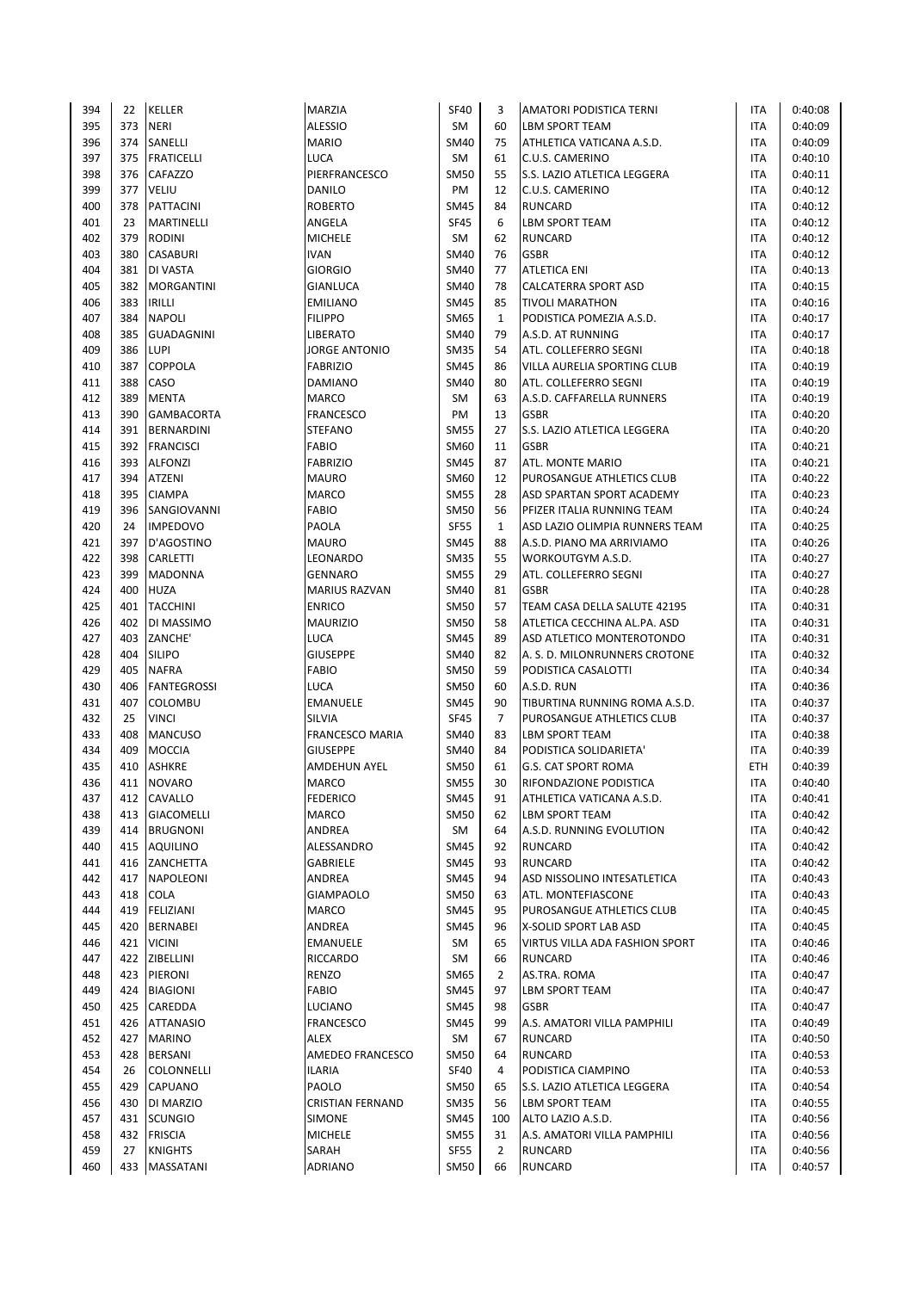| 394        | 22        | KELLER                         | MARZIA                       | <b>SF40</b>                | 3                  | AMATORI PODISTICA TERNI                           | ITA                      | 0:40:08            |
|------------|-----------|--------------------------------|------------------------------|----------------------------|--------------------|---------------------------------------------------|--------------------------|--------------------|
| 395        | 373       | <b>NERI</b>                    | <b>ALESSIO</b>               | SM                         | 60                 | LBM SPORT TEAM                                    | ITA                      | 0:40:09            |
| 396        | 374       | SANELLI                        | <b>MARIO</b>                 | <b>SM40</b>                | 75                 | ATHLETICA VATICANA A.S.D.                         | <b>ITA</b>               | 0:40:09            |
| 397        | 375       | <b>FRATICELLI</b>              | <b>LUCA</b>                  | SM                         | 61                 | C.U.S. CAMERINO                                   | <b>ITA</b>               | 0:40:10            |
| 398        |           | 376 CAFAZZO                    | PIERFRANCESCO                | <b>SM50</b>                | 55                 | S.S. LAZIO ATLETICA LEGGERA                       | <b>ITA</b>               | 0:40:11            |
| 399        | 377       | VELIU                          | DANILO                       | PM                         | 12                 | C.U.S. CAMERINO                                   | <b>ITA</b>               | 0:40:12            |
| 400        | 378       | PATTACINI                      | <b>ROBERTO</b>               | <b>SM45</b>                | 84                 | <b>RUNCARD</b>                                    | ITA                      | 0:40:12            |
| 401        | 23        | <b>MARTINELLI</b>              | ANGELA                       | <b>SF45</b>                | 6                  | <b>LBM SPORT TEAM</b>                             | <b>ITA</b>               | 0:40:12            |
| 402        | 379       | <b>RODINI</b>                  | <b>MICHELE</b>               | SM                         | 62                 | <b>RUNCARD</b>                                    | <b>ITA</b>               | 0:40:12            |
| 403        | 380       | <b>CASABURI</b>                | <b>IVAN</b>                  | <b>SM40</b>                | 76                 | <b>GSBR</b>                                       | <b>ITA</b>               | 0:40:12            |
| 404        | 381       | DI VASTA                       | <b>GIORGIO</b>               | <b>SM40</b>                | 77                 | <b>ATLETICA ENI</b>                               | <b>ITA</b>               | 0:40:13            |
| 405        | 382       | <b>MORGANTINI</b>              | <b>GIANLUCA</b>              | SM40                       | 78                 | CALCATERRA SPORT ASD                              | <b>ITA</b>               | 0:40:15            |
| 406        | 383       | <b>IRILLI</b>                  | <b>EMILIANO</b>              | <b>SM45</b>                | 85                 | <b>TIVOLI MARATHON</b>                            | <b>ITA</b>               | 0:40:16            |
| 407        | 384       | <b>NAPOLI</b>                  | <b>FILIPPO</b>               | <b>SM65</b>                | $\mathbf{1}$       | PODISTICA POMEZIA A.S.D.                          | <b>ITA</b>               | 0:40:17            |
| 408        | 385       | <b>GUADAGNINI</b>              | LIBERATO                     | SM40                       | 79                 | A.S.D. AT RUNNING                                 | ITA                      | 0:40:17            |
| 409        | 386       | <b>LUPI</b>                    | <b>JORGE ANTONIO</b>         | <b>SM35</b>                | 54                 | ATL. COLLEFERRO SEGNI                             | <b>ITA</b>               | 0:40:18            |
| 410        | 387       | <b>COPPOLA</b>                 | <b>FABRIZIO</b>              | <b>SM45</b>                | 86                 | VILLA AURELIA SPORTING CLUB                       | <b>ITA</b>               | 0:40:19            |
| 411        | 388       | CASO                           | <b>DAMIANO</b>               | <b>SM40</b>                | 80                 | ATL. COLLEFERRO SEGNI                             | ITA                      | 0:40:19            |
| 412        | 389       | <b>MENTA</b>                   | MARCO                        | SM                         | 63                 | A.S.D. CAFFARELLA RUNNERS                         | <b>ITA</b>               | 0:40:19            |
| 413        | 390       | <b>GAMBACORTA</b>              | <b>FRANCESCO</b>             | PM                         | 13                 | <b>GSBR</b>                                       | <b>ITA</b>               | 0:40:20            |
| 414        | 391       | <b>BERNARDINI</b>              | <b>STEFANO</b>               | <b>SM55</b>                | 27                 | S.S. LAZIO ATLETICA LEGGERA                       | <b>ITA</b>               | 0:40:20            |
| 415        | 392       | <b>FRANCISCI</b>               | <b>FABIO</b>                 | SM60                       | 11                 | <b>GSBR</b>                                       | ITA                      | 0:40:21            |
| 416        | 393       | <b>ALFONZI</b>                 | <b>FABRIZIO</b>              | <b>SM45</b>                | 87                 | ATL. MONTE MARIO                                  | <b>ITA</b>               | 0:40:21            |
| 417        | 394       | ATZENI                         | <b>MAURO</b>                 | SM60                       | 12                 | PUROSANGUE ATHLETICS CLUB                         | <b>ITA</b>               | 0:40:22            |
| 418        | 395       | <b>CIAMPA</b>                  | <b>MARCO</b><br><b>FABIO</b> | <b>SM55</b>                | 28<br>56           | ASD SPARTAN SPORT ACADEMY                         | ITA                      | 0:40:23            |
| 419        | 396       | SANGIOVANNI<br><b>IMPEDOVO</b> |                              | <b>SM50</b>                |                    | PFIZER ITALIA RUNNING TEAM                        | ITA                      | 0:40:24            |
| 420<br>421 | 24<br>397 | D'AGOSTINO                     | PAOLA<br><b>MAURO</b>        | <b>SF55</b><br><b>SM45</b> | $\mathbf{1}$<br>88 | ASD LAZIO OLIMPIA RUNNERS TEAM                    | <b>ITA</b><br><b>ITA</b> | 0:40:25<br>0:40:26 |
| 422        | 398       | CARLETTI                       | LEONARDO                     | <b>SM35</b>                | 55                 | A.S.D. PIANO MA ARRIVIAMO<br>WORKOUTGYM A.S.D.    | ITA                      | 0:40:27            |
| 423        | 399       | <b>MADONNA</b>                 | <b>GENNARO</b>               | <b>SM55</b>                | 29                 | ATL. COLLEFERRO SEGNI                             | <b>ITA</b>               | 0:40:27            |
| 424        | 400       | <b>HUZA</b>                    | <b>MARIUS RAZVAN</b>         | <b>SM40</b>                | 81                 | <b>GSBR</b>                                       | ITA                      | 0:40:28            |
| 425        | 401       | <b>TACCHINI</b>                | <b>ENRICO</b>                | <b>SM50</b>                | 57                 | TEAM CASA DELLA SALUTE 42195                      | <b>ITA</b>               | 0:40:31            |
| 426        | 402       | DI MASSIMO                     | <b>MAURIZIO</b>              | <b>SM50</b>                | 58                 | ATLETICA CECCHINA AL.PA. ASD                      | ITA                      | 0:40:31            |
| 427        | 403       | ZANCHE'                        | <b>LUCA</b>                  | <b>SM45</b>                | 89                 | ASD ATLETICO MONTEROTONDO                         | <b>ITA</b>               | 0:40:31            |
| 428        | 404       | <b>SILIPO</b>                  | <b>GIUSEPPE</b>              | <b>SM40</b>                | 82                 | A. S. D. MILONRUNNERS CROTONE                     | <b>ITA</b>               | 0:40:32            |
| 429        | 405       | <b>NAFRA</b>                   | <b>FABIO</b>                 | <b>SM50</b>                | 59                 | PODISTICA CASALOTTI                               | <b>ITA</b>               | 0:40:34            |
| 430        | 406       | <b>FANTEGROSSI</b>             | LUCA                         | <b>SM50</b>                | 60                 | A.S.D. RUN                                        | <b>ITA</b>               | 0:40:36            |
| 431        | 407       | COLOMBU                        | <b>EMANUELE</b>              | <b>SM45</b>                | 90                 | TIBURTINA RUNNING ROMA A.S.D.                     | ITA                      | 0:40:37            |
| 432        | 25        | <b>VINCI</b>                   | SILVIA                       | <b>SF45</b>                | $\overline{7}$     | PUROSANGUE ATHLETICS CLUB                         | <b>ITA</b>               | 0:40:37            |
| 433        | 408       | <b>MANCUSO</b>                 | <b>FRANCESCO MARIA</b>       | SM40                       | 83                 | <b>LBM SPORT TEAM</b>                             | <b>ITA</b>               | 0:40:38            |
| 434        | 409       | <b>MOCCIA</b>                  | <b>GIUSEPPE</b>              | SM40                       | 84                 | PODISTICA SOLIDARIETA'                            | ITA                      | 0:40:39            |
| 435        | 410       | <b>ASHKRE</b>                  | <b>AMDEHUN AYEL</b>          | <b>SM50</b>                | 61                 | <b>G.S. CAT SPORT ROMA</b>                        | ETH                      | 0:40:39            |
| 436        | 411       | <b>NOVARO</b>                  | <b>MARCO</b>                 | <b>SM55</b>                | 30                 | <b>RIFONDAZIONE PODISTICA</b>                     | <b>ITA</b>               | 0:40:40            |
| 437        | 412       | CAVALLO                        | <b>FEDERICO</b>              | <b>SM45</b>                | 91                 | ATHLETICA VATICANA A.S.D.                         | ITA                      | 0:40:41            |
| 438        | 413       | <b>GIACOMELLI</b>              | MARCO                        | <b>SM50</b>                | 62                 | <b>LBM SPORT TEAM</b>                             | ITA                      | 0:40:42            |
| 439        | 414       | <b>BRUGNONI</b>                | ANDREA                       | SM                         | 64                 | A.S.D. RUNNING EVOLUTION                          | <b>ITA</b>               | 0:40:42            |
| 440        | 415       | <b>AQUILINO</b>                | ALESSANDRO                   | <b>SM45</b>                | 92                 | <b>RUNCARD</b>                                    | <b>ITA</b>               | 0:40:42            |
| 441        | 416       | ZANCHETTA                      | GABRIELE                     | <b>SM45</b>                | 93                 | <b>RUNCARD</b>                                    | <b>ITA</b>               | 0:40:42            |
| 442        | 417       | NAPOLEONI                      | ANDREA                       | <b>SM45</b>                | 94                 | ASD NISSOLINO INTESATLETICA                       | ITA                      | 0:40:43            |
| 443        | 418       | COLA                           | <b>GIAMPAOLO</b>             | <b>SM50</b>                | 63                 | ATL. MONTEFIASCONE                                | ITA                      | 0:40:43            |
| 444        |           | 419 FELIZIANI                  | MARCO                        | <b>SM45</b>                | 95                 | PUROSANGUE ATHLETICS CLUB                         | <b>ITA</b>               | 0:40:45            |
| 445        | 420       | BERNABEI                       | ANDREA                       | <b>SM45</b>                | 96                 | X-SOLID SPORT LAB ASD                             | ITA                      | 0:40:45            |
| 446        | 421       | <b>VICINI</b>                  | EMANUELE                     | SM                         | 65                 | VIRTUS VILLA ADA FASHION SPORT                    | ITA                      | 0:40:46            |
| 447        |           | 422 ZIBELLINI                  | RICCARDO                     | SM                         | 66                 | RUNCARD                                           | ITA                      | 0:40:46            |
| 448        |           | 423 PIERONI                    | RENZO                        | SM65                       | $\overline{2}$     | AS.TRA. ROMA                                      | <b>ITA</b>               | 0:40:47            |
| 449        | 424       | <b>BIAGIONI</b>                | <b>FABIO</b>                 | <b>SM45</b>                | 97                 | LBM SPORT TEAM                                    | ITA                      | 0:40:47            |
| 450        | 425       | CAREDDA                        | LUCIANO                      | <b>SM45</b>                | 98                 | <b>GSBR</b>                                       | ITA                      | 0:40:47            |
| 451        |           | 426 ATTANASIO                  | FRANCESCO                    | <b>SM45</b>                | 99                 | A.S. AMATORI VILLA PAMPHILI                       | ITA                      | 0:40:49            |
| 452        | 427       | <b>MARINO</b>                  | ALEX                         | SM                         | 67                 | <b>RUNCARD</b>                                    | ITA                      | 0:40:50            |
| 453        | 428       | <b>BERSANI</b>                 | AMEDEO FRANCESCO             | <b>SM50</b>                | 64                 | RUNCARD                                           | ITA                      | 0:40:53            |
| 454<br>455 | 26<br>429 | COLONNELLI<br>CAPUANO          | <b>ILARIA</b><br>PAOLO       | <b>SF40</b><br><b>SM50</b> | 4<br>65            | PODISTICA CIAMPINO<br>S.S. LAZIO ATLETICA LEGGERA | ITA<br><b>ITA</b>        | 0:40:53<br>0:40:54 |
| 456        | 430       | DI MARZIO                      | <b>CRISTIAN FERNAND</b>      | <b>SM35</b>                | 56                 | LBM SPORT TEAM                                    | ITA                      | 0:40:55            |
| 457        | 431       | <b>SCUNGIO</b>                 | SIMONE                       | <b>SM45</b>                | 100                | ALTO LAZIO A.S.D.                                 | ITA                      | 0:40:56            |
| 458        | 432       | <b>FRISCIA</b>                 | <b>MICHELE</b>               | <b>SM55</b>                | 31                 | A.S. AMATORI VILLA PAMPHILI                       | ITA                      | 0:40:56            |
| 459        | 27        | <b>KNIGHTS</b>                 | SARAH                        | <b>SF55</b>                | $\overline{2}$     | <b>RUNCARD</b>                                    | <b>ITA</b>               | 0:40:56            |
| 460        |           | 433 MASSATANI                  | <b>ADRIANO</b>               | SM50                       | 66                 | <b>RUNCARD</b>                                    | ITA                      | 0:40:57            |
|            |           |                                |                              |                            |                    |                                                   |                          |                    |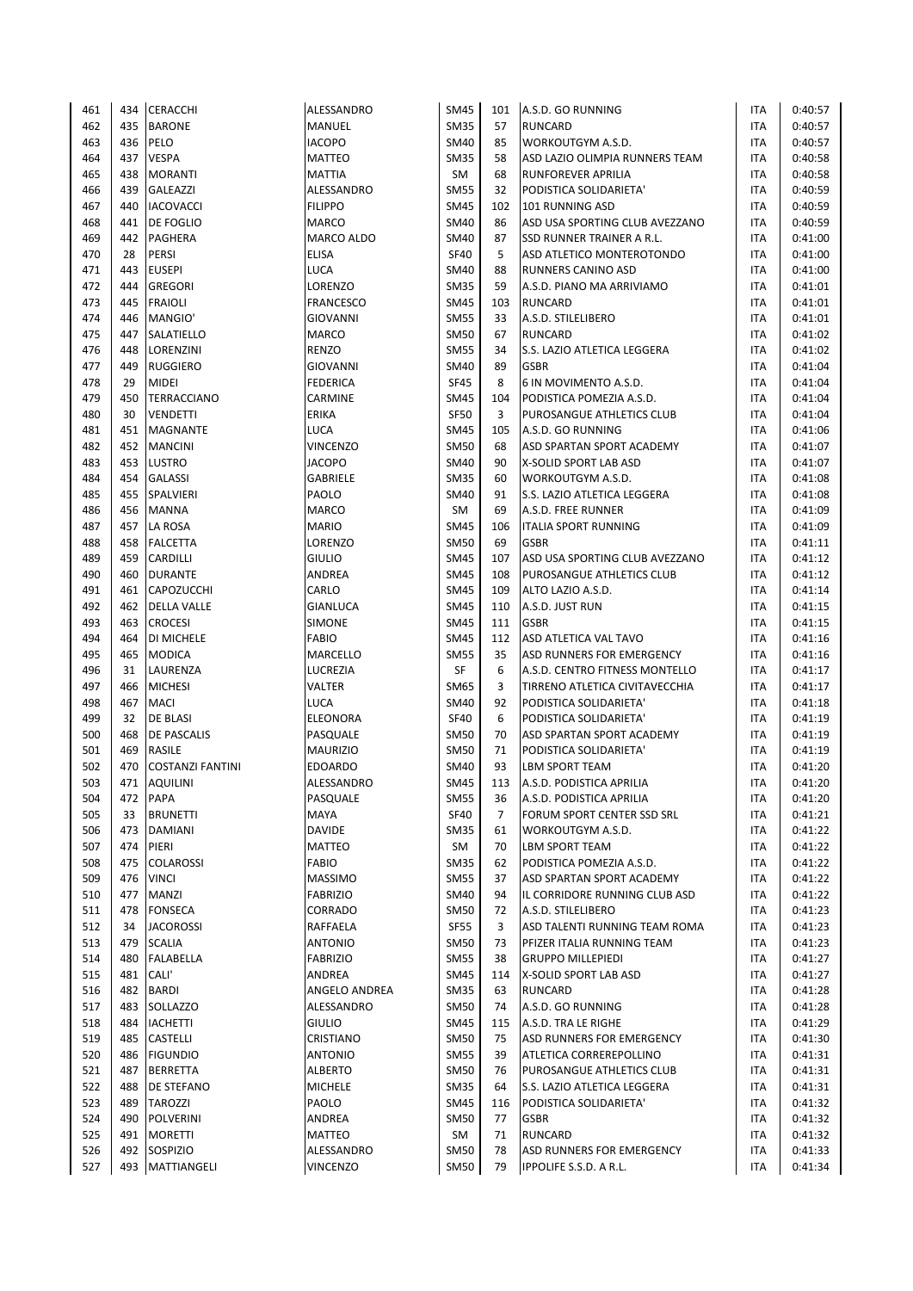| 461 | 434 | <b>CERACCHI</b>         | ALESSANDRO       | <b>SM45</b> | 101            | A.S.D. GO RUNNING                | ITA        | 0:40:57 |
|-----|-----|-------------------------|------------------|-------------|----------------|----------------------------------|------------|---------|
| 462 | 435 | <b>BARONE</b>           | <b>MANUEL</b>    | <b>SM35</b> | 57             | <b>RUNCARD</b>                   | ITA        | 0:40:57 |
| 463 | 436 | PELO                    | <b>IACOPO</b>    | SM40        | 85             | WORKOUTGYM A.S.D.                | <b>ITA</b> | 0:40:57 |
| 464 | 437 | <b>VESPA</b>            | <b>MATTEO</b>    | <b>SM35</b> | 58             | ASD LAZIO OLIMPIA RUNNERS TEAM   | <b>ITA</b> | 0:40:58 |
| 465 | 438 | <b>MORANTI</b>          | <b>MATTIA</b>    | SM          | 68             | <b>RUNFOREVER APRILIA</b>        | <b>ITA</b> | 0:40:58 |
| 466 | 439 | GALEAZZI                | ALESSANDRO       | <b>SM55</b> | 32             | PODISTICA SOLIDARIETA'           | <b>ITA</b> | 0:40:59 |
| 467 | 440 | <b>IACOVACCI</b>        | <b>FILIPPO</b>   | <b>SM45</b> | 102            | 101 RUNNING ASD                  | ITA        | 0:40:59 |
| 468 | 441 | <b>DE FOGLIO</b>        | <b>MARCO</b>     | <b>SM40</b> | 86             | ASD USA SPORTING CLUB AVEZZANO   | <b>ITA</b> | 0:40:59 |
| 469 | 442 | <b>PAGHERA</b>          | MARCO ALDO       | SM40        | 87             | <b>SSD RUNNER TRAINER A R.L.</b> | <b>ITA</b> | 0:41:00 |
| 470 | 28  | PERSI                   | <b>ELISA</b>     | <b>SF40</b> | 5              | ASD ATLETICO MONTEROTONDO        | <b>ITA</b> | 0:41:00 |
| 471 | 443 | <b>EUSEPI</b>           | <b>LUCA</b>      | SM40        | 88             | <b>RUNNERS CANINO ASD</b>        | <b>ITA</b> | 0:41:00 |
| 472 | 444 | <b>GREGORI</b>          | LORENZO          | <b>SM35</b> | 59             | A.S.D. PIANO MA ARRIVIAMO        | <b>ITA</b> | 0:41:01 |
| 473 | 445 | <b>FRAIOLI</b>          | <b>FRANCESCO</b> | <b>SM45</b> | 103            | <b>RUNCARD</b>                   | <b>ITA</b> | 0:41:01 |
| 474 | 446 | MANGIO'                 | <b>GIOVANNI</b>  | <b>SM55</b> | 33             | A.S.D. STILELIBERO               | ITA        | 0:41:01 |
| 475 | 447 | SALATIELLO              | <b>MARCO</b>     | <b>SM50</b> | 67             | <b>RUNCARD</b>                   | ITA        | 0:41:02 |
| 476 | 448 | LORENZINI               | <b>RENZO</b>     | <b>SM55</b> | 34             | S.S. LAZIO ATLETICA LEGGERA      | <b>ITA</b> | 0:41:02 |
| 477 | 449 | <b>RUGGIERO</b>         | <b>GIOVANNI</b>  | SM40        | 89             | <b>GSBR</b>                      | <b>ITA</b> | 0:41:04 |
| 478 | 29  | <b>MIDEI</b>            | <b>FEDERICA</b>  | <b>SF45</b> | 8              | 6 IN MOVIMENTO A.S.D.            | ITA        | 0:41:04 |
| 479 | 450 | TERRACCIANO             | CARMINE          | <b>SM45</b> | 104            | PODISTICA POMEZIA A.S.D.         | <b>ITA</b> | 0:41:04 |
| 480 | 30  | <b>VENDETTI</b>         | ERIKA            | <b>SF50</b> | 3              | PUROSANGUE ATHLETICS CLUB        | <b>ITA</b> | 0:41:04 |
| 481 | 451 | <b>MAGNANTE</b>         | <b>LUCA</b>      | <b>SM45</b> | 105            | A.S.D. GO RUNNING                | <b>ITA</b> | 0:41:06 |
| 482 | 452 | <b>MANCINI</b>          | <b>VINCENZO</b>  | <b>SM50</b> | 68             | ASD SPARTAN SPORT ACADEMY        | <b>ITA</b> | 0:41:07 |
| 483 | 453 | LUSTRO                  | <b>JACOPO</b>    | <b>SM40</b> | 90             | X-SOLID SPORT LAB ASD            | <b>ITA</b> | 0:41:07 |
| 484 | 454 | <b>GALASSI</b>          | <b>GABRIELE</b>  | <b>SM35</b> | 60             | WORKOUTGYM A.S.D.                | <b>ITA</b> | 0:41:08 |
| 485 | 455 | SPALVIERI               | PAOLO            | <b>SM40</b> | 91             | S.S. LAZIO ATLETICA LEGGERA      | ITA        | 0:41:08 |
| 486 | 456 | <b>MANNA</b>            | <b>MARCO</b>     | SM          | 69             | A.S.D. FREE RUNNER               | ITA        | 0:41:09 |
| 487 | 457 | LA ROSA                 | <b>MARIO</b>     | <b>SM45</b> | 106            | <b>ITALIA SPORT RUNNING</b>      | <b>ITA</b> | 0:41:09 |
| 488 | 458 | <b>FALCETTA</b>         | LORENZO          | <b>SM50</b> | 69             | <b>GSBR</b>                      | <b>ITA</b> | 0:41:11 |
| 489 | 459 | CARDILLI                | <b>GIULIO</b>    | <b>SM45</b> | 107            | ASD USA SPORTING CLUB AVEZZANO   | ITA        | 0:41:12 |
| 490 | 460 | <b>DURANTE</b>          | ANDREA           | <b>SM45</b> | 108            | PUROSANGUE ATHLETICS CLUB        | ITA        | 0:41:12 |
| 491 | 461 | CAPOZUCCHI              | CARLO            | <b>SM45</b> | 109            | ALTO LAZIO A.S.D.                | ITA        | 0:41:14 |
| 492 | 462 | <b>DELLA VALLE</b>      | <b>GIANLUCA</b>  | <b>SM45</b> | 110            | A.S.D. JUST RUN                  | <b>ITA</b> | 0:41:15 |
| 493 | 463 | <b>CROCESI</b>          | <b>SIMONE</b>    | <b>SM45</b> | 111            | <b>GSBR</b>                      | ITA        | 0:41:15 |
| 494 | 464 |                         | <b>FABIO</b>     | <b>SM45</b> | 112            | ASD ATLETICA VAL TAVO            | <b>ITA</b> | 0:41:16 |
|     | 465 | DI MICHELE              |                  | <b>SM55</b> |                |                                  | <b>ITA</b> | 0:41:16 |
| 495 |     | <b>MODICA</b>           | MARCELLO         |             | 35             | ASD RUNNERS FOR EMERGENCY        |            |         |
| 496 | 31  | LAURENZA                | LUCREZIA         | SF          | 6              | A.S.D. CENTRO FITNESS MONTELLO   | <b>ITA</b> | 0:41:17 |
| 497 | 466 | <b>MICHESI</b>          | VALTER           | SM65        | 3              | TIRRENO ATLETICA CIVITAVECCHIA   | <b>ITA</b> | 0:41:17 |
| 498 | 467 | <b>MACI</b>             | <b>LUCA</b>      | <b>SM40</b> | 92             | PODISTICA SOLIDARIETA'           | ITA        | 0:41:18 |
| 499 | 32  | DE BLASI                | ELEONORA         | <b>SF40</b> | 6              | PODISTICA SOLIDARIETA'           | <b>ITA</b> | 0:41:19 |
| 500 | 468 | DE PASCALIS             | PASQUALE         | <b>SM50</b> | 70             | ASD SPARTAN SPORT ACADEMY        | <b>ITA</b> | 0:41:19 |
| 501 | 469 | <b>RASILE</b>           | <b>MAURIZIO</b>  | <b>SM50</b> | 71             | PODISTICA SOLIDARIETA'           | <b>ITA</b> | 0:41:19 |
| 502 | 470 | <b>COSTANZI FANTINI</b> | <b>EDOARDO</b>   | SM40        | 93             | <b>LBM SPORT TEAM</b>            | <b>ITA</b> | 0:41:20 |
| 503 | 471 | <b>AQUILINI</b>         | ALESSANDRO       | <b>SM45</b> | 113            | A.S.D. PODISTICA APRILIA         | <b>ITA</b> | 0:41:20 |
| 504 | 472 | PAPA                    | PASQUALE         | <b>SM55</b> | 36             | A.S.D. PODISTICA APRILIA         | ITA        | 0:41:20 |
| 505 | 33  | <b>BRUNETTI</b>         | MAYA             | <b>SF40</b> | $\overline{7}$ | FORUM SPORT CENTER SSD SRL       | <b>ITA</b> | 0:41:21 |
| 506 | 473 | DAMIANI                 | DAVIDE           | <b>SM35</b> | 61             | WORKOUTGYM A.S.D.                | ITA        | 0:41:22 |
| 507 |     | 474 PIERI               | MATTEO           | SM          | 70             | LBM SPORT TEAM                   | <b>ITA</b> | 0:41:22 |
| 508 | 475 | COLAROSSI               | FABIO            | <b>SM35</b> | 62             | PODISTICA POMEZIA A.S.D.         | ITA        | 0:41:22 |
| 509 | 476 | <b>VINCI</b>            | <b>MASSIMO</b>   | <b>SM55</b> | 37             | ASD SPARTAN SPORT ACADEMY        | ITA        | 0:41:22 |
| 510 | 477 | <b>MANZI</b>            | <b>FABRIZIO</b>  | <b>SM40</b> | 94             | IL CORRIDORE RUNNING CLUB ASD    | ITA        | 0:41:22 |
| 511 |     | 478 FONSECA             | CORRADO          | <b>SM50</b> | 72             | A.S.D. STILELIBERO               | <b>ITA</b> | 0:41:23 |
| 512 | 34  | <b>JACOROSSI</b>        | RAFFAELA         | SF55        | 3              | ASD TALENTI RUNNING TEAM ROMA    | ITA        | 0:41:23 |
| 513 | 479 | <b>SCALIA</b>           | <b>ANTONIO</b>   | <b>SM50</b> | 73             | PFIZER ITALIA RUNNING TEAM       | ITA        | 0:41:23 |
| 514 | 480 | FALABELLA               | <b>FABRIZIO</b>  | <b>SM55</b> | 38             | <b>GRUPPO MILLEPIEDI</b>         | ITA        | 0:41:27 |
| 515 | 481 | CALI'                   | ANDREA           | <b>SM45</b> | 114            | X-SOLID SPORT LAB ASD            | <b>ITA</b> | 0:41:27 |
| 516 | 482 | <b>BARDI</b>            | ANGELO ANDREA    | <b>SM35</b> | 63             | RUNCARD                          | ITA        | 0:41:28 |
| 517 | 483 | SOLLAZZO                | ALESSANDRO       | <b>SM50</b> | 74             | A.S.D. GO RUNNING                | ITA        | 0:41:28 |
| 518 | 484 | <b>IACHETTI</b>         | <b>GIULIO</b>    | <b>SM45</b> | 115            | A.S.D. TRA LE RIGHE              | <b>ITA</b> | 0:41:29 |
| 519 | 485 | CASTELLI                | CRISTIANO        | <b>SM50</b> | 75             | ASD RUNNERS FOR EMERGENCY        | <b>ITA</b> | 0:41:30 |
| 520 | 486 | <b>FIGUNDIO</b>         | <b>ANTONIO</b>   | <b>SM55</b> | 39             | ATLETICA CORREREPOLLINO          | ITA        | 0:41:31 |
| 521 | 487 | <b>BERRETTA</b>         | <b>ALBERTO</b>   | <b>SM50</b> | 76             | PUROSANGUE ATHLETICS CLUB        | ITA        | 0:41:31 |
| 522 | 488 | DE STEFANO              | <b>MICHELE</b>   | <b>SM35</b> | 64             | S.S. LAZIO ATLETICA LEGGERA      | <b>ITA</b> | 0:41:31 |
| 523 |     | 489 TAROZZI             | PAOLO            | <b>SM45</b> | 116            | PODISTICA SOLIDARIETA'           | <b>ITA</b> | 0:41:32 |
| 524 | 490 | POLVERINI               | ANDREA           | <b>SM50</b> | 77             | <b>GSBR</b>                      | ITA        | 0:41:32 |
| 525 | 491 | <b>MORETTI</b>          | MATTEO           | SM          | 71             | RUNCARD                          | ITA        | 0:41:32 |
| 526 | 492 | SOSPIZIO                | ALESSANDRO       | <b>SM50</b> | 78             | ASD RUNNERS FOR EMERGENCY        | <b>ITA</b> | 0:41:33 |
| 527 |     | 493 MATTIANGELI         | VINCENZO         | <b>SM50</b> | 79             | IPPOLIFE S.S.D. A R.L.           | <b>ITA</b> | 0:41:34 |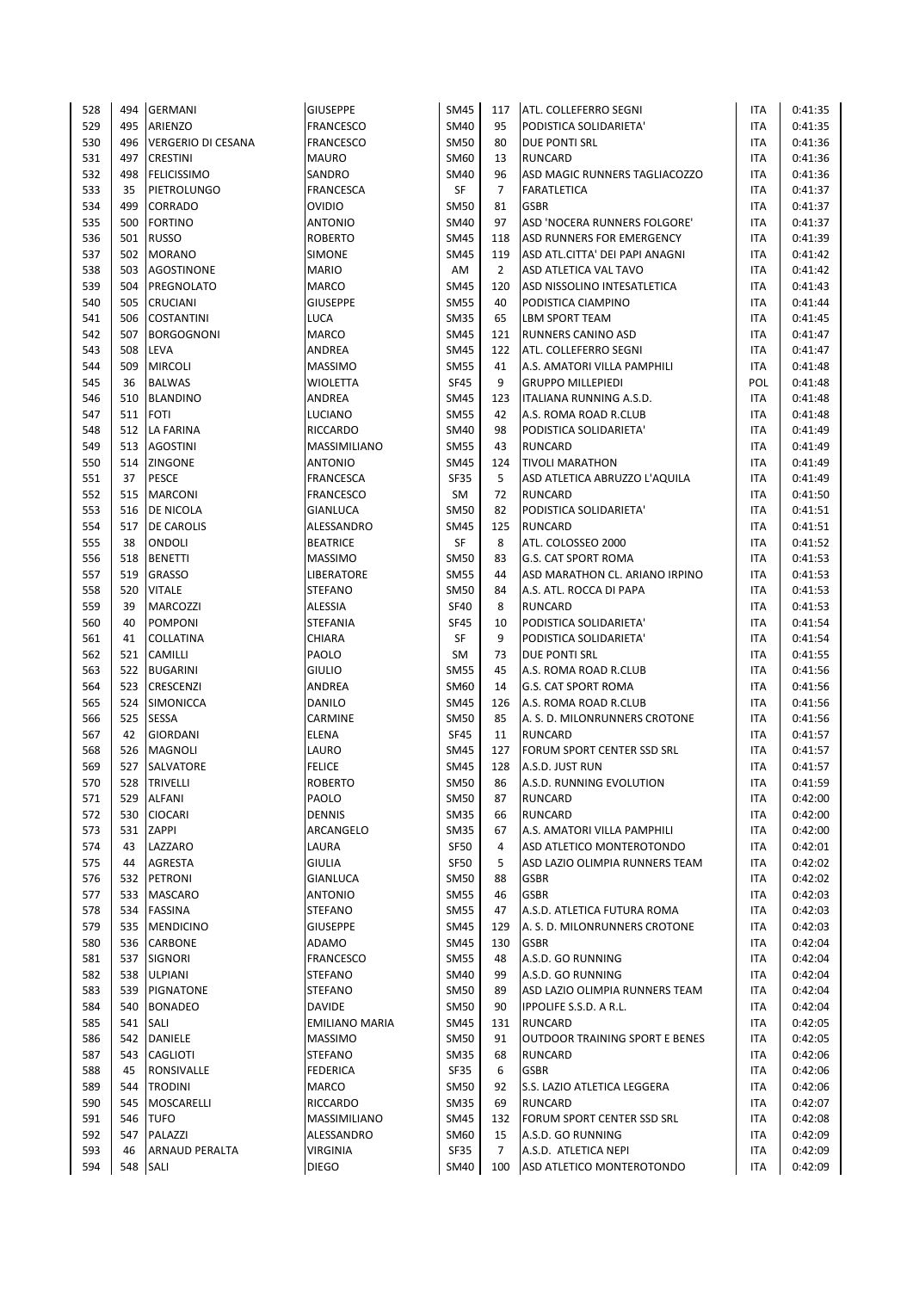| 528 | 494 | <b>GERMANI</b>        | <b>GIUSEPPE</b>       | <b>SM45</b> | 117            | ATL. COLLEFERRO SEGNI                 | <b>ITA</b> | 0:41:35 |
|-----|-----|-----------------------|-----------------------|-------------|----------------|---------------------------------------|------------|---------|
| 529 | 495 | <b>ARIENZO</b>        | <b>FRANCESCO</b>      | <b>SM40</b> | 95             | PODISTICA SOLIDARIETA'                | <b>ITA</b> | 0:41:35 |
| 530 | 496 | VERGERIO DI CESANA    | <b>FRANCESCO</b>      | <b>SM50</b> | 80             | DUE PONTI SRL                         | <b>ITA</b> | 0:41:36 |
| 531 | 497 | <b>CRESTINI</b>       | <b>MAURO</b>          | SM60        | 13             | <b>RUNCARD</b>                        | <b>ITA</b> | 0:41:36 |
| 532 | 498 | <b>FELICISSIMO</b>    | SANDRO                | <b>SM40</b> | 96             | ASD MAGIC RUNNERS TAGLIACOZZO         | <b>ITA</b> | 0:41:36 |
| 533 | 35  | PIETROLUNGO           | <b>FRANCESCA</b>      | SF          | $\overline{7}$ | <b>FARATLETICA</b>                    | <b>ITA</b> | 0:41:37 |
| 534 | 499 | <b>CORRADO</b>        | <b>OVIDIO</b>         | <b>SM50</b> | 81             | <b>GSBR</b>                           | ITA        | 0:41:37 |
| 535 | 500 | <b>FORTINO</b>        | <b>ANTONIO</b>        | <b>SM40</b> | 97             | ASD 'NOCERA RUNNERS FOLGORE'          | <b>ITA</b> | 0:41:37 |
| 536 | 501 | <b>RUSSO</b>          | <b>ROBERTO</b>        | <b>SM45</b> | 118            | ASD RUNNERS FOR EMERGENCY             | <b>ITA</b> | 0:41:39 |
| 537 | 502 | <b>MORANO</b>         | <b>SIMONE</b>         | <b>SM45</b> | 119            | ASD ATL.CITTA' DEI PAPI ANAGNI        | <b>ITA</b> | 0:41:42 |
| 538 | 503 | AGOSTINONE            | <b>MARIO</b>          | AM          | $\overline{2}$ | ASD ATLETICA VAL TAVO                 | ITA        | 0:41:42 |
| 539 | 504 | PREGNOLATO            | <b>MARCO</b>          | <b>SM45</b> | 120            | ASD NISSOLINO INTESATLETICA           | <b>ITA</b> | 0:41:43 |
| 540 | 505 | <b>CRUCIANI</b>       | <b>GIUSEPPE</b>       | <b>SM55</b> | 40             | PODISTICA CIAMPINO                    | ITA        | 0:41:44 |
| 541 | 506 | <b>COSTANTINI</b>     | <b>LUCA</b>           | <b>SM35</b> | 65             | LBM SPORT TEAM                        | ITA        | 0:41:45 |
| 542 | 507 | <b>BORGOGNONI</b>     | MARCO                 | <b>SM45</b> | 121            | RUNNERS CANINO ASD                    | <b>ITA</b> | 0:41:47 |
| 543 | 508 | <b>LEVA</b>           | ANDREA                | <b>SM45</b> | 122            | ATL. COLLEFERRO SEGNI                 | <b>ITA</b> | 0:41:47 |
| 544 | 509 | <b>MIRCOLI</b>        | <b>MASSIMO</b>        | <b>SM55</b> | 41             | A.S. AMATORI VILLA PAMPHILI           | <b>ITA</b> | 0:41:48 |
| 545 | 36  | <b>BALWAS</b>         | WIOLETTA              | <b>SF45</b> | 9              | <b>GRUPPO MILLEPIEDI</b>              | POL        | 0:41:48 |
| 546 | 510 | <b>BLANDINO</b>       | ANDREA                | <b>SM45</b> | 123            | ITALIANA RUNNING A.S.D.               | ITA        | 0:41:48 |
| 547 |     | 511 FOTI              | LUCIANO               | <b>SM55</b> | 42             | A.S. ROMA ROAD R.CLUB                 | <b>ITA</b> | 0:41:48 |
| 548 | 512 | <b>LA FARINA</b>      | <b>RICCARDO</b>       | <b>SM40</b> | 98             | PODISTICA SOLIDARIETA'                | <b>ITA</b> | 0:41:49 |
| 549 |     | 513 AGOSTINI          | MASSIMILIANO          | <b>SM55</b> | 43             | <b>RUNCARD</b>                        | ITA        | 0:41:49 |
| 550 |     | 514 ZINGONE           | ANTONIO               | <b>SM45</b> | 124            | <b>TIVOLI MARATHON</b>                | <b>ITA</b> | 0:41:49 |
| 551 | 37  | <b>PESCE</b>          | <b>FRANCESCA</b>      | <b>SF35</b> | 5              | ASD ATLETICA ABRUZZO L'AQUILA         | <b>ITA</b> | 0:41:49 |
| 552 | 515 | <b>MARCONI</b>        | <b>FRANCESCO</b>      | <b>SM</b>   | 72             | <b>RUNCARD</b>                        | <b>ITA</b> | 0:41:50 |
| 553 | 516 | <b>DE NICOLA</b>      | <b>GIANLUCA</b>       | <b>SM50</b> | 82             | PODISTICA SOLIDARIETA'                | <b>ITA</b> | 0:41:51 |
| 554 | 517 | <b>DE CAROLIS</b>     | ALESSANDRO            | <b>SM45</b> | 125            | <b>RUNCARD</b>                        | <b>ITA</b> | 0:41:51 |
| 555 | 38  | ONDOLI                | <b>BEATRICE</b>       | <b>SF</b>   | 8              | ATL. COLOSSEO 2000                    | <b>ITA</b> | 0:41:52 |
| 556 | 518 | <b>BENETTI</b>        | <b>MASSIMO</b>        | <b>SM50</b> | 83             | <b>G.S. CAT SPORT ROMA</b>            | <b>ITA</b> | 0:41:53 |
| 557 | 519 | <b>GRASSO</b>         | <b>LIBERATORE</b>     | <b>SM55</b> | 44             | ASD MARATHON CL. ARIANO IRPINO        | <b>ITA</b> | 0:41:53 |
| 558 | 520 | <b>VITALE</b>         | <b>STEFANO</b>        | <b>SM50</b> | 84             | A.S. ATL. ROCCA DI PAPA               | <b>ITA</b> | 0:41:53 |
| 559 | 39  | MARCOZZI              | ALESSIA               | <b>SF40</b> | 8              | <b>RUNCARD</b>                        | <b>ITA</b> | 0:41:53 |
| 560 | 40  | <b>POMPONI</b>        | <b>STEFANIA</b>       | <b>SF45</b> | 10             | PODISTICA SOLIDARIETA'                | ITA        | 0:41:54 |
| 561 | 41  | COLLATINA             | <b>CHIARA</b>         | SF          | 9              | PODISTICA SOLIDARIETA'                | <b>ITA</b> | 0:41:54 |
| 562 | 521 | <b>CAMILLI</b>        | PAOLO                 | <b>SM</b>   | 73             | DUE PONTI SRL                         | <b>ITA</b> | 0:41:55 |
| 563 | 522 | <b>BUGARINI</b>       | <b>GIULIO</b>         | <b>SM55</b> | 45             | A.S. ROMA ROAD R.CLUB                 | <b>ITA</b> | 0:41:56 |
| 564 | 523 | <b>CRESCENZI</b>      | ANDREA                | SM60        | 14             | <b>G.S. CAT SPORT ROMA</b>            | ITA        | 0:41:56 |
| 565 | 524 | <b>SIMONICCA</b>      | DANILO                | <b>SM45</b> | 126            | A.S. ROMA ROAD R.CLUB                 | <b>ITA</b> | 0:41:56 |
| 566 | 525 | <b>SESSA</b>          | CARMINE               | <b>SM50</b> | 85             | A. S. D. MILONRUNNERS CROTONE         | <b>ITA</b> | 0:41:56 |
| 567 | 42  | <b>GIORDANI</b>       | <b>ELENA</b>          | <b>SF45</b> | 11             | <b>RUNCARD</b>                        | <b>ITA</b> | 0:41:57 |
| 568 | 526 | <b>MAGNOLI</b>        | LAURO                 | <b>SM45</b> | 127            | FORUM SPORT CENTER SSD SRL            | <b>ITA</b> | 0:41:57 |
| 569 | 527 | SALVATORE             | <b>FELICE</b>         | <b>SM45</b> | 128            | A.S.D. JUST RUN                       | <b>ITA</b> | 0:41:57 |
| 570 |     | 528 TRIVELLI          | <b>ROBERTO</b>        | <b>SM50</b> | 86             | A.S.D. RUNNING EVOLUTION              | <b>ITA</b> | 0:41:59 |
| 571 | 529 | <b>ALFANI</b>         | PAOLO                 | <b>SM50</b> | 87             | <b>RUNCARD</b>                        | ITA        | 0:42:00 |
| 572 | 530 | <b>CIOCARI</b>        | <b>DENNIS</b>         | <b>SM35</b> | 66             | <b>RUNCARD</b>                        | ITA        | 0:42:00 |
| 573 | 531 | <b>ZAPPI</b>          | ARCANGELO             | <b>SM35</b> | 67             | A.S. AMATORI VILLA PAMPHILI           | <b>ITA</b> | 0:42:00 |
| 574 | 43  | LAZZARO               | LAURA                 | SF50        | 4              | ASD ATLETICO MONTEROTONDO             | <b>ITA</b> | 0:42:01 |
| 575 | 44  | AGRESTA               | <b>GIULIA</b>         | <b>SF50</b> | 5              | ASD LAZIO OLIMPIA RUNNERS TEAM        | ITA        | 0:42:02 |
| 576 | 532 | PETRONI               | GIANLUCA              | <b>SM50</b> | 88             | <b>GSBR</b>                           | ITA        | 0:42:02 |
| 577 | 533 | <b>MASCARO</b>        | <b>ANTONIO</b>        | <b>SM55</b> | 46             | <b>GSBR</b>                           | ITA        | 0:42:03 |
| 578 |     | 534 FASSINA           | <b>STEFANO</b>        | <b>SM55</b> | 47             | A.S.D. ATLETICA FUTURA ROMA           | <b>ITA</b> | 0:42:03 |
| 579 | 535 | <b>MENDICINO</b>      | <b>GIUSEPPE</b>       | <b>SM45</b> | 129            | A. S. D. MILONRUNNERS CROTONE         | <b>ITA</b> | 0:42:03 |
| 580 | 536 | <b>CARBONE</b>        | ADAMO                 | <b>SM45</b> | 130            | <b>GSBR</b>                           | ITA        | 0:42:04 |
| 581 | 537 | SIGNORI               | <b>FRANCESCO</b>      | <b>SM55</b> | 48             | A.S.D. GO RUNNING                     | <b>ITA</b> | 0:42:04 |
| 582 |     | 538 ULPIANI           | <b>STEFANO</b>        | <b>SM40</b> | 99             | A.S.D. GO RUNNING                     | <b>ITA</b> | 0:42:04 |
| 583 | 539 | PIGNATONE             | <b>STEFANO</b>        | <b>SM50</b> | 89             | ASD LAZIO OLIMPIA RUNNERS TEAM        | <b>ITA</b> | 0:42:04 |
| 584 | 540 | <b>BONADEO</b>        | <b>DAVIDE</b>         | <b>SM50</b> | 90             | IPPOLIFE S.S.D. A R.L.                | <b>ITA</b> | 0:42:04 |
| 585 | 541 | SALI                  | <b>EMILIANO MARIA</b> | <b>SM45</b> | 131            | <b>RUNCARD</b>                        | ITA        | 0:42:05 |
| 586 | 542 | DANIELE               | <b>MASSIMO</b>        | <b>SM50</b> | 91             | <b>OUTDOOR TRAINING SPORT E BENES</b> | <b>ITA</b> | 0:42:05 |
| 587 | 543 | <b>CAGLIOTI</b>       | <b>STEFANO</b>        | <b>SM35</b> | 68             | <b>RUNCARD</b>                        | ITA        | 0:42:06 |
| 588 | 45  | RONSIVALLE            | <b>FEDERICA</b>       | <b>SF35</b> | 6              | <b>GSBR</b>                           | ITA        | 0:42:06 |
| 589 | 544 | <b>TRODINI</b>        | MARCO                 | <b>SM50</b> | 92             | S.S. LAZIO ATLETICA LEGGERA           | ITA        | 0:42:06 |
| 590 | 545 | MOSCARELLI            | <b>RICCARDO</b>       | <b>SM35</b> | 69             | <b>RUNCARD</b>                        | ITA        | 0:42:07 |
| 591 | 546 | <b>TUFO</b>           | MASSIMILIANO          | <b>SM45</b> | 132            | FORUM SPORT CENTER SSD SRL            | ITA        | 0:42:08 |
| 592 | 547 | PALAZZI               | ALESSANDRO            | SM60        | 15             | A.S.D. GO RUNNING                     | <b>ITA</b> | 0:42:09 |
| 593 | 46  | <b>ARNAUD PERALTA</b> | <b>VIRGINIA</b>       | SF35        | $\overline{7}$ | A.S.D. ATLETICA NEPI                  | <b>ITA</b> | 0:42:09 |
| 594 | 548 | SALI                  | <b>DIEGO</b>          | SM40        | 100            | ASD ATLETICO MONTEROTONDO             | <b>ITA</b> | 0:42:09 |
|     |     |                       |                       |             |                |                                       |            |         |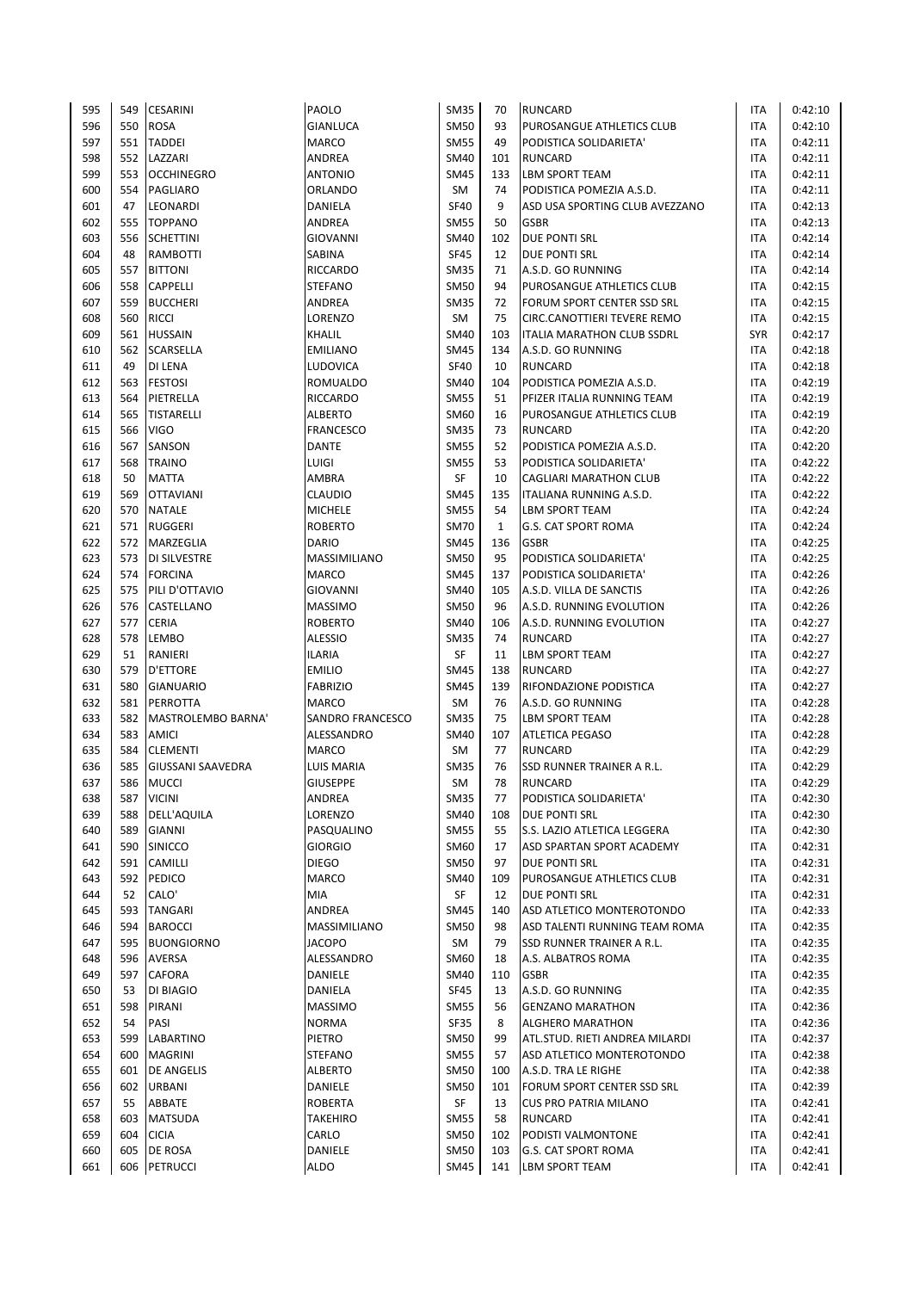| 595        | 549 | <b>CESARINI</b>                     | PAOLO            | <b>SM35</b> | 70           | <b>RUNCARD</b>                                    | <b>ITA</b> | 0:42:10 |
|------------|-----|-------------------------------------|------------------|-------------|--------------|---------------------------------------------------|------------|---------|
| 596        | 550 | <b>ROSA</b>                         | <b>GIANLUCA</b>  | <b>SM50</b> | 93           | PUROSANGUE ATHLETICS CLUB                         | <b>ITA</b> | 0:42:10 |
| 597        |     | 551 TADDEI                          | <b>MARCO</b>     | <b>SM55</b> | 49           | PODISTICA SOLIDARIETA'                            | <b>ITA</b> | 0:42:11 |
| 598        |     | 552 LAZZARI                         | ANDREA           | <b>SM40</b> | 101          | <b>RUNCARD</b>                                    | <b>ITA</b> | 0:42:11 |
| 599        |     | 553 OCCHINEGRO                      | <b>ANTONIO</b>   | <b>SM45</b> | 133          | <b>LBM SPORT TEAM</b>                             | <b>ITA</b> | 0:42:11 |
| 600        | 554 | <b>PAGLIARO</b>                     | ORLANDO          | SM          | 74           | PODISTICA POMEZIA A.S.D.                          | ITA        | 0:42:11 |
| 601        | 47  | LEONARDI                            | DANIELA          | <b>SF40</b> | 9            | ASD USA SPORTING CLUB AVEZZANO                    | ITA        | 0:42:13 |
| 602        |     | 555 TOPPANO                         | ANDREA           | <b>SM55</b> | 50           | <b>GSBR</b>                                       | <b>ITA</b> | 0:42:13 |
| 603        |     | 556 SCHETTINI                       | <b>GIOVANNI</b>  | <b>SM40</b> | 102          | <b>DUE PONTI SRL</b>                              | <b>ITA</b> | 0:42:14 |
| 604        | 48  | <b>RAMBOTTI</b>                     | SABINA           | <b>SF45</b> | 12           | DUE PONTI SRL                                     | ITA        | 0:42:14 |
| 605        | 557 | <b>BITTONI</b>                      | RICCARDO         | <b>SM35</b> | 71           | A.S.D. GO RUNNING                                 | ITA        | 0:42:14 |
| 606        | 558 | <b>CAPPELLI</b>                     | <b>STEFANO</b>   | <b>SM50</b> | 94           | PUROSANGUE ATHLETICS CLUB                         | <b>ITA</b> | 0:42:15 |
| 607        | 559 | <b>BUCCHERI</b>                     | ANDREA           | <b>SM35</b> | 72           | FORUM SPORT CENTER SSD SRL                        | <b>ITA</b> | 0:42:15 |
| 608        | 560 | <b>RICCI</b>                        | LORENZO          | SM          | 75           | CIRC.CANOTTIERI TEVERE REMO                       | ITA        | 0:42:15 |
| 609        | 561 | <b>HUSSAIN</b>                      | KHALIL           | <b>SM40</b> | 103          | ITALIA MARATHON CLUB SSDRL                        | SYR        | 0:42:17 |
| 610        |     | 562 SCARSELLA                       | <b>EMILIANO</b>  | <b>SM45</b> | 134          | A.S.D. GO RUNNING                                 | ITA        | 0:42:18 |
| 611        | 49  | <b>DI LENA</b>                      | LUDOVICA         | <b>SF40</b> | 10           | <b>RUNCARD</b>                                    | <b>ITA</b> | 0:42:18 |
| 612        | 563 | <b>FESTOSI</b>                      | ROMUALDO         | <b>SM40</b> | 104          | PODISTICA POMEZIA A.S.D.                          | <b>ITA</b> | 0:42:19 |
| 613        | 564 | PIETRELLA                           | RICCARDO         | <b>SM55</b> | 51           | PFIZER ITALIA RUNNING TEAM                        | <b>ITA</b> | 0:42:19 |
| 614        | 565 | <b>TISTARELLI</b>                   | <b>ALBERTO</b>   | <b>SM60</b> | 16           | PUROSANGUE ATHLETICS CLUB                         | <b>ITA</b> | 0:42:19 |
| 615        | 566 | <b>VIGO</b>                         | <b>FRANCESCO</b> | <b>SM35</b> | 73           | <b>RUNCARD</b>                                    | <b>ITA</b> | 0:42:20 |
| 616        | 567 | <b>SANSON</b>                       | DANTE            | <b>SM55</b> | 52           | PODISTICA POMEZIA A.S.D.                          | ITA        | 0:42:20 |
| 617        |     | 568 TRAINO                          | LUIGI            | <b>SM55</b> | 53           | PODISTICA SOLIDARIETA'                            | <b>ITA</b> | 0:42:22 |
| 618        | 50  | <b>MATTA</b>                        | AMBRA            | <b>SF</b>   | 10           | <b>CAGLIARI MARATHON CLUB</b>                     | <b>ITA</b> | 0:42:22 |
| 619        | 569 | <b>OTTAVIANI</b>                    | <b>CLAUDIO</b>   | <b>SM45</b> | 135          | ITALIANA RUNNING A.S.D.                           | <b>ITA</b> | 0:42:22 |
| 620        | 570 | <b>NATALE</b>                       | <b>MICHELE</b>   | <b>SM55</b> | 54           | <b>LBM SPORT TEAM</b>                             | ITA        | 0:42:24 |
| 621        | 571 | <b>RUGGERI</b>                      | <b>ROBERTO</b>   | <b>SM70</b> | $\mathbf{1}$ | <b>G.S. CAT SPORT ROMA</b>                        | <b>ITA</b> | 0:42:24 |
| 622        |     | 572 MARZEGLIA                       | <b>DARIO</b>     | <b>SM45</b> | 136          | <b>GSBR</b>                                       | <b>ITA</b> | 0:42:25 |
| 623        | 573 | <b>DI SILVESTRE</b>                 | MASSIMILIANO     | <b>SM50</b> | 95           | PODISTICA SOLIDARIETA'                            | <b>ITA</b> | 0:42:25 |
| 624        | 574 | <b>FORCINA</b>                      | <b>MARCO</b>     | <b>SM45</b> | 137          | PODISTICA SOLIDARIETA'                            | <b>ITA</b> | 0:42:26 |
| 625        |     | 575 PILI D'OTTAVIO                  | <b>GIOVANNI</b>  | <b>SM40</b> | 105          | A.S.D. VILLA DE SANCTIS                           | <b>ITA</b> | 0:42:26 |
| 626        |     | 576 CASTELLANO                      | <b>MASSIMO</b>   | <b>SM50</b> | 96           | A.S.D. RUNNING EVOLUTION                          | ITA        | 0:42:26 |
| 627        | 577 | <b>CERIA</b>                        | <b>ROBERTO</b>   | <b>SM40</b> | 106          | A.S.D. RUNNING EVOLUTION                          | ITA        | 0:42:27 |
| 628        | 578 | <b>LEMBO</b>                        | <b>ALESSIO</b>   | <b>SM35</b> | 74           | <b>RUNCARD</b>                                    | ITA        | 0:42:27 |
| 629        | 51  | RANIERI                             | <b>ILARIA</b>    | SF          | 11           | <b>LBM SPORT TEAM</b>                             | <b>ITA</b> | 0:42:27 |
| 630        | 579 | D'ETTORE                            | <b>EMILIO</b>    | <b>SM45</b> | 138          | <b>RUNCARD</b>                                    | <b>ITA</b> | 0:42:27 |
| 631        | 580 | <b>GIANUARIO</b>                    | <b>FABRIZIO</b>  | <b>SM45</b> | 139          | RIFONDAZIONE PODISTICA                            | ITA        | 0:42:27 |
| 632        | 581 | PERROTTA                            | <b>MARCO</b>     | SM          | 76           | A.S.D. GO RUNNING                                 | <b>ITA</b> | 0:42:28 |
| 633        | 582 | MASTROLEMBO BARNA'                  | SANDRO FRANCESCO | <b>SM35</b> | 75           | LBM SPORT TEAM                                    | <b>ITA</b> | 0:42:28 |
| 634        | 583 | <b>AMICI</b>                        | ALESSANDRO       | <b>SM40</b> | 107          | <b>ATLETICA PEGASO</b>                            | <b>ITA</b> | 0:42:28 |
| 635        | 584 | <b>CLEMENTI</b>                     | <b>MARCO</b>     | SM          | 77           | <b>RUNCARD</b>                                    | ITA        | 0:42:29 |
| 636        | 585 | <b>GIUSSANI SAAVEDRA</b>            | LUIS MARIA       | <b>SM35</b> | 76           | <b>SSD RUNNER TRAINER A R.L.</b>                  | <b>ITA</b> | 0:42:29 |
| 637        | 586 | <b>MUCCI</b>                        | <b>GIUSEPPE</b>  | <b>SM</b>   | 78           | <b>RUNCARD</b>                                    | <b>ITA</b> | 0:42:29 |
|            | 587 |                                     | ANDREA           | <b>SM35</b> | 77           | PODISTICA SOLIDARIETA'                            | ITA        | 0:42:30 |
| 638<br>639 | 588 | <b>VICINI</b><br><b>DELL'AQUILA</b> | LORENZO          | <b>SM40</b> | 108          | DUE PONTI SRL                                     | ITA        | 0:42:30 |
|            | 589 |                                     | PASQUALINO       | <b>SM55</b> | 55           | S.S. LAZIO ATLETICA LEGGERA                       | <b>ITA</b> |         |
| 640<br>641 |     | <b>GIANNI</b><br>590 SINICCO        | <b>GIORGIO</b>   | SM60        | 17           |                                                   | ITA        | 0:42:30 |
| 642        | 591 |                                     | <b>DIEGO</b>     | <b>SM50</b> | 97           | ASD SPARTAN SPORT ACADEMY<br><b>DUE PONTI SRL</b> | ITA        | 0:42:31 |
| 643        |     | <b>CAMILLI</b>                      |                  | <b>SM40</b> |              |                                                   |            | 0:42:31 |
|            |     | 592 PEDICO                          | MARCO            | SF          | 109          | PUROSANGUE ATHLETICS CLUB<br>DUE PONTI SRL        | ITA        | 0:42:31 |
| 644        | 52  | CALO'                               | MIA              |             | 12           |                                                   | ITA        | 0:42:31 |
| 645        |     | 593 TANGARI                         | ANDREA           | <b>SM45</b> | 140          | ASD ATLETICO MONTEROTONDO                         | ITA        | 0:42:33 |
| 646        | 594 | <b>BAROCCI</b>                      | MASSIMILIANO     | <b>SM50</b> | 98           | ASD TALENTI RUNNING TEAM ROMA                     | <b>ITA</b> | 0:42:35 |
| 647        | 595 | <b>BUONGIORNO</b>                   | <b>JACOPO</b>    | SM          | 79           | SSD RUNNER TRAINER A R.L.                         | ITA        | 0:42:35 |
| 648        |     | 596 AVERSA                          | ALESSANDRO       | SM60        | 18           | A.S. ALBATROS ROMA                                | <b>ITA</b> | 0:42:35 |
| 649        |     | 597 CAFORA                          | DANIELE          | <b>SM40</b> | 110          | <b>GSBR</b>                                       | <b>ITA</b> | 0:42:35 |
| 650        | 53  | DI BIAGIO                           | DANIELA          | <b>SF45</b> | 13           | A.S.D. GO RUNNING                                 | <b>ITA</b> | 0:42:35 |
| 651        | 598 | PIRANI                              | <b>MASSIMO</b>   | <b>SM55</b> | 56           | <b>GENZANO MARATHON</b>                           | ITA        | 0:42:36 |
| 652        | 54  | PASI                                | <b>NORMA</b>     | <b>SF35</b> | 8            | ALGHERO MARATHON                                  | ITA        | 0:42:36 |
| 653        | 599 | LABARTINO                           | PIETRO           | <b>SM50</b> | 99           | ATL.STUD. RIETI ANDREA MILARDI                    | ITA        | 0:42:37 |
| 654        | 600 | <b>MAGRINI</b>                      | STEFANO          | <b>SM55</b> | 57           | ASD ATLETICO MONTEROTONDO                         | ITA        | 0:42:38 |
| 655        | 601 | <b>DE ANGELIS</b>                   | ALBERTO          | <b>SM50</b> | 100          | A.S.D. TRA LE RIGHE                               | ITA        | 0:42:38 |
| 656        | 602 | <b>URBANI</b>                       | DANIELE          | <b>SM50</b> | 101          | FORUM SPORT CENTER SSD SRL                        | ITA        | 0:42:39 |
| 657        | 55  | ABBATE                              | <b>ROBERTA</b>   | SF          | 13           | <b>CUS PRO PATRIA MILANO</b>                      | ITA        | 0:42:41 |
| 658        | 603 | <b>MATSUDA</b>                      | TAKEHIRO         | <b>SM55</b> | 58           | <b>RUNCARD</b>                                    | ITA        | 0:42:41 |
| 659        | 604 | <b>CICIA</b>                        | CARLO            | <b>SM50</b> | 102          | PODISTI VALMONTONE                                | ITA        | 0:42:41 |
| 660        | 605 | <b>DE ROSA</b>                      | DANIELE          | <b>SM50</b> | 103          | <b>G.S. CAT SPORT ROMA</b>                        | ITA        | 0:42:41 |
| 661        |     | 606 PETRUCCI                        | ALDO             | SM45        | 141          | <b>LBM SPORT TEAM</b>                             | ITA        | 0:42:41 |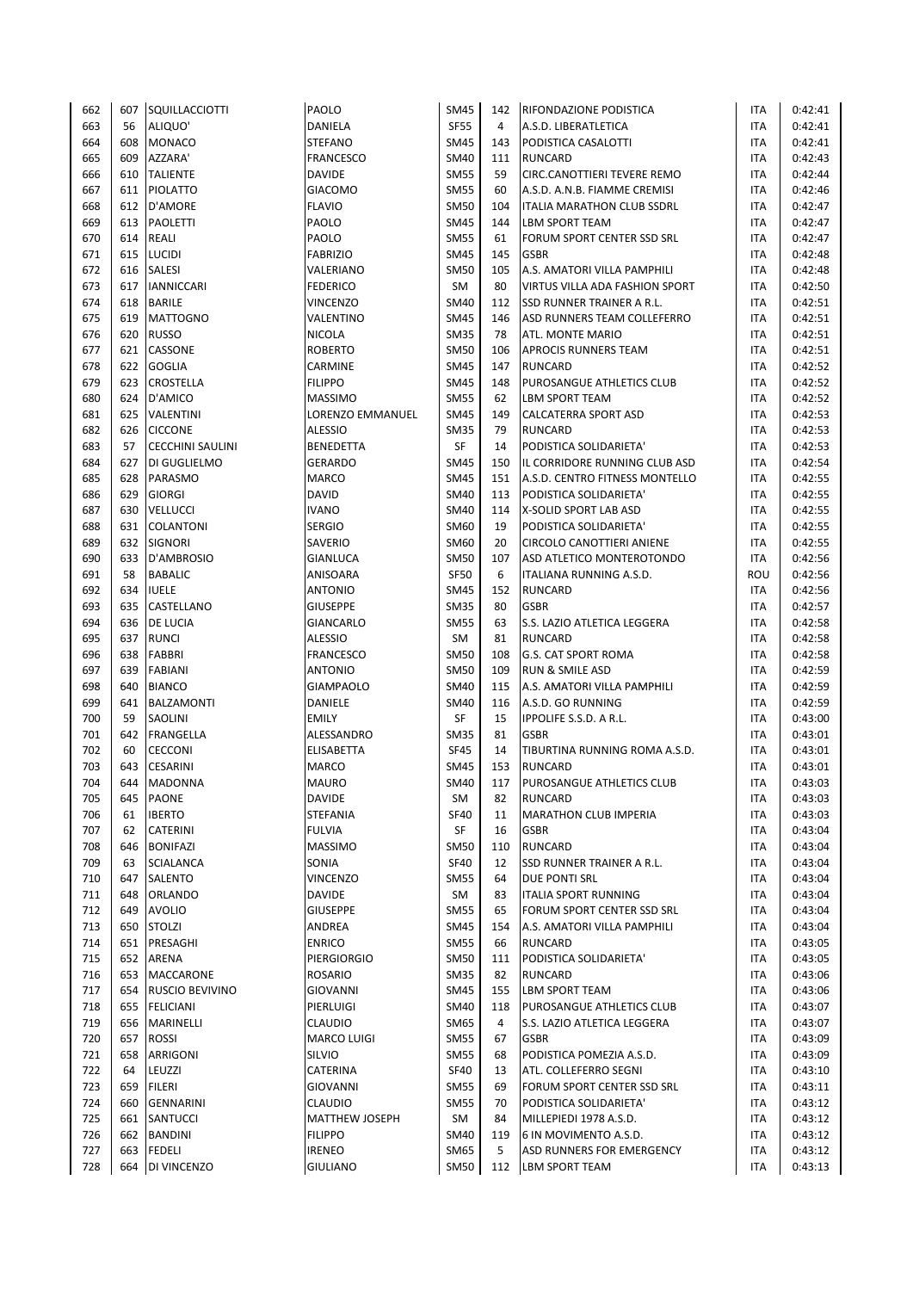| 662        | 607       | SQUILLACCIOTTI          | PAOLO                      | <b>SM45</b>       | 142       | <b>RIFONDAZIONE PODISTICA</b>                      | <b>ITA</b>        | 0:42:41 |
|------------|-----------|-------------------------|----------------------------|-------------------|-----------|----------------------------------------------------|-------------------|---------|
| 663        | 56        | ALIQUO'                 | DANIELA                    | <b>SF55</b>       | 4         | A.S.D. LIBERATLETICA                               | <b>ITA</b>        | 0:42:41 |
| 664        | 608       | <b>MONACO</b>           | <b>STEFANO</b>             | <b>SM45</b>       | 143       | PODISTICA CASALOTTI                                | <b>ITA</b>        | 0:42:41 |
| 665        | 609       | AZZARA'                 | <b>FRANCESCO</b>           | SM40              | 111       | <b>RUNCARD</b>                                     | <b>ITA</b>        | 0:42:43 |
| 666        | 610       | <b>TALIENTE</b>         | <b>DAVIDE</b>              | <b>SM55</b>       | 59        | CIRC.CANOTTIERI TEVERE REMO                        | <b>ITA</b>        | 0:42:44 |
| 667        | 611       | PIOLATTO                | <b>GIACOMO</b>             | <b>SM55</b>       | 60        | A.S.D. A.N.B. FIAMME CREMISI                       | <b>ITA</b>        | 0:42:46 |
| 668        | 612       | <b>D'AMORE</b>          | <b>FLAVIO</b>              | <b>SM50</b>       | 104       | <b>ITALIA MARATHON CLUB SSDRL</b>                  | <b>ITA</b>        | 0:42:47 |
| 669        | 613       | <b>PAOLETTI</b>         | PAOLO                      | <b>SM45</b>       | 144       | <b>LBM SPORT TEAM</b>                              | <b>ITA</b>        | 0:42:47 |
| 670        | 614       | REALI                   | PAOLO                      | <b>SM55</b>       | 61        | FORUM SPORT CENTER SSD SRL                         | <b>ITA</b>        | 0:42:47 |
| 671        | 615       | <b>LUCIDI</b>           | <b>FABRIZIO</b>            | <b>SM45</b>       | 145       | <b>GSBR</b>                                        | ITA               | 0:42:48 |
| 672        | 616       | <b>SALESI</b>           | VALERIANO                  | <b>SM50</b>       | 105       | A.S. AMATORI VILLA PAMPHILI                        | <b>ITA</b>        | 0:42:48 |
| 673        | 617       | <b>IANNICCARI</b>       | <b>FEDERICO</b>            | SM                | 80        | VIRTUS VILLA ADA FASHION SPORT                     | <b>ITA</b>        | 0:42:50 |
| 674        | 618       | <b>BARILE</b>           | <b>VINCENZO</b>            | <b>SM40</b>       | 112       | SSD RUNNER TRAINER A R.L.                          | <b>ITA</b>        | 0:42:51 |
| 675        | 619       | <b>MATTOGNO</b>         | VALENTINO                  | <b>SM45</b>       | 146       | ASD RUNNERS TEAM COLLEFERRO                        | <b>ITA</b>        | 0:42:51 |
| 676        | 620       | <b>RUSSO</b>            | <b>NICOLA</b>              | <b>SM35</b>       | 78        | ATL. MONTE MARIO                                   | <b>ITA</b>        | 0:42:51 |
| 677        | 621       | CASSONE                 | <b>ROBERTO</b>             | <b>SM50</b>       | 106       | APROCIS RUNNERS TEAM                               | <b>ITA</b>        | 0:42:51 |
| 678        | 622       | <b>GOGLIA</b>           | CARMINE                    | <b>SM45</b>       | 147       | <b>RUNCARD</b>                                     | <b>ITA</b>        | 0:42:52 |
| 679        | 623       | CROSTELLA               | <b>FILIPPO</b>             | <b>SM45</b>       | 148       | PUROSANGUE ATHLETICS CLUB                          | <b>ITA</b>        | 0:42:52 |
| 680        | 624       | D'AMICO                 | <b>MASSIMO</b>             | <b>SM55</b>       | 62        | LBM SPORT TEAM                                     | <b>ITA</b>        | 0:42:52 |
| 681        | 625       | VALENTINI               | LORENZO EMMANUEL           | <b>SM45</b>       | 149       | CALCATERRA SPORT ASD                               | <b>ITA</b>        | 0:42:53 |
| 682        | 626       | <b>CICCONE</b>          | <b>ALESSIO</b>             | <b>SM35</b>       | 79        | <b>RUNCARD</b>                                     | ITA               | 0:42:53 |
| 683        | 57        | <b>CECCHINI SAULINI</b> | <b>BENEDETTA</b>           | <b>SF</b>         | 14        | PODISTICA SOLIDARIETA'                             | ITA               | 0:42:53 |
| 684        | 627       | DI GUGLIELMO            | <b>GERARDO</b>             | <b>SM45</b>       | 150       | IL CORRIDORE RUNNING CLUB ASD                      | <b>ITA</b>        | 0:42:54 |
| 685        | 628       | PARASMO                 | <b>MARCO</b>               | <b>SM45</b>       | 151       | A.S.D. CENTRO FITNESS MONTELLO                     | <b>ITA</b>        | 0:42:55 |
| 686        | 629       | <b>GIORGI</b>           | <b>DAVID</b>               | <b>SM40</b>       | 113       | PODISTICA SOLIDARIETA'                             | <b>ITA</b>        | 0:42:55 |
| 687        | 630       | <b>VELLUCCI</b>         | <b>IVANO</b>               | SM40              | 114       | X-SOLID SPORT LAB ASD                              | ITA               | 0:42:55 |
| 688        | 631       | <b>COLANTONI</b>        | <b>SERGIO</b>              | SM60              | 19        | PODISTICA SOLIDARIETA'                             | <b>ITA</b>        | 0:42:55 |
| 689        | 632       | <b>SIGNORI</b>          | SAVERIO                    | SM60              | 20        | CIRCOLO CANOTTIERI ANIENE                          | <b>ITA</b>        | 0:42:55 |
| 690        | 633       | D'AMBROSIO              | <b>GIANLUCA</b>            | <b>SM50</b>       | 107       | ASD ATLETICO MONTEROTONDO                          | <b>ITA</b>        | 0:42:56 |
| 691        | 58        | <b>BABALIC</b>          | ANISOARA                   | <b>SF50</b>       | 6         | ITALIANA RUNNING A.S.D.                            | ROU               | 0:42:56 |
| 692        | 634       | <b>IUELE</b>            | <b>ANTONIO</b>             | <b>SM45</b>       | 152       | <b>RUNCARD</b>                                     | <b>ITA</b>        | 0:42:56 |
| 693        | 635       | CASTELLANO              | <b>GIUSEPPE</b>            | <b>SM35</b>       | 80        | <b>GSBR</b>                                        | <b>ITA</b>        | 0:42:57 |
| 694        | 636       | DE LUCIA                | <b>GIANCARLO</b>           | <b>SM55</b>       | 63        | S.S. LAZIO ATLETICA LEGGERA                        | ITA               | 0:42:58 |
| 695        | 637       | <b>RUNCI</b>            | <b>ALESSIO</b>             | <b>SM</b>         | 81        | <b>RUNCARD</b>                                     | <b>ITA</b>        | 0:42:58 |
| 696        | 638       | FABBRI                  | <b>FRANCESCO</b>           | <b>SM50</b>       | 108       | <b>G.S. CAT SPORT ROMA</b>                         | <b>ITA</b>        | 0:42:58 |
|            |           |                         |                            |                   |           |                                                    |                   |         |
| 697        | 639       | <b>FABIANI</b>          | <b>ANTONIO</b>             | <b>SM50</b>       | 109       | <b>RUN &amp; SMILE ASD</b>                         | <b>ITA</b>        | 0:42:59 |
| 698        | 640       | <b>BIANCO</b>           | <b>GIAMPAOLO</b>           | <b>SM40</b>       | 115       | A.S. AMATORI VILLA PAMPHILI                        | ITA               | 0:42:59 |
| 699<br>700 | 641<br>59 | BALZAMONTI<br>SAOLINI   | DANIELE                    | <b>SM40</b><br>SF | 116<br>15 | A.S.D. GO RUNNING<br><b>IPPOLIFE S.S.D. A R.L.</b> | ITA<br><b>ITA</b> | 0:42:59 |
|            | 642       | <b>FRANGELLA</b>        | <b>EMILY</b><br>ALESSANDRO |                   |           | <b>GSBR</b>                                        |                   | 0:43:00 |
| 701        |           |                         |                            | <b>SM35</b>       | 81        |                                                    | <b>ITA</b>        | 0:43:01 |
| 702        | 60        | <b>CECCONI</b>          | <b>ELISABETTA</b>          | <b>SF45</b>       | 14        | TIBURTINA RUNNING ROMA A.S.D.                      | <b>ITA</b>        | 0:43:01 |
| 703        | 643       | <b>CESARINI</b>         | MARCO                      | SM45              | 153       | <b>RUNCARD</b>                                     | <b>ITA</b>        | 0:43:01 |
| 704        | 644       | <b>MADONNA</b>          | <b>MAURO</b>               | <b>SM40</b>       | 117       | PUROSANGUE ATHLETICS CLUB                          | <b>ITA</b>        | 0:43:03 |
| 705        | 645       | PAONE                   | <b>DAVIDE</b>              | SM                | 82        | <b>RUNCARD</b>                                     | ITA               | 0:43:03 |
| 706        | 61        | <b>IBERTO</b>           | STEFANIA                   | <b>SF40</b>       | 11        | <b>MARATHON CLUB IMPERIA</b>                       | ITA               | 0:43:03 |
| 707        | 62        | CATERINI                | <b>FULVIA</b>              | SF                | 16        | <b>GSBR</b>                                        | <b>ITA</b>        | 0:43:04 |
| 708        | 646       | <b>BONIFAZI</b>         | <b>MASSIMO</b>             | <b>SM50</b>       | 110       | <b>RUNCARD</b>                                     | <b>ITA</b>        | 0:43:04 |
| 709        | 63        | SCIALANCA               | SONIA                      | <b>SF40</b>       | 12        | SSD RUNNER TRAINER A R.L.                          | ITA               | 0:43:04 |
| 710        | 647       | SALENTO                 | VINCENZO                   | <b>SM55</b>       | 64        | DUE PONTI SRL                                      | ITA               | 0:43:04 |
| 711        | 648       | ORLANDO                 | <b>DAVIDE</b>              | SM                | 83        | <b>ITALIA SPORT RUNNING</b>                        | ITA               | 0:43:04 |
| 712        | 649       | <b>AVOLIO</b>           | <b>GIUSEPPE</b>            | <b>SM55</b>       | 65        | FORUM SPORT CENTER SSD SRL                         | <b>ITA</b>        | 0:43:04 |
| 713        | 650       | <b>STOLZI</b>           | ANDREA                     | <b>SM45</b>       | 154       | A.S. AMATORI VILLA PAMPHILI                        | <b>ITA</b>        | 0:43:04 |
| 714        | 651       | PRESAGHI                | <b>ENRICO</b>              | <b>SM55</b>       | 66        | <b>RUNCARD</b>                                     | ITA               | 0:43:05 |
| 715        | 652       | ARENA                   | <b>PIERGIORGIO</b>         | <b>SM50</b>       | 111       | PODISTICA SOLIDARIETA'                             | <b>ITA</b>        | 0:43:05 |
| 716        | 653       | MACCARONE               | <b>ROSARIO</b>             | <b>SM35</b>       | 82        | <b>RUNCARD</b>                                     | <b>ITA</b>        | 0:43:06 |
| 717        | 654       | <b>RUSCIO BEVIVINO</b>  | <b>GIOVANNI</b>            | <b>SM45</b>       | 155       | <b>LBM SPORT TEAM</b>                              | <b>ITA</b>        | 0:43:06 |
| 718        | 655       | <b>FELICIANI</b>        | PIERLUIGI                  | <b>SM40</b>       | 118       | PUROSANGUE ATHLETICS CLUB                          | <b>ITA</b>        | 0:43:07 |
| 719        | 656       | MARINELLI               | <b>CLAUDIO</b>             | SM65              | 4         | S.S. LAZIO ATLETICA LEGGERA                        | <b>ITA</b>        | 0:43:07 |
| 720        | 657       | <b>ROSSI</b>            | <b>MARCO LUIGI</b>         | <b>SM55</b>       | 67        | <b>GSBR</b>                                        | ITA               | 0:43:09 |
| 721        | 658       | ARRIGONI                | SILVIO                     | <b>SM55</b>       | 68        | PODISTICA POMEZIA A.S.D.                           | ITA               | 0:43:09 |
| 722        | 64        | LEUZZI                  | CATERINA                   | <b>SF40</b>       | 13        | ATL. COLLEFERRO SEGNI                              | ITA               | 0:43:10 |
| 723        | 659       | <b>FILERI</b>           | <b>GIOVANNI</b>            | <b>SM55</b>       | 69        | FORUM SPORT CENTER SSD SRL                         | <b>ITA</b>        | 0:43:11 |
| 724        | 660       | <b>GENNARINI</b>        | <b>CLAUDIO</b>             | <b>SM55</b>       | 70        | PODISTICA SOLIDARIETA'                             | ITA               | 0:43:12 |
| 725        | 661       | <b>SANTUCCI</b>         | <b>MATTHEW JOSEPH</b>      | SM                | 84        | MILLEPIEDI 1978 A.S.D.                             | ITA               | 0:43:12 |
| 726        | 662       | <b>BANDINI</b>          | <b>FILIPPO</b>             | SM40              | 119       | 6 IN MOVIMENTO A.S.D.                              | ITA               | 0:43:12 |
| 727        | 663       | <b>FEDELI</b>           | <b>IRENEO</b>              | SM65              | 5         | ASD RUNNERS FOR EMERGENCY                          | <b>ITA</b>        | 0:43:12 |
| 728        | 664       | DI VINCENZO             | <b>GIULIANO</b>            | <b>SM50</b>       | 112       | LBM SPORT TEAM                                     | <b>ITA</b>        | 0:43:13 |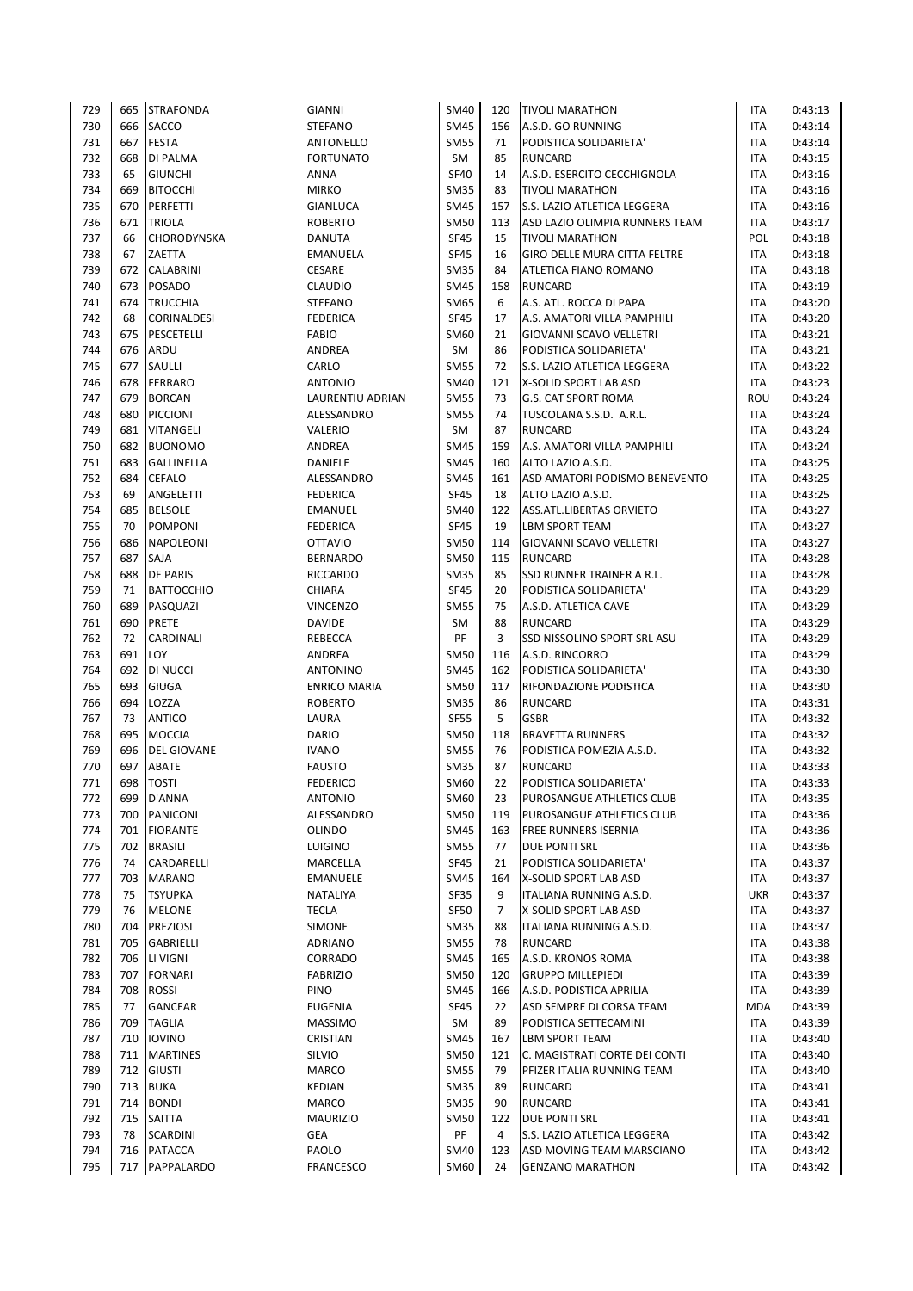| 729        | 665       | <b>STRAFONDA</b>           | <b>GIANNI</b>                    | <b>SM40</b>                | 120            | <b>TIVOLI MARATHON</b>                             | ITA                      | 0:43:13            |
|------------|-----------|----------------------------|----------------------------------|----------------------------|----------------|----------------------------------------------------|--------------------------|--------------------|
| 730        | 666       | SACCO                      | <b>STEFANO</b>                   | <b>SM45</b>                | 156            | A.S.D. GO RUNNING                                  | ITA                      | 0:43:14            |
| 731        | 667       | <b>FESTA</b>               | <b>ANTONELLO</b>                 | <b>SM55</b>                | 71             | PODISTICA SOLIDARIETA'                             | <b>ITA</b>               | 0:43:14            |
| 732        | 668       | DI PALMA                   | <b>FORTUNATO</b>                 | SM                         | 85             | <b>RUNCARD</b>                                     | <b>ITA</b>               | 0:43:15            |
| 733        | 65        | <b>GIUNCHI</b>             | ANNA                             | <b>SF40</b>                | 14             | A.S.D. ESERCITO CECCHIGNOLA                        | <b>ITA</b>               | 0:43:16            |
| 734        | 669       | <b>BITOCCHI</b>            | <b>MIRKO</b>                     | <b>SM35</b>                | 83             | <b>TIVOLI MARATHON</b>                             | <b>ITA</b>               | 0:43:16            |
| 735        | 670       | PERFETTI                   | <b>GIANLUCA</b>                  | <b>SM45</b>                | 157            | S.S. LAZIO ATLETICA LEGGERA                        | <b>ITA</b>               | 0:43:16            |
| 736        | 671       | <b>TRIOLA</b>              | <b>ROBERTO</b>                   | <b>SM50</b>                | 113            | ASD LAZIO OLIMPIA RUNNERS TEAM                     | <b>ITA</b>               | 0:43:17            |
| 737        | 66        | CHORODYNSKA                | <b>DANUTA</b>                    | <b>SF45</b>                | 15             | <b>TIVOLI MARATHON</b>                             | <b>POL</b>               | 0:43:18            |
| 738        | 67        | ZAETTA                     | <b>EMANUELA</b>                  | <b>SF45</b>                | 16             | <b>GIRO DELLE MURA CITTA FELTRE</b>                | <b>ITA</b>               | 0:43:18            |
| 739        | 672       | CALABRINI                  | <b>CESARE</b>                    | <b>SM35</b>                | 84             | ATLETICA FIANO ROMANO                              | ITA                      | 0:43:18            |
| 740        | 673       | POSADO                     | <b>CLAUDIO</b>                   | <b>SM45</b>                | 158            | <b>RUNCARD</b>                                     | <b>ITA</b>               | 0:43:19            |
| 741        | 674       | <b>TRUCCHIA</b>            | <b>STEFANO</b>                   | SM65                       | 6              | A.S. ATL. ROCCA DI PAPA                            | <b>ITA</b>               | 0:43:20            |
| 742        | 68        | CORINALDESI                | <b>FEDERICA</b>                  | <b>SF45</b>                | 17             | A.S. AMATORI VILLA PAMPHILI                        | <b>ITA</b>               | 0:43:20            |
| 743        | 675       | PESCETELLI                 | <b>FABIO</b>                     | SM60                       | 21             | GIOVANNI SCAVO VELLETRI                            | ITA                      | 0:43:21            |
| 744        | 676       | ARDU                       | ANDREA                           | SM                         | 86             | PODISTICA SOLIDARIETA'                             | <b>ITA</b>               | 0:43:21            |
| 745        | 677       | SAULLI                     | CARLO                            | <b>SM55</b>                | 72             | S.S. LAZIO ATLETICA LEGGERA                        | <b>ITA</b>               | 0:43:22            |
| 746        | 678       | <b>FERRARO</b>             | <b>ANTONIO</b>                   | <b>SM40</b>                | 121            | X-SOLID SPORT LAB ASD                              | <b>ITA</b>               | 0:43:23            |
| 747        | 679       | <b>BORCAN</b>              | LAURENTIU ADRIAN                 | <b>SM55</b>                | 73             | G.S. CAT SPORT ROMA                                | ROU                      | 0:43:24            |
| 748        | 680       | <b>PICCIONI</b>            | ALESSANDRO                       | <b>SM55</b>                | 74             | TUSCOLANA S.S.D. A.R.L.                            | <b>ITA</b>               | 0:43:24            |
| 749        | 681       | VITANGELI                  | VALERIO                          | SM                         | 87             | <b>RUNCARD</b>                                     | <b>ITA</b>               | 0:43:24            |
| 750        | 682       | <b>BUONOMO</b>             | ANDREA                           | <b>SM45</b>                | 159            | A.S. AMATORI VILLA PAMPHILI                        | ITA                      | 0:43:24            |
| 751        | 683       | GALLINELLA                 | DANIELE                          | <b>SM45</b>                | 160            | ALTO LAZIO A.S.D.<br>ASD AMATORI PODISMO BENEVENTO | <b>ITA</b><br><b>ITA</b> | 0:43:25            |
| 752<br>753 | 684<br>69 | <b>CEFALO</b><br>ANGELETTI | ALESSANDRO<br><b>FEDERICA</b>    | <b>SM45</b><br><b>SF45</b> | 161<br>18      | ALTO LAZIO A.S.D.                                  | <b>ITA</b>               | 0:43:25<br>0:43:25 |
| 754        | 685       | <b>BELSOLE</b>             | <b>EMANUEL</b>                   | <b>SM40</b>                | 122            | ASS.ATL.LIBERTAS ORVIETO                           | ITA                      | 0:43:27            |
| 755        | 70        | <b>POMPONI</b>             | <b>FEDERICA</b>                  | <b>SF45</b>                | 19             | LBM SPORT TEAM                                     | ITA                      | 0:43:27            |
| 756        | 686       | NAPOLEONI                  | <b>OTTAVIO</b>                   | <b>SM50</b>                | 114            | GIOVANNI SCAVO VELLETRI                            | <b>ITA</b>               | 0:43:27            |
| 757        | 687       | SAJA                       | <b>BERNARDO</b>                  | <b>SM50</b>                | 115            | <b>RUNCARD</b>                                     | <b>ITA</b>               | 0:43:28            |
| 758        | 688       | <b>DE PARIS</b>            | <b>RICCARDO</b>                  | <b>SM35</b>                | 85             | SSD RUNNER TRAINER A R.L.                          | <b>ITA</b>               | 0:43:28            |
| 759        | 71        | <b>BATTOCCHIO</b>          | CHIARA                           | <b>SF45</b>                | 20             | PODISTICA SOLIDARIETA'                             | ITA                      | 0:43:29            |
| 760        | 689       | PASQUAZI                   | <b>VINCENZO</b>                  | <b>SM55</b>                | 75             | A.S.D. ATLETICA CAVE                               | <b>ITA</b>               | 0:43:29            |
| 761        | 690       | <b>PRETE</b>               | <b>DAVIDE</b>                    | SM                         | 88             | <b>RUNCARD</b>                                     | ITA                      | 0:43:29            |
| 762        | 72        | CARDINALI                  | <b>REBECCA</b>                   | PF                         | 3              | SSD NISSOLINO SPORT SRL ASU                        | <b>ITA</b>               | 0:43:29            |
| 763        | 691       | LOY                        | ANDREA                           | <b>SM50</b>                | 116            | A.S.D. RINCORRO                                    | <b>ITA</b>               | 0:43:29            |
| 764        | 692       | DI NUCCI                   | <b>ANTONINO</b>                  | <b>SM45</b>                | 162            | PODISTICA SOLIDARIETA'                             | <b>ITA</b>               | 0:43:30            |
| 765        | 693       | GIUGA                      | <b>ENRICO MARIA</b>              | <b>SM50</b>                | 117            | RIFONDAZIONE PODISTICA                             | <b>ITA</b>               | 0:43:30            |
| 766        | 694       | LOZZA                      | <b>ROBERTO</b>                   | <b>SM35</b>                | 86             | <b>RUNCARD</b>                                     | ITA                      | 0:43:31            |
| 767        | 73        | <b>ANTICO</b>              | LAURA                            | <b>SF55</b>                | 5              | <b>GSBR</b>                                        | <b>ITA</b>               | 0:43:32            |
| 768        | 695       | <b>MOCCIA</b>              | <b>DARIO</b>                     | <b>SM50</b>                | 118            | <b>BRAVETTA RUNNERS</b>                            | <b>ITA</b>               | 0:43:32            |
| 769        | 696       | <b>DEL GIOVANE</b>         | <b>IVANO</b>                     | <b>SM55</b>                | 76             | PODISTICA POMEZIA A.S.D.                           | ITA                      | 0:43:32            |
| 770        | 697       | ABATE                      | <b>FAUSTO</b>                    | <b>SM35</b>                | 87             | <b>RUNCARD</b>                                     | <b>ITA</b>               | 0:43:33            |
| 771        | 698       | <b>TOSTI</b>               | <b>FEDERICO</b>                  | SM60                       | 22             | PODISTICA SOLIDARIETA'                             | <b>ITA</b>               | 0:43:33            |
| 772        | 699       | D'ANNA                     | <b>ANTONIO</b>                   | <b>SM60</b>                | 23             | PUROSANGUE ATHLETICS CLUB                          | ITA                      | 0:43:35            |
| 773        | 700       | PANICONI                   | ALESSANDRO                       | <b>SM50</b>                | 119            | PUROSANGUE ATHLETICS CLUB                          | <b>ITA</b>               | 0:43:36            |
| 774        | 701       | <b>FIORANTE</b>            | <b>OLINDO</b>                    | <b>SM45</b>                | 163            | FREE RUNNERS ISERNIA                               | <b>ITA</b>               | 0:43:36            |
| 775        |           | 702 BRASILI                | LUIGINO                          | <b>SM55</b>                | 77             | DUE PONTI SRL                                      | <b>ITA</b>               | 0:43:36            |
| 776        | 74        | CARDARELLI                 | MARCELLA                         | <b>SF45</b>                | 21             | PODISTICA SOLIDARIETA'                             | ITA                      | 0:43:37            |
| 777        | 703       | MARANO                     | EMANUELE                         | <b>SM45</b>                | 164            | X-SOLID SPORT LAB ASD                              | ITA                      | 0:43:37            |
| 778        | 75        | <b>TSYUPKA</b>             | NATALIYA                         | SF35                       | 9              | ITALIANA RUNNING A.S.D.                            | UKR                      | 0:43:37            |
| 779        | 76        | <b>MELONE</b>              | <b>TECLA</b>                     | <b>SF50</b>                | $\overline{7}$ | X-SOLID SPORT LAB ASD                              | <b>ITA</b>               | 0:43:37            |
| 780        | 704       | PREZIOSI                   | SIMONE                           | <b>SM35</b>                | 88             | ITALIANA RUNNING A.S.D.                            | ITA                      | 0:43:37            |
| 781        | 705       | GABRIELLI                  | ADRIANO                          | <b>SM55</b>                | 78             | RUNCARD                                            | ITA                      | 0:43:38            |
| 782        | 706       | LI VIGNI                   | CORRADO                          | <b>SM45</b>                | 165            | A.S.D. KRONOS ROMA                                 | ITA                      | 0:43:38            |
| 783        | 707       | <b>FORNARI</b>             | <b>FABRIZIO</b>                  | <b>SM50</b>                | 120            | <b>GRUPPO MILLEPIEDI</b>                           | <b>ITA</b>               | 0:43:39            |
| 784        | 708       | <b>ROSSI</b>               | PINO                             | <b>SM45</b>                | 166            | A.S.D. PODISTICA APRILIA                           | ITA                      | 0:43:39            |
| 785<br>786 | 77        | GANCEAR<br>709 TAGLIA      | <b>EUGENIA</b><br><b>MASSIMO</b> | <b>SF45</b><br>SM          | 22<br>89       | ASD SEMPRE DI CORSA TEAM<br>PODISTICA SETTECAMINI  | MDA<br>ITA               | 0:43:39<br>0:43:39 |
| 787        | 710 l     | <b>IOVINO</b>              | CRISTIAN                         | <b>SM45</b>                | 167            | <b>LBM SPORT TEAM</b>                              | <b>ITA</b>               | 0:43:40            |
| 788        | 711       | <b>MARTINES</b>            | SILVIO                           | <b>SM50</b>                | 121            | C. MAGISTRATI CORTE DEI CONTI                      | ITA                      | 0:43:40            |
| 789        |           | 712 GIUSTI                 | <b>MARCO</b>                     | <b>SM55</b>                | 79             | PFIZER ITALIA RUNNING TEAM                         | ITA                      | 0:43:40            |
| 790        |           | 713 BUKA                   | KEDIAN                           | <b>SM35</b>                | 89             | <b>RUNCARD</b>                                     | <b>ITA</b>               | 0:43:41            |
| 791        | 714 l     | <b>BONDI</b>               | MARCO                            | <b>SM35</b>                | 90             | RUNCARD                                            | <b>ITA</b>               | 0:43:41            |
| 792        | 715       | SAITTA                     | <b>MAURIZIO</b>                  | <b>SM50</b>                | 122            | DUE PONTI SRL                                      | ITA                      | 0:43:41            |
| 793        | 78        | SCARDINI                   | <b>GEA</b>                       | PF                         | 4              | S.S. LAZIO ATLETICA LEGGERA                        | ITA                      | 0:43:42            |
| 794        |           | 716 PATACCA                | PAOLO                            | <b>SM40</b>                | 123            | ASD MOVING TEAM MARSCIANO                          | <b>ITA</b>               | 0:43:42            |
| 795        |           | 717 PAPPALARDO             | <b>FRANCESCO</b>                 | SM60                       | 24             | <b>GENZANO MARATHON</b>                            | ITA                      | 0:43:42            |
|            |           |                            |                                  |                            |                |                                                    |                          |                    |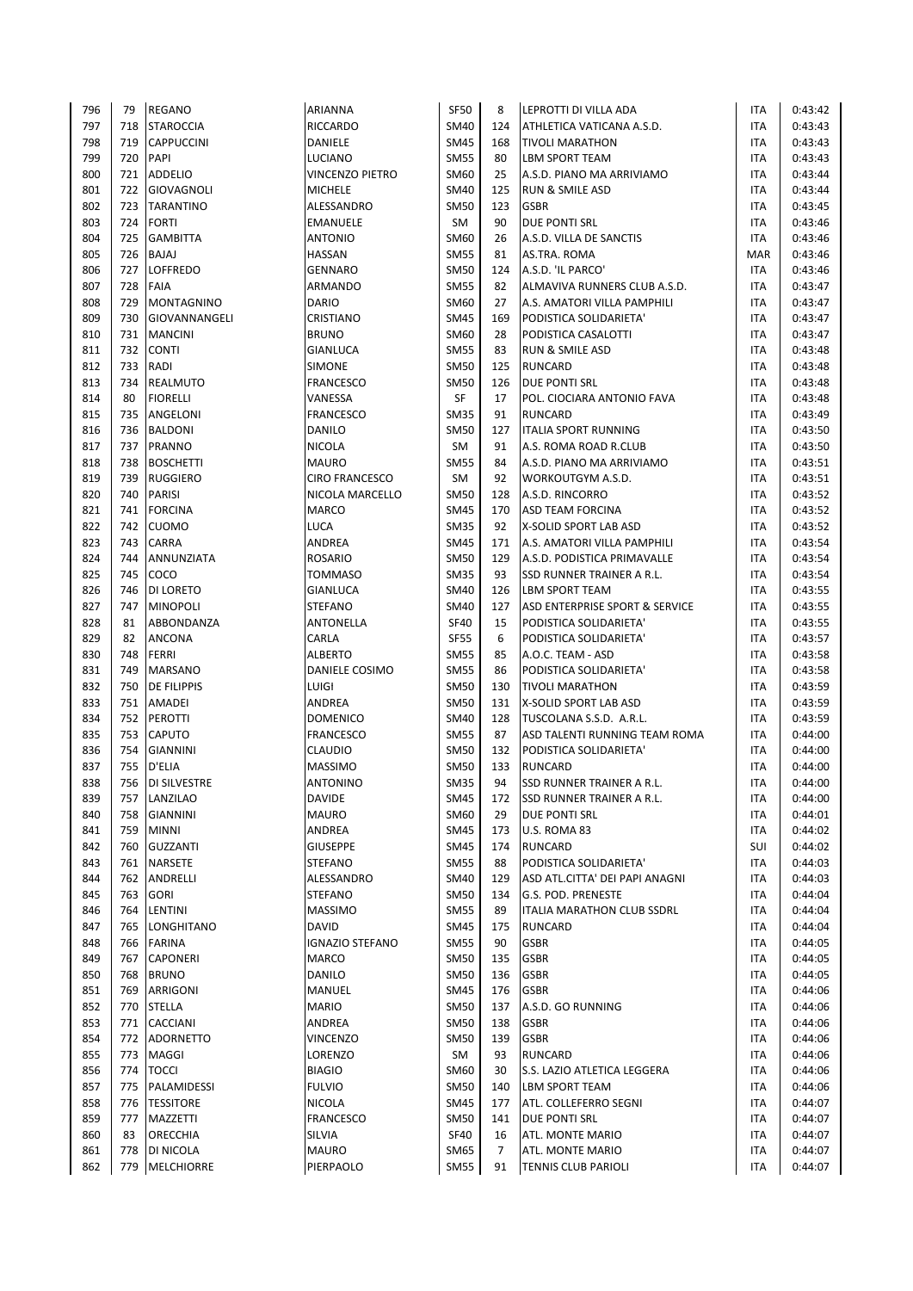| 796 | 79         | <b>REGANO</b>       | ARIANNA                       | <b>SF50</b>                | 8              | LEPROTTI DI VILLA ADA                           | <b>ITA</b> | 0:43:42 |
|-----|------------|---------------------|-------------------------------|----------------------------|----------------|-------------------------------------------------|------------|---------|
| 797 | 718        | <b>STAROCCIA</b>    | <b>RICCARDO</b>               | <b>SM40</b>                | 124            | ATHLETICA VATICANA A.S.D.                       | <b>ITA</b> | 0:43:43 |
| 798 | 719        | <b>CAPPUCCINI</b>   | DANIELE                       | <b>SM45</b>                | 168            | <b>TIVOLI MARATHON</b>                          | <b>ITA</b> | 0:43:43 |
| 799 | 720        | PAPI                | LUCIANO                       | <b>SM55</b>                | 80             | LBM SPORT TEAM                                  | <b>ITA</b> | 0:43:43 |
| 800 | 721        | <b>ADDELIO</b>      | VINCENZO PIETRO               | SM60                       | 25             | A.S.D. PIANO MA ARRIVIAMO                       | <b>ITA</b> | 0:43:44 |
| 801 | 722        | <b>GIOVAGNOLI</b>   | <b>MICHELE</b>                | <b>SM40</b>                | 125            | <b>RUN &amp; SMILE ASD</b>                      | <b>ITA</b> | 0:43:44 |
| 802 | 723        | <b>TARANTINO</b>    | ALESSANDRO                    | <b>SM50</b>                | 123            | <b>GSBR</b>                                     | ITA        | 0:43:45 |
| 803 | 724        | <b>FORTI</b>        | <b>EMANUELE</b>               | SM                         | 90             | DUE PONTI SRL                                   | <b>ITA</b> | 0:43:46 |
| 804 | 725        | <b>GAMBITTA</b>     | <b>ANTONIO</b>                | SM60                       | 26             | A.S.D. VILLA DE SANCTIS                         | <b>ITA</b> | 0:43:46 |
| 805 | 726        | <b>BAJAJ</b>        | <b>HASSAN</b>                 | <b>SM55</b>                | 81             | AS.TRA. ROMA                                    | <b>MAR</b> | 0:43:46 |
| 806 | 727        | <b>LOFFREDO</b>     | <b>GENNARO</b>                | <b>SM50</b>                | 124            | A.S.D. 'IL PARCO'                               | ITA        | 0:43:46 |
| 807 | 728        | <b>FAIA</b>         | ARMANDO                       | <b>SM55</b>                | 82             | ALMAVIVA RUNNERS CLUB A.S.D.                    | <b>ITA</b> | 0:43:47 |
| 808 | 729        | MONTAGNINO          | <b>DARIO</b>                  | SM60                       | 27             | A.S. AMATORI VILLA PAMPHILI                     | <b>ITA</b> | 0:43:47 |
| 809 | 730        | GIOVANNANGELI       | CRISTIANO                     | <b>SM45</b>                | 169            | PODISTICA SOLIDARIETA'                          | <b>ITA</b> | 0:43:47 |
| 810 | 731        | <b>MANCINI</b>      | <b>BRUNO</b>                  | SM60                       | 28             | PODISTICA CASALOTTI                             | <b>ITA</b> | 0:43:47 |
| 811 | 732        | <b>CONTI</b>        | <b>GIANLUCA</b>               | <b>SM55</b>                | 83             | <b>RUN &amp; SMILE ASD</b>                      | <b>ITA</b> | 0:43:48 |
| 812 | 733        | RADI                | <b>SIMONE</b>                 | <b>SM50</b>                | 125            | <b>RUNCARD</b>                                  | <b>ITA</b> | 0:43:48 |
| 813 | 734        | <b>REALMUTO</b>     | <b>FRANCESCO</b>              | <b>SM50</b>                | 126            | DUE PONTI SRL                                   | <b>ITA</b> | 0:43:48 |
| 814 | 80         | <b>FIORELLI</b>     | VANESSA                       | SF                         | 17             | POL. CIOCIARA ANTONIO FAVA                      | <b>ITA</b> | 0:43:48 |
| 815 | 735        | ANGELONI            | <b>FRANCESCO</b>              | <b>SM35</b>                | 91             | <b>RUNCARD</b>                                  | <b>ITA</b> | 0:43:49 |
| 816 | 736        | <b>BALDONI</b>      | <b>DANILO</b>                 | <b>SM50</b>                | 127            | <b>ITALIA SPORT RUNNING</b>                     | <b>ITA</b> | 0:43:50 |
| 817 | 737        | PRANNO              | <b>NICOLA</b>                 | <b>SM</b>                  | 91             | A.S. ROMA ROAD R.CLUB                           | <b>ITA</b> | 0:43:50 |
| 818 | 738        | <b>BOSCHETTI</b>    | <b>MAURO</b>                  | <b>SM55</b>                | 84             | A.S.D. PIANO MA ARRIVIAMO                       | <b>ITA</b> | 0:43:51 |
| 819 | 739        | <b>RUGGIERO</b>     | <b>CIRO FRANCESCO</b>         | SM                         | 92             | WORKOUTGYM A.S.D.                               | <b>ITA</b> | 0:43:51 |
| 820 | 740        | PARISI              | NICOLA MARCELLO               | <b>SM50</b>                | 128            | A.S.D. RINCORRO                                 | <b>ITA</b> | 0:43:52 |
| 821 | 741        | <b>FORCINA</b>      | <b>MARCO</b>                  | <b>SM45</b>                | 170            | <b>ASD TEAM FORCINA</b>                         | ITA        | 0:43:52 |
| 822 | 742        | <b>CUOMO</b>        | LUCA                          | <b>SM35</b>                | 92             | X-SOLID SPORT LAB ASD                           | <b>ITA</b> | 0:43:52 |
| 823 | 743        | CARRA               | <b>ANDREA</b>                 | <b>SM45</b>                | 171            | A.S. AMATORI VILLA PAMPHILI                     | <b>ITA</b> | 0:43:54 |
| 824 | 744        | ANNUNZIATA          | <b>ROSARIO</b>                | <b>SM50</b>                | 129            | A.S.D. PODISTICA PRIMAVALLE                     | <b>ITA</b> | 0:43:54 |
| 825 | 745        | COCO                | <b>TOMMASO</b>                | <b>SM35</b>                | 93             | SSD RUNNER TRAINER A R.L.                       | <b>ITA</b> | 0:43:54 |
| 826 | 746        | DI LORETO           | GIANLUCA                      | <b>SM40</b>                | 126            | LBM SPORT TEAM                                  | <b>ITA</b> | 0:43:55 |
| 827 | 747        | <b>MINOPOLI</b>     | <b>STEFANO</b>                | <b>SM40</b>                | 127            | ASD ENTERPRISE SPORT & SERVICE                  | <b>ITA</b> | 0:43:55 |
| 828 | 81         | ABBONDANZA          | ANTONELLA                     | <b>SF40</b>                | 15             | PODISTICA SOLIDARIETA'                          | ITA        | 0:43:55 |
| 829 | 82         | ANCONA              | CARLA                         | <b>SF55</b>                | 6              | PODISTICA SOLIDARIETA'                          | ITA        | 0:43:57 |
| 830 | 748        | <b>FERRI</b>        | <b>ALBERTO</b>                | <b>SM55</b>                | 85             | A.O.C. TEAM - ASD                               | <b>ITA</b> | 0:43:58 |
| 831 | 749        | MARSANO             | DANIELE COSIMO                | <b>SM55</b>                | 86             | PODISTICA SOLIDARIETA'                          | <b>ITA</b> | 0:43:58 |
| 832 | 750        | DE FILIPPIS         | LUIGI                         | <b>SM50</b>                |                |                                                 |            | 0:43:59 |
| 833 | 751        | AMADEI              | ANDREA                        | <b>SM50</b>                | 130<br>131     | <b>TIVOLI MARATHON</b><br>X-SOLID SPORT LAB ASD | ITA<br>ITA | 0:43:59 |
| 834 | 752        | <b>PEROTTI</b>      | <b>DOMENICO</b>               | <b>SM40</b>                | 128            | TUSCOLANA S.S.D. A.R.L.                         | <b>ITA</b> | 0:43:59 |
| 835 | 753        | CAPUTO              | <b>FRANCESCO</b>              | <b>SM55</b>                | 87             | ASD TALENTI RUNNING TEAM ROMA                   | <b>ITA</b> | 0:44:00 |
| 836 | 754        | <b>GIANNINI</b>     | <b>CLAUDIO</b>                | <b>SM50</b>                | 132            | PODISTICA SOLIDARIETA'                          | <b>ITA</b> | 0:44:00 |
| 837 | 755        | D'ELIA              | <b>MASSIMO</b>                | <b>SM50</b>                | 133            | <b>RUNCARD</b>                                  | <b>ITA</b> | 0:44:00 |
| 838 | 756        | <b>DI SILVESTRE</b> | <b>ANTONINO</b>               | <b>SM35</b>                | 94             | SSD RUNNER TRAINER A R.L.                       | <b>ITA</b> | 0:44:00 |
|     |            |                     |                               |                            |                |                                                 |            |         |
| 839 | 757<br>758 | LANZILAO            | <b>DAVIDE</b><br><b>MAURO</b> | <b>SM45</b>                | 172            | <b>SSD RUNNER TRAINER A R.L.</b>                | <b>ITA</b> | 0:44:00 |
| 840 |            | <b>GIANNINI</b>     |                               | SM60                       | 29             | DUE PONTI SRL                                   | ITA        | 0:44:01 |
| 841 | 759        | <b>MINNI</b>        | ANDREA                        | <b>SM45</b><br><b>SM45</b> | 173            | U.S. ROMA 83                                    | <b>ITA</b> | 0:44:02 |
| 842 | 760        | <b>GUZZANTI</b>     | <b>GIUSEPPE</b>               |                            | 174            | <b>RUNCARD</b>                                  | SUI        | 0:44:02 |
| 843 |            | 761 NARSETE         | <b>STEFANO</b>                | <b>SM55</b>                | 88             | PODISTICA SOLIDARIETA'                          | ITA        | 0:44:03 |
| 844 | 762        | ANDRELLI            | ALESSANDRO                    | <b>SM40</b>                | 129            | ASD ATL.CITTA' DEI PAPI ANAGNI                  | ITA        | 0:44:03 |
| 845 | 763        | <b>GORI</b>         | <b>STEFANO</b>                | <b>SM50</b>                | 134            | G.S. POD. PRENESTE                              | ITA        | 0:44:04 |
| 846 |            | 764 LENTINI         | <b>MASSIMO</b>                | <b>SM55</b>                | 89             | ITALIA MARATHON CLUB SSDRL                      | <b>ITA</b> | 0:44:04 |
| 847 | 765        | <b>LONGHITANO</b>   | <b>DAVID</b>                  | <b>SM45</b>                | 175            | <b>RUNCARD</b>                                  | ITA        | 0:44:04 |
| 848 | 766        | FARINA              | <b>IGNAZIO STEFANO</b>        | <b>SM55</b>                | 90             | <b>GSBR</b>                                     | ITA        | 0:44:05 |
| 849 | 767        | CAPONERI            | <b>MARCO</b>                  | <b>SM50</b>                | 135            | <b>GSBR</b>                                     | <b>ITA</b> | 0:44:05 |
| 850 |            | 768 BRUNO           | DANILO                        | <b>SM50</b>                | 136            | <b>GSBR</b>                                     | <b>ITA</b> | 0:44:05 |
| 851 | 769        | ARRIGONI            | MANUEL                        | <b>SM45</b>                | 176            | <b>GSBR</b>                                     | <b>ITA</b> | 0:44:06 |
| 852 | 770        | STELLA              | <b>MARIO</b>                  | <b>SM50</b>                | 137            | A.S.D. GO RUNNING                               | ITA        | 0:44:06 |
| 853 |            | 771 CACCIANI        | ANDREA                        | <b>SM50</b>                | 138            | <b>GSBR</b>                                     | ITA        | 0:44:06 |
| 854 |            | 772 ADORNETTO       | <b>VINCENZO</b>               | <b>SM50</b>                | 139            | <b>GSBR</b>                                     | <b>ITA</b> | 0:44:06 |
| 855 | 773        | MAGGI               | LORENZO                       | SM                         | 93             | RUNCARD                                         | ITA        | 0:44:06 |
| 856 | 774        | <b>TOCCI</b>        | <b>BIAGIO</b>                 | SM60                       | 30             | S.S. LAZIO ATLETICA LEGGERA                     | ITA        | 0:44:06 |
| 857 | 775        | PALAMIDESSI         | <b>FULVIO</b>                 | <b>SM50</b>                | 140            | LBM SPORT TEAM                                  | ITA        | 0:44:06 |
| 858 |            | 776   TESSITORE     | <b>NICOLA</b>                 | <b>SM45</b>                | 177            | ATL. COLLEFERRO SEGNI                           | <b>ITA</b> | 0:44:07 |
| 859 | 777        | MAZZETTI            | <b>FRANCESCO</b>              | <b>SM50</b>                | 141            | DUE PONTI SRL                                   | ITA        | 0:44:07 |
| 860 | 83         | ORECCHIA            | SILVIA                        | <b>SF40</b>                | 16             | ATL. MONTE MARIO                                | ITA        | 0:44:07 |
| 861 | 778        | DI NICOLA           | <b>MAURO</b>                  | <b>SM65</b>                | $\overline{7}$ | ATL. MONTE MARIO                                | <b>ITA</b> | 0:44:07 |
| 862 |            | 779 MELCHIORRE      | PIERPAOLO                     | <b>SM55</b>                | 91             | <b>TENNIS CLUB PARIOLI</b>                      | ITA        | 0:44:07 |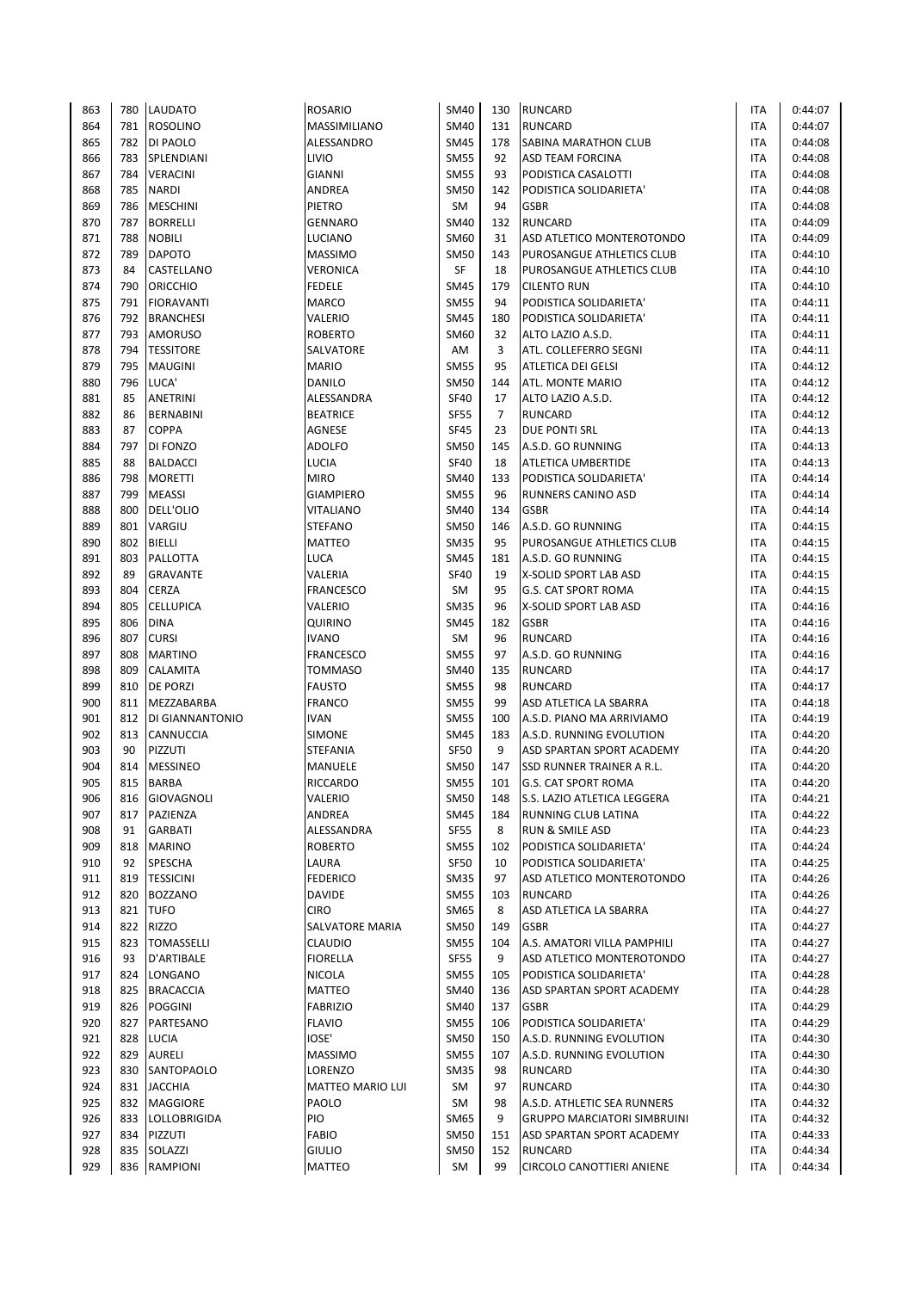| 863 | 780   | <b>LAUDATO</b>    | <b>ROSARIO</b>   | <b>SM40</b> | 130            | <b>RUNCARD</b>                     | ITA        | 0:44:07 |
|-----|-------|-------------------|------------------|-------------|----------------|------------------------------------|------------|---------|
| 864 | 781   | <b>ROSOLINO</b>   | MASSIMILIANO     | <b>SM40</b> | 131            | <b>RUNCARD</b>                     | <b>ITA</b> | 0:44:07 |
| 865 | 782   | DI PAOLO          | ALESSANDRO       | <b>SM45</b> | 178            | SABINA MARATHON CLUB               | <b>ITA</b> | 0:44:08 |
| 866 | 783   | SPLENDIANI        | LIVIO            | <b>SM55</b> | 92             | ASD TEAM FORCINA                   | <b>ITA</b> | 0:44:08 |
| 867 | 784 l | <b>VERACINI</b>   | <b>GIANNI</b>    | <b>SM55</b> | 93             | PODISTICA CASALOTTI                | <b>ITA</b> | 0:44:08 |
| 868 | 785   | <b>NARDI</b>      | ANDREA           | <b>SM50</b> | 142            | PODISTICA SOLIDARIETA'             | <b>ITA</b> | 0:44:08 |
| 869 | 786   | <b>MESCHINI</b>   | PIETRO           | SM          | 94             | <b>GSBR</b>                        | <b>ITA</b> | 0:44:08 |
| 870 | 787   | <b>BORRELLI</b>   | <b>GENNARO</b>   | SM40        | 132            | <b>RUNCARD</b>                     | <b>ITA</b> | 0:44:09 |
| 871 | 788   | <b>NOBILI</b>     | LUCIANO          | SM60        | 31             | ASD ATLETICO MONTEROTONDO          | <b>ITA</b> | 0:44:09 |
| 872 | 789   | <b>DAPOTO</b>     | <b>MASSIMO</b>   | <b>SM50</b> | 143            | PUROSANGUE ATHLETICS CLUB          | <b>ITA</b> | 0:44:10 |
| 873 | 84    | CASTELLANO        | <b>VERONICA</b>  | <b>SF</b>   | 18             | PUROSANGUE ATHLETICS CLUB          | <b>ITA</b> | 0:44:10 |
| 874 | 790   | <b>ORICCHIO</b>   | <b>FEDELE</b>    | <b>SM45</b> | 179            | <b>CILENTO RUN</b>                 | <b>ITA</b> | 0:44:10 |
| 875 | 791   | <b>FIORAVANTI</b> | <b>MARCO</b>     | <b>SM55</b> | 94             | PODISTICA SOLIDARIETA'             | <b>ITA</b> | 0:44:11 |
| 876 | 792   | <b>BRANCHESI</b>  | VALERIO          | <b>SM45</b> | 180            | PODISTICA SOLIDARIETA'             | <b>ITA</b> | 0:44:11 |
| 877 | 793   | <b>AMORUSO</b>    | <b>ROBERTO</b>   | SM60        | 32             | ALTO LAZIO A.S.D.                  | <b>ITA</b> | 0:44:11 |
| 878 | 794   | <b>TESSITORE</b>  | SALVATORE        | AM          | 3              | ATL. COLLEFERRO SEGNI              | <b>ITA</b> | 0:44:11 |
| 879 | 795   | <b>MAUGINI</b>    | <b>MARIO</b>     | <b>SM55</b> | 95             | ATLETICA DEI GELSI                 | <b>ITA</b> | 0:44:12 |
| 880 | 796   | LUCA'             | DANILO           | <b>SM50</b> | 144            | ATL. MONTE MARIO                   | ITA        | 0:44:12 |
| 881 | 85    | ANETRINI          | ALESSANDRA       | <b>SF40</b> | 17             | ALTO LAZIO A.S.D.                  | <b>ITA</b> | 0:44:12 |
| 882 | 86    | <b>BERNABINI</b>  | <b>BEATRICE</b>  | <b>SF55</b> | $\overline{7}$ | <b>RUNCARD</b>                     | <b>ITA</b> | 0:44:12 |
| 883 | 87    | <b>COPPA</b>      | AGNESE           | <b>SF45</b> | 23             | <b>DUE PONTI SRL</b>               | <b>ITA</b> | 0:44:13 |
| 884 | 797   | DI FONZO          | <b>ADOLFO</b>    | <b>SM50</b> | 145            | A.S.D. GO RUNNING                  | <b>ITA</b> | 0:44:13 |
| 885 | 88    |                   |                  | <b>SF40</b> |                |                                    |            |         |
|     |       | <b>BALDACCI</b>   | LUCIA            |             | 18             | ATLETICA UMBERTIDE                 | <b>ITA</b> | 0:44:13 |
| 886 | 798   | <b>MORETTI</b>    | <b>MIRO</b>      | <b>SM40</b> | 133            | PODISTICA SOLIDARIETA'             | <b>ITA</b> | 0:44:14 |
| 887 | 799   | <b>MEASSI</b>     | <b>GIAMPIERO</b> | <b>SM55</b> | 96             | RUNNERS CANINO ASD                 | <b>ITA</b> | 0:44:14 |
| 888 | 800   | DELL'OLIO         | VITALIANO        | <b>SM40</b> | 134            | <b>GSBR</b>                        | ITA        | 0:44:14 |
| 889 | 801   | VARGIU            | <b>STEFANO</b>   | <b>SM50</b> | 146            | A.S.D. GO RUNNING                  | <b>ITA</b> | 0:44:15 |
| 890 | 802   | <b>BIELLI</b>     | <b>MATTEO</b>    | <b>SM35</b> | 95             | PUROSANGUE ATHLETICS CLUB          | <b>ITA</b> | 0:44:15 |
| 891 | 803   | PALLOTTA          | LUCA             | <b>SM45</b> | 181            | A.S.D. GO RUNNING                  | <b>ITA</b> | 0:44:15 |
| 892 | 89    | <b>GRAVANTE</b>   | VALERIA          | <b>SF40</b> | 19             | X-SOLID SPORT LAB ASD              | ITA        | 0:44:15 |
| 893 | 804   | <b>CERZA</b>      | <b>FRANCESCO</b> | SM          | 95             | G.S. CAT SPORT ROMA                | <b>ITA</b> | 0:44:15 |
| 894 | 805   | <b>CELLUPICA</b>  | VALERIO          | <b>SM35</b> | 96             | X-SOLID SPORT LAB ASD              | <b>ITA</b> | 0:44:16 |
| 895 | 806   | <b>DINA</b>       | <b>QUIRINO</b>   | <b>SM45</b> | 182            | <b>GSBR</b>                        | <b>ITA</b> | 0:44:16 |
| 896 | 807   | <b>CURSI</b>      | <b>IVANO</b>     | SM          | 96             | <b>RUNCARD</b>                     | <b>ITA</b> | 0:44:16 |
| 897 | 808   | <b>MARTINO</b>    | <b>FRANCESCO</b> | <b>SM55</b> | 97             | A.S.D. GO RUNNING                  | <b>ITA</b> | 0:44:16 |
| 898 | 809   | CALAMITA          | <b>TOMMASO</b>   | <b>SM40</b> | 135            | <b>RUNCARD</b>                     | <b>ITA</b> | 0:44:17 |
| 899 | 810   | DE PORZI          | <b>FAUSTO</b>    | <b>SM55</b> | 98             | <b>RUNCARD</b>                     | <b>ITA</b> | 0:44:17 |
| 900 | 811   | MEZZABARBA        | <b>FRANCO</b>    | <b>SM55</b> | 99             | ASD ATLETICA LA SBARRA             | <b>ITA</b> | 0:44:18 |
| 901 | 812   | DI GIANNANTONIO   | <b>IVAN</b>      | <b>SM55</b> | 100            | A.S.D. PIANO MA ARRIVIAMO          | <b>ITA</b> | 0:44:19 |
| 902 | 813   | CANNUCCIA         | <b>SIMONE</b>    | <b>SM45</b> | 183            | A.S.D. RUNNING EVOLUTION           | <b>ITA</b> | 0:44:20 |
| 903 | 90    | PIZZUTI           | STEFANIA         | <b>SF50</b> | 9              | ASD SPARTAN SPORT ACADEMY          | <b>ITA</b> | 0:44:20 |
| 904 | 814   | <b>MESSINEO</b>   | MANUELE          | <b>SM50</b> | 147            | SSD RUNNER TRAINER A R.L.          | <b>ITA</b> | 0:44:20 |
| 905 | 815   | <b>BARBA</b>      | <b>RICCARDO</b>  | <b>SM55</b> | 101            | <b>G.S. CAT SPORT ROMA</b>         | <b>ITA</b> | 0:44:20 |
| 906 | 816   | GIOVAGNOLI        | VALERIO          | <b>SM50</b> | 148            | S.S. LAZIO ATLETICA LEGGERA        | ITA        | 0:44:21 |
| 907 | 817   | PAZIENZA          | ANDREA           | <b>SM45</b> | 184            | RUNNING CLUB LATINA                | ITA        | 0:44:22 |
| 908 | 91    | GARBATI           | ALESSANDRA       | <b>SF55</b> | 8              | RUN & SMILE ASD                    | <b>ITA</b> | 0:44:23 |
| 909 | 818   | <b>MARINO</b>     | ROBERTO          | <b>SM55</b> | 102            | PODISTICA SOLIDARIETA'             | <b>ITA</b> | 0:44:24 |
| 910 | 92    | SPESCHA           | LAURA            | <b>SF50</b> | 10             | PODISTICA SOLIDARIETA'             | <b>ITA</b> | 0:44:25 |
| 911 | 819   | <b>TESSICINI</b>  | <b>FEDERICO</b>  | SM35        | 97             | ASD ATLETICO MONTEROTONDO          | ITA        | 0:44:26 |
| 912 | 820   | <b>BOZZANO</b>    | <b>DAVIDE</b>    | <b>SM55</b> | 103            | <b>RUNCARD</b>                     | <b>ITA</b> | 0:44:26 |
| 913 |       | 821 TUFO          | <b>CIRO</b>      | SM65        | 8              | ASD ATLETICA LA SBARRA             | <b>ITA</b> | 0:44:27 |
| 914 | 822   | RIZZO             | SALVATORE MARIA  | <b>SM50</b> | 149            | <b>GSBR</b>                        | ITA        | 0:44:27 |
| 915 | 823   | <b>TOMASSELLI</b> | <b>CLAUDIO</b>   | <b>SM55</b> | 104            | A.S. AMATORI VILLA PAMPHILI        | ITA        | 0:44:27 |
| 916 | 93    | D'ARTIBALE        | <b>FIORELLA</b>  | SF55        | 9              | ASD ATLETICO MONTEROTONDO          | ITA        | 0:44:27 |
| 917 | 824   | LONGANO           | <b>NICOLA</b>    | <b>SM55</b> | 105            | PODISTICA SOLIDARIETA'             | <b>ITA</b> | 0:44:28 |
| 918 | 825   | <b>BRACACCIA</b>  | MATTEO           | <b>SM40</b> | 136            | ASD SPARTAN SPORT ACADEMY          | ITA        | 0:44:28 |
| 919 | 826   | <b>POGGINI</b>    | <b>FABRIZIO</b>  | <b>SM40</b> | 137            | <b>GSBR</b>                        | ITA        | 0:44:29 |
| 920 |       | 827 PARTESANO     | <b>FLAVIO</b>    | <b>SM55</b> | 106            | PODISTICA SOLIDARIETA'             | ITA        | 0:44:29 |
| 921 | 828   | LUCIA             | IOSE'            | <b>SM50</b> | 150            | A.S.D. RUNNING EVOLUTION           | ITA        | 0:44:30 |
| 922 | 829   | <b>AURELI</b>     | <b>MASSIMO</b>   | <b>SM55</b> | 107            | A.S.D. RUNNING EVOLUTION           | ITA        | 0:44:30 |
| 923 |       | 830 SANTOPAOLO    | LORENZO          | <b>SM35</b> | 98             | RUNCARD                            | ITA        | 0:44:30 |
| 924 |       | 831 JACCHIA       | MATTEO MARIO LUI | SM          | 97             | RUNCARD                            | <b>ITA</b> | 0:44:30 |
| 925 |       | 832 MAGGIORE      | PAOLO            | SM          | 98             | A.S.D. ATHLETIC SEA RUNNERS        | <b>ITA</b> | 0:44:32 |
| 926 | 833   | LOLLOBRIGIDA      | PIO              | SM65        | 9              | <b>GRUPPO MARCIATORI SIMBRUINI</b> | ITA        | 0:44:32 |
| 927 | 834   | PIZZUTI           | <b>FABIO</b>     | <b>SM50</b> | 151            | ASD SPARTAN SPORT ACADEMY          | ITA        | 0:44:33 |
| 928 | 835   | SOLAZZI           | <b>GIULIO</b>    | <b>SM50</b> | 152            | <b>RUNCARD</b>                     | ITA        | 0:44:34 |
| 929 | 836   | RAMPIONI          | MATTEO           | SM          | 99             | CIRCOLO CANOTTIERI ANIENE          | <b>ITA</b> | 0:44:34 |
|     |       |                   |                  |             |                |                                    |            |         |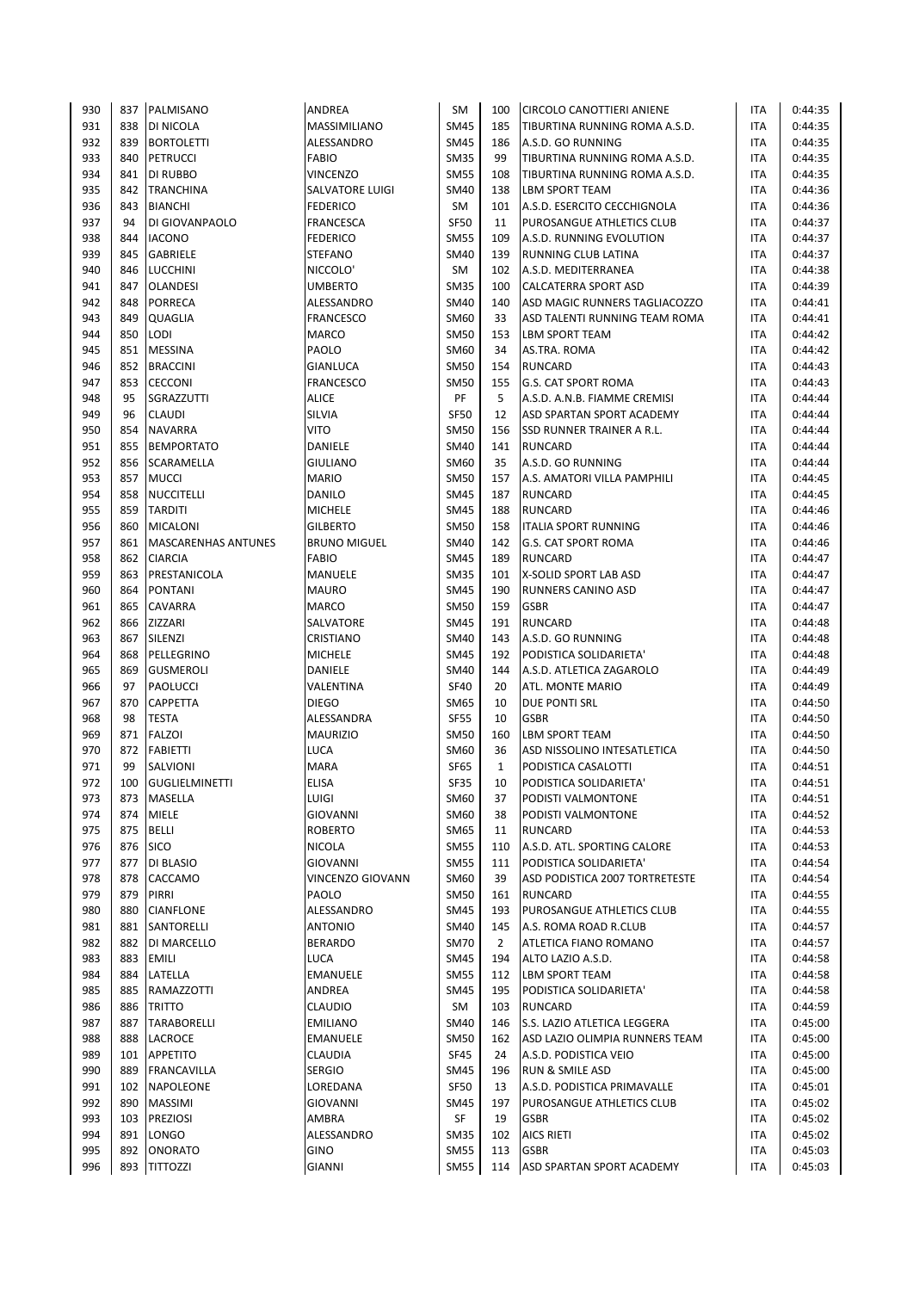| 930        | 837        | PALMISANO                  | <b>ANDREA</b>           | <b>SM</b>                  | 100            | <b>CIRCOLO CANOTTIERI ANIENE</b> | ITA               | 0:44:35            |
|------------|------------|----------------------------|-------------------------|----------------------------|----------------|----------------------------------|-------------------|--------------------|
| 931        | 838        | DI NICOLA                  | MASSIMILIANO            | <b>SM45</b>                | 185            | TIBURTINA RUNNING ROMA A.S.D.    | ITA               | 0:44:35            |
| 932        | 839        | <b>BORTOLETTI</b>          | ALESSANDRO              | <b>SM45</b>                | 186            | A.S.D. GO RUNNING                | <b>ITA</b>        | 0:44:35            |
| 933        | 840        | <b>PETRUCCI</b>            | <b>FABIO</b>            | <b>SM35</b>                | 99             | TIBURTINA RUNNING ROMA A.S.D.    | <b>ITA</b>        | 0:44:35            |
| 934        | 841        | DI RUBBO                   | <b>VINCENZO</b>         | <b>SM55</b>                | 108            | TIBURTINA RUNNING ROMA A.S.D.    | <b>ITA</b>        | 0:44:35            |
| 935        | 842        | <b>TRANCHINA</b>           | <b>SALVATORE LUIGI</b>  | <b>SM40</b>                | 138            | <b>LBM SPORT TEAM</b>            | <b>ITA</b>        | 0:44:36            |
| 936        | 843        | <b>BIANCHI</b>             | <b>FEDERICO</b>         | SM                         | 101            | A.S.D. ESERCITO CECCHIGNOLA      | ITA               | 0:44:36            |
| 937        | 94         | DI GIOVANPAOLO             | FRANCESCA               | <b>SF50</b>                | 11             | PUROSANGUE ATHLETICS CLUB        | <b>ITA</b>        | 0:44:37            |
| 938        | 844        | <b>IACONO</b>              | <b>FEDERICO</b>         | <b>SM55</b>                | 109            | A.S.D. RUNNING EVOLUTION         | <b>ITA</b>        | 0:44:37            |
| 939        | 845        | GABRIELE                   | <b>STEFANO</b>          | <b>SM40</b>                | 139            | RUNNING CLUB LATINA              | <b>ITA</b>        | 0:44:37            |
| 940        | 846        | <b>LUCCHINI</b>            | NICCOLO'                | SM                         | 102            | A.S.D. MEDITERRANEA              | ITA               | 0:44:38            |
| 941        | 847        | <b>OLANDESI</b>            | <b>UMBERTO</b>          | <b>SM35</b>                | 100            | CALCATERRA SPORT ASD             | <b>ITA</b>        | 0:44:39            |
| 942        | 848        | PORRECA                    | ALESSANDRO              | <b>SM40</b>                | 140            | ASD MAGIC RUNNERS TAGLIACOZZO    | <b>ITA</b>        | 0:44:41            |
| 943        | 849        | QUAGLIA                    | <b>FRANCESCO</b>        | SM60                       | 33             | ASD TALENTI RUNNING TEAM ROMA    | ITA               | 0:44:41            |
| 944        | 850        | LODI                       | <b>MARCO</b>            | <b>SM50</b>                | 153            | <b>LBM SPORT TEAM</b>            | ITA               | 0:44:42            |
| 945        | 851        | <b>MESSINA</b>             | PAOLO                   | SM60                       | 34             | AS.TRA. ROMA                     | ITA               | 0:44:42            |
| 946        | 852        | <b>BRACCINI</b>            | GIANLUCA                | <b>SM50</b>                | 154            | <b>RUNCARD</b>                   | ITA               | 0:44:43            |
| 947        | 853        | <b>CECCONI</b>             | <b>FRANCESCO</b>        | <b>SM50</b>                | 155            | <b>G.S. CAT SPORT ROMA</b>       | ITA               | 0:44:43            |
| 948        | 95         | SGRAZZUTTI                 | <b>ALICE</b>            | PF                         | 5              | A.S.D. A.N.B. FIAMME CREMISI     | <b>ITA</b>        | 0:44:44            |
| 949        | 96         | <b>CLAUDI</b>              | SILVIA                  | <b>SF50</b>                | 12             | ASD SPARTAN SPORT ACADEMY        | <b>ITA</b>        | 0:44:44            |
| 950        | 854        | <b>NAVARRA</b>             | <b>VITO</b>             | <b>SM50</b>                | 156            | SSD RUNNER TRAINER A R.L.        | <b>ITA</b>        | 0:44:44            |
| 951        | 855        | <b>BEMPORTATO</b>          | DANIELE                 | <b>SM40</b>                | 141            | <b>RUNCARD</b>                   | ITA               | 0:44:44            |
| 952        | 856        | SCARAMELLA                 | <b>GIULIANO</b>         | SM60                       | 35             | A.S.D. GO RUNNING                | <b>ITA</b>        | 0:44:44            |
| 953        | 857        | <b>MUCCI</b>               | <b>MARIO</b>            | <b>SM50</b>                | 157            | A.S. AMATORI VILLA PAMPHILI      | <b>ITA</b>        | 0:44:45            |
| 954        | 858        | <b>NUCCITELLI</b>          | DANILO                  | <b>SM45</b>                | 187            | <b>RUNCARD</b>                   | <b>ITA</b>        | 0:44:45            |
| 955        | 859        | <b>TARDITI</b>             | <b>MICHELE</b>          | <b>SM45</b>                | 188            | <b>RUNCARD</b>                   | ITA               | 0:44:46            |
| 956        | 860        | <b>MICALONI</b>            | <b>GILBERTO</b>         | <b>SM50</b>                | 158            | <b>ITALIA SPORT RUNNING</b>      | <b>ITA</b>        | 0:44:46            |
| 957        | 861        | <b>MASCARENHAS ANTUNES</b> | <b>BRUNO MIGUEL</b>     | <b>SM40</b>                | 142            | <b>G.S. CAT SPORT ROMA</b>       | <b>ITA</b>        | 0:44:46            |
| 958        | 862        | <b>CIARCIA</b>             | <b>FABIO</b>            | <b>SM45</b>                | 189            | <b>RUNCARD</b>                   | <b>ITA</b>        | 0:44:47            |
| 959        | 863        | PRESTANICOLA               | MANUELE                 | <b>SM35</b>                | 101            | X-SOLID SPORT LAB ASD            | ITA               | 0:44:47            |
| 960        | 864        | <b>PONTANI</b>             | <b>MAURO</b>            | <b>SM45</b>                | 190            | RUNNERS CANINO ASD               | <b>ITA</b>        | 0:44:47            |
| 961        | 865        | CAVARRA                    | <b>MARCO</b>            | <b>SM50</b>                | 159            | <b>GSBR</b>                      | <b>ITA</b>        | 0:44:47            |
| 962        | 866        | ZIZZARI                    | SALVATORE               | <b>SM45</b>                | 191            | <b>RUNCARD</b>                   | <b>ITA</b>        | 0:44:48            |
| 963        | 867        | SILENZI                    | CRISTIANO               | <b>SM40</b>                | 143            | A.S.D. GO RUNNING                | ITA               | 0:44:48            |
| 964        | 868        | PELLEGRINO                 | <b>MICHELE</b>          | <b>SM45</b>                | 192            | PODISTICA SOLIDARIETA'           | <b>ITA</b>        | 0:44:48            |
| 965        | 869        | <b>GUSMEROLI</b>           | DANIELE                 | <b>SM40</b>                | 144            | A.S.D. ATLETICA ZAGAROLO         | <b>ITA</b>        | 0:44:49            |
| 966        | 97         | PAOLUCCI                   | VALENTINA               | <b>SF40</b>                | 20             | ATL. MONTE MARIO                 | <b>ITA</b>        | 0:44:49            |
| 967        | 870        | <b>CAPPETTA</b>            | <b>DIEGO</b>            | <b>SM65</b>                | 10             | DUE PONTI SRL                    | ITA               | 0:44:50            |
| 968        | 98         | <b>TESTA</b>               | ALESSANDRA              | <b>SF55</b>                | 10             | <b>GSBR</b>                      | ITA               | 0:44:50            |
| 969        | 871        | <b>FALZOI</b>              | <b>MAURIZIO</b>         | <b>SM50</b>                | 160            | <b>LBM SPORT TEAM</b>            | ITA               | 0:44:50            |
| 970        | 872        | <b>FABIETTI</b>            | LUCA                    | SM60                       | 36             | ASD NISSOLINO INTESATLETICA      | <b>ITA</b>        | 0:44:50            |
| 971        | 99         | SALVIONI                   | <b>MARA</b>             | SF65                       | $\mathbf{1}$   | PODISTICA CASALOTTI              | ITA               | 0:44:51            |
| 972        | 100        | <b>GUGLIELMINETTI</b>      | <b>ELISA</b>            | <b>SF35</b>                | 10             | PODISTICA SOLIDARIETA'           | <b>ITA</b>        | 0:44:51            |
| 973        | 873        | MASELLA                    | LUIGI                   | SM60                       | 37             | PODISTI VALMONTONE               | ITA               | 0:44:51            |
| 974        | 874        | <b>MIELE</b>               | GIOVANNI                | SM60                       | 38             | PODISTI VALMONTONE               | ITA               | 0:44:52            |
| 975        | 875        | <b>BELLI</b>               | <b>ROBERTO</b>          | SM65                       | 11             | <b>RUNCARD</b>                   | ITA               | 0:44:53            |
| 976        |            | 876   SICO                 | <b>NICOLA</b>           | <b>SM55</b>                | 110            | A.S.D. ATL. SPORTING CALORE      | <b>ITA</b>        | 0:44:53            |
| 977        | 877        | DI BLASIO                  | GIOVANNI                | <b>SM55</b>                | 111            | PODISTICA SOLIDARIETA'           | <b>ITA</b>        | 0:44:54            |
| 978        | 878        | CACCAMO                    | <b>VINCENZO GIOVANN</b> | <b>SM60</b>                | 39             | ASD PODISTICA 2007 TORTRETESTE   | ITA               | 0:44:54            |
| 979        | 879        | PIRRI                      | PAOLO                   | <b>SM50</b>                | 161            | RUNCARD                          | ITA               | 0:44:55            |
| 980        | 880        | <b>CIANFLONE</b>           | ALESSANDRO              | <b>SM45</b>                | 193            | PUROSANGUE ATHLETICS CLUB        | ITA               | 0:44:55            |
| 981        | 881        | SANTORELLI                 | <b>ANTONIO</b>          | <b>SM40</b>                | 145            | A.S. ROMA ROAD R.CLUB            | ITA               | 0:44:57            |
| 982        | 882        | DI MARCELLO                | <b>BERARDO</b>          | <b>SM70</b>                | $\overline{2}$ | ATLETICA FIANO ROMANO            | ITA               | 0:44:57            |
| 983        | 883        | <b>EMILI</b>               | LUCA                    | SM45                       | 194            | ALTO LAZIO A.S.D.                | ITA               | 0:44:58            |
| 984        | 884        | LATELLA                    | <b>EMANUELE</b>         | <b>SM55</b>                | 112            | LBM SPORT TEAM                   | ITA               | 0:44:58            |
| 985        | 885        | RAMAZZOTTI                 | ANDREA                  | <b>SM45</b>                | 195            | PODISTICA SOLIDARIETA'           | ITA               | 0:44:58            |
| 986        | 886        | <b>TRITTO</b>              | <b>CLAUDIO</b>          | SM                         | 103            | <b>RUNCARD</b>                   | ITA               | 0:44:59            |
| 987        | 887        | TARABORELLI                | <b>EMILIANO</b>         | <b>SM40</b>                | 146            | S.S. LAZIO ATLETICA LEGGERA      | <b>ITA</b>        | 0:45:00            |
| 988        | 888        | LACROCE                    | EMANUELE                | <b>SM50</b>                | 162            | ASD LAZIO OLIMPIA RUNNERS TEAM   | <b>ITA</b>        | 0:45:00            |
| 989        | 101        | <b>APPETITO</b>            | CLAUDIA                 | <b>SF45</b>                | 24             | A.S.D. PODISTICA VEIO            | <b>ITA</b>        | 0:45:00            |
| 990        | 889        |                            | <b>SERGIO</b>           | <b>SM45</b>                | 196            |                                  | ITA               | 0:45:00            |
| 991        |            | <b>FRANCAVILLA</b>         |                         | <b>SF50</b>                |                | RUN & SMILE ASD                  |                   |                    |
|            |            | 102 NAPOLEONE              | LOREDANA                |                            | 13             | A.S.D. PODISTICA PRIMAVALLE      | <b>ITA</b>        | 0:45:01            |
| 992        |            | 890 MASSIMI                | GIOVANNI                | <b>SM45</b>                | 197            | PUROSANGUE ATHLETICS CLUB        | ITA               | 0:45:02            |
| 993<br>994 | 103<br>891 | <b>PREZIOSI</b>            | AMBRA<br>ALESSANDRO     | SF                         | 19<br>102      | <b>GSBR</b><br><b>AICS RIETI</b> | <b>ITA</b><br>ITA | 0:45:02            |
| 995        | 892        | LONGO<br><b>ONORATO</b>    | <b>GINO</b>             | <b>SM35</b><br><b>SM55</b> | 113            | <b>GSBR</b>                      |                   | 0:45:02<br>0:45:03 |
|            |            |                            |                         |                            |                |                                  | ITA               |                    |
| 996        |            | 893 TITTOZZI               | GIANNI                  | <b>SM55</b>                | 114            | ASD SPARTAN SPORT ACADEMY        | <b>ITA</b>        | 0:45:03            |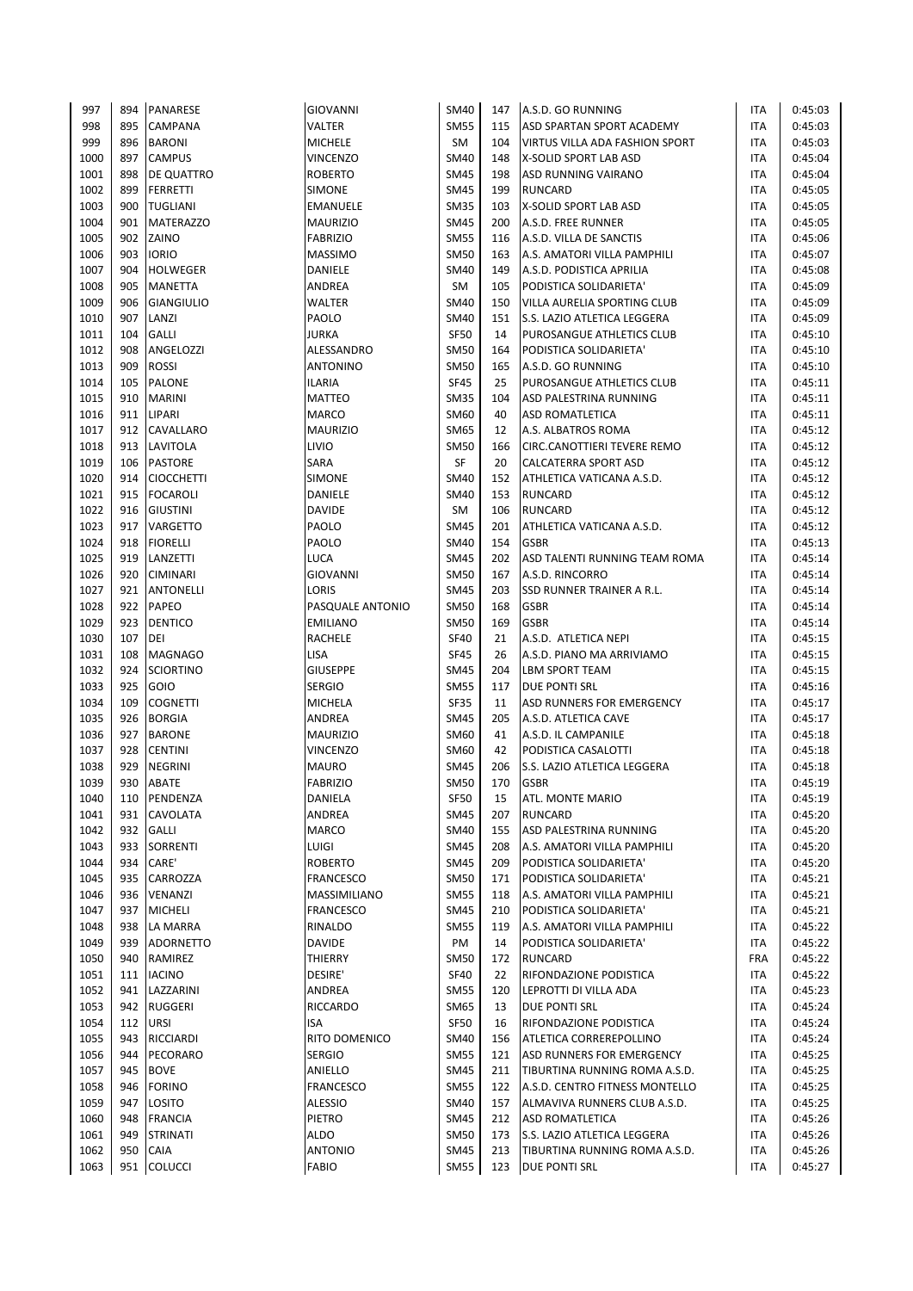| 997  | 894        | PANARESE               | <b>GIOVANNI</b>  | <b>SM40</b> | 147 | A.S.D. GO RUNNING                | ITA        | 0:45:03 |
|------|------------|------------------------|------------------|-------------|-----|----------------------------------|------------|---------|
| 998  | 895        | <b>CAMPANA</b>         | VALTER           | <b>SM55</b> | 115 | <b>ASD SPARTAN SPORT ACADEMY</b> | <b>ITA</b> | 0:45:03 |
| 999  | 896        | <b>BARONI</b>          | <b>MICHELE</b>   | SM          | 104 | VIRTUS VILLA ADA FASHION SPORT   | <b>ITA</b> | 0:45:03 |
| 1000 | 897        | <b>CAMPUS</b>          | <b>VINCENZO</b>  | <b>SM40</b> | 148 | X-SOLID SPORT LAB ASD            | <b>ITA</b> | 0:45:04 |
| 1001 | 898        | <b>DE QUATTRO</b>      | <b>ROBERTO</b>   | <b>SM45</b> | 198 | <b>ASD RUNNING VAIRANO</b>       | <b>ITA</b> | 0:45:04 |
| 1002 | 899        | <b>FERRETTI</b>        | <b>SIMONE</b>    | <b>SM45</b> | 199 | <b>RUNCARD</b>                   | <b>ITA</b> | 0:45:05 |
| 1003 | 900        | <b>TUGLIANI</b>        | EMANUELE         | <b>SM35</b> | 103 | X-SOLID SPORT LAB ASD            | <b>ITA</b> | 0:45:05 |
| 1004 | 901        | <b>MATERAZZO</b>       | MAURIZIO         | <b>SM45</b> | 200 | A.S.D. FREE RUNNER               | <b>ITA</b> | 0:45:05 |
| 1005 | 902        | ZAINO                  | <b>FABRIZIO</b>  | <b>SM55</b> | 116 | A.S.D. VILLA DE SANCTIS          | <b>ITA</b> | 0:45:06 |
| 1006 | 903        | <b>IORIO</b>           | <b>MASSIMO</b>   | <b>SM50</b> | 163 | A.S. AMATORI VILLA PAMPHILI      | <b>ITA</b> | 0:45:07 |
| 1007 | 904        | <b>HOLWEGER</b>        | DANIELE          | <b>SM40</b> | 149 | A.S.D. PODISTICA APRILIA         | <b>ITA</b> | 0:45:08 |
| 1008 | 905        | <b>MANETTA</b>         | ANDREA           | SM          | 105 | PODISTICA SOLIDARIETA'           | <b>ITA</b> | 0:45:09 |
| 1009 | 906        | <b>GIANGIULIO</b>      | WALTER           | <b>SM40</b> | 150 | VILLA AURELIA SPORTING CLUB      | <b>ITA</b> | 0:45:09 |
| 1010 | 907        | LANZI                  | PAOLO            | <b>SM40</b> | 151 | S.S. LAZIO ATLETICA LEGGERA      | ITA        | 0:45:09 |
| 1011 | 104        | <b>GALLI</b>           | <b>JURKA</b>     | <b>SF50</b> | 14  | PUROSANGUE ATHLETICS CLUB        | <b>ITA</b> | 0:45:10 |
| 1012 | 908        | ANGELOZZI              | ALESSANDRO       | <b>SM50</b> | 164 | PODISTICA SOLIDARIETA'           | <b>ITA</b> | 0:45:10 |
| 1013 | 909        | <b>ROSSI</b>           | <b>ANTONINO</b>  | <b>SM50</b> | 165 | A.S.D. GO RUNNING                | <b>ITA</b> | 0:45:10 |
| 1014 | 105        | <b>PALONE</b>          | <b>ILARIA</b>    | <b>SF45</b> | 25  | PUROSANGUE ATHLETICS CLUB        | ITA        | 0:45:11 |
| 1015 | 910        | <b>MARINI</b>          | <b>MATTEO</b>    | <b>SM35</b> | 104 | ASD PALESTRINA RUNNING           | <b>ITA</b> | 0:45:11 |
| 1016 | 911        | LIPARI                 | <b>MARCO</b>     | SM60        | 40  | <b>ASD ROMATLETICA</b>           | <b>ITA</b> | 0:45:11 |
| 1017 | 912        | <b>CAVALLARO</b>       | <b>MAURIZIO</b>  | <b>SM65</b> | 12  | A.S. ALBATROS ROMA               | <b>ITA</b> | 0:45:12 |
| 1018 | 913        | <b>LAVITOLA</b>        | LIVIO            | <b>SM50</b> | 166 | CIRC.CANOTTIERI TEVERE REMO      | <b>ITA</b> | 0:45:12 |
| 1019 | 106        | PASTORE                | SARA             | SF          | 20  | CALCATERRA SPORT ASD             | <b>ITA</b> | 0:45:12 |
| 1020 | 914        | <b>CIOCCHETTI</b>      | <b>SIMONE</b>    | <b>SM40</b> | 152 | ATHLETICA VATICANA A.S.D.        | <b>ITA</b> | 0:45:12 |
| 1021 | 915        | <b>FOCAROLI</b>        | DANIELE          | <b>SM40</b> | 153 | <b>RUNCARD</b>                   | <b>ITA</b> | 0:45:12 |
| 1022 | 916        | <b>GIUSTINI</b>        | <b>DAVIDE</b>    | <b>SM</b>   | 106 | <b>RUNCARD</b>                   | <b>ITA</b> | 0:45:12 |
| 1023 | 917        | VARGETTO               | PAOLO            | <b>SM45</b> | 201 | ATHLETICA VATICANA A.S.D.        | <b>ITA</b> | 0:45:12 |
| 1024 | 918        | <b>FIORELLI</b>        | PAOLO            | <b>SM40</b> | 154 | <b>GSBR</b>                      | <b>ITA</b> | 0:45:13 |
| 1025 | 919        | LANZETTI               | <b>LUCA</b>      | <b>SM45</b> | 202 | ASD TALENTI RUNNING TEAM ROMA    | <b>ITA</b> | 0:45:14 |
| 1026 | 920        | <b>CIMINARI</b>        | <b>GIOVANNI</b>  | <b>SM50</b> | 167 | A.S.D. RINCORRO                  | <b>ITA</b> | 0:45:14 |
| 1027 | 921        | <b>ANTONELLI</b>       | LORIS            | <b>SM45</b> | 203 | SSD RUNNER TRAINER A R.L.        | <b>ITA</b> | 0:45:14 |
| 1028 | 922        | <b>PAPEO</b>           | PASQUALE ANTONIO | <b>SM50</b> | 168 | <b>GSBR</b>                      | <b>ITA</b> | 0:45:14 |
| 1029 | 923        | <b>DENTICO</b>         | <b>EMILIANO</b>  | <b>SM50</b> | 169 | <b>GSBR</b>                      | ITA        | 0:45:14 |
| 1030 | 107        | DEI                    | RACHELE          | <b>SF40</b> | 21  | A.S.D. ATLETICA NEPI             | <b>ITA</b> | 0:45:15 |
| 1031 | 108        | <b>MAGNAGO</b>         | LISA             | <b>SF45</b> | 26  | A.S.D. PIANO MA ARRIVIAMO        | <b>ITA</b> | 0:45:15 |
| 1032 | 924        | <b>SCIORTINO</b>       | <b>GIUSEPPE</b>  | <b>SM45</b> | 204 | <b>LBM SPORT TEAM</b>            | <b>ITA</b> | 0:45:15 |
| 1033 | 925        | GOIO                   | <b>SERGIO</b>    | <b>SM55</b> | 117 | <b>DUE PONTI SRL</b>             | <b>ITA</b> | 0:45:16 |
| 1034 | 109        | <b>COGNETTI</b>        | MICHELA          | <b>SF35</b> | 11  | ASD RUNNERS FOR EMERGENCY        | <b>ITA</b> | 0:45:17 |
| 1035 | 926        | <b>BORGIA</b>          | ANDREA           | <b>SM45</b> | 205 | A.S.D. ATLETICA CAVE             | <b>ITA</b> | 0:45:17 |
| 1036 | 927        | <b>BARONE</b>          | <b>MAURIZIO</b>  | <b>SM60</b> | 41  | A.S.D. IL CAMPANILE              | <b>ITA</b> | 0:45:18 |
| 1037 | 928        | <b>CENTINI</b>         | VINCENZO         | SM60        | 42  | PODISTICA CASALOTTI              | <b>ITA</b> | 0:45:18 |
| 1038 | 929        | <b>NEGRINI</b>         | <b>MAURO</b>     | <b>SM45</b> | 206 | S.S. LAZIO ATLETICA LEGGERA      | <b>ITA</b> | 0:45:18 |
| 1039 | 930        | <b>ABATE</b>           | <b>FABRIZIO</b>  | <b>SM50</b> | 170 | <b>GSBR</b>                      | <b>ITA</b> | 0:45:19 |
| 1040 | 110        | PENDENZA               | DANIELA          | <b>SF50</b> | 15  | ATL. MONTE MARIO                 | ITA        | 0:45:19 |
| 1041 | 931        | <b>CAVOLATA</b>        | ANDREA           | <b>SM45</b> | 207 | <b>RUNCARD</b>                   | <b>ITA</b> | 0:45:20 |
| 1042 | 932        | <b>GALLI</b>           | MARCO            | <b>SM40</b> | 155 | ASD PALESTRINA RUNNING           | <b>ITA</b> | 0:45:20 |
| 1043 | 933        | SORRENTI               | <b>LUIGI</b>     | <b>SM45</b> | 208 | A.S. AMATORI VILLA PAMPHILI      | <b>ITA</b> | 0:45:20 |
| 1044 | 934        | CARE'                  | <b>ROBERTO</b>   | <b>SM45</b> | 209 | PODISTICA SOLIDARIETA'           | ITA        | 0:45:20 |
| 1045 | 935        | CARROZZA               | <b>FRANCESCO</b> | <b>SM50</b> | 171 | PODISTICA SOLIDARIETA'           | ITA        | 0:45:21 |
| 1046 | 936        | <b>VENANZI</b>         | MASSIMILIANO     | <b>SM55</b> | 118 | A.S. AMATORI VILLA PAMPHILI      | <b>ITA</b> | 0:45:21 |
| 1047 | 937        | <b>MICHELI</b>         | <b>FRANCESCO</b> | <b>SM45</b> | 210 | PODISTICA SOLIDARIETA'           | <b>ITA</b> | 0:45:21 |
| 1048 | 938        | LA MARRA               | RINALDO          | <b>SM55</b> | 119 | A.S. AMATORI VILLA PAMPHILI      | ITA        | 0:45:22 |
| 1049 | 939        | <b>ADORNETTO</b>       | DAVIDE           | PM          | 14  | PODISTICA SOLIDARIETA'           | ITA        | 0:45:22 |
| 1050 | 940        | RAMIREZ                | THIERRY          | <b>SM50</b> | 172 | <b>RUNCARD</b>                   | <b>FRA</b> | 0:45:22 |
| 1051 | 111        | <b>IACINO</b>          | DESIRE'          | <b>SF40</b> | 22  | RIFONDAZIONE PODISTICA           | ITA        | 0:45:22 |
| 1052 | 941        | LAZZARINI              | ANDREA           | <b>SM55</b> | 120 | LEPROTTI DI VILLA ADA            | ITA        | 0:45:23 |
| 1053 |            |                        |                  |             |     |                                  |            |         |
| 1054 | 942        | <b>RUGGERI</b>         | RICCARDO         | <b>SM65</b> | 13  | DUE PONTI SRL                    | ITA        | 0:45:24 |
|      | 112        | <b>URSI</b>            | ISA              | <b>SF50</b> | 16  | RIFONDAZIONE PODISTICA           | ITA        | 0:45:24 |
| 1055 | 943        | RICCIARDI              | RITO DOMENICO    | <b>SM40</b> | 156 | ATLETICA CORREREPOLLINO          | ITA        | 0:45:24 |
| 1056 | 944        | PECORARO               | <b>SERGIO</b>    | <b>SM55</b> | 121 | <b>ASD RUNNERS FOR EMERGENCY</b> | ITA        | 0:45:25 |
| 1057 | 945        | <b>BOVE</b>            | ANIELLO          | SM45        | 211 | TIBURTINA RUNNING ROMA A.S.D.    | <b>ITA</b> | 0:45:25 |
| 1058 | 946        | <b>FORINO</b>          | <b>FRANCESCO</b> | <b>SM55</b> | 122 | A.S.D. CENTRO FITNESS MONTELLO   | ITA        | 0:45:25 |
| 1059 | 947        | <b>LOSITO</b>          | <b>ALESSIO</b>   | <b>SM40</b> | 157 | ALMAVIVA RUNNERS CLUB A.S.D.     | ITA        | 0:45:25 |
| 1060 | 948        | <b>FRANCIA</b>         | PIETRO           | <b>SM45</b> | 212 | <b>ASD ROMATLETICA</b>           | ITA        | 0:45:26 |
| 1061 | 949        | <b>STRINATI</b>        | ALDO             | SM50        | 173 | S.S. LAZIO ATLETICA LEGGERA      | <b>ITA</b> | 0:45:26 |
| 1062 | 950<br>951 | CAIA<br><b>COLUCCI</b> | <b>ANTONIO</b>   | <b>SM45</b> | 213 | TIBURTINA RUNNING ROMA A.S.D.    | <b>ITA</b> | 0:45:26 |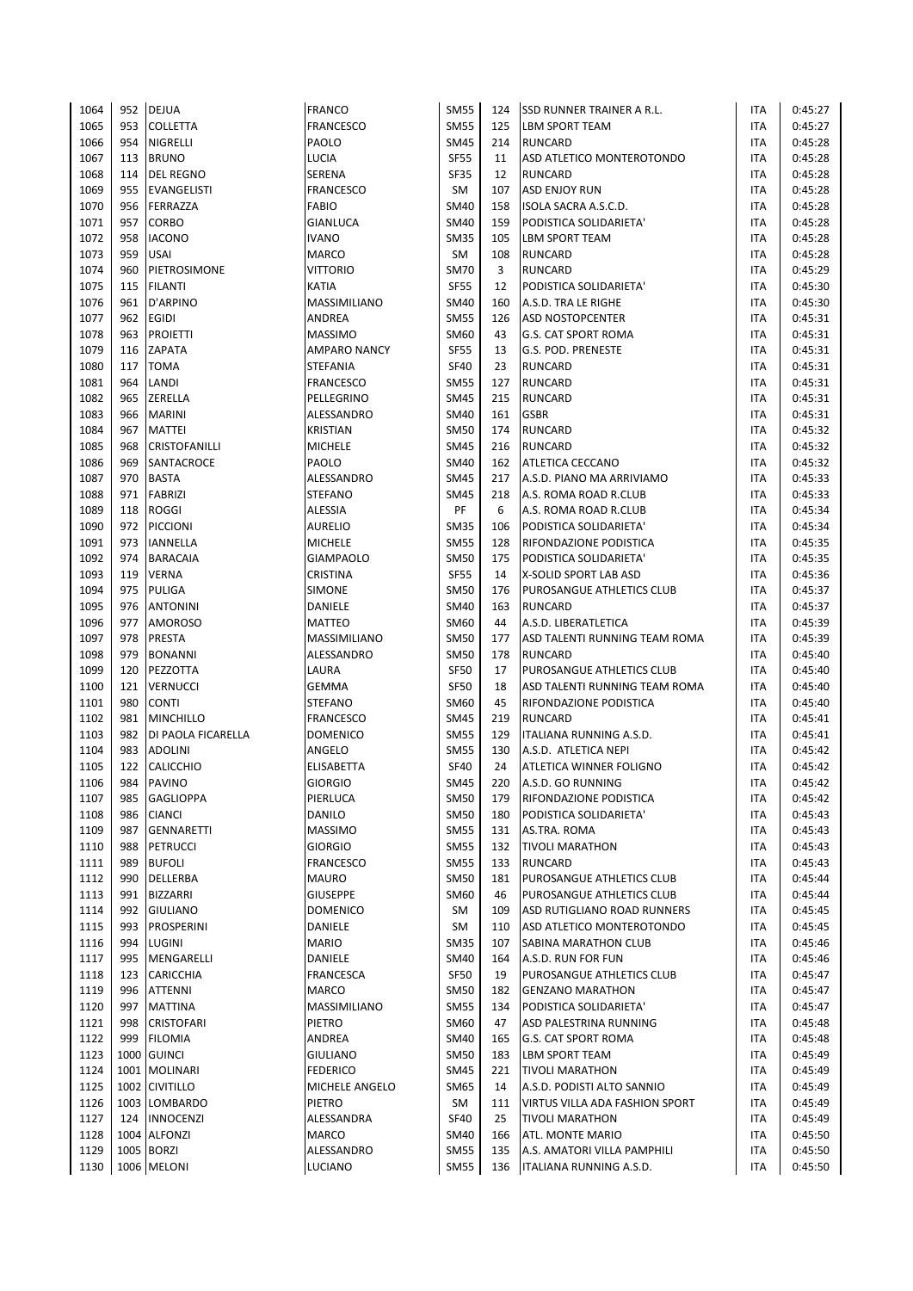| 1064 | 952        | <b>DEJUA</b>                     | <b>FRANCO</b>       | <b>SM55</b>                | 124 | <b>SSD RUNNER TRAINER A R.L.</b> | <b>ITA</b>        | 0:45:27            |
|------|------------|----------------------------------|---------------------|----------------------------|-----|----------------------------------|-------------------|--------------------|
| 1065 | 953        | <b>COLLETTA</b>                  | FRANCESCO           | <b>SM55</b>                | 125 | <b>LBM SPORT TEAM</b>            | <b>ITA</b>        | 0:45:27            |
| 1066 | 954        | NIGRELLI                         | PAOLO               | <b>SM45</b>                | 214 | <b>RUNCARD</b>                   | <b>ITA</b>        | 0:45:28            |
| 1067 | 113        | <b>BRUNO</b>                     | LUCIA               | <b>SF55</b>                | 11  | ASD ATLETICO MONTEROTONDO        | <b>ITA</b>        | 0:45:28            |
| 1068 | 114        | <b>DEL REGNO</b>                 | SERENA              | <b>SF35</b>                | 12  | <b>RUNCARD</b>                   | <b>ITA</b>        | 0:45:28            |
| 1069 | 955        | <b>EVANGELISTI</b>               | FRANCESCO           | SM                         | 107 | <b>ASD ENJOY RUN</b>             | <b>ITA</b>        | 0:45:28            |
| 1070 | 956        | FERRAZZA                         | <b>FABIO</b>        | <b>SM40</b>                | 158 | ISOLA SACRA A.S.C.D.             | <b>ITA</b>        | 0:45:28            |
| 1071 | 957        | CORBO                            | GIANLUCA            | <b>SM40</b>                | 159 | PODISTICA SOLIDARIETA'           | <b>ITA</b>        | 0:45:28            |
| 1072 | 958        | <b>IACONO</b>                    | <b>IVANO</b>        | <b>SM35</b>                | 105 | <b>LBM SPORT TEAM</b>            | <b>ITA</b>        | 0:45:28            |
| 1073 | 959        | <b>USAI</b>                      | <b>MARCO</b>        | SM                         | 108 | <b>RUNCARD</b>                   | <b>ITA</b>        | 0:45:28            |
| 1074 | 960        | PIETROSIMONE                     | VITTORIO            | <b>SM70</b>                | 3   | <b>RUNCARD</b>                   | <b>ITA</b>        | 0:45:29            |
| 1075 | 115        | <b>FILANTI</b>                   | KATIA               | <b>SF55</b>                | 12  | PODISTICA SOLIDARIETA'           | <b>ITA</b>        | 0:45:30            |
| 1076 | 961        | D'ARPINO                         | MASSIMILIANO        | <b>SM40</b>                | 160 | A.S.D. TRA LE RIGHE              | <b>ITA</b>        | 0:45:30            |
| 1077 | 962        | EGIDI                            | ANDREA              | <b>SM55</b>                | 126 | <b>ASD NOSTOPCENTER</b>          | ITA               | 0:45:31            |
| 1078 | 963        | <b>PROIETTI</b>                  | <b>MASSIMO</b>      | SM60                       | 43  | <b>G.S. CAT SPORT ROMA</b>       | <b>ITA</b>        | 0:45:31            |
| 1079 | 116        | ZAPATA                           | <b>AMPARO NANCY</b> | <b>SF55</b>                | 13  | G.S. POD. PRENESTE               | <b>ITA</b>        | 0:45:31            |
| 1080 | 117        | <b>TOMA</b>                      | <b>STEFANIA</b>     | <b>SF40</b>                | 23  | <b>RUNCARD</b>                   | <b>ITA</b>        | 0:45:31            |
| 1081 | 964        | LANDI                            | <b>FRANCESCO</b>    | <b>SM55</b>                | 127 | <b>RUNCARD</b>                   | <b>ITA</b>        | 0:45:31            |
| 1082 | 965        | ZERELLA                          | PELLEGRINO          | <b>SM45</b>                | 215 | <b>RUNCARD</b>                   | <b>ITA</b>        | 0:45:31            |
| 1083 | 966        | <b>MARINI</b>                    | ALESSANDRO          | SM40                       | 161 | <b>GSBR</b>                      | <b>ITA</b>        | 0:45:31            |
| 1084 | 967        | <b>MATTEI</b>                    | <b>KRISTIAN</b>     | <b>SM50</b>                | 174 | <b>RUNCARD</b>                   | <b>ITA</b>        | 0:45:32            |
| 1085 | 968        | CRISTOFANILLI                    | <b>MICHELE</b>      | <b>SM45</b>                | 216 | <b>RUNCARD</b>                   | <b>ITA</b>        | 0:45:32            |
| 1086 | 969        | SANTACROCE                       | PAOLO               | <b>SM40</b>                | 162 | <b>ATLETICA CECCANO</b>          | <b>ITA</b>        | 0:45:32            |
| 1087 | 970        | <b>BASTA</b>                     | ALESSANDRO          | <b>SM45</b>                | 217 | A.S.D. PIANO MA ARRIVIAMO        | <b>ITA</b>        | 0:45:33            |
| 1088 | 971        | <b>FABRIZI</b>                   | <b>STEFANO</b>      | <b>SM45</b>                | 218 | A.S. ROMA ROAD R.CLUB            | <b>ITA</b>        | 0:45:33            |
| 1089 | 118        | <b>ROGGI</b>                     | ALESSIA             | PF                         | 6   | A.S. ROMA ROAD R.CLUB            | <b>ITA</b>        | 0:45:34            |
| 1090 | 972        | <b>PICCIONI</b>                  | AURELIO             | <b>SM35</b>                | 106 | PODISTICA SOLIDARIETA'           | <b>ITA</b>        | 0:45:34            |
| 1091 | 973        | IANNELLA                         | <b>MICHELE</b>      | <b>SM55</b>                | 128 | <b>RIFONDAZIONE PODISTICA</b>    | <b>ITA</b>        | 0:45:35            |
| 1092 | 974        | <b>BARACAIA</b>                  | <b>GIAMPAOLO</b>    | <b>SM50</b>                | 175 | PODISTICA SOLIDARIETA'           | <b>ITA</b>        | 0:45:35            |
| 1093 | 119        | <b>VERNA</b>                     | <b>CRISTINA</b>     | <b>SF55</b>                | 14  | X-SOLID SPORT LAB ASD            | <b>ITA</b>        | 0:45:36            |
| 1094 | 975        | <b>PULIGA</b>                    | <b>SIMONE</b>       | <b>SM50</b>                | 176 | PUROSANGUE ATHLETICS CLUB        | <b>ITA</b>        | 0:45:37            |
| 1095 | 976        | <b>ANTONINI</b>                  | DANIELE             | <b>SM40</b>                | 163 | <b>RUNCARD</b>                   | <b>ITA</b>        | 0:45:37            |
| 1096 | 977        | <b>AMOROSO</b>                   | <b>MATTEO</b>       | SM60                       | 44  | A.S.D. LIBERATLETICA             | <b>ITA</b>        | 0:45:39            |
| 1097 | 978        | PRESTA                           | MASSIMILIANO        | <b>SM50</b>                | 177 | ASD TALENTI RUNNING TEAM ROMA    | <b>ITA</b>        | 0:45:39            |
| 1098 | 979        | <b>BONANNI</b>                   | ALESSANDRO          | <b>SM50</b>                | 178 | <b>RUNCARD</b>                   | <b>ITA</b>        | 0:45:40            |
| 1099 | 120        | PEZZOTTA                         | LAURA               | <b>SF50</b>                | 17  | PUROSANGUE ATHLETICS CLUB        | <b>ITA</b>        | 0:45:40            |
| 1100 | 121        | <b>VERNUCCI</b>                  | GEMMA               | <b>SF50</b>                | 18  | ASD TALENTI RUNNING TEAM ROMA    | <b>ITA</b>        | 0:45:40            |
| 1101 | 980        | <b>CONTI</b>                     | STEFANO             | SM60                       | 45  | RIFONDAZIONE PODISTICA           | <b>ITA</b>        | 0:45:40            |
| 1102 | 981        | <b>MINCHILLO</b>                 | <b>FRANCESCO</b>    | <b>SM45</b>                | 219 | <b>RUNCARD</b>                   | <b>ITA</b>        | 0:45:41            |
| 1103 | 982        | DI PAOLA FICARELLA               | <b>DOMENICO</b>     | <b>SM55</b>                | 129 | ITALIANA RUNNING A.S.D.          | <b>ITA</b>        | 0:45:41            |
| 1104 | 983        | <b>ADOLINI</b>                   | ANGELO              | <b>SM55</b>                | 130 | A.S.D. ATLETICA NEPI             | <b>ITA</b>        | 0:45:42            |
| 1105 | 122        | CALICCHIO                        | ELISABETTA          | <b>SF40</b>                | 24  | ATLETICA WINNER FOLIGNO          | <b>ITA</b>        | 0:45:42            |
| 1106 | 984        | <b>PAVINO</b>                    | <b>GIORGIO</b>      | <b>SM45</b>                | 220 | A.S.D. GO RUNNING                | <b>ITA</b>        |                    |
|      |            | <b>GAGLIOPPA</b>                 |                     |                            |     |                                  |                   | 0:45:42            |
| 1107 | 985<br>986 | <b>CIANCI</b>                    | PIERLUCA<br>DANILO  | <b>SM50</b><br><b>SM50</b> | 179 | <b>RIFONDAZIONE PODISTICA</b>    | ITA<br><b>ITA</b> | 0:45:42<br>0:45:43 |
| 1108 | 987        |                                  |                     |                            | 180 | PODISTICA SOLIDARIETA'           |                   |                    |
| 1109 |            | <b>GENNARETTI</b>                | <b>MASSIMO</b>      | <b>SM55</b><br><b>SM55</b> | 131 | AS.TRA. ROMA                     | <b>ITA</b>        | 0:45:43            |
| 1110 | 988<br>989 | <b>PETRUCCI</b><br><b>BUFOLI</b> | <b>GIORGIO</b>      |                            | 132 | <b>TIVOLI MARATHON</b>           | <b>ITA</b>        | 0:45:43            |
| 1111 | 990        |                                  | <b>FRANCESCO</b>    | <b>SM55</b>                | 133 | <b>RUNCARD</b>                   | ITA               | 0:45:43            |
| 1112 |            | DELLERBA                         | <b>MAURO</b>        | <b>SM50</b><br>SM60        | 181 | PUROSANGUE ATHLETICS CLUB        | ITA               | 0:45:44            |
| 1113 | 991        | <b>BIZZARRI</b>                  | <b>GIUSEPPE</b>     |                            | 46  | PUROSANGUE ATHLETICS CLUB        | <b>ITA</b>        | 0:45:44            |
| 1114 | 992        | <b>GIULIANO</b>                  | <b>DOMENICO</b>     | SM                         | 109 | ASD RUTIGLIANO ROAD RUNNERS      | <b>ITA</b>        | 0:45:45            |
| 1115 | 993        | PROSPERINI                       | DANIELE             | SM                         | 110 | ASD ATLETICO MONTEROTONDO        | ITA               | 0:45:45            |
| 1116 | 994        | LUGINI                           | <b>MARIO</b>        | <b>SM35</b>                | 107 | SABINA MARATHON CLUB             | ITA               | 0:45:46            |
| 1117 | 995        | MENGARELLI                       | DANIELE             | <b>SM40</b>                | 164 | A.S.D. RUN FOR FUN               | ITA               | 0:45:46            |
| 1118 | 123        | CARICCHIA                        | FRANCESCA           | <b>SF50</b>                | 19  | PUROSANGUE ATHLETICS CLUB        | ITA               | 0:45:47            |
| 1119 | 996        | ATTENNI                          | <b>MARCO</b>        | <b>SM50</b>                | 182 | <b>GENZANO MARATHON</b>          | ITA               | 0:45:47            |
| 1120 | 997        | <b>MATTINA</b>                   | MASSIMILIANO        | <b>SM55</b>                | 134 | PODISTICA SOLIDARIETA'           | ITA               | 0:45:47            |
| 1121 | 998        | <b>CRISTOFARI</b>                | PIETRO              | SM60                       | 47  | ASD PALESTRINA RUNNING           | <b>ITA</b>        | 0:45:48            |
| 1122 | 999        | <b>FILOMIA</b>                   | ANDREA              | <b>SM40</b>                | 165 | <b>G.S. CAT SPORT ROMA</b>       | <b>ITA</b>        | 0:45:48            |
| 1123 | 1000       | <b>GUINCI</b>                    | GIULIANO            | <b>SM50</b>                | 183 | <b>LBM SPORT TEAM</b>            | ITA               | 0:45:49            |
| 1124 |            | 1001 MOLINARI                    | FEDERICO            | SM45                       | 221 | <b>TIVOLI MARATHON</b>           | <b>ITA</b>        | 0:45:49            |
| 1125 |            | 1002 CIVITILLO                   | MICHELE ANGELO      | SM65                       | 14  | A.S.D. PODISTI ALTO SANNIO       | <b>ITA</b>        | 0:45:49            |
| 1126 |            | 1003 LOMBARDO                    | PIETRO              | SM                         | 111 | VIRTUS VILLA ADA FASHION SPORT   | <b>ITA</b>        | 0:45:49            |
| 1127 | 124        | <b>INNOCENZI</b>                 | ALESSANDRA          | <b>SF40</b>                | 25  | <b>TIVOLI MARATHON</b>           | ITA               | 0:45:49            |
| 1128 |            | 1004 ALFONZI                     | MARCO               | SM40                       | 166 | ATL. MONTE MARIO                 | <b>ITA</b>        | 0:45:50            |
| 1129 |            | 1005 BORZI                       | ALESSANDRO          | <b>SM55</b>                | 135 | A.S. AMATORI VILLA PAMPHILI      | <b>ITA</b>        | 0:45:50            |
| 1130 |            | 1006 MELONI                      | LUCIANO             | <b>SM55</b>                | 136 | ITALIANA RUNNING A.S.D.          | <b>ITA</b>        | 0:45:50            |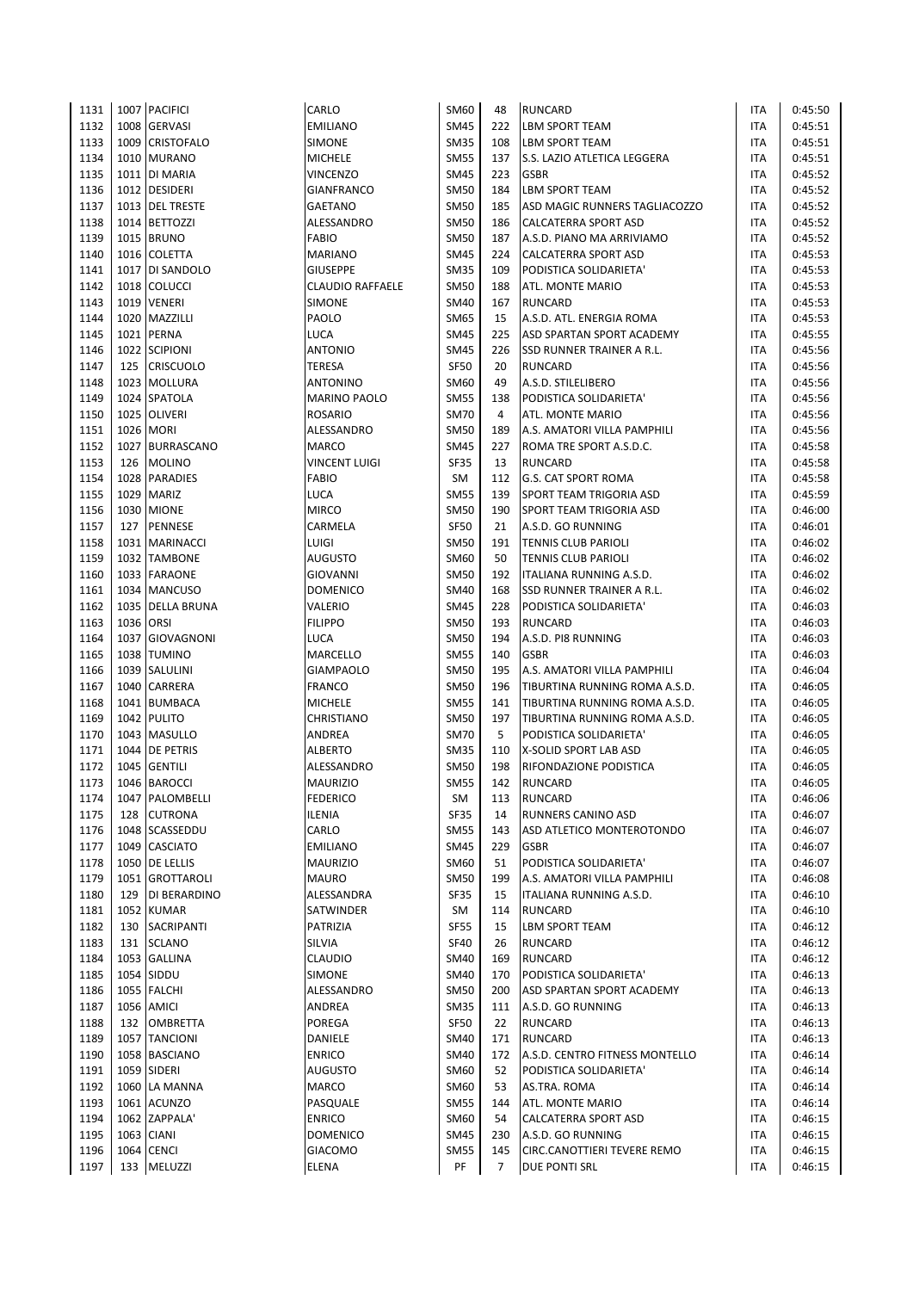| 1131         |           | 1007 PACIFICI                   | CARLO                              | SM60                       | 48             | <b>RUNCARD</b>                                         | ITA        | 0:45:50            |
|--------------|-----------|---------------------------------|------------------------------------|----------------------------|----------------|--------------------------------------------------------|------------|--------------------|
| 1132         |           | 1008 GERVASI                    | <b>EMILIANO</b>                    | <b>SM45</b>                | 222            | <b>LBM SPORT TEAM</b>                                  | ITA        | 0:45:51            |
| 1133         |           | 1009 CRISTOFALO                 | <b>SIMONE</b>                      | <b>SM35</b>                | 108            | LBM SPORT TEAM                                         | ITA        | 0:45:51            |
| 1134         |           | 1010 MURANO                     | <b>MICHELE</b>                     | <b>SM55</b>                | 137            | S.S. LAZIO ATLETICA LEGGERA                            | <b>ITA</b> | 0:45:51            |
| 1135         |           | 1011   DI MARIA                 | VINCENZO                           | <b>SM45</b>                | 223            | <b>GSBR</b>                                            | <b>ITA</b> | 0:45:52            |
| 1136         |           | 1012 DESIDERI                   | <b>GIANFRANCO</b>                  | <b>SM50</b>                | 184            | <b>LBM SPORT TEAM</b>                                  | ITA        | 0:45:52            |
| 1137         |           | 1013 DEL TRESTE                 | GAETANO                            | <b>SM50</b>                | 185            | ASD MAGIC RUNNERS TAGLIACOZZO                          | <b>ITA</b> | 0:45:52            |
| 1138         |           | 1014 BETTOZZI                   | ALESSANDRO                         | <b>SM50</b>                | 186            | <b>CALCATERRA SPORT ASD</b>                            | ITA        | 0:45:52            |
| 1139         |           | <b>1015 BRUNO</b>               | <b>FABIO</b>                       | <b>SM50</b>                | 187            | A.S.D. PIANO MA ARRIVIAMO                              | ITA        | 0:45:52            |
| 1140         |           | 1016 COLETTA                    | <b>MARIANO</b>                     | <b>SM45</b>                | 224            | <b>CALCATERRA SPORT ASD</b>                            | ITA        | 0:45:53            |
| 1141         |           | 1017 DI SANDOLO                 | <b>GIUSEPPE</b>                    | <b>SM35</b>                | 109            | PODISTICA SOLIDARIETA'                                 | ITA        | 0:45:53            |
| 1142         |           | 1018 COLUCCI                    | <b>CLAUDIO RAFFAELE</b>            | <b>SM50</b>                | 188            | ATL. MONTE MARIO                                       | ITA        | 0:45:53            |
| 1143         |           | 1019 VENERI                     | <b>SIMONE</b>                      | <b>SM40</b>                | 167            | <b>RUNCARD</b>                                         | ITA        | 0:45:53            |
| 1144         |           | 1020 MAZZILLI                   | PAOLO                              | <b>SM65</b>                | 15             | A.S.D. ATL. ENERGIA ROMA                               | ITA        | 0:45:53            |
| 1145         |           | 1021 PERNA                      | LUCA                               | <b>SM45</b>                | 225            | ASD SPARTAN SPORT ACADEMY                              | ITA        | 0:45:55            |
| 1146         |           | 1022 SCIPIONI                   | <b>ANTONIO</b>                     | <b>SM45</b>                | 226            | SSD RUNNER TRAINER A R.L.                              | ITA        | 0:45:56            |
| 1147         | 125       | <b>CRISCUOLO</b>                | <b>TERESA</b>                      | <b>SF50</b>                | 20             | <b>RUNCARD</b>                                         | ITA        | 0:45:56            |
| 1148         |           | 1023 MOLLURA                    | <b>ANTONINO</b>                    | SM60                       | 49             | A.S.D. STILELIBERO                                     | ITA        | 0:45:56            |
| 1149         |           | 1024 SPATOLA                    | <b>MARINO PAOLO</b>                | <b>SM55</b>                | 138            | PODISTICA SOLIDARIETA'                                 | <b>ITA</b> | 0:45:56            |
| 1150         |           | 1025 OLIVERI                    | <b>ROSARIO</b>                     | <b>SM70</b>                | $\overline{4}$ | ATL. MONTE MARIO                                       | <b>ITA</b> | 0:45:56            |
| 1151         |           | 1026 MORI                       | <b>ALESSANDRO</b>                  | <b>SM50</b>                | 189            | A.S. AMATORI VILLA PAMPHILI                            | <b>ITA</b> | 0:45:56            |
| 1152         |           | 1027 BURRASCANO                 | <b>MARCO</b>                       | <b>SM45</b>                | 227            | ROMA TRE SPORT A.S.D.C.                                | ITA        | 0:45:58            |
| 1153         |           | 126 MOLINO                      | <b>VINCENT LUIGI</b>               | <b>SF35</b>                | 13             | <b>RUNCARD</b>                                         | ITA        | 0:45:58            |
| 1154         |           | 1028 PARADIES                   | <b>FABIO</b>                       | SM                         | 112            | <b>G.S. CAT SPORT ROMA</b>                             | <b>ITA</b> | 0:45:58            |
| 1155         |           | 1029 MARIZ                      | <b>LUCA</b>                        | <b>SM55</b>                | 139            | SPORT TEAM TRIGORIA ASD                                | ITA        | 0:45:59            |
| 1156         |           | 1030 MIONE                      | <b>MIRCO</b>                       | <b>SM50</b>                | 190            | SPORT TEAM TRIGORIA ASD                                | ITA        | 0:46:00            |
| 1157         | 127       | <b>PENNESE</b>                  | CARMELA                            | <b>SF50</b>                | 21             | A.S.D. GO RUNNING                                      | ITA        | 0:46:01            |
| 1158         |           | 1031 MARINACCI                  | LUIGI                              | <b>SM50</b>                | 191            | <b>TENNIS CLUB PARIOLI</b>                             | <b>ITA</b> | 0:46:02            |
| 1159         |           | 1032 TAMBONE                    | <b>AUGUSTO</b>                     | <b>SM60</b>                | 50             | <b>TENNIS CLUB PARIOLI</b>                             | ITA        | 0:46:02            |
| 1160         |           | 1033 FARAONE                    | <b>GIOVANNI</b>                    | <b>SM50</b>                | 192            | ITALIANA RUNNING A.S.D.                                | ITA        | 0:46:02            |
| 1161         |           | 1034 MANCUSO                    | <b>DOMENICO</b>                    | <b>SM40</b>                | 168            | SSD RUNNER TRAINER A R.L.                              | <b>ITA</b> | 0:46:02            |
| 1162         |           | 1035 DELLA BRUNA                | VALERIO                            | <b>SM45</b>                | 228            | PODISTICA SOLIDARIETA'                                 | ITA        | 0:46:03            |
| 1163         | 1036 ORSI |                                 | <b>FILIPPO</b>                     | <b>SM50</b>                | 193            | <b>RUNCARD</b>                                         | ITA        | 0:46:03            |
| 1164         |           | 1037 GIOVAGNONI                 | LUCA                               | <b>SM50</b>                | 194            | A.S.D. PI8 RUNNING                                     | <b>ITA</b> | 0:46:03            |
| 1165         |           | 1038 TUMINO                     | MARCELLO                           | <b>SM55</b>                | 140            | <b>GSBR</b>                                            | <b>ITA</b> | 0:46:03            |
| 1166         |           | 1039 SALULINI                   | <b>GIAMPAOLO</b>                   | <b>SM50</b>                | 195            | A.S. AMATORI VILLA PAMPHILI                            | <b>ITA</b> | 0:46:04            |
| 1167         | 1040      | <b>CARRERA</b>                  | <b>FRANCO</b>                      | <b>SM50</b>                | 196            | TIBURTINA RUNNING ROMA A.S.D.                          | <b>ITA</b> | 0:46:05            |
| 1168         |           | 1041 BUMBACA                    | <b>MICHELE</b>                     | <b>SM55</b>                | 141            | TIBURTINA RUNNING ROMA A.S.D.                          | ITA        | 0:46:05            |
| 1169         |           | 1042 PULITO                     | <b>CHRISTIANO</b>                  | <b>SM50</b>                | 197            | TIBURTINA RUNNING ROMA A.S.D.                          | ITA        | 0:46:05            |
| 1170         |           | 1043 MASULLO                    | ANDREA                             | <b>SM70</b>                | 5              | PODISTICA SOLIDARIETA'                                 | ITA        | 0:46:05            |
| 1171         | 1044      | <b>DE PETRIS</b>                | <b>ALBERTO</b>                     | <b>SM35</b>                | 110            | X-SOLID SPORT LAB ASD                                  | ITA        | 0:46:05            |
| 1172         |           | 1045 GENTILI                    | ALESSANDRO                         | <b>SM50</b>                | 198            | RIFONDAZIONE PODISTICA                                 | ITA        | 0:46:05            |
| 1173         |           | 1046 BAROCCI                    | <b>MAURIZIO</b>                    | <b>SM55</b>                | 142            | <b>RUNCARD</b>                                         | <b>ITA</b> | 0:46:05            |
| 1174         |           | 1047 PALOMBELLI                 | <b>FEDERICO</b>                    | SM                         | 113            | <b>RUNCARD</b>                                         | ITA        | 0:46:06            |
| 1175         | 128       | <b>CUTRONA</b>                  | <b>ILENIA</b>                      | <b>SF35</b>                | 14             | RUNNERS CANINO ASD                                     | ITA        | 0:46:07            |
| 1176         |           | 1048 SCASSEDDU                  | CARLO                              | <b>SM55</b>                | 143            | ASD ATLETICO MONTEROTONDO                              | <b>ITA</b> | 0:46:07            |
| 1177         |           | 1049 CASCIATO                   | <b>EMILIANO</b><br><b>MAURIZIO</b> | <b>SM45</b>                | 229            | <b>GSBR</b>                                            | <b>ITA</b> | 0:46:07            |
| 1178         | 1050      | <b>DE LELLIS</b>                |                                    | SM60                       | 51             | PODISTICA SOLIDARIETA'                                 | ITA        | 0:46:07            |
| 1179<br>1180 | 129       | 1051 GROTTAROLI<br>DI BERARDINO | <b>MAURO</b><br>ALESSANDRA         | <b>SM50</b><br><b>SF35</b> | 199<br>15      | A.S. AMATORI VILLA PAMPHILI<br>ITALIANA RUNNING A.S.D. | ITA<br>ITA | 0:46:08<br>0:46:10 |
|              |           | 1052 KUMAR                      | SATWINDER                          | SM                         |                | <b>RUNCARD</b>                                         | <b>ITA</b> | 0:46:10            |
| 1181<br>1182 | 130       | SACRIPANTI                      | PATRIZIA                           | <b>SF55</b>                | 114<br>15      | <b>LBM SPORT TEAM</b>                                  | ITA        | 0:46:12            |
| 1183         | 131       | <b>SCLANO</b>                   | SILVIA                             | <b>SF40</b>                | 26             | <b>RUNCARD</b>                                         | ITA        | 0:46:12            |
| 1184         |           | 1053 GALLINA                    | <b>CLAUDIO</b>                     | <b>SM40</b>                | 169            | <b>RUNCARD</b>                                         | ITA        | 0:46:12            |
| 1185         |           | 1054 SIDDU                      | SIMONE                             | <b>SM40</b>                | 170            | PODISTICA SOLIDARIETA'                                 | ITA        | 0:46:13            |
| 1186         |           | 1055 FALCHI                     | ALESSANDRO                         | <b>SM50</b>                | 200            | ASD SPARTAN SPORT ACADEMY                              | ITA        | 0:46:13            |
| 1187         |           | 1056 AMICI                      | ANDREA                             | <b>SM35</b>                | 111            | A.S.D. GO RUNNING                                      | ITA        | 0:46:13            |
| 1188         |           | 132 OMBRETTA                    | POREGA                             | SF50                       | 22             | <b>RUNCARD</b>                                         | ITA        | 0:46:13            |
| 1189         |           | 1057 TANCIONI                   | DANIELE                            | <b>SM40</b>                | 171            | <b>RUNCARD</b>                                         | ITA        | 0:46:13            |
| 1190         |           | 1058 BASCIANO                   | <b>ENRICO</b>                      | <b>SM40</b>                | 172            | A.S.D. CENTRO FITNESS MONTELLO                         | ITA        | 0:46:14            |
| 1191         |           | 1059 SIDERI                     | AUGUSTO                            | SM60                       | 52             | PODISTICA SOLIDARIETA'                                 | ITA        | 0:46:14            |
| 1192         |           | 1060 LA MANNA                   | MARCO                              | SM60                       | 53             | AS.TRA. ROMA                                           | ITA        | 0:46:14            |
| 1193         |           | 1061 ACUNZO                     | PASQUALE                           | <b>SM55</b>                | 144            | ATL. MONTE MARIO                                       | ITA        | 0:46:14            |
| 1194         |           | 1062 ZAPPALA'                   | <b>ENRICO</b>                      | SM60                       | 54             | CALCATERRA SPORT ASD                                   | ITA        | 0:46:15            |
| 1195         |           | 1063 CIANI                      | <b>DOMENICO</b>                    | SM45                       | 230            | A.S.D. GO RUNNING                                      | ITA        | 0:46:15            |
| 1196         |           | 1064 CENCI                      | <b>GIACOMO</b>                     | <b>SM55</b>                | 145            | CIRC.CANOTTIERI TEVERE REMO                            | ITA        | 0:46:15            |
| 1197         | 133       | MELUZZI                         | ELENA                              | PF                         | $\overline{7}$ | <b>DUE PONTI SRL</b>                                   | ITA        | 0:46:15            |
|              |           |                                 |                                    |                            |                |                                                        |            |                    |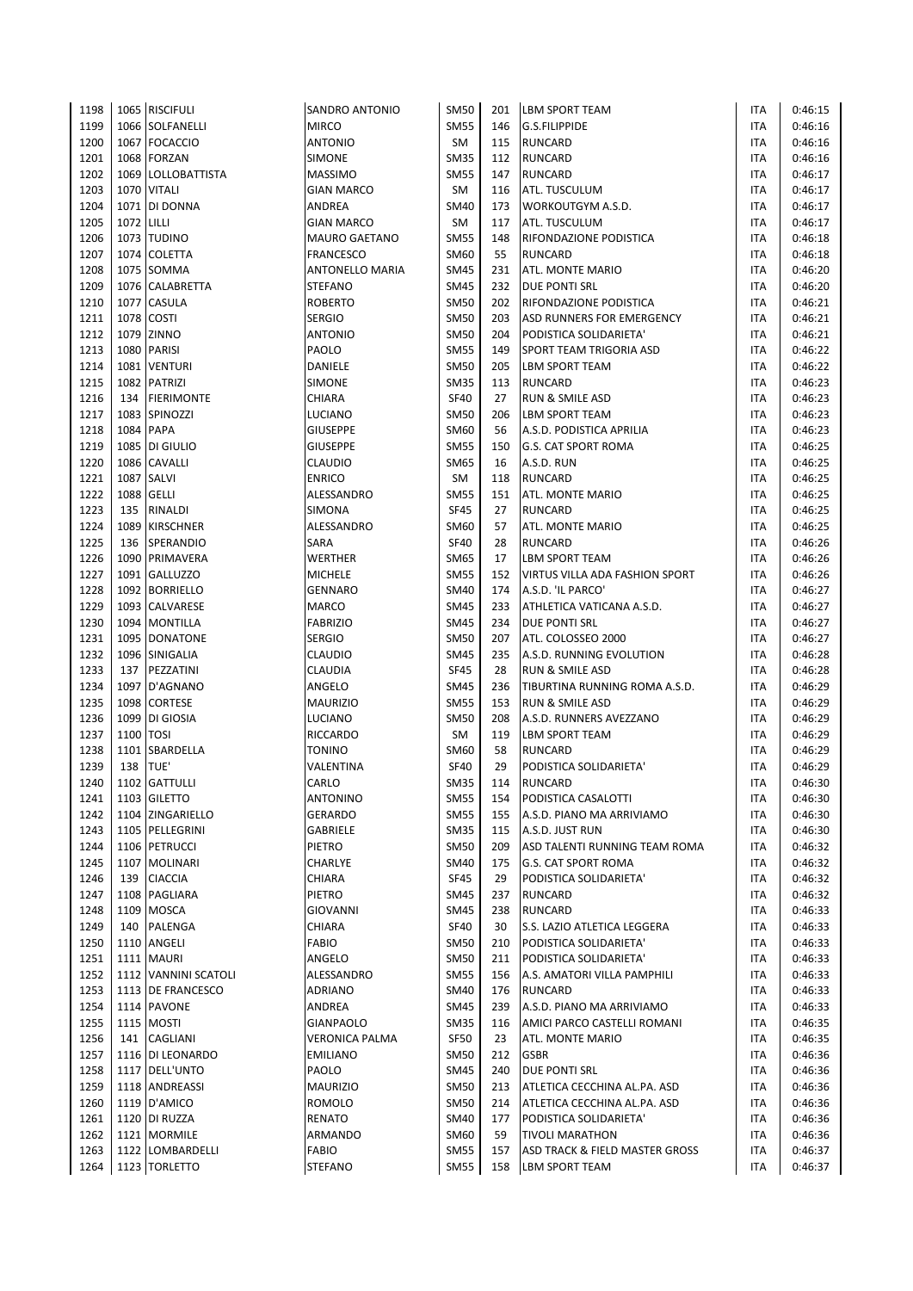| 1198 |            | 1065 RISCIFULI            | SANDRO ANTONIO        | <b>SM50</b> | 201 | <b>LBM SPORT TEAM</b>          | <b>ITA</b> | 0:46:15 |
|------|------------|---------------------------|-----------------------|-------------|-----|--------------------------------|------------|---------|
| 1199 |            | 1066 SOLFANELLI           | <b>MIRCO</b>          | <b>SM55</b> | 146 | <b>G.S.FILIPPIDE</b>           | <b>ITA</b> | 0:46:16 |
| 1200 |            | 1067 FOCACCIO             | <b>ANTONIO</b>        | SM          | 115 | <b>RUNCARD</b>                 | <b>ITA</b> | 0:46:16 |
| 1201 |            | 1068 FORZAN               | SIMONE                | SM35        | 112 | <b>RUNCARD</b>                 | <b>ITA</b> | 0:46:16 |
| 1202 |            | 1069 LOLLOBATTISTA        | <b>MASSIMO</b>        | SM55        | 147 | <b>RUNCARD</b>                 | <b>ITA</b> | 0:46:17 |
| 1203 |            | 1070 VITALI               | <b>GIAN MARCO</b>     | SM          | 116 | ATL. TUSCULUM                  | <b>ITA</b> | 0:46:17 |
| 1204 |            | 1071 DI DONNA             | ANDREA                | SM40        | 173 | WORKOUTGYM A.S.D.              | ITA        | 0:46:17 |
| 1205 | 1072 LILLI |                           | <b>GIAN MARCO</b>     | SM          | 117 | ATL. TUSCULUM                  | <b>ITA</b> | 0:46:17 |
| 1206 |            | 1073 TUDINO               | <b>MAURO GAETANO</b>  | SM55        | 148 | RIFONDAZIONE PODISTICA         | <b>ITA</b> | 0:46:18 |
| 1207 |            | 1074 COLETTA              | <b>FRANCESCO</b>      | SM60        | 55  | <b>RUNCARD</b>                 | <b>ITA</b> | 0:46:18 |
| 1208 |            | 1075 SOMMA                | ANTONELLO MARIA       | SM45        | 231 | ATL. MONTE MARIO               | <b>ITA</b> | 0:46:20 |
| 1209 |            | 1076 CALABRETTA           | <b>STEFANO</b>        | <b>SM45</b> | 232 | <b>DUE PONTI SRL</b>           | <b>ITA</b> | 0:46:20 |
| 1210 |            | 1077 CASULA               | <b>ROBERTO</b>        | SM50        | 202 | RIFONDAZIONE PODISTICA         | <b>ITA</b> | 0:46:21 |
| 1211 |            | 1078 COSTI                | <b>SERGIO</b>         | <b>SM50</b> | 203 | ASD RUNNERS FOR EMERGENCY      | <b>ITA</b> | 0:46:21 |
| 1212 |            | 1079 ZINNO                | <b>ANTONIO</b>        | <b>SM50</b> | 204 | PODISTICA SOLIDARIETA'         | <b>ITA</b> | 0:46:21 |
| 1213 |            | 1080 PARISI               | PAOLO                 | <b>SM55</b> | 149 | SPORT TEAM TRIGORIA ASD        | <b>ITA</b> | 0:46:22 |
| 1214 |            | 1081 VENTURI              | DANIELE               | <b>SM50</b> | 205 | <b>LBM SPORT TEAM</b>          | <b>ITA</b> | 0:46:22 |
| 1215 |            | 1082 PATRIZI              | <b>SIMONE</b>         | <b>SM35</b> | 113 | <b>RUNCARD</b>                 | <b>ITA</b> | 0:46:23 |
| 1216 |            | 134 FIERIMONTE            | CHIARA                | <b>SF40</b> | 27  | RUN & SMILE ASD                | <b>ITA</b> | 0:46:23 |
| 1217 |            | 1083 SPINOZZI             | LUCIANO               | <b>SM50</b> | 206 | LBM SPORT TEAM                 | <b>ITA</b> | 0:46:23 |
| 1218 |            | 1084 PAPA                 | <b>GIUSEPPE</b>       | SM60        | 56  | A.S.D. PODISTICA APRILIA       | <b>ITA</b> | 0:46:23 |
| 1219 |            | 1085 DI GIULIO            | <b>GIUSEPPE</b>       | <b>SM55</b> | 150 | <b>G.S. CAT SPORT ROMA</b>     | <b>ITA</b> | 0:46:25 |
| 1220 |            | 1086 CAVALLI              | <b>CLAUDIO</b>        | SM65        | 16  | A.S.D. RUN                     | ITA        | 0:46:25 |
| 1221 |            | 1087 SALVI                | <b>ENRICO</b>         | SM          | 118 | <b>RUNCARD</b>                 | <b>ITA</b> | 0:46:25 |
| 1222 |            | 1088 GELLI                | ALESSANDRO            | SM55        | 151 | ATL. MONTE MARIO               | <b>ITA</b> | 0:46:25 |
| 1223 | 135        |                           | SIMONA                | <b>SF45</b> | 27  | <b>RUNCARD</b>                 | <b>ITA</b> | 0:46:25 |
|      |            | RINALDI<br>1089 KIRSCHNER |                       | SM60        |     |                                |            |         |
| 1224 |            |                           | ALESSANDRO            |             | 57  | ATL. MONTE MARIO               | <b>ITA</b> | 0:46:25 |
| 1225 |            | 136 SPERANDIO             | SARA                  | <b>SF40</b> | 28  | <b>RUNCARD</b>                 | <b>ITA</b> | 0:46:26 |
| 1226 |            | 1090 PRIMAVERA            | WERTHER               | SM65        | 17  | LBM SPORT TEAM                 | <b>ITA</b> | 0:46:26 |
| 1227 |            | 1091 GALLUZZO             | <b>MICHELE</b>        | <b>SM55</b> | 152 | VIRTUS VILLA ADA FASHION SPORT | ITA        | 0:46:26 |
| 1228 |            | 1092 BORRIELLO            | GENNARO               | SM40        | 174 | A.S.D. 'IL PARCO'              | <b>ITA</b> | 0:46:27 |
| 1229 |            | 1093 CALVARESE            | MARCO                 | SM45        | 233 | ATHLETICA VATICANA A.S.D.      | <b>ITA</b> | 0:46:27 |
| 1230 |            | 1094 MONTILLA             | <b>FABRIZIO</b>       | SM45        | 234 | DUE PONTI SRL                  | <b>ITA</b> | 0:46:27 |
| 1231 |            | 1095 DONATONE             | SERGIO                | <b>SM50</b> | 207 | ATL. COLOSSEO 2000             | ITA        | 0:46:27 |
| 1232 |            | 1096 SINIGALIA            | <b>CLAUDIO</b>        | SM45        | 235 | A.S.D. RUNNING EVOLUTION       | <b>ITA</b> | 0:46:28 |
| 1233 |            | 137 PEZZATINI             | CLAUDIA               | <b>SF45</b> | 28  | <b>RUN &amp; SMILE ASD</b>     | <b>ITA</b> | 0:46:28 |
| 1234 |            | 1097 D'AGNANO             | ANGELO                | SM45        | 236 | TIBURTINA RUNNING ROMA A.S.D.  | <b>ITA</b> | 0:46:29 |
| 1235 |            | 1098 CORTESE              | <b>MAURIZIO</b>       | <b>SM55</b> | 153 | RUN & SMILE ASD                | <b>ITA</b> | 0:46:29 |
| 1236 |            | 1099 DI GIOSIA            | LUCIANO               | <b>SM50</b> | 208 | A.S.D. RUNNERS AVEZZANO        | <b>ITA</b> | 0:46:29 |
| 1237 | 1100 TOSI  |                           | RICCARDO              | SM          | 119 | <b>LBM SPORT TEAM</b>          | <b>ITA</b> | 0:46:29 |
| 1238 |            | 1101 SBARDELLA            | <b>TONINO</b>         | SM60        | 58  | <b>RUNCARD</b>                 | <b>ITA</b> | 0:46:29 |
| 1239 | 138        | TUE'                      | VALENTINA             | <b>SF40</b> | 29  | PODISTICA SOLIDARIETA'         | <b>ITA</b> | 0:46:29 |
| 1240 |            | 1102 GATTULLI             | CARLO                 | <b>SM35</b> | 114 | <b>RUNCARD</b>                 | <b>ITA</b> | 0:46:30 |
| 1241 |            | 1103 GILETTO              | <b>ANTONINO</b>       | <b>SM55</b> | 154 | PODISTICA CASALOTTI            | ITA        | 0:46:30 |
| 1242 |            | 1104 ZINGARIELLO          | GERARDO               | <b>SM55</b> | 155 | A.S.D. PIANO MA ARRIVIAMO      | ITA        | 0:46:30 |
| 1243 |            | 1105 PELLEGRINI           | GABRIELE              | <b>SM35</b> | 115 | A.S.D. JUST RUN                | ITA        | 0:46:30 |
| 1244 |            | 1106 PETRUCCI             | PIETRO                | <b>SM50</b> | 209 | ASD TALENTI RUNNING TEAM ROMA  | ITA        | 0:46:32 |
| 1245 |            | 1107 MOLINARI             | CHARLYE               | SM40        | 175 | G.S. CAT SPORT ROMA            | ITA        | 0:46:32 |
| 1246 | 139        | <b>CIACCIA</b>            | CHIARA                | <b>SF45</b> | 29  | PODISTICA SOLIDARIETA'         | ITA        | 0:46:32 |
| 1247 |            | 1108 PAGLIARA             | PIETRO                | <b>SM45</b> | 237 | <b>RUNCARD</b>                 | ITA        | 0:46:32 |
| 1248 |            | 1109 MOSCA                | <b>GIOVANNI</b>       | SM45        | 238 | <b>RUNCARD</b>                 | <b>ITA</b> | 0:46:33 |
| 1249 |            | 140 PALENGA               | CHIARA                | <b>SF40</b> | 30  | S.S. LAZIO ATLETICA LEGGERA    | ITA        | 0:46:33 |
| 1250 |            | 1110 ANGELI               | FABIO                 | <b>SM50</b> | 210 | PODISTICA SOLIDARIETA'         | ITA        | 0:46:33 |
| 1251 |            | 1111 MAURI                | ANGELO                | SM50        | 211 | PODISTICA SOLIDARIETA'         | <b>ITA</b> | 0:46:33 |
| 1252 |            | 1112 VANNINI SCATOLI      | ALESSANDRO            | <b>SM55</b> | 156 | A.S. AMATORI VILLA PAMPHILI    | ITA        | 0:46:33 |
| 1253 |            | 1113 DE FRANCESCO         | ADRIANO               | <b>SM40</b> | 176 | <b>RUNCARD</b>                 | ITA        | 0:46:33 |
| 1254 |            | 1114 PAVONE               | ANDREA                | SM45        | 239 | A.S.D. PIANO MA ARRIVIAMO      | ITA        | 0:46:33 |
| 1255 |            | 1115   MOSTI              | <b>GIANPAOLO</b>      | SM35        | 116 | AMICI PARCO CASTELLI ROMANI    | <b>ITA</b> | 0:46:35 |
| 1256 |            | 141 CAGLIANI              | <b>VERONICA PALMA</b> | SF50        | 23  | ATL. MONTE MARIO               | ITA        | 0:46:35 |
| 1257 |            | 1116 DI LEONARDO          | <b>EMILIANO</b>       | SM50        | 212 | <b>GSBR</b>                    | ITA        | 0:46:36 |
| 1258 |            | 1117 DELL'UNTO            | PAOLO                 | <b>SM45</b> | 240 | DUE PONTI SRL                  | ITA        | 0:46:36 |
| 1259 |            | 1118 ANDREASSI            | <b>MAURIZIO</b>       | SM50        | 213 | ATLETICA CECCHINA AL.PA. ASD   | <b>ITA</b> | 0:46:36 |
| 1260 |            | 1119 D'AMICO              | ROMOLO                | <b>SM50</b> | 214 | ATLETICA CECCHINA AL.PA. ASD   | ITA        | 0:46:36 |
| 1261 |            | 1120 DI RUZZA             | RENATO                | <b>SM40</b> | 177 | PODISTICA SOLIDARIETA'         | ITA        | 0:46:36 |
| 1262 |            | 1121 MORMILE              | ARMANDO               | SM60        | 59  | <b>TIVOLI MARATHON</b>         | ITA        | 0:46:36 |
| 1263 |            | 1122 LOMBARDELLI          | <b>FABIO</b>          | <b>SM55</b> | 157 | ASD TRACK & FIELD MASTER GROSS | <b>ITA</b> | 0:46:37 |
| 1264 |            | 1123 TORLETTO             | <b>STEFANO</b>        | <b>SM55</b> | 158 | <b>LBM SPORT TEAM</b>          | ITA        | 0:46:37 |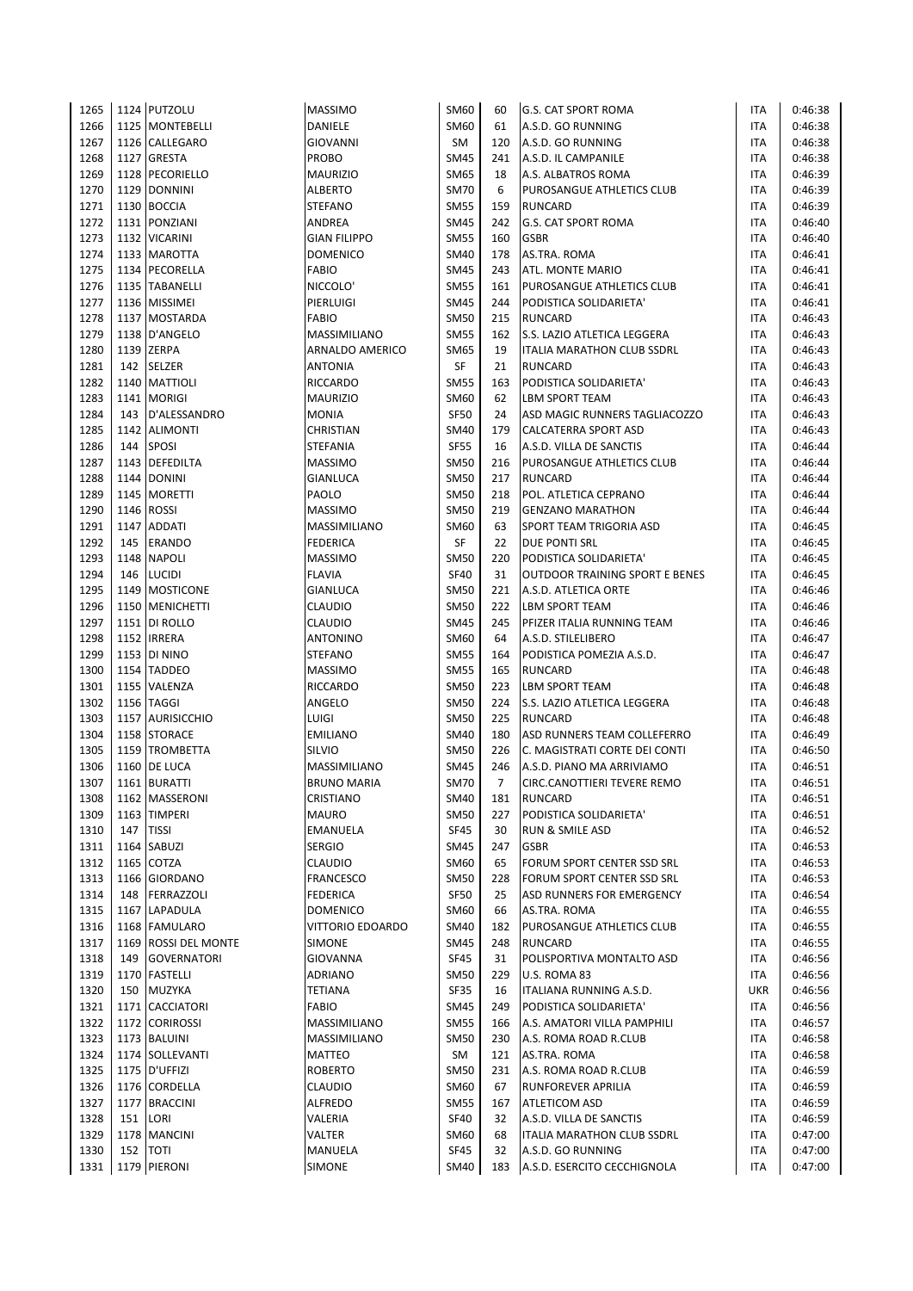| 1265 |          | 1124 PUTZOLU         | <b>MASSIMO</b>      | SM60        | 60             | <b>G.S. CAT SPORT ROMA</b>            | ITA        | 0:46:38 |
|------|----------|----------------------|---------------------|-------------|----------------|---------------------------------------|------------|---------|
| 1266 |          | 1125 MONTEBELLI      | DANIELE             | SM60        | 61             | A.S.D. GO RUNNING                     | <b>ITA</b> | 0:46:38 |
| 1267 |          | 1126 CALLEGARO       | <b>GIOVANNI</b>     | <b>SM</b>   | 120            | A.S.D. GO RUNNING                     | <b>ITA</b> | 0:46:38 |
| 1268 |          | 1127 GRESTA          | PROBO               | <b>SM45</b> | 241            | A.S.D. IL CAMPANILE                   | <b>ITA</b> | 0:46:38 |
| 1269 |          | 1128 PECORIELLO      | <b>MAURIZIO</b>     | SM65        | 18             | A.S. ALBATROS ROMA                    | <b>ITA</b> | 0:46:39 |
| 1270 |          | 1129 DONNINI         | ALBERTO             | <b>SM70</b> | 6              | PUROSANGUE ATHLETICS CLUB             | <b>ITA</b> | 0:46:39 |
| 1271 |          | 1130 BOCCIA          | STEFANO             | <b>SM55</b> | 159            | <b>RUNCARD</b>                        | <b>ITA</b> | 0:46:39 |
| 1272 |          | 1131 PONZIANI        | ANDREA              | <b>SM45</b> | 242            | <b>G.S. CAT SPORT ROMA</b>            | <b>ITA</b> | 0:46:40 |
| 1273 |          | 1132 VICARINI        | <b>GIAN FILIPPO</b> | <b>SM55</b> | 160            | <b>GSBR</b>                           | <b>ITA</b> | 0:46:40 |
| 1274 |          | 1133 MAROTTA         | <b>DOMENICO</b>     | <b>SM40</b> | 178            | AS.TRA. ROMA                          | <b>ITA</b> | 0:46:41 |
| 1275 |          | 1134 PECORELLA       | <b>FABIO</b>        | <b>SM45</b> | 243            | ATL. MONTE MARIO                      | <b>ITA</b> | 0:46:41 |
| 1276 |          | 1135 TABANELLI       | NICCOLO'            | <b>SM55</b> | 161            | PUROSANGUE ATHLETICS CLUB             | <b>ITA</b> | 0:46:41 |
| 1277 |          | 1136 MISSIMEI        | PIERLUIGI           | <b>SM45</b> | 244            | PODISTICA SOLIDARIETA'                | <b>ITA</b> | 0:46:41 |
| 1278 |          | 1137 MOSTARDA        | <b>FABIO</b>        | <b>SM50</b> | 215            | <b>RUNCARD</b>                        | <b>ITA</b> | 0:46:43 |
| 1279 |          | 1138 D'ANGELO        | MASSIMILIANO        | <b>SM55</b> | 162            | S.S. LAZIO ATLETICA LEGGERA           | <b>ITA</b> | 0:46:43 |
| 1280 |          | 1139 ZERPA           | ARNALDO AMERICO     | SM65        | 19             | ITALIA MARATHON CLUB SSDRL            | <b>ITA</b> | 0:46:43 |
| 1281 |          | 142 SELZER           | <b>ANTONIA</b>      | SF          | 21             | <b>RUNCARD</b>                        | <b>ITA</b> | 0:46:43 |
| 1282 |          | 1140 MATTIOLI        | <b>RICCARDO</b>     | <b>SM55</b> | 163            | PODISTICA SOLIDARIETA'                | <b>ITA</b> | 0:46:43 |
| 1283 |          | 1141   MORIGI        | <b>MAURIZIO</b>     | SM60        | 62             | LBM SPORT TEAM                        | <b>ITA</b> | 0:46:43 |
| 1284 | 143      | D'ALESSANDRO         | MONIA               | <b>SF50</b> | 24             | ASD MAGIC RUNNERS TAGLIACOZZO         | <b>ITA</b> | 0:46:43 |
| 1285 |          | 1142 ALIMONTI        | CHRISTIAN           | SM40        | 179            | CALCATERRA SPORT ASD                  | <b>ITA</b> | 0:46:43 |
| 1286 | 144      | <b>SPOSI</b>         | STEFANIA            | <b>SF55</b> | 16             | A.S.D. VILLA DE SANCTIS               | <b>ITA</b> | 0:46:44 |
| 1287 |          | 1143 DEFEDILTA       | MASSIMO             | <b>SM50</b> | 216            | PUROSANGUE ATHLETICS CLUB             | <b>ITA</b> | 0:46:44 |
| 1288 |          | 1144 DONINI          | GIANLUCA            | <b>SM50</b> | 217            | <b>RUNCARD</b>                        | <b>ITA</b> | 0:46:44 |
| 1289 |          | 1145 MORETTI         | PAOLO               | <b>SM50</b> | 218            | POL. ATLETICA CEPRANO                 | <b>ITA</b> | 0:46:44 |
| 1290 |          | 1146 ROSSI           | <b>MASSIMO</b>      | <b>SM50</b> | 219            | <b>GENZANO MARATHON</b>               | <b>ITA</b> | 0:46:44 |
| 1291 |          | 1147 ADDATI          | MASSIMILIANO        | <b>SM60</b> | 63             | SPORT TEAM TRIGORIA ASD               | <b>ITA</b> | 0:46:45 |
| 1292 |          | 145 ERANDO           | <b>FEDERICA</b>     | SF          | 22             | DUE PONTI SRL                         | <b>ITA</b> | 0:46:45 |
| 1293 |          | 1148 NAPOLI          | <b>MASSIMO</b>      | <b>SM50</b> | 220            | PODISTICA SOLIDARIETA'                | <b>ITA</b> | 0:46:45 |
| 1294 |          | 146 LUCIDI           | <b>FLAVIA</b>       | <b>SF40</b> | 31             | <b>OUTDOOR TRAINING SPORT E BENES</b> | <b>ITA</b> | 0:46:45 |
| 1295 |          |                      |                     | <b>SM50</b> | 221            |                                       | <b>ITA</b> |         |
|      |          | 1149 MOSTICONE       | GIANLUCA            | <b>SM50</b> |                | A.S.D. ATLETICA ORTE                  |            | 0:46:46 |
| 1296 |          | 1150   MENICHETTI    | <b>CLAUDIO</b>      |             | 222            | LBM SPORT TEAM                        | <b>ITA</b> | 0:46:46 |
| 1297 |          | 1151 DI ROLLO        | CLAUDIO             | <b>SM45</b> | 245            | PFIZER ITALIA RUNNING TEAM            | <b>ITA</b> | 0:46:46 |
| 1298 |          | 1152 IRRERA          | ANTONINO            | SM60        | 64             | A.S.D. STILELIBERO                    | <b>ITA</b> | 0:46:47 |
| 1299 |          | 1153 DI NINO         | STEFANO             | <b>SM55</b> | 164            | PODISTICA POMEZIA A.S.D.              | <b>ITA</b> | 0:46:47 |
| 1300 |          | 1154 TADDEO          | <b>MASSIMO</b>      | <b>SM55</b> | 165            | <b>RUNCARD</b>                        | <b>ITA</b> | 0:46:48 |
| 1301 |          | 1155 VALENZA         | RICCARDO            | <b>SM50</b> | 223            | LBM SPORT TEAM                        | <b>ITA</b> | 0:46:48 |
| 1302 |          | 1156 TAGGI           | ANGELO              | <b>SM50</b> | 224            | S.S. LAZIO ATLETICA LEGGERA           | <b>ITA</b> | 0:46:48 |
| 1303 |          | 1157 AURISICCHIO     | LUIGI               | <b>SM50</b> | 225            | <b>RUNCARD</b>                        | <b>ITA</b> | 0:46:48 |
| 1304 |          | 1158 STORACE         | <b>EMILIANO</b>     | SM40        | 180            | ASD RUNNERS TEAM COLLEFERRO           | <b>ITA</b> | 0:46:49 |
| 1305 |          | 1159 TROMBETTA       | <b>SILVIO</b>       | <b>SM50</b> | 226            | C. MAGISTRATI CORTE DEI CONTI         | <b>ITA</b> | 0:46:50 |
| 1306 |          | 1160 DE LUCA         | MASSIMILIANO        | SM45        | 246            | A.S.D. PIANO MA ARRIVIAMO             | <b>ITA</b> | 0:46:51 |
| 1307 |          | 1161 BURATTI         | <b>BRUNO MARIA</b>  | <b>SM70</b> | $\overline{7}$ | CIRC.CANOTTIERI TEVERE REMO           | <b>ITA</b> | 0:46:51 |
| 1308 |          | 1162 MASSERONI       | CRISTIANO           | <b>SM40</b> | 181            | <b>RUNCARD</b>                        | ITA        | 0:46:51 |
| 1309 |          | 1163 TIMPERI         | <b>MAURO</b>        | <b>SM50</b> | 227            | PODISTICA SOLIDARIETA'                | <b>ITA</b> | 0:46:51 |
| 1310 | 147      | <b>TISSI</b>         | <b>EMANUELA</b>     | SF45        | 30             | RUN & SMILE ASD                       | <b>ITA</b> | 0:46:52 |
| 1311 |          | 1164 SABUZI          | <b>SERGIO</b>       | <b>SM45</b> | 247            | <b>GSBR</b>                           | <b>ITA</b> | 0:46:53 |
| 1312 |          | 1165 COTZA           | <b>CLAUDIO</b>      | SM60        | 65             | FORUM SPORT CENTER SSD SRL            | <b>ITA</b> | 0:46:53 |
| 1313 |          | 1166 GIORDANO        | <b>FRANCESCO</b>    | <b>SM50</b> | 228            | FORUM SPORT CENTER SSD SRL            | ITA        | 0:46:53 |
| 1314 |          | 148 FERRAZZOLI       | <b>FEDERICA</b>     | <b>SF50</b> | 25             | ASD RUNNERS FOR EMERGENCY             | <b>ITA</b> | 0:46:54 |
| 1315 |          | 1167 LAPADULA        | <b>DOMENICO</b>     | SM60        | 66             | AS.TRA. ROMA                          | <b>ITA</b> | 0:46:55 |
| 1316 |          | 1168 FAMULARO        | VITTORIO EDOARDO    | SM40        | 182            | PUROSANGUE ATHLETICS CLUB             | <b>ITA</b> | 0:46:55 |
| 1317 |          | 1169 ROSSI DEL MONTE | SIMONE              | SM45        | 248            | <b>RUNCARD</b>                        | <b>ITA</b> | 0:46:55 |
| 1318 |          | 149 GOVERNATORI      | GIOVANNA            | <b>SF45</b> | 31             | POLISPORTIVA MONTALTO ASD             | <b>ITA</b> | 0:46:56 |
| 1319 |          | 1170 FASTELLI        | ADRIANO             | <b>SM50</b> | 229            | U.S. ROMA 83                          | ITA        | 0:46:56 |
| 1320 | 150      | <b>MUZYKA</b>        | <b>TETIANA</b>      | <b>SF35</b> | 16             | ITALIANA RUNNING A.S.D.               | <b>UKR</b> | 0:46:56 |
| 1321 |          | 1171 CACCIATORI      | <b>FABIO</b>        | SM45        | 249            | PODISTICA SOLIDARIETA'                | <b>ITA</b> | 0:46:56 |
| 1322 |          | 1172 CORIROSSI       | MASSIMILIANO        | <b>SM55</b> | 166            | A.S. AMATORI VILLA PAMPHILI           | ITA        | 0:46:57 |
| 1323 |          | 1173 BALUINI         | MASSIMILIANO        | <b>SM50</b> | 230            | A.S. ROMA ROAD R.CLUB                 | <b>ITA</b> | 0:46:58 |
| 1324 |          | 1174 SOLLEVANTI      | <b>MATTEO</b>       | SM          | 121            | AS.TRA. ROMA                          | ITA        | 0:46:58 |
| 1325 |          | 1175   D'UFFIZI      | <b>ROBERTO</b>      | <b>SM50</b> | 231            | A.S. ROMA ROAD R.CLUB                 | <b>ITA</b> | 0:46:59 |
| 1326 |          | 1176 CORDELLA        | CLAUDIO             | SM60        | 67             | RUNFOREVER APRILIA                    | <b>ITA</b> | 0:46:59 |
| 1327 |          | 1177 BRACCINI        | ALFREDO             | <b>SM55</b> | 167            | ATLETICOM ASD                         | <b>ITA</b> | 0:46:59 |
| 1328 | 151      | LORI                 | VALERIA             | <b>SF40</b> | 32             | A.S.D. VILLA DE SANCTIS               | ITA        | 0:46:59 |
| 1329 |          | 1178 MANCINI         | VALTER              | SM60        | 68             | ITALIA MARATHON CLUB SSDRL            | <b>ITA</b> | 0:47:00 |
| 1330 | 152 TOTI |                      | MANUELA             | <b>SF45</b> | 32             | A.S.D. GO RUNNING                     | <b>ITA</b> | 0:47:00 |
| 1331 |          | 1179 PIERONI         | SIMONE              | SM40        | 183            | A.S.D. ESERCITO CECCHIGNOLA           | <b>ITA</b> | 0:47:00 |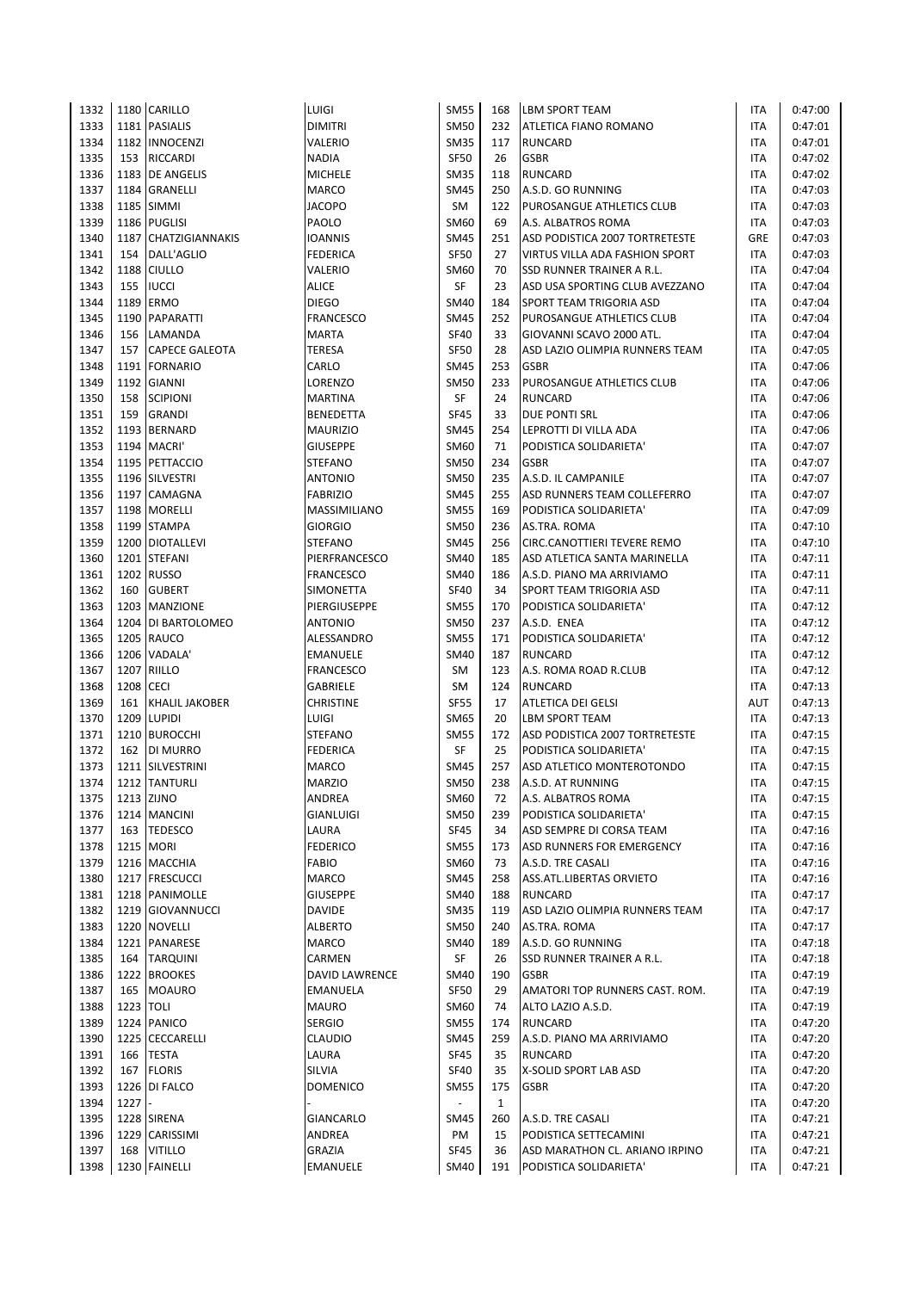| 1332 |           | 1180 CARILLO          | LUIGI            | <b>SM55</b> | 168          | <b>LBM SPORT TEAM</b>          | ITA        | 0:47:00 |
|------|-----------|-----------------------|------------------|-------------|--------------|--------------------------------|------------|---------|
| 1333 |           | 1181 PASIALIS         | <b>DIMITRI</b>   | <b>SM50</b> | 232          | ATLETICA FIANO ROMANO          | ITA        | 0:47:01 |
| 1334 |           | 1182 INNOCENZI        | VALERIO          | <b>SM35</b> | 117          | <b>RUNCARD</b>                 | <b>ITA</b> | 0:47:01 |
| 1335 | 153       | RICCARDI              | <b>NADIA</b>     | <b>SF50</b> | 26           | <b>GSBR</b>                    | <b>ITA</b> | 0:47:02 |
| 1336 |           | 1183 DE ANGELIS       | <b>MICHELE</b>   | <b>SM35</b> | 118          | <b>RUNCARD</b>                 | ITA        | 0:47:02 |
| 1337 | 1184      | <b>GRANELLI</b>       | <b>MARCO</b>     | <b>SM45</b> | 250          | A.S.D. GO RUNNING              | ITA        | 0:47:03 |
| 1338 |           | 1185 SIMMI            | <b>JACOPO</b>    | SM          | 122          | PUROSANGUE ATHLETICS CLUB      | ITA        | 0:47:03 |
| 1339 |           | 1186 PUGLISI          | PAOLO            | <b>SM60</b> | 69           | A.S. ALBATROS ROMA             | ITA        | 0:47:03 |
| 1340 |           | 1187 CHATZIGIANNAKIS  | IOANNIS          | <b>SM45</b> | 251          | ASD PODISTICA 2007 TORTRETESTE | GRE        | 0:47:03 |
| 1341 | 154       | DALL'AGLIO            | <b>FEDERICA</b>  | <b>SF50</b> | 27           | VIRTUS VILLA ADA FASHION SPORT | ITA        | 0:47:03 |
| 1342 |           | 1188 CIULLO           | VALERIO          | SM60        | 70           | SSD RUNNER TRAINER A R.L.      | ITA        | 0:47:04 |
| 1343 | 155       | <b>IUCCI</b>          | ALICE            | SF          | 23           | ASD USA SPORTING CLUB AVEZZANO | <b>ITA</b> | 0:47:04 |
| 1344 | 1189      | <b>ERMO</b>           | <b>DIEGO</b>     | <b>SM40</b> | 184          | SPORT TEAM TRIGORIA ASD        | ITA        | 0:47:04 |
| 1345 | 1190      | PAPARATTI             | <b>FRANCESCO</b> | <b>SM45</b> | 252          | PUROSANGUE ATHLETICS CLUB      | ITA        | 0:47:04 |
| 1346 | 156       | LAMANDA               | <b>MARTA</b>     | <b>SF40</b> | 33           | GIOVANNI SCAVO 2000 ATL.       | ITA        | 0:47:04 |
| 1347 | 157       | <b>CAPECE GALEOTA</b> | <b>TERESA</b>    | <b>SF50</b> | 28           | ASD LAZIO OLIMPIA RUNNERS TEAM | ITA        | 0:47:05 |
| 1348 |           | 1191   FORNARIO       | CARLO            | <b>SM45</b> | 253          | <b>GSBR</b>                    | <b>ITA</b> | 0:47:06 |
| 1349 | 1192      | <b>GIANNI</b>         | LORENZO          | <b>SM50</b> | 233          | PUROSANGUE ATHLETICS CLUB      | ITA        | 0:47:06 |
| 1350 | 158       | <b>SCIPIONI</b>       | MARTINA          | SF          | 24           | <b>RUNCARD</b>                 | ITA        | 0:47:06 |
| 1351 | 159       | GRANDI                | <b>BENEDETTA</b> | <b>SF45</b> | 33           | <b>DUE PONTI SRL</b>           | ITA        | 0:47:06 |
| 1352 |           | 1193 BERNARD          | <b>MAURIZIO</b>  | <b>SM45</b> | 254          | LEPROTTI DI VILLA ADA          | ITA        | 0:47:06 |
| 1353 | 1194      | MACRI'                | <b>GIUSEPPE</b>  | <b>SM60</b> | 71           | PODISTICA SOLIDARIETA'         | ITA        | 0:47:07 |
| 1354 |           | 1195 PETTACCIO        | STEFANO          | <b>SM50</b> | 234          | <b>GSBR</b>                    | ITA        | 0:47:07 |
| 1355 |           | 1196 SILVESTRI        | <b>ANTONIO</b>   | <b>SM50</b> | 235          | A.S.D. IL CAMPANILE            | <b>ITA</b> | 0:47:07 |
| 1356 |           | 1197 CAMAGNA          | <b>FABRIZIO</b>  | <b>SM45</b> | 255          | ASD RUNNERS TEAM COLLEFERRO    | <b>ITA</b> | 0:47:07 |
| 1357 |           | 1198 MORELLI          | MASSIMILIANO     | <b>SM55</b> | 169          | PODISTICA SOLIDARIETA'         | ITA        | 0:47:09 |
| 1358 |           | 1199 STAMPA           | <b>GIORGIO</b>   | <b>SM50</b> | 236          | AS.TRA. ROMA                   | <b>ITA</b> | 0:47:10 |
| 1359 |           | 1200 DIOTALLEVI       | STEFANO          | <b>SM45</b> | 256          | CIRC.CANOTTIERI TEVERE REMO    | <b>ITA</b> | 0:47:10 |
| 1360 |           | 1201 STEFANI          | PIERFRANCESCO    | <b>SM40</b> | 185          | ASD ATLETICA SANTA MARINELLA   | <b>ITA</b> | 0:47:11 |
| 1361 |           | 1202 RUSSO            | <b>FRANCESCO</b> | <b>SM40</b> | 186          | A.S.D. PIANO MA ARRIVIAMO      | <b>ITA</b> | 0:47:11 |
| 1362 | 160       | <b>GUBERT</b>         | <b>SIMONETTA</b> | <b>SF40</b> | 34           | SPORT TEAM TRIGORIA ASD        | ITA        | 0:47:11 |
| 1363 |           | 1203 MANZIONE         | PIERGIUSEPPE     | <b>SM55</b> | 170          | PODISTICA SOLIDARIETA'         | ITA        | 0:47:12 |
| 1364 | 1204      | DI BARTOLOMEO         | <b>ANTONIO</b>   | <b>SM50</b> | 237          | A.S.D. ENEA                    | ITA        | 0:47:12 |
| 1365 |           | 1205 RAUCO            | ALESSANDRO       | <b>SM55</b> | 171          | PODISTICA SOLIDARIETA'         | ITA        | 0:47:12 |
| 1366 |           | 1206 VADALA           | <b>EMANUELE</b>  | <b>SM40</b> | 187          | <b>RUNCARD</b>                 | ITA        | 0:47:12 |
| 1367 |           | 1207 RIILLO           | <b>FRANCESCO</b> | SM          | 123          | A.S. ROMA ROAD R.CLUB          | ITA        | 0:47:12 |
| 1368 | 1208      | <b>CECI</b>           | GABRIELE         | SM          | 124          | <b>RUNCARD</b>                 | <b>ITA</b> | 0:47:13 |
| 1369 | 161       | <b>KHALIL JAKOBER</b> | <b>CHRISTINE</b> | <b>SF55</b> | 17           | <b>ATLETICA DEI GELSI</b>      | AUT        | 0:47:13 |
| 1370 |           | 1209 LUPIDI           | LUIGI            | SM65        | 20           | LBM SPORT TEAM                 | ITA        | 0:47:13 |
| 1371 |           | 1210 BUROCCHI         | STEFANO          | <b>SM55</b> | 172          | ASD PODISTICA 2007 TORTRETESTE | ITA        | 0:47:15 |
| 1372 | 162       | DI MURRO              | <b>FEDERICA</b>  | SF          | 25           | PODISTICA SOLIDARIETA'         | ITA        | 0:47:15 |
| 1373 |           | 1211 SILVESTRINI      | MARCO            | <b>SM45</b> | 257          | ASD ATLETICO MONTEROTONDO      | ITA        | 0:47:15 |
| 1374 |           | 1212 TANTURLI         | <b>MARZIO</b>    | <b>SM50</b> | 238          | A.S.D. AT RUNNING              | <b>ITA</b> | 0:47:15 |
| 1375 |           | 1213 ZIJNO            | ANDREA           | SM60        | 72           | A.S. ALBATROS ROMA             | ITA        | 0:47:15 |
| 1376 |           | 1214 MANCINI          | GIANLUIGI        | <b>SM50</b> | 239          | PODISTICA SOLIDARIETA'         | ITA        | 0:47:15 |
| 1377 | 163       | <b>TEDESCO</b>        | LAURA            | <b>SF45</b> | 34           | ASD SEMPRE DI CORSA TEAM       | ITA        | 0:47:16 |
| 1378 |           | 1215 MORI             | <b>FEDERICO</b>  | <b>SM55</b> | 173          | ASD RUNNERS FOR EMERGENCY      | ITA        | 0:47:16 |
| 1379 |           | 1216 MACCHIA          | <b>FABIO</b>     | <b>SM60</b> | 73           | A.S.D. TRE CASALI              | ITA        | 0:47:16 |
| 1380 |           | 1217 FRESCUCCI        | MARCO            | <b>SM45</b> | 258          | ASS.ATL.LIBERTAS ORVIETO       | ITA        | 0:47:16 |
| 1381 |           | 1218 PANIMOLLE        | <b>GIUSEPPE</b>  | SM40        | 188          | <b>RUNCARD</b>                 | ITA        | 0:47:17 |
| 1382 |           | 1219 GIOVANNUCCI      | <b>DAVIDE</b>    | <b>SM35</b> | 119          | ASD LAZIO OLIMPIA RUNNERS TEAM | ITA        | 0:47:17 |
| 1383 |           | 1220 NOVELLI          | <b>ALBERTO</b>   | <b>SM50</b> | 240          | AS.TRA. ROMA                   | ITA        | 0:47:17 |
| 1384 |           | 1221 PANARESE         | MARCO            | <b>SM40</b> | 189          | A.S.D. GO RUNNING              | ITA        | 0:47:18 |
| 1385 | 164       | <b>TARQUINI</b>       | CARMEN           | SF          | 26           | SSD RUNNER TRAINER A R.L.      | ITA        | 0:47:18 |
| 1386 |           | 1222 BROOKES          | DAVID LAWRENCE   | SM40        | 190          | <b>GSBR</b>                    | ITA        | 0:47:19 |
| 1387 | 165       | <b>MOAURO</b>         | <b>EMANUELA</b>  | <b>SF50</b> | 29           | AMATORI TOP RUNNERS CAST. ROM. | ITA        | 0:47:19 |
| 1388 | 1223 TOLI |                       | <b>MAURO</b>     | <b>SM60</b> | 74           | ALTO LAZIO A.S.D.              | ITA        | 0:47:19 |
| 1389 |           | 1224 PANICO           | <b>SERGIO</b>    | <b>SM55</b> | 174          | <b>RUNCARD</b>                 | ITA        | 0:47:20 |
| 1390 |           | 1225 CECCARELLI       | CLAUDIO          | <b>SM45</b> | 259          | A.S.D. PIANO MA ARRIVIAMO      | ITA        | 0:47:20 |
| 1391 | 166       | <b>TESTA</b>          | LAURA            | <b>SF45</b> | 35           | <b>RUNCARD</b>                 | ITA        | 0:47:20 |
| 1392 | 167       | <b>FLORIS</b>         | SILVIA           | <b>SF40</b> | 35           | X-SOLID SPORT LAB ASD          | ITA        | 0:47:20 |
| 1393 |           | 1226 DI FALCO         | <b>DOMENICO</b>  | <b>SM55</b> | 175          | <b>GSBR</b>                    | ITA        | 0:47:20 |
| 1394 | 1227      |                       |                  |             | $\mathbf{1}$ |                                | ITA        | 0:47:20 |
| 1395 |           | 1228 SIRENA           | GIANCARLO        | <b>SM45</b> | 260          | A.S.D. TRE CASALI              | ITA        | 0:47:21 |
| 1396 |           | 1229 CARISSIMI        | ANDREA           | PM          | 15           | PODISTICA SETTECAMINI          | ITA        | 0:47:21 |
| 1397 | 168       | <b>VITILLO</b>        | GRAZIA           | <b>SF45</b> | 36           | ASD MARATHON CL. ARIANO IRPINO | <b>ITA</b> | 0:47:21 |
| 1398 |           | 1230 FAINELLI         | EMANUELE         | SM40        | 191          | PODISTICA SOLIDARIETA'         | ITA        | 0:47:21 |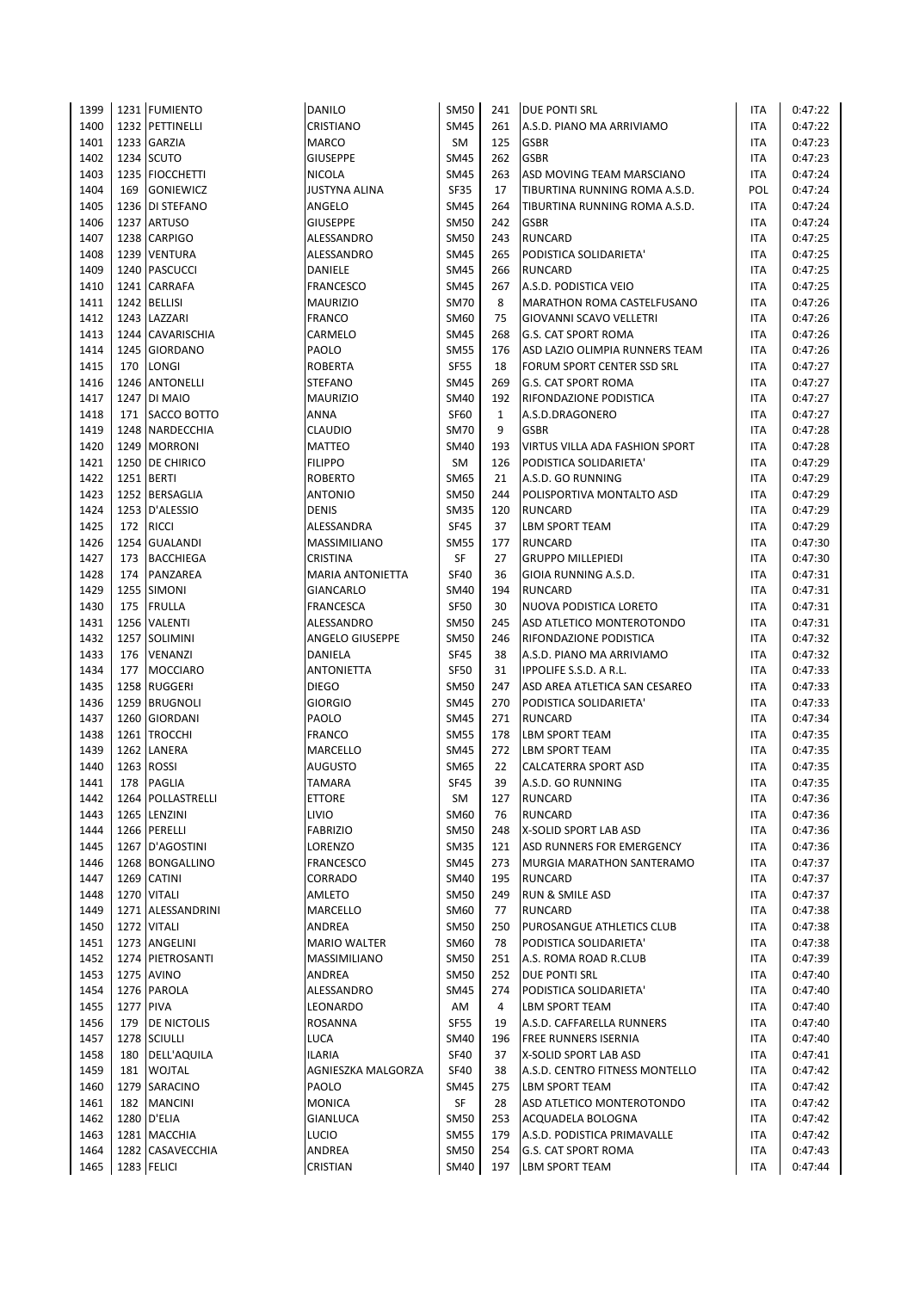| 1399 |                  | 1231 FUMIENTO      | <b>DANILO</b>           | <b>SM50</b> | 241          | <b>DUE PONTI SRL</b>           | <b>ITA</b> | 0:47:22 |
|------|------------------|--------------------|-------------------------|-------------|--------------|--------------------------------|------------|---------|
| 1400 |                  | 1232 PETTINELLI    | CRISTIANO               | <b>SM45</b> | 261          | A.S.D. PIANO MA ARRIVIAMO      | <b>ITA</b> | 0:47:22 |
| 1401 |                  | 1233 GARZIA        | <b>MARCO</b>            | SM          | 125          | <b>GSBR</b>                    | <b>ITA</b> | 0:47:23 |
| 1402 |                  | 1234 SCUTO         | <b>GIUSEPPE</b>         | <b>SM45</b> | 262          | <b>GSBR</b>                    | <b>ITA</b> | 0:47:23 |
| 1403 |                  | 1235   FIOCCHETTI  | <b>NICOLA</b>           | <b>SM45</b> | 263          | ASD MOVING TEAM MARSCIANO      | <b>ITA</b> | 0:47:24 |
| 1404 | 169              | <b>GONIEWICZ</b>   | <b>JUSTYNA ALINA</b>    | <b>SF35</b> | 17           | TIBURTINA RUNNING ROMA A.S.D.  | POL        | 0:47:24 |
| 1405 |                  | 1236 DI STEFANO    | ANGELO                  | SM45        | 264          | TIBURTINA RUNNING ROMA A.S.D.  | <b>ITA</b> | 0:47:24 |
| 1406 |                  | 1237 ARTUSO        | GIUSEPPE                | <b>SM50</b> | 242          | <b>GSBR</b>                    | <b>ITA</b> | 0:47:24 |
| 1407 |                  | 1238 CARPIGO       | ALESSANDRO              | <b>SM50</b> | 243          | <b>RUNCARD</b>                 | <b>ITA</b> | 0:47:25 |
| 1408 |                  | 1239 VENTURA       | ALESSANDRO              | <b>SM45</b> | 265          | PODISTICA SOLIDARIETA'         | <b>ITA</b> | 0:47:25 |
| 1409 |                  | 1240 PASCUCCI      | <b>DANIELE</b>          | SM45        | 266          | <b>RUNCARD</b>                 | <b>ITA</b> | 0:47:25 |
| 1410 |                  | 1241 CARRAFA       | FRANCESCO               | <b>SM45</b> | 267          | A.S.D. PODISTICA VEIO          | <b>ITA</b> | 0:47:25 |
| 1411 |                  | 1242 BELLISI       | MAURIZIO                | <b>SM70</b> | 8            | MARATHON ROMA CASTELFUSANO     | <b>ITA</b> | 0:47:26 |
| 1412 |                  | 1243 LAZZARI       | <b>FRANCO</b>           | <b>SM60</b> | 75           | GIOVANNI SCAVO VELLETRI        | <b>ITA</b> | 0:47:26 |
| 1413 |                  | 1244 CAVARISCHIA   | CARMELO                 | <b>SM45</b> | 268          | <b>G.S. CAT SPORT ROMA</b>     | <b>ITA</b> | 0:47:26 |
| 1414 |                  | 1245 GIORDANO      | PAOLO                   | <b>SM55</b> | 176          | ASD LAZIO OLIMPIA RUNNERS TEAM | <b>ITA</b> | 0:47:26 |
| 1415 | 170              | LONGI              | <b>ROBERTA</b>          | <b>SF55</b> | 18           | FORUM SPORT CENTER SSD SRL     | <b>ITA</b> | 0:47:27 |
| 1416 |                  | 1246 ANTONELLI     | <b>STEFANO</b>          | <b>SM45</b> | 269          | <b>G.S. CAT SPORT ROMA</b>     | <b>ITA</b> | 0:47:27 |
| 1417 |                  | 1247 DI MAIO       | <b>MAURIZIO</b>         | <b>SM40</b> | 192          | RIFONDAZIONE PODISTICA         | <b>ITA</b> | 0:47:27 |
| 1418 |                  | 171 SACCO BOTTO    | ANNA                    | <b>SF60</b> | $\mathbf{1}$ | A.S.D.DRAGONERO                | <b>ITA</b> | 0:47:27 |
| 1419 |                  | 1248 NARDECCHIA    | <b>CLAUDIO</b>          | <b>SM70</b> | 9            | <b>GSBR</b>                    | <b>ITA</b> | 0:47:28 |
| 1420 |                  | 1249 MORRONI       | <b>MATTEO</b>           | <b>SM40</b> | 193          | VIRTUS VILLA ADA FASHION SPORT | <b>ITA</b> | 0:47:28 |
| 1421 |                  | 1250 DE CHIRICO    | <b>FILIPPO</b>          | <b>SM</b>   | 126          | PODISTICA SOLIDARIETA'         | <b>ITA</b> | 0:47:29 |
| 1422 |                  | 1251 BERTI         | <b>ROBERTO</b>          | SM65        | 21           | A.S.D. GO RUNNING              | <b>ITA</b> | 0:47:29 |
| 1423 |                  | 1252 BERSAGLIA     | <b>ANTONIO</b>          | <b>SM50</b> | 244          | POLISPORTIVA MONTALTO ASD      | <b>ITA</b> | 0:47:29 |
| 1424 |                  | 1253 D'ALESSIO     | DENIS                   | <b>SM35</b> | 120          | <b>RUNCARD</b>                 | <b>ITA</b> | 0:47:29 |
| 1425 | 172              | <b>RICCI</b>       | ALESSANDRA              | <b>SF45</b> | 37           | <b>LBM SPORT TEAM</b>          | <b>ITA</b> | 0:47:29 |
| 1426 |                  | 1254 GUALANDI      | <b>MASSIMILIANO</b>     | <b>SM55</b> | 177          | <b>RUNCARD</b>                 | <b>ITA</b> | 0:47:30 |
| 1427 | 173              | <b>BACCHIEGA</b>   | CRISTINA                | <b>SF</b>   | 27           | <b>GRUPPO MILLEPIEDI</b>       | <b>ITA</b> | 0:47:30 |
| 1428 | 174              | PANZAREA           | <b>MARIA ANTONIETTA</b> | <b>SF40</b> | 36           | GIOIA RUNNING A.S.D.           | <b>ITA</b> | 0:47:31 |
| 1429 |                  | 1255 SIMONI        | GIANCARLO               | <b>SM40</b> | 194          | <b>RUNCARD</b>                 | <b>ITA</b> | 0:47:31 |
| 1430 | 175              | <b>FRULLA</b>      | FRANCESCA               | <b>SF50</b> | 30           | NUOVA PODISTICA LORETO         | <b>ITA</b> | 0:47:31 |
| 1431 |                  | 1256 VALENTI       | ALESSANDRO              | <b>SM50</b> | 245          | ASD ATLETICO MONTEROTONDO      | <b>ITA</b> | 0:47:31 |
| 1432 |                  | 1257 SOLIMINI      | ANGELO GIUSEPPE         | <b>SM50</b> | 246          | RIFONDAZIONE PODISTICA         | <b>ITA</b> | 0:47:32 |
| 1433 | 176              | <b>VENANZI</b>     | DANIELA                 | <b>SF45</b> | 38           | A.S.D. PIANO MA ARRIVIAMO      | <b>ITA</b> | 0:47:32 |
| 1434 | 177              | <b>MOCCIARO</b>    | <b>ANTONIETTA</b>       | <b>SF50</b> | 31           | IPPOLIFE S.S.D. A R.L.         | <b>ITA</b> | 0:47:33 |
| 1435 |                  | 1258 RUGGERI       | <b>DIEGO</b>            | <b>SM50</b> | 247          | ASD AREA ATLETICA SAN CESAREO  | <b>ITA</b> | 0:47:33 |
| 1436 |                  | 1259 BRUGNOLI      | <b>GIORGIO</b>          | SM45        | 270          | PODISTICA SOLIDARIETA'         | <b>ITA</b> | 0:47:33 |
| 1437 |                  | 1260 GIORDANI      | PAOLO                   | <b>SM45</b> | 271          | <b>RUNCARD</b>                 | <b>ITA</b> | 0:47:34 |
| 1438 |                  | 1261 TROCCHI       | <b>FRANCO</b>           | <b>SM55</b> | 178          | LBM SPORT TEAM                 | <b>ITA</b> | 0:47:35 |
| 1439 | 1262             | LANERA             | MARCELLO                | SM45        | 272          | <b>LBM SPORT TEAM</b>          | <b>ITA</b> | 0:47:35 |
|      |                  | 1263 ROSSI         |                         |             |              |                                |            |         |
| 1440 |                  |                    | AUGUSTO                 | SM65        | 22<br>39     | <b>CALCATERRA SPORT ASD</b>    | <b>ITA</b> | 0:47:35 |
| 1441 | 178              | <b>PAGLIA</b>      | <b>TAMARA</b>           | <b>SF45</b> |              | A.S.D. GO RUNNING              | <b>ITA</b> | 0:47:35 |
| 1442 |                  | 1264 POLLASTRELLI  | ETTORE                  | SM          | 127          | <b>RUNCARD</b>                 | ITA        | 0:47:36 |
| 1443 |                  | 1265 LENZINI       | LIVIO                   | SM60        | 76           | RUNCARD                        | <b>ITA</b> | 0:47:36 |
| 1444 |                  | 1266 PERELLI       | <b>FABRIZIO</b>         | <b>SM50</b> | 248          | X-SOLID SPORT LAB ASD          | <b>ITA</b> | 0:47:36 |
| 1445 |                  | 1267 D'AGOSTINI    | LORENZO                 | <b>SM35</b> | 121          | ASD RUNNERS FOR EMERGENCY      | <b>ITA</b> | 0:47:36 |
| 1446 |                  | 1268 BONGALLINO    | FRANCESCO               | <b>SM45</b> | 273          | MURGIA MARATHON SANTERAMO      | ITA        | 0:47:37 |
| 1447 |                  | 1269 CATINI        | CORRADO                 | <b>SM40</b> | 195          | <b>RUNCARD</b>                 | ITA        | 0:47:37 |
| 1448 |                  | 1270 VITALI        | AMLETO                  | <b>SM50</b> | 249          | <b>RUN &amp; SMILE ASD</b>     | <b>ITA</b> | 0:47:37 |
| 1449 |                  | 1271 ALESSANDRINI  | MARCELLO                | SM60        | 77           | <b>RUNCARD</b>                 | <b>ITA</b> | 0:47:38 |
| 1450 |                  | 1272 VITALI        | <b>ANDREA</b>           | <b>SM50</b> | 250          | PUROSANGUE ATHLETICS CLUB      | ITA        | 0:47:38 |
| 1451 |                  | 1273 ANGELINI      | <b>MARIO WALTER</b>     | SM60        | 78           | PODISTICA SOLIDARIETA'         | ITA        | 0:47:38 |
| 1452 |                  | 1274 PIETROSANTI   | MASSIMILIANO            | <b>SM50</b> | 251          | A.S. ROMA ROAD R.CLUB          | ITA        | 0:47:39 |
| 1453 |                  | 1275 AVINO         | ANDREA                  | <b>SM50</b> | 252          | <b>DUE PONTI SRL</b>           | ITA        | 0:47:40 |
| 1454 |                  | 1276 PAROLA        | ALESSANDRO              | <b>SM45</b> | 274          | PODISTICA SOLIDARIETA'         | ITA        | 0:47:40 |
| 1455 | <b>1277 PIVA</b> |                    | LEONARDO                | AM          | 4            | <b>LBM SPORT TEAM</b>          | ITA        | 0:47:40 |
| 1456 | 179              | <b>DE NICTOLIS</b> | ROSANNA                 | <b>SF55</b> | 19           | A.S.D. CAFFARELLA RUNNERS      | ITA        | 0:47:40 |
| 1457 |                  | 1278 SCIULLI       | LUCA                    | SM40        | 196          | <b>FREE RUNNERS ISERNIA</b>    | ITA        | 0:47:40 |
| 1458 | 180              | DELL'AQUILA        | ILARIA                  | <b>SF40</b> | 37           | X-SOLID SPORT LAB ASD          | ITA        | 0:47:41 |
| 1459 | 181              | <b>WOJTAL</b>      | AGNIESZKA MALGORZA      | <b>SF40</b> | 38           | A.S.D. CENTRO FITNESS MONTELLO | <b>ITA</b> | 0:47:42 |
| 1460 |                  | 1279 SARACINO      | PAOLO                   | SM45        | 275          | <b>LBM SPORT TEAM</b>          | ITA        | 0:47:42 |
| 1461 | 182              | <b>MANCINI</b>     | <b>MONICA</b>           | SF          | 28           | ASD ATLETICO MONTEROTONDO      | ITA        | 0:47:42 |
| 1462 |                  | 1280 D'ELIA        | GIANLUCA                | <b>SM50</b> | 253          | ACQUADELA BOLOGNA              | ITA        | 0:47:42 |
| 1463 |                  | 1281 MACCHIA       | <b>LUCIO</b>            | <b>SM55</b> | 179          | A.S.D. PODISTICA PRIMAVALLE    | <b>ITA</b> | 0:47:42 |
| 1464 |                  | 1282 CASAVECCHIA   | ANDREA                  | <b>SM50</b> | 254          | <b>G.S. CAT SPORT ROMA</b>     | <b>ITA</b> | 0:47:43 |
| 1465 |                  | 1283 FELICI        | CRISTIAN                | SM40        | 197          | <b>LBM SPORT TEAM</b>          | <b>ITA</b> | 0:47:44 |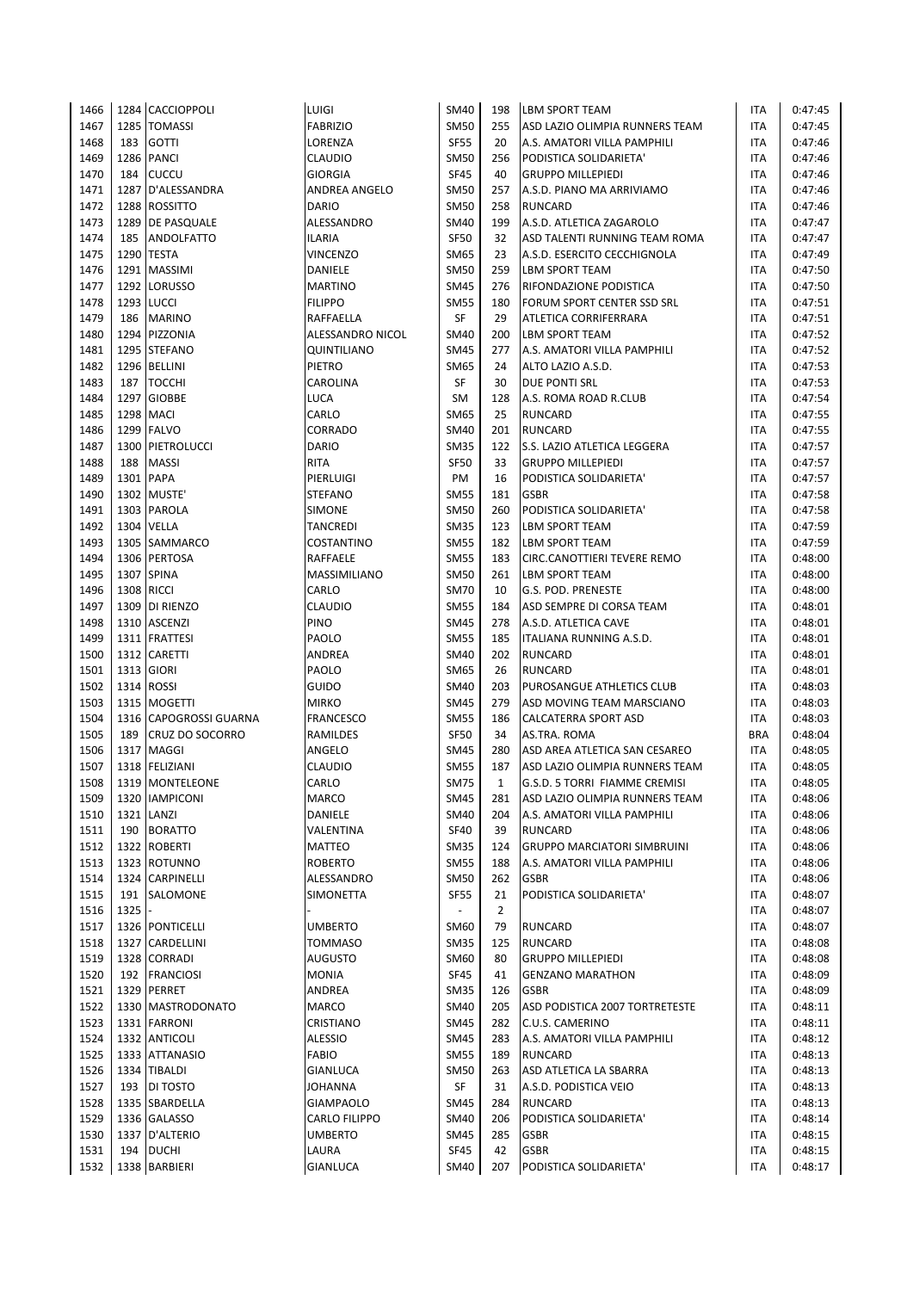| 1466 |            | 1284 CACCIOPPOLI       | LUIGI            | <b>SM40</b> | 198            | <b>LBM SPORT TEAM</b>              | ITA        | 0:47:45 |
|------|------------|------------------------|------------------|-------------|----------------|------------------------------------|------------|---------|
| 1467 |            | 1285 TOMASSI           | <b>FABRIZIO</b>  | <b>SM50</b> | 255            | ASD LAZIO OLIMPIA RUNNERS TEAM     | ITA        | 0:47:45 |
| 1468 | 183        | <b>GOTTI</b>           | LORENZA          | <b>SF55</b> | 20             | A.S. AMATORI VILLA PAMPHILI        | ITA        | 0:47:46 |
| 1469 |            | 1286 PANCI             | CLAUDIO          | <b>SM50</b> | 256            | PODISTICA SOLIDARIETA'             | ITA        | 0:47:46 |
| 1470 | 184        | <b>CUCCU</b>           | <b>GIORGIA</b>   | <b>SF45</b> | 40             | <b>GRUPPO MILLEPIEDI</b>           | <b>ITA</b> | 0:47:46 |
| 1471 | 1287       | D'ALESSANDRA           | ANDREA ANGELO    | <b>SM50</b> | 257            | A.S.D. PIANO MA ARRIVIAMO          | <b>ITA</b> | 0:47:46 |
| 1472 |            | 1288 ROSSITTO          | DARIO            | <b>SM50</b> | 258            | <b>RUNCARD</b>                     | ITA        | 0:47:46 |
| 1473 |            | 1289 DE PASQUALE       | ALESSANDRO       | <b>SM40</b> | 199            | A.S.D. ATLETICA ZAGAROLO           | <b>ITA</b> | 0:47:47 |
| 1474 | 185        | ANDOLFATTO             | <b>ILARIA</b>    | <b>SF50</b> | 32             | ASD TALENTI RUNNING TEAM ROMA      | <b>ITA</b> | 0:47:47 |
| 1475 |            | 1290 TESTA             | <b>VINCENZO</b>  | <b>SM65</b> | 23             | A.S.D. ESERCITO CECCHIGNOLA        | <b>ITA</b> | 0:47:49 |
| 1476 |            | 1291 MASSIMI           | DANIELE          | <b>SM50</b> | 259            | <b>LBM SPORT TEAM</b>              | ITA        | 0:47:50 |
| 1477 |            | 1292 LORUSSO           | <b>MARTINO</b>   | <b>SM45</b> | 276            | RIFONDAZIONE PODISTICA             | <b>ITA</b> | 0:47:50 |
| 1478 |            | 1293 LUCCI             | <b>FILIPPO</b>   | <b>SM55</b> | 180            | FORUM SPORT CENTER SSD SRL         | <b>ITA</b> | 0:47:51 |
| 1479 | 186        | <b>MARINO</b>          | RAFFAELLA        | <b>SF</b>   | 29             | ATLETICA CORRIFERRARA              | ITA        | 0:47:51 |
| 1480 |            | 1294 PIZZONIA          | ALESSANDRO NICOL | <b>SM40</b> | 200            | <b>LBM SPORT TEAM</b>              | ITA        | 0:47:52 |
| 1481 |            | 1295 STEFANO           | QUINTILIANO      | <b>SM45</b> | 277            | A.S. AMATORI VILLA PAMPHILI        | <b>ITA</b> | 0:47:52 |
| 1482 |            | 1296 BELLINI           | PIETRO           | <b>SM65</b> | 24             | ALTO LAZIO A.S.D.                  | ITA        | 0:47:53 |
| 1483 | 187        | <b>TOCCHI</b>          | CAROLINA         | <b>SF</b>   | 30             | <b>DUE PONTI SRL</b>               | ITA        | 0:47:53 |
| 1484 |            | 1297 GIOBBE            | LUCA             | <b>SM</b>   | 128            | A.S. ROMA ROAD R.CLUB              | ITA        | 0:47:54 |
| 1485 |            | <b>1298 MACI</b>       | CARLO            | <b>SM65</b> | 25             | <b>RUNCARD</b>                     | ITA        | 0:47:55 |
| 1486 |            | 1299 FALVO             | CORRADO          | <b>SM40</b> | 201            | <b>RUNCARD</b>                     | ITA        | 0:47:55 |
| 1487 |            | 1300 PIETROLUCCI       | <b>DARIO</b>     | <b>SM35</b> | 122            | S.S. LAZIO ATLETICA LEGGERA        | ITA        | 0:47:57 |
| 1488 | 188        | <b>MASSI</b>           | <b>RITA</b>      | <b>SF50</b> | 33             | <b>GRUPPO MILLEPIEDI</b>           | ITA        | 0:47:57 |
| 1489 |            | 1301 PAPA              | PIERLUIGI        | PM          | 16             | PODISTICA SOLIDARIETA'             | <b>ITA</b> | 0:47:57 |
| 1490 |            | 1302 MUSTE'            | <b>STEFANO</b>   | <b>SM55</b> | 181            | <b>GSBR</b>                        | ITA        | 0:47:58 |
| 1491 |            | 1303 PAROLA            | <b>SIMONE</b>    | <b>SM50</b> | 260            | PODISTICA SOLIDARIETA'             | ITA        | 0:47:58 |
| 1492 |            | 1304 VELLA             | <b>TANCREDI</b>  | <b>SM35</b> | 123            | LBM SPORT TEAM                     | ITA        | 0:47:59 |
| 1493 |            | 1305 SAMMARCO          | COSTANTINO       | <b>SM55</b> | 182            | <b>LBM SPORT TEAM</b>              | <b>ITA</b> | 0:47:59 |
| 1494 |            | 1306 PERTOSA           | RAFFAELE         | <b>SM55</b> | 183            | CIRC.CANOTTIERI TEVERE REMO        | ITA        | 0:48:00 |
| 1495 |            | 1307 SPINA             | MASSIMILIANO     | <b>SM50</b> | 261            | <b>LBM SPORT TEAM</b>              | ITA        | 0:48:00 |
| 1496 | 1308 RICCI |                        | CARLO            | <b>SM70</b> | 10             | G.S. POD. PRENESTE                 | ITA        | 0:48:00 |
| 1497 |            | 1309 DI RIENZO         | <b>CLAUDIO</b>   | <b>SM55</b> | 184            | ASD SEMPRE DI CORSA TEAM           | <b>ITA</b> | 0:48:01 |
| 1498 |            | 1310 ASCENZI           | <b>PINO</b>      | <b>SM45</b> | 278            | A.S.D. ATLETICA CAVE               | ITA        | 0:48:01 |
| 1499 |            | 1311 FRATTESI          | PAOLO            | <b>SM55</b> | 185            | ITALIANA RUNNING A.S.D.            | <b>ITA</b> | 0:48:01 |
| 1500 |            | 1312 CARETTI           | ANDREA           | <b>SM40</b> | 202            | <b>RUNCARD</b>                     | <b>ITA</b> | 0:48:01 |
| 1501 |            | 1313 GIORI             | PAOLO            | <b>SM65</b> | 26             | <b>RUNCARD</b>                     | <b>ITA</b> | 0:48:01 |
| 1502 | 1314       | <b>ROSSI</b>           | <b>GUIDO</b>     | <b>SM40</b> | 203            | PUROSANGUE ATHLETICS CLUB          | <b>ITA</b> | 0:48:03 |
| 1503 |            | 1315 MOGETTI           | <b>MIRKO</b>     | <b>SM45</b> | 279            | ASD MOVING TEAM MARSCIANO          | ITA        | 0:48:03 |
| 1504 |            | 1316 CAPOGROSSI GUARNA | <b>FRANCESCO</b> | <b>SM55</b> | 186            | <b>CALCATERRA SPORT ASD</b>        | <b>ITA</b> | 0:48:03 |
| 1505 | 189        | <b>CRUZ DO SOCORRO</b> | RAMILDES         | <b>SF50</b> | 34             | AS.TRA. ROMA                       | <b>BRA</b> | 0:48:04 |
| 1506 | 1317       | <b>MAGGI</b>           | ANGELO           | <b>SM45</b> | 280            | ASD AREA ATLETICA SAN CESAREO      | ITA        | 0:48:05 |
| 1507 |            | 1318 FELIZIANI         | <b>CLAUDIO</b>   | <b>SM55</b> | 187            | ASD LAZIO OLIMPIA RUNNERS TEAM     | ITA        | 0:48:05 |
| 1508 |            | 1319 MONTELEONE        | CARLO            | <b>SM75</b> | $\mathbf{1}$   | G.S.D. 5 TORRI FIAMME CREMISI      | <b>ITA</b> | 0:48:05 |
| 1509 |            | 1320 IAMPICONI         | MARCO            | <b>SM45</b> | 281            | ASD LAZIO OLIMPIA RUNNERS TEAM     | ITA        | 0:48:06 |
| 1510 |            | 1321 LANZI             | DANIELE          | <b>SM40</b> | 204            | A.S. AMATORI VILLA PAMPHILI        | ITA        | 0:48:06 |
| 1511 |            | 190 BORATTO            | VALENTINA        | <b>SF40</b> | 39             | <b>RUNCARD</b>                     | ITA        | 0:48:06 |
| 1512 |            | 1322 ROBERTI           | <b>MATTEO</b>    | SM35        | 124            | <b>GRUPPO MARCIATORI SIMBRUINI</b> | ITA        | 0:48:06 |
| 1513 |            | 1323 ROTUNNO           | <b>ROBERTO</b>   | <b>SM55</b> | 188            | A.S. AMATORI VILLA PAMPHILI        | <b>ITA</b> | 0:48:06 |
| 1514 |            | 1324 CARPINELLI        | ALESSANDRO       | <b>SM50</b> | 262            | <b>GSBR</b>                        | ITA        | 0:48:06 |
| 1515 | 191        | SALOMONE               | <b>SIMONETTA</b> | SF55        | 21             | PODISTICA SOLIDARIETA'             | ITA        | 0:48:07 |
| 1516 | 1325       |                        |                  |             | $\overline{2}$ |                                    | ITA        | 0:48:07 |
| 1517 |            | 1326 PONTICELLI        | <b>UMBERTO</b>   | SM60        | 79             | <b>RUNCARD</b>                     | ITA        | 0:48:07 |
| 1518 |            | 1327 CARDELLINI        | <b>TOMMASO</b>   | <b>SM35</b> | 125            | RUNCARD                            | ITA        | 0:48:08 |
| 1519 |            | 1328 CORRADI           | AUGUSTO          | SM60        | 80             | <b>GRUPPO MILLEPIEDI</b>           | ITA        | 0:48:08 |
| 1520 |            | 192 FRANCIOSI          | <b>MONIA</b>     | <b>SF45</b> | 41             | <b>GENZANO MARATHON</b>            | ITA        | 0:48:09 |
| 1521 |            | 1329 PERRET            | ANDREA           | <b>SM35</b> | 126            | <b>GSBR</b>                        | ITA        | 0:48:09 |
| 1522 |            | 1330 MASTRODONATO      | MARCO            | <b>SM40</b> | 205            | ASD PODISTICA 2007 TORTRETESTE     | ITA        | 0:48:11 |
| 1523 |            | 1331 FARRONI           | CRISTIANO        | <b>SM45</b> | 282            | C.U.S. CAMERINO                    | ITA        | 0:48:11 |
| 1524 |            | 1332 ANTICOLI          | <b>ALESSIO</b>   | <b>SM45</b> | 283            | A.S. AMATORI VILLA PAMPHILI        | ITA        | 0:48:12 |
| 1525 |            | 1333 ATTANASIO         | <b>FABIO</b>     | <b>SM55</b> | 189            | <b>RUNCARD</b>                     | ITA        | 0:48:13 |
| 1526 |            | 1334 TIBALDI           | GIANLUCA         | <b>SM50</b> | 263            | ASD ATLETICA LA SBARRA             | ITA        | 0:48:13 |
| 1527 |            | 193 DI TOSTO           | JOHANNA          | SF          | 31             | A.S.D. PODISTICA VEIO              | ITA        | 0:48:13 |
| 1528 |            | 1335 SBARDELLA         | <b>GIAMPAOLO</b> | <b>SM45</b> | 284            | <b>RUNCARD</b>                     | ITA        | 0:48:13 |
| 1529 |            | 1336 GALASSO           | CARLO FILIPPO    | <b>SM40</b> | 206            | PODISTICA SOLIDARIETA'             | ITA        | 0:48:14 |
| 1530 |            | 1337 D'ALTERIO         | UMBERTO          | SM45        | 285            | GSBR                               | ITA        | 0:48:15 |
| 1531 | 194        | <b>DUCHI</b>           | LAURA            | <b>SF45</b> | 42             | <b>GSBR</b>                        | ITA        | 0:48:15 |
| 1532 |            | 1338 BARBIERI          | <b>GIANLUCA</b>  | SM40        | 207            | PODISTICA SOLIDARIETA'             | ITA        | 0:48:17 |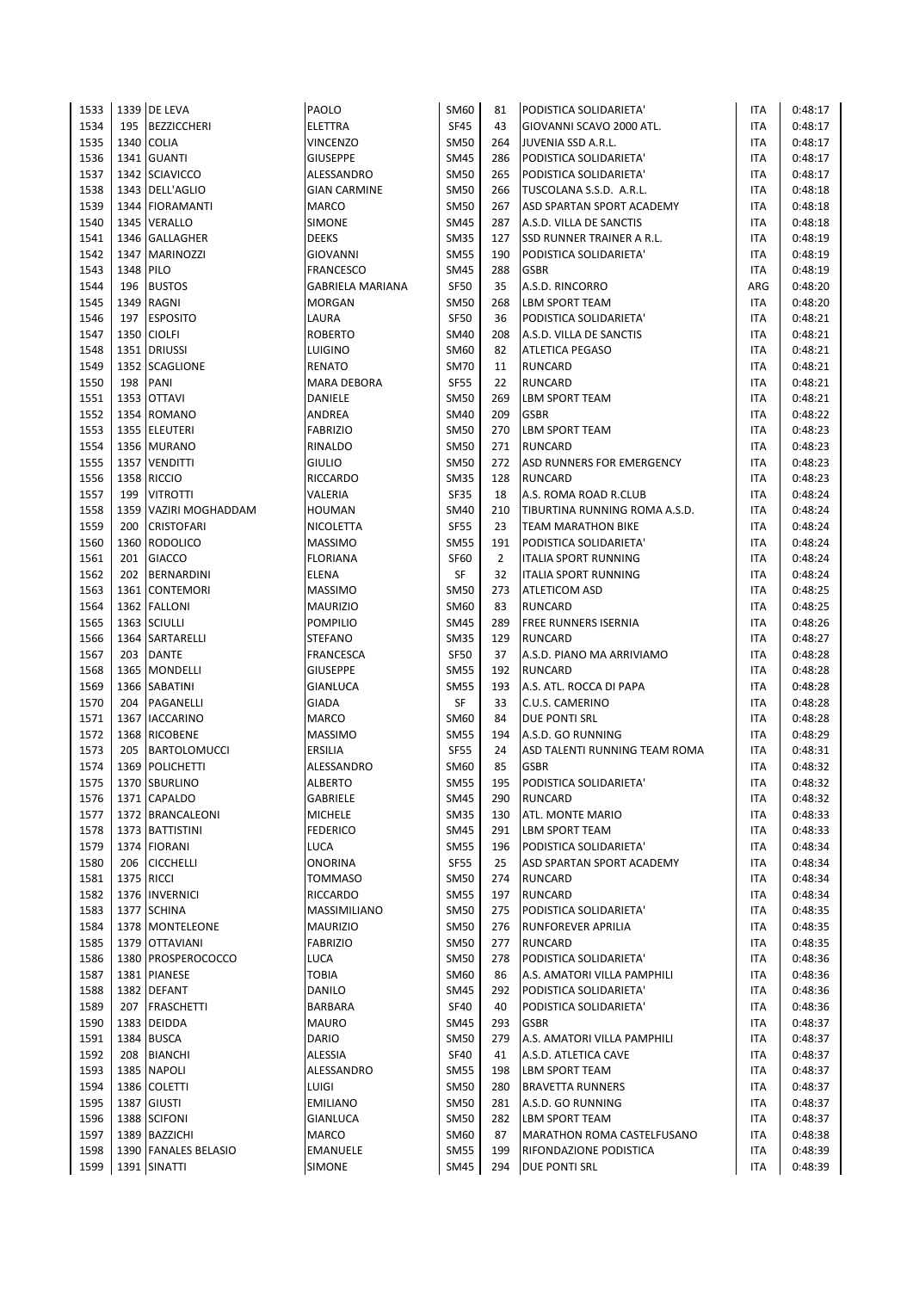| 1533 |      | 1339 DE LEVA         | PAOLO                   | SM60        | 81             | PODISTICA SOLIDARIETA'        | ITA        | 0:48:17 |
|------|------|----------------------|-------------------------|-------------|----------------|-------------------------------|------------|---------|
| 1534 | 195  | <b>BEZZICCHERI</b>   | <b>ELETTRA</b>          | <b>SF45</b> | 43             | GIOVANNI SCAVO 2000 ATL.      | <b>ITA</b> | 0:48:17 |
| 1535 | 1340 | <b>COLIA</b>         | <b>VINCENZO</b>         | <b>SM50</b> | 264            | JUVENIA SSD A.R.L.            | ITA        | 0:48:17 |
| 1536 |      | 1341 GUANTI          | <b>GIUSEPPE</b>         | <b>SM45</b> | 286            | PODISTICA SOLIDARIETA'        | <b>ITA</b> | 0:48:17 |
| 1537 |      | 1342 SCIAVICCO       | ALESSANDRO              | <b>SM50</b> | 265            | PODISTICA SOLIDARIETA'        | <b>ITA</b> | 0:48:17 |
| 1538 |      | 1343 DELL'AGLIO      | <b>GIAN CARMINE</b>     | <b>SM50</b> | 266            | TUSCOLANA S.S.D. A.R.L.       | <b>ITA</b> | 0:48:18 |
| 1539 |      | 1344 FIORAMANTI      | MARCO                   | <b>SM50</b> | 267            | ASD SPARTAN SPORT ACADEMY     | <b>ITA</b> | 0:48:18 |
| 1540 |      | 1345 VERALLO         | SIMONE                  | <b>SM45</b> | 287            | A.S.D. VILLA DE SANCTIS       | <b>ITA</b> | 0:48:18 |
| 1541 |      | 1346 GALLAGHER       | <b>DEEKS</b>            | <b>SM35</b> | 127            | SSD RUNNER TRAINER A R.L.     | <b>ITA</b> | 0:48:19 |
| 1542 | 1347 | <b>MARINOZZI</b>     | <b>GIOVANNI</b>         | <b>SM55</b> | 190            | PODISTICA SOLIDARIETA'        | <b>ITA</b> | 0:48:19 |
| 1543 | 1348 | PILO                 | <b>FRANCESCO</b>        | <b>SM45</b> | 288            | <b>GSBR</b>                   | <b>ITA</b> | 0:48:19 |
| 1544 | 196  | <b>BUSTOS</b>        | <b>GABRIELA MARIANA</b> | <b>SF50</b> | 35             | A.S.D. RINCORRO               | ARG        | 0:48:20 |
| 1545 |      | 1349 RAGNI           | <b>MORGAN</b>           | <b>SM50</b> | 268            | LBM SPORT TEAM                | ITA        | 0:48:20 |
| 1546 | 197  | <b>ESPOSITO</b>      | LAURA                   | <b>SF50</b> | 36             | PODISTICA SOLIDARIETA'        | ITA        | 0:48:21 |
| 1547 |      | 1350 CIOLFI          | <b>ROBERTO</b>          | SM40        | 208            | A.S.D. VILLA DE SANCTIS       | <b>ITA</b> | 0:48:21 |
| 1548 |      | 1351 DRIUSSI         | LUIGINO                 | <b>SM60</b> | 82             | <b>ATLETICA PEGASO</b>        | <b>ITA</b> | 0:48:21 |
| 1549 |      | 1352 SCAGLIONE       | <b>RENATO</b>           | <b>SM70</b> | 11             | <b>RUNCARD</b>                | <b>ITA</b> | 0:48:21 |
| 1550 | 198  | PANI                 | MARA DEBORA             | <b>SF55</b> | 22             | RUNCARD                       | ITA        | 0:48:21 |
| 1551 |      | 1353 OTTAVI          | DANIELE                 | <b>SM50</b> | 269            | <b>LBM SPORT TEAM</b>         | <b>ITA</b> | 0:48:21 |
| 1552 |      | 1354 ROMANO          | ANDREA                  | <b>SM40</b> | 209            | <b>GSBR</b>                   | <b>ITA</b> | 0:48:22 |
| 1553 |      | 1355 ELEUTERI        | <b>FABRIZIO</b>         | <b>SM50</b> | 270            | <b>LBM SPORT TEAM</b>         | <b>ITA</b> | 0:48:23 |
| 1554 |      | 1356 MURANO          | RINALDO                 | <b>SM50</b> | 271            | <b>RUNCARD</b>                | ITA        | 0:48:23 |
| 1555 |      | 1357 VENDITTI        | <b>GIULIO</b>           | <b>SM50</b> | 272            | ASD RUNNERS FOR EMERGENCY     | <b>ITA</b> | 0:48:23 |
| 1556 |      | 1358 RICCIO          | <b>RICCARDO</b>         | <b>SM35</b> | 128            | <b>RUNCARD</b>                | <b>ITA</b> | 0:48:23 |
| 1557 | 199  | <b>VITROTTI</b>      | VALERIA                 | <b>SF35</b> | 18             | A.S. ROMA ROAD R.CLUB         | ITA        | 0:48:24 |
| 1558 | 1359 | VAZIRI MOGHADDAM     | <b>HOUMAN</b>           | <b>SM40</b> | 210            | TIBURTINA RUNNING ROMA A.S.D. | <b>ITA</b> | 0:48:24 |
| 1559 | 200  | <b>CRISTOFARI</b>    | <b>NICOLETTA</b>        | <b>SF55</b> | 23             | <b>TEAM MARATHON BIKE</b>     | <b>ITA</b> | 0:48:24 |
| 1560 |      | 1360 RODOLICO        | <b>MASSIMO</b>          | <b>SM55</b> | 191            | PODISTICA SOLIDARIETA'        | <b>ITA</b> | 0:48:24 |
| 1561 | 201  | <b>GIACCO</b>        | <b>FLORIANA</b>         | <b>SF60</b> | $\overline{2}$ | <b>ITALIA SPORT RUNNING</b>   | <b>ITA</b> | 0:48:24 |
| 1562 | 202  | <b>BERNARDINI</b>    | <b>ELENA</b>            | SF          | 32             | <b>ITALIA SPORT RUNNING</b>   | ITA        | 0:48:24 |
| 1563 |      | 1361 CONTEMORI       | <b>MASSIMO</b>          | <b>SM50</b> | 273            | <b>ATLETICOM ASD</b>          | <b>ITA</b> | 0:48:25 |
| 1564 |      | 1362 FALLONI         | <b>MAURIZIO</b>         | <b>SM60</b> | 83             | <b>RUNCARD</b>                | <b>ITA</b> | 0:48:25 |
| 1565 |      | 1363 SCIULLI         | <b>POMPILIO</b>         | <b>SM45</b> | 289            | <b>FREE RUNNERS ISERNIA</b>   | <b>ITA</b> | 0:48:26 |
| 1566 |      | 1364 SARTARELLI      | <b>STEFANO</b>          | <b>SM35</b> | 129            | <b>RUNCARD</b>                | <b>ITA</b> | 0:48:27 |
| 1567 | 203  | <b>DANTE</b>         | FRANCESCA               | <b>SF50</b> | 37             | A.S.D. PIANO MA ARRIVIAMO     | <b>ITA</b> | 0:48:28 |
| 1568 |      | 1365 MONDELLI        | <b>GIUSEPPE</b>         | <b>SM55</b> | 192            | <b>RUNCARD</b>                | <b>ITA</b> | 0:48:28 |
| 1569 |      | 1366 SABATINI        | GIANLUCA                | <b>SM55</b> | 193            | A.S. ATL. ROCCA DI PAPA       | ITA        | 0:48:28 |
| 1570 | 204  | PAGANELLI            | GIADA                   | SF          | 33             | C.U.S. CAMERINO               | <b>ITA</b> | 0:48:28 |
| 1571 | 1367 | <b>IACCARINO</b>     | <b>MARCO</b>            | SM60        | 84             | <b>DUE PONTI SRL</b>          | <b>ITA</b> | 0:48:28 |
| 1572 | 1368 | <b>RICOBENE</b>      | <b>MASSIMO</b>          | <b>SM55</b> | 194            | A.S.D. GO RUNNING             | <b>ITA</b> | 0:48:29 |
| 1573 | 205  | <b>BARTOLOMUCCI</b>  | ERSILIA                 | <b>SF55</b> | 24             | ASD TALENTI RUNNING TEAM ROMA | <b>ITA</b> | 0:48:31 |
| 1574 |      | 1369 POLICHETTI      | ALESSANDRO              | SM60        | 85             | <b>GSBR</b>                   | <b>ITA</b> | 0:48:32 |
| 1575 |      | 1370 SBURLINO        | <b>ALBERTO</b>          | <b>SM55</b> | 195            | PODISTICA SOLIDARIETA'        | <b>ITA</b> | 0:48:32 |
| 1576 |      | 1371 CAPALDO         | GABRIELE                | <b>SM45</b> | 290            | <b>RUNCARD</b>                | ITA        | 0:48:32 |
| 1577 |      | 1372 BRANCALEONI     | <b>MICHELE</b>          | <b>SM35</b> | 130            | ATL. MONTE MARIO              | <b>ITA</b> | 0:48:33 |
| 1578 |      | 1373 BATTISTINI      | <b>FEDERICO</b>         | <b>SM45</b> | 291            | LBM SPORT TEAM                | <b>ITA</b> | 0:48:33 |
| 1579 |      | 1374 FIORANI         | LUCA                    | <b>SM55</b> | 196            | PODISTICA SOLIDARIETA'        | <b>ITA</b> | 0:48:34 |
| 1580 | 206  | <b>CICCHELLI</b>     | <b>ONORINA</b>          | <b>SF55</b> | 25             | ASD SPARTAN SPORT ACADEMY     | ITA        | 0:48:34 |
| 1581 |      | 1375 RICCI           | <b>TOMMASO</b>          | <b>SM50</b> | 274            | <b>RUNCARD</b>                | ITA        | 0:48:34 |
| 1582 |      | 1376 INVERNICI       | <b>RICCARDO</b>         | <b>SM55</b> | 197            | <b>RUNCARD</b>                | <b>ITA</b> | 0:48:34 |
| 1583 |      | 1377 SCHINA          | MASSIMILIANO            | <b>SM50</b> | 275            | PODISTICA SOLIDARIETA'        | <b>ITA</b> | 0:48:35 |
| 1584 |      | 1378 MONTELEONE      | <b>MAURIZIO</b>         | <b>SM50</b> | 276            | RUNFOREVER APRILIA            | ITA        | 0:48:35 |
| 1585 |      | 1379 OTTAVIANI       | <b>FABRIZIO</b>         | <b>SM50</b> | 277            | <b>RUNCARD</b>                | ITA        | 0:48:35 |
| 1586 |      | 1380 PROSPEROCOCCO   | LUCA                    | <b>SM50</b> | 278            | PODISTICA SOLIDARIETA'        | <b>ITA</b> | 0:48:36 |
| 1587 |      | 1381 PIANESE         | <b>TOBIA</b>            | SM60        | 86             | A.S. AMATORI VILLA PAMPHILI   | ITA        | 0:48:36 |
| 1588 |      | 1382 DEFANT          | <b>DANILO</b>           | <b>SM45</b> | 292            | PODISTICA SOLIDARIETA'        | ITA        | 0:48:36 |
| 1589 | 207  | <b>FRASCHETTI</b>    | BARBARA                 | <b>SF40</b> | 40             | PODISTICA SOLIDARIETA'        | ITA        | 0:48:36 |
| 1590 |      | 1383 DEIDDA          | <b>MAURO</b>            | SM45        | 293            | <b>GSBR</b>                   | ITA        | 0:48:37 |
| 1591 |      | 1384 BUSCA           | DARIO                   | <b>SM50</b> | 279            | A.S. AMATORI VILLA PAMPHILI   | ITA        | 0:48:37 |
| 1592 | 208  | <b>BIANCHI</b>       | ALESSIA                 | <b>SF40</b> | 41             | A.S.D. ATLETICA CAVE          | ITA        | 0:48:37 |
| 1593 |      | 1385 NAPOLI          | ALESSANDRO              | <b>SM55</b> | 198            | LBM SPORT TEAM                | <b>ITA</b> | 0:48:37 |
| 1594 |      | 1386 COLETTI         | LUIGI                   | <b>SM50</b> | 280            | <b>BRAVETTA RUNNERS</b>       | ITA        | 0:48:37 |
| 1595 |      | 1387 GIUSTI          | <b>EMILIANO</b>         | <b>SM50</b> | 281            | A.S.D. GO RUNNING             | ITA        | 0:48:37 |
| 1596 |      | 1388 SCIFONI         | GIANLUCA                | <b>SM50</b> | 282            | LBM SPORT TEAM                | ITA        | 0:48:37 |
| 1597 |      | 1389 BAZZICHI        | MARCO                   | SM60        | 87             | MARATHON ROMA CASTELFUSANO    | <b>ITA</b> | 0:48:38 |
| 1598 |      | 1390 FANALES BELASIO | EMANUELE                | <b>SM55</b> | 199            | RIFONDAZIONE PODISTICA        | <b>ITA</b> | 0:48:39 |
| 1599 |      | 1391 SINATTI         | SIMONE                  | <b>SM45</b> | 294            | <b>DUE PONTI SRL</b>          | <b>ITA</b> | 0:48:39 |
|      |      |                      |                         |             |                |                               |            |         |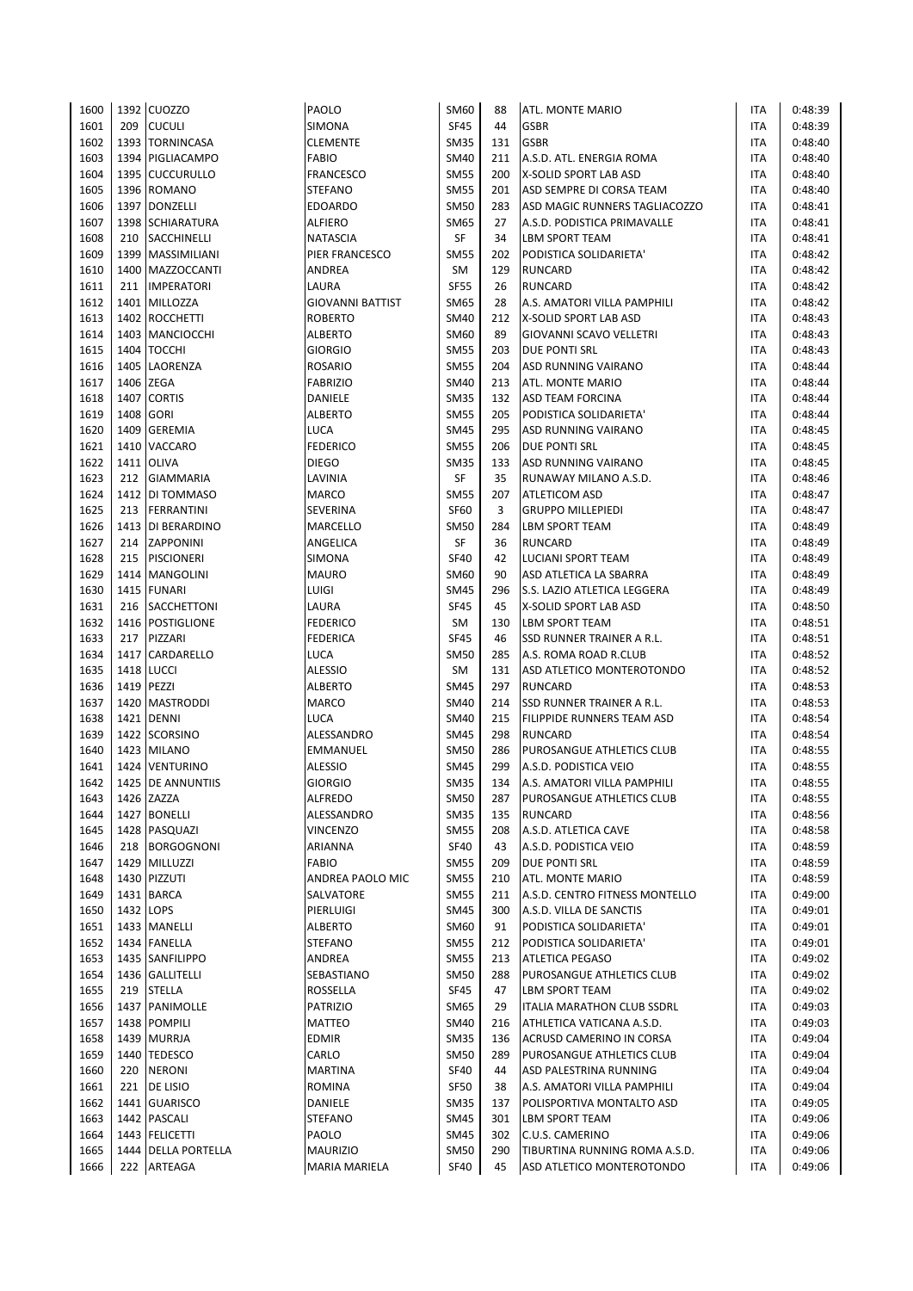| 1600         |     | 1392 CUOZZO                    | PAOLO                   | SM60        | 88  | ATL. MONTE MARIO                                        | ITA               | 0:48:39            |
|--------------|-----|--------------------------------|-------------------------|-------------|-----|---------------------------------------------------------|-------------------|--------------------|
| 1601         | 209 | <b>CUCULI</b>                  | SIMONA                  | <b>SF45</b> | 44  | <b>GSBR</b>                                             | ITA               | 0:48:39            |
| 1602         |     | 1393 TORNINCASA                | <b>CLEMENTE</b>         | <b>SM35</b> | 131 | <b>GSBR</b>                                             | ITA               | 0:48:40            |
| 1603         |     | 1394 PIGLIACAMPO               | <b>FABIO</b>            | <b>SM40</b> | 211 | A.S.D. ATL. ENERGIA ROMA                                | <b>ITA</b>        | 0:48:40            |
| 1604         |     | 1395 CUCCURULLO                | <b>FRANCESCO</b>        | <b>SM55</b> | 200 | X-SOLID SPORT LAB ASD                                   | <b>ITA</b>        | 0:48:40            |
| 1605         |     | 1396 ROMANO                    | <b>STEFANO</b>          | <b>SM55</b> | 201 | ASD SEMPRE DI CORSA TEAM                                | <b>ITA</b>        | 0:48:40            |
| 1606         |     | 1397 DONZELLI                  | <b>EDOARDO</b>          | <b>SM50</b> | 283 | ASD MAGIC RUNNERS TAGLIACOZZO                           | <b>ITA</b>        | 0:48:41            |
| 1607         |     | 1398 SCHIARATURA               | ALFIERO                 | SM65        | 27  | A.S.D. PODISTICA PRIMAVALLE                             | <b>ITA</b>        | 0:48:41            |
| 1608         |     | 210   SACCHINELLI              | <b>NATASCIA</b>         | SF          | 34  | <b>LBM SPORT TEAM</b>                                   | <b>ITA</b>        | 0:48:41            |
| 1609         |     | 1399 MASSIMILIANI              | PIER FRANCESCO          | <b>SM55</b> | 202 | PODISTICA SOLIDARIETA'                                  | <b>ITA</b>        | 0:48:42            |
| 1610         |     | 1400 MAZZOCCANTI               | ANDREA                  | SM          | 129 | <b>RUNCARD</b>                                          | <b>ITA</b>        | 0:48:42            |
| 1611         |     | 211 IMPERATORI                 | LAURA                   | <b>SF55</b> | 26  | <b>RUNCARD</b>                                          | <b>ITA</b>        | 0:48:42            |
| 1612         |     | 1401 MILLOZZA                  | <b>GIOVANNI BATTIST</b> | <b>SM65</b> | 28  | A.S. AMATORI VILLA PAMPHILI                             | <b>ITA</b>        | 0:48:42            |
| 1613         |     | 1402 ROCCHETTI                 | <b>ROBERTO</b>          | <b>SM40</b> | 212 | <b>X-SOLID SPORT LAB ASD</b>                            | <b>ITA</b>        | 0:48:43            |
| 1614         |     | 1403 MANCIOCCHI                | <b>ALBERTO</b>          | <b>SM60</b> | 89  | GIOVANNI SCAVO VELLETRI                                 | <b>ITA</b>        | 0:48:43            |
| 1615         |     | 1404 TOCCHI                    | <b>GIORGIO</b>          | <b>SM55</b> | 203 | <b>DUE PONTI SRL</b>                                    | <b>ITA</b>        | 0:48:43            |
| 1616         |     | 1405 LAORENZA                  | <b>ROSARIO</b>          | <b>SM55</b> | 204 | ASD RUNNING VAIRANO                                     | <b>ITA</b>        | 0:48:44            |
| 1617         |     | 1406 ZEGA                      | <b>FABRIZIO</b>         | <b>SM40</b> | 213 | ATL. MONTE MARIO                                        | <b>ITA</b>        | 0:48:44            |
| 1618         |     | 1407 CORTIS                    | DANIELE                 | <b>SM35</b> | 132 | <b>ASD TEAM FORCINA</b>                                 | <b>ITA</b>        | 0:48:44            |
| 1619         |     | 1408 GORI                      | <b>ALBERTO</b>          | <b>SM55</b> | 205 | PODISTICA SOLIDARIETA'                                  | <b>ITA</b>        | 0:48:44            |
| 1620         |     | 1409 GEREMIA                   | LUCA                    | <b>SM45</b> | 295 | ASD RUNNING VAIRANO                                     | <b>ITA</b>        | 0:48:45            |
| 1621         |     | 1410 VACCARO                   | <b>FEDERICO</b>         | <b>SM55</b> | 206 | <b>DUE PONTI SRL</b>                                    | <b>ITA</b>        | 0:48:45            |
| 1622         |     | <b>1411 OLIVA</b>              | <b>DIEGO</b>            | <b>SM35</b> | 133 | ASD RUNNING VAIRANO                                     | <b>ITA</b>        | 0:48:45            |
| 1623         | 212 | <b>GIAMMARIA</b>               | LAVINIA                 | SF          | 35  | RUNAWAY MILANO A.S.D.                                   | <b>ITA</b>        | 0:48:46            |
| 1624         |     | 1412 DI TOMMASO                | <b>MARCO</b>            | <b>SM55</b> | 207 | <b>ATLETICOM ASD</b>                                    | <b>ITA</b>        | 0:48:47            |
|              |     |                                | <b>SEVERINA</b>         |             |     | <b>GRUPPO MILLEPIEDI</b>                                |                   |                    |
| 1625         | 213 | FERRANTINI                     |                         | <b>SF60</b> | 3   |                                                         | ITA               | 0:48:47            |
| 1626         |     | 1413 DI BERARDINO              | MARCELLO                | <b>SM50</b> | 284 | <b>LBM SPORT TEAM</b>                                   | <b>ITA</b>        | 0:48:49            |
| 1627         |     | 214 ZAPPONINI                  | ANGELICA                | SF          | 36  | <b>RUNCARD</b>                                          | <b>ITA</b>        | 0:48:49            |
| 1628         | 215 | <b>PISCIONERI</b>              | SIMONA                  | <b>SF40</b> | 42  | LUCIANI SPORT TEAM                                      | <b>ITA</b>        | 0:48:49            |
| 1629         |     | 1414   MANGOLINI               | <b>MAURO</b>            | <b>SM60</b> | 90  | ASD ATLETICA LA SBARRA                                  | ITA               | 0:48:49            |
| 1630         |     | 1415 FUNARI                    | LUIGI                   | <b>SM45</b> | 296 | S.S. LAZIO ATLETICA LEGGERA                             | ITA               | 0:48:49            |
| 1631         |     | 216 SACCHETTONI                | LAURA                   | <b>SF45</b> | 45  | X-SOLID SPORT LAB ASD                                   | <b>ITA</b>        | 0:48:50            |
| 1632         |     | 1416 POSTIGLIONE               | <b>FEDERICO</b>         | <b>SM</b>   | 130 | <b>LBM SPORT TEAM</b>                                   | <b>ITA</b>        | 0:48:51            |
| 1633         | 217 | PIZZARI                        | <b>FEDERICA</b>         | <b>SF45</b> | 46  | SSD RUNNER TRAINER A R.L.                               | <b>ITA</b>        | 0:48:51            |
| 1634         |     | 1417 CARDARELLO                | LUCA                    | <b>SM50</b> | 285 | A.S. ROMA ROAD R.CLUB                                   | <b>ITA</b>        | 0:48:52            |
| 1635         |     | 1418 LUCCI                     | <b>ALESSIO</b>          | <b>SM</b>   | 131 | ASD ATLETICO MONTEROTONDO                               | <b>ITA</b>        | 0:48:52            |
| 1636         |     | 1419 PEZZI                     | <b>ALBERTO</b>          | <b>SM45</b> | 297 | <b>RUNCARD</b>                                          | <b>ITA</b>        | 0:48:53            |
| 1637         |     | 1420 MASTRODDI                 | <b>MARCO</b>            | <b>SM40</b> | 214 | SSD RUNNER TRAINER A R.L.                               | <b>ITA</b>        | 0:48:53            |
| 1638         |     | 1421 DENNI                     | LUCA                    | <b>SM40</b> | 215 | FILIPPIDE RUNNERS TEAM ASD                              | <b>ITA</b>        | 0:48:54            |
| 1639         |     | 1422 SCORSINO                  | ALESSANDRO              | <b>SM45</b> | 298 | <b>RUNCARD</b>                                          | <b>ITA</b>        | 0:48:54            |
| 1640         |     | 1423 MILANO                    | EMMANUEL                | <b>SM50</b> | 286 | PUROSANGUE ATHLETICS CLUB                               | <b>ITA</b>        | 0:48:55            |
| 1641         |     | 1424 VENTURINO                 | <b>ALESSIO</b>          | <b>SM45</b> | 299 | A.S.D. PODISTICA VEIO                                   | <b>ITA</b>        | 0:48:55            |
| 1642         |     | 1425 DE ANNUNTIIS              | <b>GIORGIO</b>          | <b>SM35</b> | 134 | A.S. AMATORI VILLA PAMPHILI                             | <b>ITA</b>        | 0:48:55            |
| 1643         |     | 1426 ZAZZA                     | <b>ALFREDO</b>          | <b>SM50</b> | 287 | PUROSANGUE ATHLETICS CLUB                               | ITA               | 0:48:55            |
| 1644         |     | 1427 BONELLI                   | ALESSANDRO              | <b>SM35</b> | 135 | <b>RUNCARD</b>                                          | ITA               | 0:48:56            |
| 1645         |     | 1428 PASQUAZI                  | <b>VINCENZO</b>         | <b>SM55</b> | 208 | A.S.D. ATLETICA CAVE                                    | <b>ITA</b>        | 0:48:58            |
| 1646         | 218 | BORGOGNONI                     | ARIANNA                 | <b>SF40</b> | 43  | A.S.D. PODISTICA VEIO                                   | <b>ITA</b>        | 0:48:59            |
| 1647         |     | 1429 MILLUZZI                  | <b>FABIO</b>            | <b>SM55</b> | 209 | DUE PONTI SRL                                           | <b>ITA</b>        | 0:48:59            |
| 1648         |     | 1430 PIZZUTI                   | ANDREA PAOLO MIC        | <b>SM55</b> | 210 | ATL. MONTE MARIO                                        | ITA               | 0:48:59            |
| 1649         |     | 1431 BARCA                     | SALVATORE               | <b>SM55</b> | 211 | A.S.D. CENTRO FITNESS MONTELLO                          | <b>ITA</b>        | 0:49:00            |
| 1650         |     | 1432 LOPS                      | PIERLUIGI               | <b>SM45</b> | 300 | A.S.D. VILLA DE SANCTIS                                 | ITA               | 0:49:01            |
| 1651         |     | 1433   MANELLI                 | <b>ALBERTO</b>          | SM60        | 91  | PODISTICA SOLIDARIETA'                                  | ITA               | 0:49:01            |
| 1652         |     | 1434 FANELLA                   | <b>STEFANO</b>          | <b>SM55</b> | 212 | PODISTICA SOLIDARIETA'                                  | ITA               | 0:49:01            |
| 1653         |     | 1435 SANFILIPPO                | ANDREA                  | <b>SM55</b> | 213 | <b>ATLETICA PEGASO</b>                                  | ITA               | 0:49:02            |
| 1654         |     | 1436 GALLITELLI                | SEBASTIANO              | <b>SM50</b> | 288 | PUROSANGUE ATHLETICS CLUB                               | ITA               | 0:49:02            |
| 1655         | 219 | <b>STELLA</b>                  | ROSSELLA                | <b>SF45</b> | 47  | LBM SPORT TEAM                                          | ITA               | 0:49:02            |
|              |     |                                |                         | <b>SM65</b> | 29  |                                                         |                   |                    |
| 1656<br>1657 |     | 1437 PANIMOLLE<br>1438 POMPILI | PATRIZIO<br>MATTEO      | <b>SM40</b> | 216 | ITALIA MARATHON CLUB SSDRL<br>ATHLETICA VATICANA A.S.D. | ITA<br><b>ITA</b> | 0:49:03<br>0:49:03 |
| 1658         |     | 1439 MURRJA                    | <b>EDMIR</b>            | <b>SM35</b> | 136 | ACRUSD CAMERINO IN CORSA                                | <b>ITA</b>        | 0:49:04            |
|              |     |                                |                         |             |     |                                                         |                   | 0:49:04            |
| 1659         |     | 1440 TEDESCO                   | CARLO                   | <b>SM50</b> | 289 | PUROSANGUE ATHLETICS CLUB                               | <b>ITA</b>        |                    |
| 1660         | 220 | <b>NERONI</b>                  | MARTINA                 | <b>SF40</b> | 44  | ASD PALESTRINA RUNNING                                  | ITA               | 0:49:04            |
| 1661         |     | 221   DE LISIO                 | ROMINA                  | <b>SF50</b> | 38  | A.S. AMATORI VILLA PAMPHILI                             | <b>ITA</b>        | 0:49:04            |
| 1662         |     | 1441 GUARISCO                  | DANIELE                 | <b>SM35</b> | 137 | POLISPORTIVA MONTALTO ASD                               | ITA               | 0:49:05            |
| 1663         |     | 1442 PASCALI                   | <b>STEFANO</b>          | <b>SM45</b> | 301 | LBM SPORT TEAM                                          | ITA               | 0:49:06            |
| 1664         |     | 1443 FELICETTI                 | PAOLO                   | <b>SM45</b> | 302 | C.U.S. CAMERINO                                         | ITA               | 0:49:06            |
| 1665         |     | 1444 DELLA PORTELLA            | <b>MAURIZIO</b>         | <b>SM50</b> | 290 | TIBURTINA RUNNING ROMA A.S.D.                           | ITA               | 0:49:06            |
| 1666         |     | 222 ARTEAGA                    | MARIA MARIELA           | <b>SF40</b> | 45  | ASD ATLETICO MONTEROTONDO                               | <b>ITA</b>        | 0:49:06            |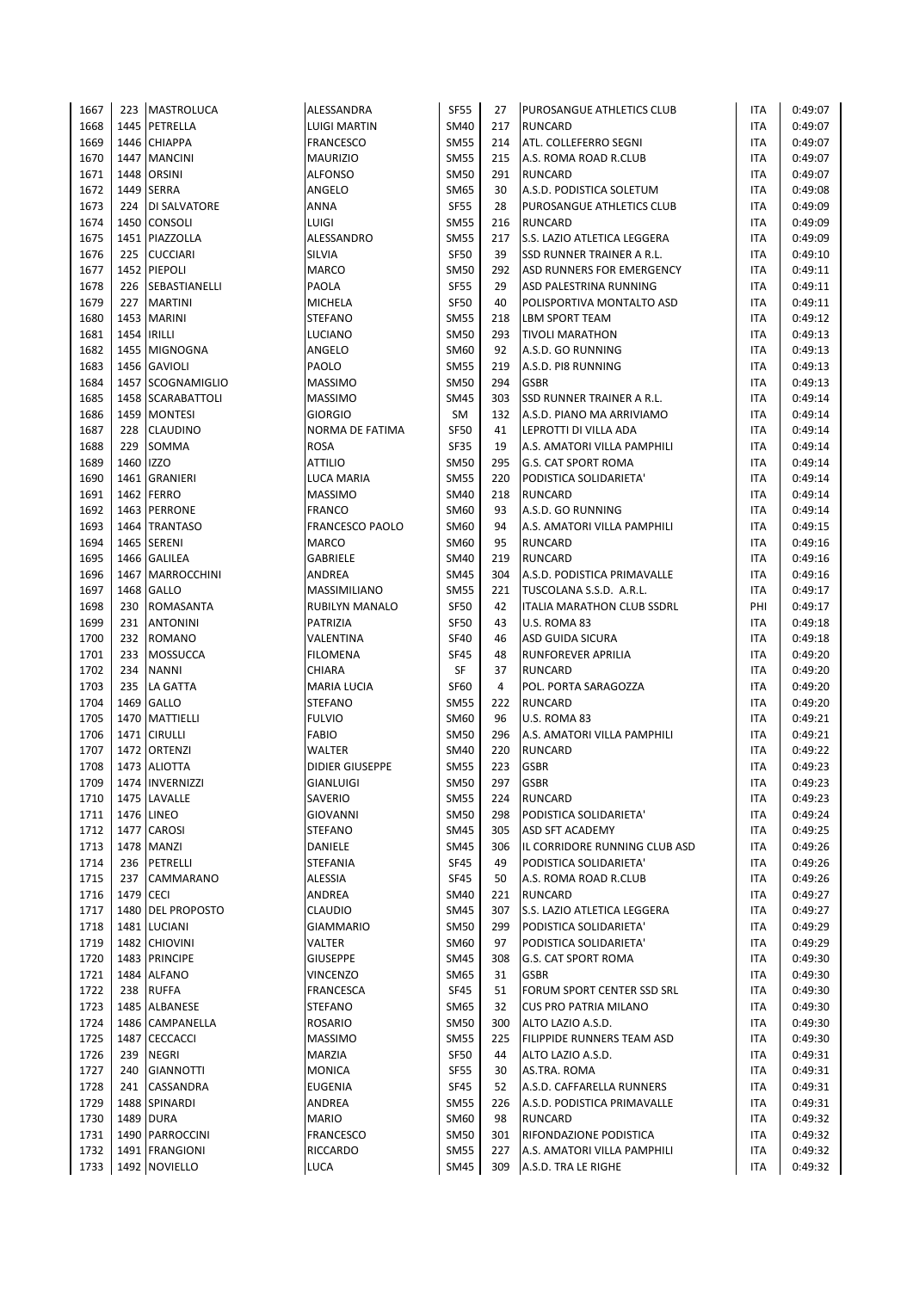| 1667         | 223         | <b>MASTROLUCA</b>   | ALESSANDRA             | <b>SF55</b>         | 27  | <b>PUROSANGUE ATHLETICS CLUB</b>                     | ITA        | 0:49:07 |
|--------------|-------------|---------------------|------------------------|---------------------|-----|------------------------------------------------------|------------|---------|
| 1668         | 1445        | PETRELLA            | <b>LUIGI MARTIN</b>    | <b>SM40</b>         | 217 | <b>RUNCARD</b>                                       | <b>ITA</b> | 0:49:07 |
| 1669         |             | 1446 CHIAPPA        | <b>FRANCESCO</b>       | <b>SM55</b>         | 214 | ATL. COLLEFERRO SEGNI                                | ITA        | 0:49:07 |
| 1670         | 1447        | <b>MANCINI</b>      | <b>MAURIZIO</b>        | <b>SM55</b>         | 215 | A.S. ROMA ROAD R.CLUB                                | <b>ITA</b> | 0:49:07 |
| 1671         | 1448        | <b>ORSINI</b>       | <b>ALFONSO</b>         | <b>SM50</b>         | 291 | <b>RUNCARD</b>                                       | <b>ITA</b> | 0:49:07 |
| 1672         | 1449        | <b>SERRA</b>        | ANGELO                 | <b>SM65</b>         | 30  | A.S.D. PODISTICA SOLETUM                             | <b>ITA</b> | 0:49:08 |
| 1673         | 224         | <b>DI SALVATORE</b> | ANNA                   | <b>SF55</b>         | 28  | PUROSANGUE ATHLETICS CLUB                            | ITA        | 0:49:09 |
| 1674         |             | 1450 CONSOLI        | <b>LUIGI</b>           | <b>SM55</b>         | 216 | <b>RUNCARD</b>                                       | ITA        | 0:49:09 |
| 1675         |             | 1451 PIAZZOLLA      | ALESSANDRO             | <b>SM55</b>         | 217 | S.S. LAZIO ATLETICA LEGGERA                          | ITA        | 0:49:09 |
| 1676         | 225         | <b>CUCCIARI</b>     | SILVIA                 | <b>SF50</b>         | 39  | SSD RUNNER TRAINER A R.L.                            | ITA        | 0:49:10 |
| 1677         |             | 1452 PIEPOLI        | <b>MARCO</b>           | <b>SM50</b>         | 292 | ASD RUNNERS FOR EMERGENCY                            | ITA        | 0:49:11 |
| 1678         | 226         | SEBASTIANELLI       | PAOLA                  | <b>SF55</b>         | 29  | <b>ASD PALESTRINA RUNNING</b>                        | <b>ITA</b> | 0:49:11 |
| 1679         | 227         | <b>MARTINI</b>      | MICHELA                | <b>SF50</b>         | 40  | POLISPORTIVA MONTALTO ASD                            | ITA        | 0:49:11 |
| 1680         |             | 1453 MARINI         | <b>STEFANO</b>         | <b>SM55</b>         | 218 | <b>LBM SPORT TEAM</b>                                | ITA        | 0:49:12 |
| 1681         | 1454 IRILLI |                     | LUCIANO                | <b>SM50</b>         | 293 | <b>TIVOLI MARATHON</b>                               | ITA        | 0:49:13 |
| 1682         |             | 1455 MIGNOGNA       | ANGELO                 | SM60                | 92  | A.S.D. GO RUNNING                                    | ITA        | 0:49:13 |
| 1683         |             | 1456 GAVIOLI        | PAOLO                  | <b>SM55</b>         | 219 | A.S.D. PI8 RUNNING                                   | ITA        | 0:49:13 |
| 1684         |             | 1457 SCOGNAMIGLIO   | <b>MASSIMO</b>         | <b>SM50</b>         | 294 | <b>GSBR</b>                                          | ITA        | 0:49:13 |
| 1685         |             | 1458 SCARABATTOLI   | <b>MASSIMO</b>         | <b>SM45</b>         | 303 | SSD RUNNER TRAINER A R.L.                            | <b>ITA</b> | 0:49:14 |
| 1686         |             | 1459 MONTESI        | <b>GIORGIO</b>         | <b>SM</b>           | 132 | A.S.D. PIANO MA ARRIVIAMO                            | <b>ITA</b> | 0:49:14 |
| 1687         | 228         | <b>CLAUDINO</b>     | NORMA DE FATIMA        | <b>SF50</b>         | 41  | LEPROTTI DI VILLA ADA                                | <b>ITA</b> | 0:49:14 |
| 1688         | 229         | <b>SOMMA</b>        | <b>ROSA</b>            | <b>SF35</b>         | 19  | A.S. AMATORI VILLA PAMPHILI                          | ITA        | 0:49:14 |
| 1689         | 1460 IZZO   |                     | <b>ATTILIO</b>         | <b>SM50</b>         | 295 | <b>G.S. CAT SPORT ROMA</b>                           | <b>ITA</b> | 0:49:14 |
| 1690         |             | 1461 GRANIERI       | <b>LUCA MARIA</b>      | <b>SM55</b>         | 220 | PODISTICA SOLIDARIETA'                               | <b>ITA</b> | 0:49:14 |
| 1691         | 1462        | <b>FERRO</b>        | <b>MASSIMO</b>         | <b>SM40</b>         | 218 | <b>RUNCARD</b>                                       | ITA        | 0:49:14 |
| 1692         |             | 1463 PERRONE        | <b>FRANCO</b>          | SM60                | 93  | A.S.D. GO RUNNING                                    | ITA        | 0:49:14 |
| 1693         |             | 1464 TRANTASO       | <b>FRANCESCO PAOLO</b> | SM60                | 94  | A.S. AMATORI VILLA PAMPHILI                          | <b>ITA</b> | 0:49:15 |
| 1694         |             | 1465 SERENI         | <b>MARCO</b>           | SM60                | 95  | <b>RUNCARD</b>                                       | <b>ITA</b> | 0:49:16 |
| 1695         |             | 1466 GALILEA        | GABRIELE               | <b>SM40</b>         | 219 | <b>RUNCARD</b>                                       | ITA        | 0:49:16 |
| 1696         |             | 1467 MARROCCHINI    | ANDREA                 | <b>SM45</b>         | 304 | A.S.D. PODISTICA PRIMAVALLE                          | ITA        | 0:49:16 |
| 1697         |             | 1468 GALLO          | MASSIMILIANO           | <b>SM55</b>         | 221 | TUSCOLANA S.S.D. A.R.L.                              | <b>ITA</b> | 0:49:17 |
| 1698         | 230         | ROMASANTA           | <b>RUBILYN MANALO</b>  | <b>SF50</b>         | 42  | ITALIA MARATHON CLUB SSDRL                           | PHI        | 0:49:17 |
| 1699         | 231         | <b>ANTONINI</b>     | PATRIZIA               | <b>SF50</b>         | 43  | U.S. ROMA 83                                         | ITA        | 0:49:18 |
| 1700         | 232         | <b>ROMANO</b>       | VALENTINA              | <b>SF40</b>         | 46  | <b>ASD GUIDA SICURA</b>                              | ITA        | 0:49:18 |
| 1701         | 233         | <b>MOSSUCCA</b>     | <b>FILOMENA</b>        | <b>SF45</b>         | 48  | RUNFOREVER APRILIA                                   | <b>ITA</b> | 0:49:20 |
| 1702         | 234         | <b>NANNI</b>        | CHIARA                 | SF                  | 37  | RUNCARD                                              | <b>ITA</b> | 0:49:20 |
| 1703         | 235         | LA GATTA            | <b>MARIA LUCIA</b>     | <b>SF60</b>         | 4   | POL. PORTA SARAGOZZA                                 | <b>ITA</b> | 0:49:20 |
| 1704         |             | 1469 GALLO          | <b>STEFANO</b>         | <b>SM55</b>         | 222 | <b>RUNCARD</b>                                       | ITA        | 0:49:20 |
| 1705         |             | 1470 MATTIELLI      | <b>FULVIO</b>          | SM60                | 96  | U.S. ROMA 83                                         | ITA        | 0:49:21 |
| 1706         | 1471        | <b>CIRULLI</b>      | <b>FABIO</b>           | <b>SM50</b>         | 296 | A.S. AMATORI VILLA PAMPHILI                          | ITA        | 0:49:21 |
| 1707         | 1472        | ORTENZI             | WALTER                 | <b>SM40</b>         | 220 | <b>RUNCARD</b>                                       | ITA        | 0:49:22 |
| 1708         |             | 1473 ALIOTTA        | <b>DIDIER GIUSEPPE</b> | <b>SM55</b>         | 223 | <b>GSBR</b>                                          | ITA        | 0:49:23 |
| 1709         |             | 1474 INVERNIZZI     | <b>GIANLUIGI</b>       | <b>SM50</b>         | 297 | <b>GSBR</b>                                          | <b>ITA</b> | 0:49:23 |
| 1710         |             | 1475 LAVALLE        | SAVERIO                | SM55                | 224 | <b>RUNCARD</b>                                       | ITA        | 0:49:23 |
| 1711         |             | 1476 LINEO          | GIOVANNI               | <b>SM50</b>         | 298 | PODISTICA SOLIDARIETA'                               | ITA        | 0:49:24 |
| 1712         |             | 1477 CAROSI         | <b>STEFANO</b>         | <b>SM45</b>         | 305 | <b>ASD SFT ACADEMY</b>                               | <b>ITA</b> | 0:49:25 |
| 1713         |             | 1478 MANZI          | DANIELE                | <b>SM45</b>         | 306 | IL CORRIDORE RUNNING CLUB ASD                        | <b>ITA</b> | 0:49:26 |
| 1714         | 236         | PETRELLI            | <b>STEFANIA</b>        | <b>SF45</b>         | 49  | PODISTICA SOLIDARIETA'                               | ITA        | 0:49:26 |
| 1715         | 237         | CAMMARANO           | ALESSIA                | <b>SF45</b>         | 50  | A.S. ROMA ROAD R.CLUB                                | ITA        | 0:49:26 |
| 1716         | 1479 CECI   |                     | ANDREA                 | <b>SM40</b>         | 221 | <b>RUNCARD</b>                                       | ITA        | 0:49:27 |
|              |             | 1480 DEL PROPOSTO   | <b>CLAUDIO</b>         | <b>SM45</b>         | 307 | S.S. LAZIO ATLETICA LEGGERA                          | <b>ITA</b> | 0:49:27 |
| 1717<br>1718 |             | 1481 LUCIANI        | <b>GIAMMARIO</b>       | <b>SM50</b>         | 299 | PODISTICA SOLIDARIETA'                               | ITA        | 0:49:29 |
|              |             |                     |                        |                     |     |                                                      |            | 0:49:29 |
| 1719         |             | 1482 CHIOVINI       | VALTER                 | SM60<br><b>SM45</b> | 97  | PODISTICA SOLIDARIETA'<br><b>G.S. CAT SPORT ROMA</b> | ITA        |         |
| 1720         |             | 1483 PRINCIPE       | <b>GIUSEPPE</b>        |                     | 308 |                                                      | ITA        | 0:49:30 |
| 1721         |             | 1484 ALFANO         | <b>VINCENZO</b>        | SM65                | 31  | <b>GSBR</b>                                          | ITA        | 0:49:30 |
| 1722         | 238         | <b>RUFFA</b>        | <b>FRANCESCA</b>       | <b>SF45</b>         | 51  | FORUM SPORT CENTER SSD SRL                           | ITA        | 0:49:30 |
| 1723         |             | 1485 ALBANESE       | <b>STEFANO</b>         | <b>SM65</b>         | 32  | <b>CUS PRO PATRIA MILANO</b>                         | ITA        | 0:49:30 |
| 1724         |             | 1486 CAMPANELLA     | ROSARIO                | <b>SM50</b>         | 300 | ALTO LAZIO A.S.D.                                    | ITA        | 0:49:30 |
| 1725         |             | 1487 CECCACCI       | <b>MASSIMO</b>         | <b>SM55</b>         | 225 | FILIPPIDE RUNNERS TEAM ASD                           | ITA        | 0:49:30 |
| 1726         | 239         | NEGRI               | MARZIA                 | <b>SF50</b>         | 44  | ALTO LAZIO A.S.D.                                    | ITA        | 0:49:31 |
| 1727         | 240         | <b>GIANNOTTI</b>    | <b>MONICA</b>          | SF55                | 30  | AS.TRA. ROMA                                         | ITA        | 0:49:31 |
| 1728         | 241         | CASSANDRA           | <b>EUGENIA</b>         | <b>SF45</b>         | 52  | A.S.D. CAFFARELLA RUNNERS                            | ITA        | 0:49:31 |
| 1729         |             | 1488 SPINARDI       | ANDREA                 | <b>SM55</b>         | 226 | A.S.D. PODISTICA PRIMAVALLE                          | ITA        | 0:49:31 |
| 1730         |             | 1489 DURA           | <b>MARIO</b>           | SM60                | 98  | RUNCARD                                              | ITA        | 0:49:32 |
| 1731         |             | 1490   PARROCCINI   | <b>FRANCESCO</b>       | SM50                | 301 | RIFONDAZIONE PODISTICA                               | ITA        | 0:49:32 |
| 1732         |             | 1491 FRANGIONI      | RICCARDO               | SM55                | 227 | A.S. AMATORI VILLA PAMPHILI                          | <b>ITA</b> | 0:49:32 |
| 1733         |             | 1492 NOVIELLO       | LUCA                   | <b>SM45</b>         | 309 | A.S.D. TRA LE RIGHE                                  | ITA        | 0:49:32 |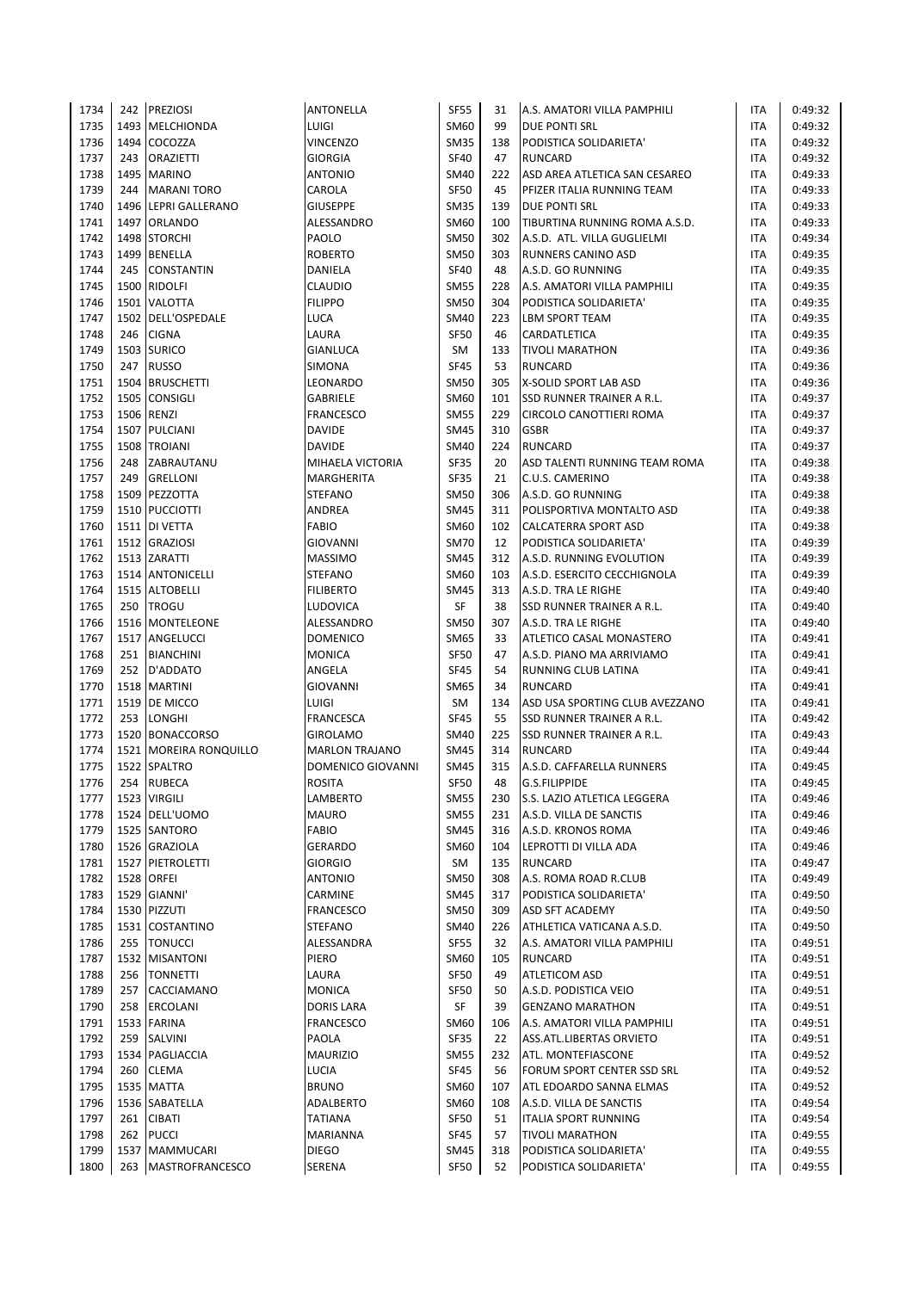| 1734 |      | 242 PREZIOSI             | ANTONELLA             | <b>SF55</b> | 31  | A.S. AMATORI VILLA PAMPHILI        | <b>ITA</b> | 0:49:32 |
|------|------|--------------------------|-----------------------|-------------|-----|------------------------------------|------------|---------|
| 1735 |      | 1493 MELCHIONDA          | LUIGI                 | <b>SM60</b> | 99  | <b>DUE PONTI SRL</b>               | <b>ITA</b> | 0:49:32 |
| 1736 |      | 1494 COCOZZA             | VINCENZO              | <b>SM35</b> | 138 | PODISTICA SOLIDARIETA'             | <b>ITA</b> | 0:49:32 |
| 1737 | 243  | <b>ORAZIETTI</b>         | <b>GIORGIA</b>        | <b>SF40</b> | 47  | <b>RUNCARD</b>                     | <b>ITA</b> | 0:49:32 |
| 1738 |      | 1495 MARINO              | <b>ANTONIO</b>        | <b>SM40</b> | 222 | ASD AREA ATLETICA SAN CESAREO      | <b>ITA</b> | 0:49:33 |
| 1739 | 244  | <b>MARANI TORO</b>       | CAROLA                | <b>SF50</b> | 45  | PFIZER ITALIA RUNNING TEAM         | <b>ITA</b> | 0:49:33 |
| 1740 |      | 1496 LEPRI GALLERANO     | <b>GIUSEPPE</b>       | <b>SM35</b> | 139 | <b>DUE PONTI SRL</b>               | <b>ITA</b> | 0:49:33 |
| 1741 |      | 1497 ORLANDO             | ALESSANDRO            | SM60        | 100 | TIBURTINA RUNNING ROMA A.S.D.      | <b>ITA</b> | 0:49:33 |
| 1742 |      | 1498 STORCHI             | PAOLO                 | <b>SM50</b> | 302 | A.S.D. ATL. VILLA GUGLIELMI        | <b>ITA</b> | 0:49:34 |
| 1743 | 1499 | <b>BENELLA</b>           | <b>ROBERTO</b>        | <b>SM50</b> | 303 | RUNNERS CANINO ASD                 | <b>ITA</b> | 0:49:35 |
| 1744 | 245  | <b>CONSTANTIN</b>        | <b>DANIELA</b>        | <b>SF40</b> | 48  | A.S.D. GO RUNNING                  | <b>ITA</b> | 0:49:35 |
| 1745 |      | 1500 RIDOLFI             | CLAUDIO               | <b>SM55</b> | 228 | A.S. AMATORI VILLA PAMPHILI        | <b>ITA</b> | 0:49:35 |
| 1746 |      | 1501 VALOTTA             | <b>FILIPPO</b>        | <b>SM50</b> | 304 | PODISTICA SOLIDARIETA'             | <b>ITA</b> | 0:49:35 |
| 1747 |      | 1502 DELL'OSPEDALE       | LUCA                  | <b>SM40</b> | 223 | <b>LBM SPORT TEAM</b>              | <b>ITA</b> | 0:49:35 |
| 1748 | 246  | <b>CIGNA</b>             | LAURA                 | <b>SF50</b> | 46  | CARDATLETICA                       | <b>ITA</b> | 0:49:35 |
| 1749 |      | 1503 SURICO              | GIANLUCA              | SM          | 133 | <b>TIVOLI MARATHON</b>             | <b>ITA</b> | 0:49:36 |
| 1750 |      | 247 RUSSO                | SIMONA                | <b>SF45</b> | 53  | <b>RUNCARD</b>                     | <b>ITA</b> | 0:49:36 |
| 1751 |      | 1504 BRUSCHETTI          | LEONARDO              | <b>SM50</b> | 305 | X-SOLID SPORT LAB ASD              | <b>ITA</b> | 0:49:36 |
| 1752 |      | 1505 CONSIGLI            | GABRIELE              | <b>SM60</b> | 101 | SSD RUNNER TRAINER A R.L.          | <b>ITA</b> | 0:49:37 |
| 1753 |      | 1506 RENZI               | <b>FRANCESCO</b>      | <b>SM55</b> | 229 | CIRCOLO CANOTTIERI ROMA            | <b>ITA</b> | 0:49:37 |
| 1754 |      | 1507 PULCIANI            | DAVIDE                | <b>SM45</b> | 310 | <b>GSBR</b>                        | <b>ITA</b> | 0:49:37 |
| 1755 |      | 1508 TROIANI             | DAVIDE                | <b>SM40</b> | 224 | <b>RUNCARD</b>                     | ITA        | 0:49:37 |
| 1756 |      | 248 ZABRAUTANU           | MIHAELA VICTORIA      | <b>SF35</b> | 20  | ASD TALENTI RUNNING TEAM ROMA      | <b>ITA</b> | 0:49:38 |
| 1757 |      | 249 GRELLONI             | MARGHERITA            | <b>SF35</b> | 21  | C.U.S. CAMERINO                    | <b>ITA</b> | 0:49:38 |
| 1758 |      | 1509 PEZZOTTA            | <b>STEFANO</b>        | <b>SM50</b> | 306 | A.S.D. GO RUNNING                  | <b>ITA</b> | 0:49:38 |
| 1759 |      | 1510 PUCCIOTTI           | ANDREA                | <b>SM45</b> | 311 | POLISPORTIVA MONTALTO ASD          | <b>ITA</b> | 0:49:38 |
| 1760 |      | 1511 DI VETTA            | <b>FABIO</b>          | SM60        | 102 | <b>CALCATERRA SPORT ASD</b>        | <b>ITA</b> | 0:49:38 |
| 1761 |      | 1512 GRAZIOSI            | <b>GIOVANNI</b>       | <b>SM70</b> | 12  | PODISTICA SOLIDARIETA'             | <b>ITA</b> | 0:49:39 |
| 1762 |      | 1513 ZARATTI             | <b>MASSIMO</b>        | <b>SM45</b> | 312 | A.S.D. RUNNING EVOLUTION           | <b>ITA</b> | 0:49:39 |
| 1763 |      | 1514 ANTONICELLI         | <b>STEFANO</b>        | <b>SM60</b> | 103 | A.S.D. ESERCITO CECCHIGNOLA        | <b>ITA</b> | 0:49:39 |
| 1764 |      | 1515 ALTOBELLI           | <b>FILIBERTO</b>      | <b>SM45</b> | 313 | A.S.D. TRA LE RIGHE                | <b>ITA</b> | 0:49:40 |
| 1765 |      | 250 TROGU                | LUDOVICA              | SF          | 38  | <b>SSD RUNNER TRAINER A R.L.</b>   | <b>ITA</b> | 0:49:40 |
| 1766 |      | 1516 MONTELEONE          | ALESSANDRO            | <b>SM50</b> | 307 | A.S.D. TRA LE RIGHE                | <b>ITA</b> | 0:49:40 |
| 1767 |      | 1517 ANGELUCCI           | <b>DOMENICO</b>       | <b>SM65</b> | 33  | ATLETICO CASAL MONASTERO           | <b>ITA</b> | 0:49:41 |
|      |      | 251 BIANCHINI            |                       | <b>SF50</b> |     | A.S.D. PIANO MA ARRIVIAMO          | <b>ITA</b> | 0:49:41 |
| 1768 |      |                          | MONICA                |             | 47  |                                    |            |         |
| 1769 |      | 252 D'ADDATO             | ANGELA                | <b>SF45</b> | 54  | RUNNING CLUB LATINA                | <b>ITA</b> | 0:49:41 |
| 1770 |      | 1518 MARTINI             | <b>GIOVANNI</b>       | <b>SM65</b> | 34  | <b>RUNCARD</b>                     | <b>ITA</b> | 0:49:41 |
| 1771 |      | 1519   DE MICCO          | LUIGI                 | SM          | 134 | ASD USA SPORTING CLUB AVEZZANO     | <b>ITA</b> | 0:49:41 |
| 1772 |      | 253 LONGHI               | FRANCESCA             | <b>SF45</b> | 55  | <b>SSD RUNNER TRAINER A R.L.</b>   | <b>ITA</b> | 0:49:42 |
| 1773 |      | 1520 BONACCORSO          | <b>GIROLAMO</b>       | SM40        | 225 | <b>SSD RUNNER TRAINER A R.L.</b>   | <b>ITA</b> | 0:49:43 |
| 1774 |      | 1521   MOREIRA RONQUILLO | <b>MARLON TRAJANO</b> | <b>SM45</b> | 314 | <b>RUNCARD</b>                     | <b>ITA</b> | 0:49:44 |
| 1775 |      | 1522 SPALTRO             | DOMENICO GIOVANNI     | SM45        | 315 | A.S.D. CAFFARELLA RUNNERS          | <b>ITA</b> | 0:49:45 |
| 1776 |      | 254 RUBECA               | <b>ROSITA</b>         | <b>SF50</b> | 48  | G.S.FILIPPIDE                      | <b>ITA</b> | 0:49:45 |
| 1777 |      | 1523 VIRGILI             | LAMBERTO              | <b>SM55</b> | 230 | <b>S.S. LAZIO ATLETICA LEGGERA</b> | ITA        | 0:49:46 |
| 1778 |      | 1524 DELL'UOMO           | <b>MAURO</b>          | <b>SM55</b> | 231 | A.S.D. VILLA DE SANCTIS            | ITA        | 0:49:46 |
| 1779 |      | 1525 SANTORO             | <b>FABIO</b>          | SM45        | 316 | A.S.D. KRONOS ROMA                 | <b>ITA</b> | 0:49:46 |
| 1780 |      | 1526 GRAZIOLA            | GERARDO               | SM60        | 104 | LEPROTTI DI VILLA ADA              | ITA        | 0:49:46 |
| 1781 |      | 1527 PIETROLETTI         | <b>GIORGIO</b>        | SM          | 135 | <b>RUNCARD</b>                     | ITA        | 0:49:47 |
| 1782 |      | 1528 ORFEI               | ANTONIO               | <b>SM50</b> | 308 | A.S. ROMA ROAD R.CLUB              | ITA        | 0:49:49 |
| 1783 |      | 1529 GIANNI'             | CARMINE               | <b>SM45</b> | 317 | PODISTICA SOLIDARIETA'             | ITA        | 0:49:50 |
| 1784 |      | 1530 PIZZUTI             | <b>FRANCESCO</b>      | <b>SM50</b> | 309 | <b>ASD SFT ACADEMY</b>             | ITA        | 0:49:50 |
| 1785 |      | 1531 COSTANTINO          | <b>STEFANO</b>        | <b>SM40</b> | 226 | ATHLETICA VATICANA A.S.D.          | <b>ITA</b> | 0:49:50 |
| 1786 | 255  | <b>TONUCCI</b>           | ALESSANDRA            | <b>SF55</b> | 32  | A.S. AMATORI VILLA PAMPHILI        | <b>ITA</b> | 0:49:51 |
| 1787 |      | 1532 MISANTONI           | PIERO                 | SM60        | 105 | <b>RUNCARD</b>                     | <b>ITA</b> | 0:49:51 |
| 1788 |      | 256   TONNETTI           | LAURA                 | <b>SF50</b> | 49  | <b>ATLETICOM ASD</b>               | ITA        | 0:49:51 |
| 1789 | 257  | CACCIAMANO               | <b>MONICA</b>         | <b>SF50</b> | 50  | A.S.D. PODISTICA VEIO              | ITA        | 0:49:51 |
| 1790 | 258  | <b>ERCOLANI</b>          | <b>DORIS LARA</b>     | SF          | 39  | <b>GENZANO MARATHON</b>            | ITA        | 0:49:51 |
| 1791 |      | 1533 FARINA              | <b>FRANCESCO</b>      | SM60        | 106 | A.S. AMATORI VILLA PAMPHILI        | ITA        | 0:49:51 |
| 1792 |      | 259 SALVINI              | PAOLA                 | <b>SF35</b> | 22  | ASS.ATL.LIBERTAS ORVIETO           | ITA        | 0:49:51 |
| 1793 |      | 1534 PAGLIACCIA          | <b>MAURIZIO</b>       | <b>SM55</b> | 232 | ATL. MONTEFIASCONE                 | ITA        | 0:49:52 |
| 1794 | 260  | <b>CLEMA</b>             | LUCIA                 | <b>SF45</b> | 56  | FORUM SPORT CENTER SSD SRL         | ITA        | 0:49:52 |
| 1795 |      | 1535 MATTA               | <b>BRUNO</b>          | SM60        | 107 | ATL EDOARDO SANNA ELMAS            | ITA        | 0:49:52 |
| 1796 |      | 1536 SABATELLA           | ADALBERTO             | SM60        | 108 | A.S.D. VILLA DE SANCTIS            | ITA        | 0:49:54 |
| 1797 | 261  | <b>CIBATI</b>            | <b>TATIANA</b>        | <b>SF50</b> | 51  | <b>ITALIA SPORT RUNNING</b>        | ITA        | 0:49:54 |
| 1798 | 262  | <b>PUCCI</b>             | MARIANNA              | SF45        | 57  | <b>TIVOLI MARATHON</b>             | ITA        | 0:49:55 |
| 1799 |      | 1537 MAMMUCARI           | <b>DIEGO</b>          | SM45        | 318 | PODISTICA SOLIDARIETA'             | ITA        | 0:49:55 |
| 1800 | 263  | <b>MASTROFRANCESCO</b>   | SERENA                | <b>SF50</b> | 52  | PODISTICA SOLIDARIETA'             | <b>ITA</b> | 0:49:55 |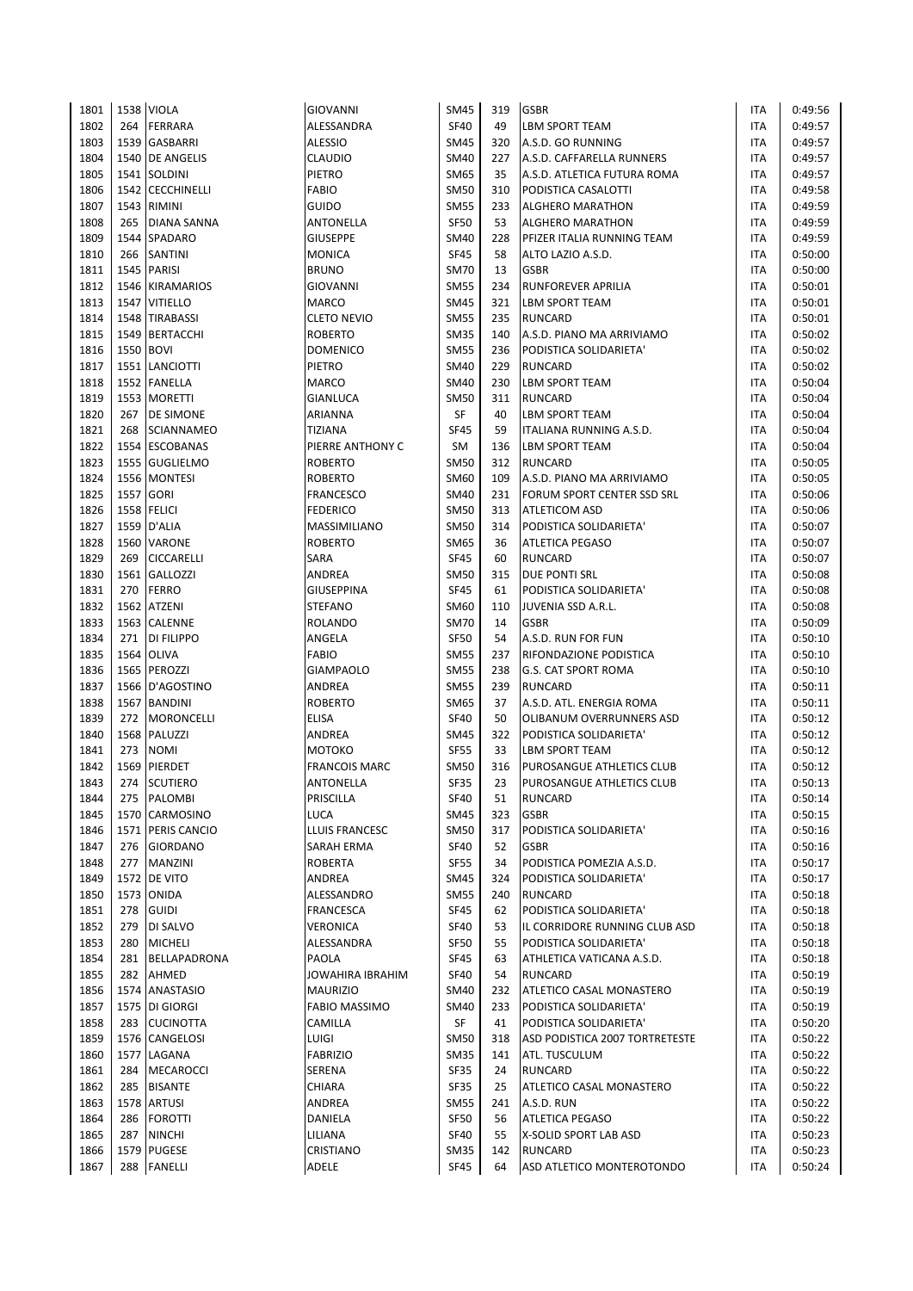| 1801 |           | 1538 VIOLA        | <b>GIOVANNI</b>                 | <b>SM45</b> | 319 | <b>GSBR</b>                    | <b>ITA</b> | 0:49:56 |
|------|-----------|-------------------|---------------------------------|-------------|-----|--------------------------------|------------|---------|
| 1802 | 264       | <b>FERRARA</b>    | ALESSANDRA                      | <b>SF40</b> | 49  | <b>LBM SPORT TEAM</b>          | <b>ITA</b> | 0:49:57 |
| 1803 | 1539      | <b>GASBARRI</b>   | <b>ALESSIO</b>                  | <b>SM45</b> | 320 | A.S.D. GO RUNNING              | <b>ITA</b> | 0:49:57 |
| 1804 |           | 1540 DE ANGELIS   | <b>CLAUDIO</b>                  | <b>SM40</b> | 227 | A.S.D. CAFFARELLA RUNNERS      | <b>ITA</b> | 0:49:57 |
| 1805 |           | 1541 SOLDINI      | PIETRO                          | <b>SM65</b> | 35  | A.S.D. ATLETICA FUTURA ROMA    | <b>ITA</b> | 0:49:57 |
| 1806 |           | 1542 CECCHINELLI  | <b>FABIO</b>                    | <b>SM50</b> | 310 | PODISTICA CASALOTTI            | <b>ITA</b> | 0:49:58 |
| 1807 | 1543      | <b>RIMINI</b>     | <b>GUIDO</b>                    | <b>SM55</b> | 233 | <b>ALGHERO MARATHON</b>        | <b>ITA</b> | 0:49:59 |
| 1808 | 265       | DIANA SANNA       | ANTONELLA                       | <b>SF50</b> | 53  | <b>ALGHERO MARATHON</b>        | <b>ITA</b> | 0:49:59 |
| 1809 |           | 1544 SPADARO      | <b>GIUSEPPE</b>                 | <b>SM40</b> | 228 | PFIZER ITALIA RUNNING TEAM     | <b>ITA</b> | 0:49:59 |
| 1810 | 266       | <b>SANTINI</b>    | <b>MONICA</b>                   | <b>SF45</b> | 58  | ALTO LAZIO A.S.D.              | <b>ITA</b> | 0:50:00 |
| 1811 | 1545      | <b>PARISI</b>     | <b>BRUNO</b>                    | <b>SM70</b> | 13  | <b>GSBR</b>                    | <b>ITA</b> | 0:50:00 |
| 1812 |           | 1546 KIRAMARIOS   | <b>GIOVANNI</b>                 | <b>SM55</b> | 234 | RUNFOREVER APRILIA             | <b>ITA</b> | 0:50:01 |
| 1813 |           | 1547 VITIELLO     | <b>MARCO</b>                    | <b>SM45</b> | 321 | <b>LBM SPORT TEAM</b>          | <b>ITA</b> | 0:50:01 |
| 1814 |           | 1548 TIRABASSI    | <b>CLETO NEVIO</b>              | <b>SM55</b> | 235 | <b>RUNCARD</b>                 | <b>ITA</b> | 0:50:01 |
| 1815 | 1549      | <b>BERTACCHI</b>  | <b>ROBERTO</b>                  | <b>SM35</b> | 140 | A.S.D. PIANO MA ARRIVIAMO      | <b>ITA</b> | 0:50:02 |
| 1816 | 1550 BOVI |                   | <b>DOMENICO</b>                 | <b>SM55</b> | 236 | PODISTICA SOLIDARIETA'         | <b>ITA</b> | 0:50:02 |
| 1817 |           | 1551 LANCIOTTI    | PIETRO                          | SM40        | 229 | <b>RUNCARD</b>                 | <b>ITA</b> | 0:50:02 |
| 1818 |           | 1552 FANELLA      | <b>MARCO</b>                    | <b>SM40</b> | 230 | <b>LBM SPORT TEAM</b>          | <b>ITA</b> | 0:50:04 |
| 1819 | 1553      | <b>MORETTI</b>    | GIANLUCA                        | <b>SM50</b> | 311 | <b>RUNCARD</b>                 | <b>ITA</b> | 0:50:04 |
| 1820 | 267       | <b>DE SIMONE</b>  | ARIANNA                         | SF          | 40  | LBM SPORT TEAM                 | <b>ITA</b> | 0:50:04 |
| 1821 | 268       | <b>SCIANNAMEO</b> | <b>TIZIANA</b>                  | <b>SF45</b> | 59  | ITALIANA RUNNING A.S.D.        | <b>ITA</b> | 0:50:04 |
| 1822 |           | 1554 ESCOBANAS    | PIERRE ANTHONY C                | <b>SM</b>   | 136 | <b>LBM SPORT TEAM</b>          | <b>ITA</b> | 0:50:04 |
| 1823 |           | 1555 GUGLIELMO    | <b>ROBERTO</b>                  | <b>SM50</b> | 312 | <b>RUNCARD</b>                 | <b>ITA</b> | 0:50:05 |
| 1824 |           | 1556 MONTESI      | <b>ROBERTO</b>                  | <b>SM60</b> | 109 | A.S.D. PIANO MA ARRIVIAMO      | <b>ITA</b> | 0:50:05 |
| 1825 | 1557 GORI |                   | <b>FRANCESCO</b>                | <b>SM40</b> | 231 | FORUM SPORT CENTER SSD SRL     | <b>ITA</b> | 0:50:06 |
| 1826 |           | 1558 FELICI       | <b>FEDERICO</b>                 | <b>SM50</b> | 313 | <b>ATLETICOM ASD</b>           | <b>ITA</b> | 0:50:06 |
| 1827 |           | 1559 D'ALIA       | MASSIMILIANO                    | <b>SM50</b> | 314 | PODISTICA SOLIDARIETA'         | <b>ITA</b> | 0:50:07 |
| 1828 |           | 1560 VARONE       | <b>ROBERTO</b>                  | <b>SM65</b> | 36  | <b>ATLETICA PEGASO</b>         | <b>ITA</b> | 0:50:07 |
| 1829 | 269       | <b>CICCARELLI</b> | SARA                            | <b>SF45</b> | 60  | <b>RUNCARD</b>                 | <b>ITA</b> | 0:50:07 |
| 1830 | 1561      | <b>GALLOZZI</b>   | ANDREA                          | <b>SM50</b> | 315 | <b>DUE PONTI SRL</b>           | <b>ITA</b> | 0:50:08 |
| 1831 | 270       | <b>FERRO</b>      | <b>GIUSEPPINA</b>               | <b>SF45</b> | 61  | PODISTICA SOLIDARIETA'         | <b>ITA</b> | 0:50:08 |
| 1832 |           | 1562 ATZENI       | <b>STEFANO</b>                  | SM60        | 110 | JUVENIA SSD A.R.L.             | <b>ITA</b> | 0:50:08 |
| 1833 |           | 1563 CALENNE      | <b>ROLANDO</b>                  | <b>SM70</b> | 14  | <b>GSBR</b>                    | <b>ITA</b> | 0:50:09 |
| 1834 | 271       | DI FILIPPO        | ANGELA                          | <b>SF50</b> | 54  | A.S.D. RUN FOR FUN             | <b>ITA</b> | 0:50:10 |
| 1835 |           | 1564 OLIVA        | <b>FABIO</b>                    | <b>SM55</b> | 237 | RIFONDAZIONE PODISTICA         | <b>ITA</b> | 0:50:10 |
| 1836 |           | 1565 PEROZZI      | <b>GIAMPAOLO</b>                | <b>SM55</b> | 238 | <b>G.S. CAT SPORT ROMA</b>     | <b>ITA</b> | 0:50:10 |
| 1837 |           | 1566 D'AGOSTINO   | ANDREA                          | <b>SM55</b> | 239 | <b>RUNCARD</b>                 | <b>ITA</b> | 0:50:11 |
| 1838 |           | 1567 BANDINI      | <b>ROBERTO</b>                  | <b>SM65</b> | 37  | A.S.D. ATL. ENERGIA ROMA       | <b>ITA</b> | 0:50:11 |
| 1839 | 272       | <b>MORONCELLI</b> | <b>ELISA</b>                    | <b>SF40</b> | 50  | OLIBANUM OVERRUNNERS ASD       | <b>ITA</b> | 0:50:12 |
| 1840 |           | 1568 PALUZZI      | <b>ANDREA</b>                   | <b>SM45</b> | 322 | PODISTICA SOLIDARIETA'         | <b>ITA</b> | 0:50:12 |
| 1841 | 273       | <b>NOMI</b>       | МОТОКО                          | <b>SF55</b> | 33  | <b>LBM SPORT TEAM</b>          | <b>ITA</b> | 0:50:12 |
| 1842 | 1569      | <b>PIERDET</b>    | <b>FRANCOIS MARC</b>            | <b>SM50</b> | 316 | PUROSANGUE ATHLETICS CLUB      | <b>ITA</b> | 0:50:12 |
| 1843 |           | 274 SCUTIERO      | <b>ANTONELLA</b>                | <b>SF35</b> | 23  | PUROSANGUE ATHLETICS CLUB      | <b>ITA</b> | 0:50:13 |
| 1844 | 275       | <b>PALOMBI</b>    | PRISCILLA                       | <b>SF40</b> | 51  | <b>RUNCARD</b>                 | <b>ITA</b> | 0:50:14 |
| 1845 |           | 1570 CARMOSINO    | LUCA                            | <b>SM45</b> | 323 | <b>GSBR</b>                    | <b>ITA</b> | 0:50:15 |
| 1846 | 1571      | PERIS CANCIO      | LLUIS FRANCESC                  | <b>SM50</b> | 317 | PODISTICA SOLIDARIETA'         | ITA        | 0:50:16 |
| 1847 | 276       | <b>GIORDANO</b>   | SARAH ERMA                      | <b>SF40</b> | 52  | <b>GSBR</b>                    | <b>ITA</b> | 0:50:16 |
| 1848 | 277       | <b>MANZINI</b>    | <b>ROBERTA</b>                  | <b>SF55</b> | 34  | PODISTICA POMEZIA A.S.D.       | <b>ITA</b> | 0:50:17 |
| 1849 |           | 1572 DE VITO      | ANDREA                          | <b>SM45</b> | 324 | PODISTICA SOLIDARIETA'         | ITA        | 0:50:17 |
| 1850 | 1573      | <b>ONIDA</b>      | ALESSANDRO                      | <b>SM55</b> | 240 | <b>RUNCARD</b>                 | ITA        | 0:50:18 |
| 1851 | 278       | <b>GUIDI</b>      | <b>FRANCESCA</b>                | <b>SF45</b> | 62  | PODISTICA SOLIDARIETA'         | <b>ITA</b> | 0:50:18 |
| 1852 | 279       | DI SALVO          | VERONICA                        | <b>SF40</b> | 53  | IL CORRIDORE RUNNING CLUB ASD  | <b>ITA</b> | 0:50:18 |
| 1853 | 280       | <b>MICHELI</b>    | ALESSANDRA                      | SF50        | 55  | PODISTICA SOLIDARIETA'         | ITA        | 0:50:18 |
| 1854 | 281       | BELLAPADRONA      | PAOLA                           | SF45        | 63  | ATHLETICA VATICANA A.S.D.      | <b>ITA</b> | 0:50:18 |
| 1855 | 282       | AHMED             | JOWAHIRA IBRAHIM                | <b>SF40</b> | 54  | RUNCARD                        | <b>ITA</b> | 0:50:19 |
| 1856 |           | 1574 ANASTASIO    | <b>MAURIZIO</b>                 | SM40        | 232 | ATLETICO CASAL MONASTERO       | <b>ITA</b> | 0:50:19 |
| 1857 |           | 1575 DI GIORGI    |                                 | <b>SM40</b> | 233 | PODISTICA SOLIDARIETA'         | ITA        | 0:50:19 |
| 1858 | 283       | <b>CUCINOTTA</b>  | <b>FABIO MASSIMO</b><br>CAMILLA | SF          | 41  | PODISTICA SOLIDARIETA'         | <b>ITA</b> | 0:50:20 |
| 1859 |           | 1576 CANGELOSI    | LUIGI                           | <b>SM50</b> | 318 | ASD PODISTICA 2007 TORTRETESTE | <b>ITA</b> | 0:50:22 |
| 1860 | 1577      | LAGANA            | <b>FABRIZIO</b>                 | <b>SM35</b> | 141 | ATL. TUSCULUM                  | <b>ITA</b> | 0:50:22 |
| 1861 | 284       | <b>MECAROCCI</b>  | SERENA                          | SF35        | 24  | RUNCARD                        | ITA        | 0:50:22 |
| 1862 | 285       | <b>BISANTE</b>    | CHIARA                          | SF35        | 25  | ATLETICO CASAL MONASTERO       | <b>ITA</b> | 0:50:22 |
| 1863 |           | 1578 ARTUSI       | ANDREA                          | <b>SM55</b> | 241 | A.S.D. RUN                     | ITA        | 0:50:22 |
| 1864 | 286       | <b>FOROTTI</b>    | DANIELA                         | <b>SF50</b> | 56  | <b>ATLETICA PEGASO</b>         | ITA        | 0:50:22 |
| 1865 | 287       | <b>NINCHI</b>     | LILIANA                         | <b>SF40</b> | 55  | X-SOLID SPORT LAB ASD          | ITA        | 0:50:23 |
| 1866 |           | 1579 PUGESE       | CRISTIANO                       | <b>SM35</b> | 142 | <b>RUNCARD</b>                 | <b>ITA</b> | 0:50:23 |
| 1867 |           | 288 FANELLI       | ADELE                           | SF45        | 64  | ASD ATLETICO MONTEROTONDO      | <b>ITA</b> | 0:50:24 |
|      |           |                   |                                 |             |     |                                |            |         |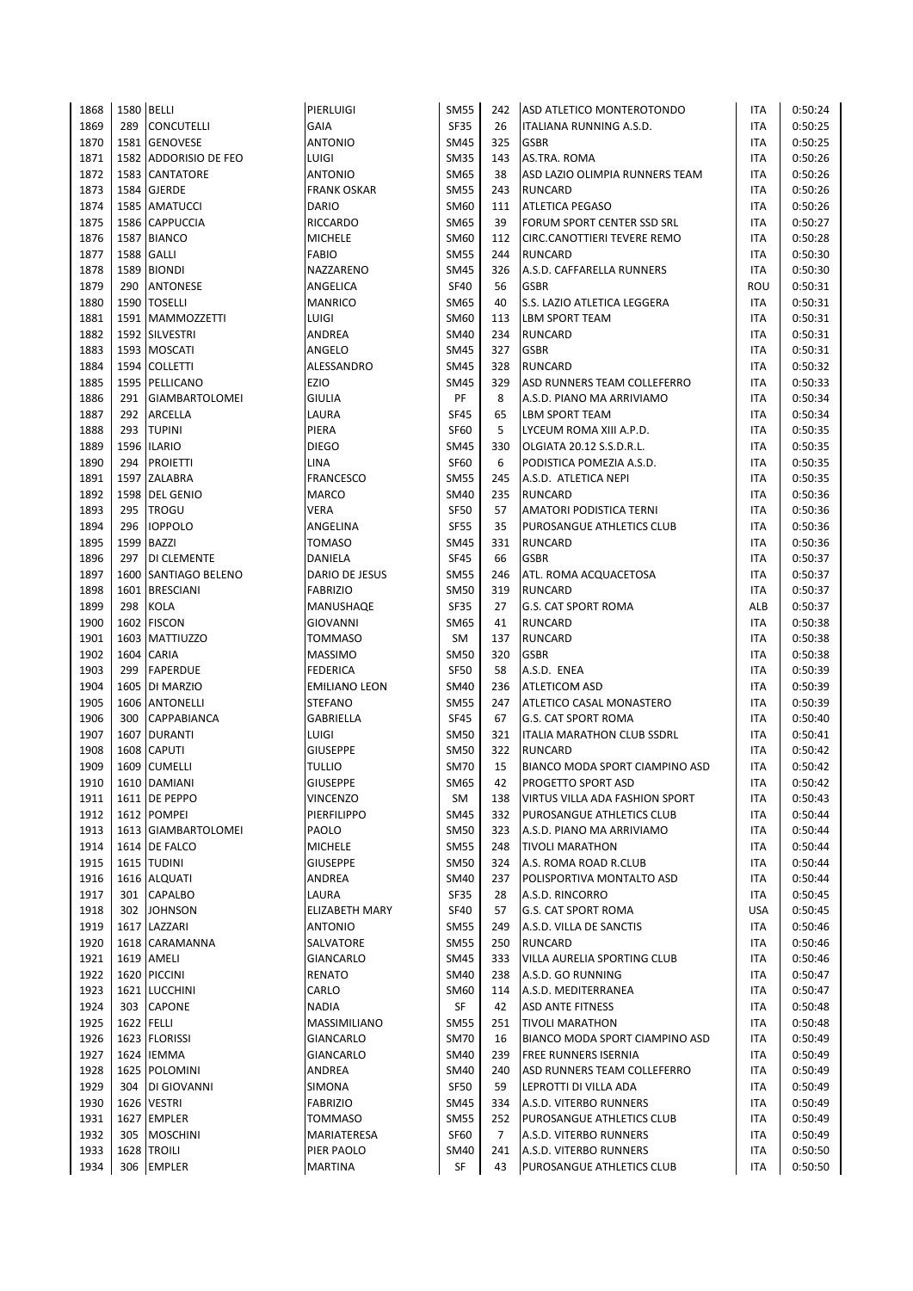| 1868         | 1580 BELLI |                                | PIERLUIGI               | <b>SM55</b>                | 242 | ASD ATLETICO MONTEROTONDO                          | <b>ITA</b> | 0:50:24            |
|--------------|------------|--------------------------------|-------------------------|----------------------------|-----|----------------------------------------------------|------------|--------------------|
| 1869         | 289        | <b>CONCUTELLI</b>              | GAIA                    | <b>SF35</b>                | 26  | ITALIANA RUNNING A.S.D.                            | <b>ITA</b> | 0:50:25            |
| 1870         | 1581       | <b>GENOVESE</b>                | <b>ANTONIO</b>          | <b>SM45</b>                | 325 | <b>GSBR</b>                                        | <b>ITA</b> | 0:50:25            |
| 1871         |            | 1582 ADDORISIO DE FEO          | LUIGI                   | <b>SM35</b>                | 143 | AS.TRA. ROMA                                       | <b>ITA</b> | 0:50:26            |
| 1872         |            | 1583 CANTATORE                 | <b>ANTONIO</b>          | SM65                       | 38  | ASD LAZIO OLIMPIA RUNNERS TEAM                     | <b>ITA</b> | 0:50:26            |
| 1873         | 1584       | <b>GJERDE</b>                  | <b>FRANK OSKAR</b>      | <b>SM55</b>                | 243 | <b>RUNCARD</b>                                     | <b>ITA</b> | 0:50:26            |
| 1874         |            | 1585 AMATUCCI                  | <b>DARIO</b>            | SM60                       | 111 | <b>ATLETICA PEGASO</b>                             | <b>ITA</b> | 0:50:26            |
| 1875         |            | 1586 CAPPUCCIA                 | <b>RICCARDO</b>         | SM65                       | 39  | FORUM SPORT CENTER SSD SRL                         | <b>ITA</b> | 0:50:27            |
| 1876         |            | 1587 BIANCO                    | <b>MICHELE</b>          | SM60                       | 112 | <b>CIRC.CANOTTIERI TEVERE REMO</b>                 | <b>ITA</b> | 0:50:28            |
| 1877         | 1588       | <b>GALLI</b>                   | <b>FABIO</b>            | <b>SM55</b>                | 244 | <b>RUNCARD</b>                                     | <b>ITA</b> | 0:50:30            |
| 1878         | 1589       | <b>BIONDI</b>                  | NAZZARENO               | <b>SM45</b>                | 326 | A.S.D. CAFFARELLA RUNNERS                          | <b>ITA</b> | 0:50:30            |
| 1879         | 290        | <b>ANTONESE</b>                | ANGELICA                | <b>SF40</b>                | 56  | <b>GSBR</b>                                        | ROU        | 0:50:31            |
| 1880         |            | 1590 TOSELLI                   | <b>MANRICO</b>          | <b>SM65</b>                | 40  | S.S. LAZIO ATLETICA LEGGERA                        | <b>ITA</b> | 0:50:31            |
| 1881         |            | 1591 MAMMOZZETTI               | LUIGI                   | SM60                       | 113 | <b>LBM SPORT TEAM</b>                              | <b>ITA</b> | 0:50:31            |
| 1882         |            | 1592 SILVESTRI                 | ANDREA                  | SM40                       | 234 | <b>RUNCARD</b>                                     | <b>ITA</b> | 0:50:31            |
| 1883         |            | 1593 MOSCATI                   | ANGELO                  | <b>SM45</b>                | 327 | <b>GSBR</b>                                        | <b>ITA</b> | 0:50:31            |
| 1884         |            | 1594 COLLETTI                  | ALESSANDRO              | <b>SM45</b>                | 328 | <b>RUNCARD</b>                                     | <b>ITA</b> | 0:50:32            |
| 1885         | 1595       | PELLICANO                      | EZIO                    | <b>SM45</b>                | 329 | ASD RUNNERS TEAM COLLEFERRO                        | <b>ITA</b> | 0:50:33            |
| 1886         | 291        | <b>GIAMBARTOLOMEI</b>          | <b>GIULIA</b>           | PF                         | 8   | A.S.D. PIANO MA ARRIVIAMO                          | <b>ITA</b> | 0:50:34            |
| 1887         | 292        | <b>ARCELLA</b>                 | LAURA                   | <b>SF45</b>                | 65  | LBM SPORT TEAM                                     | <b>ITA</b> | 0:50:34            |
| 1888         | 293        | <b>TUPINI</b>                  | PIERA                   | <b>SF60</b>                | 5   | LYCEUM ROMA XIII A.P.D.                            | <b>ITA</b> | 0:50:35            |
| 1889         | 1596       | <b>ILARIO</b>                  | <b>DIEGO</b>            | <b>SM45</b>                | 330 | OLGIATA 20.12 S.S.D.R.L.                           | <b>ITA</b> | 0:50:35            |
| 1890         | 294        | <b>PROIETTI</b>                | LINA                    | <b>SF60</b>                | 6   | PODISTICA POMEZIA A.S.D.                           | <b>ITA</b> | 0:50:35            |
| 1891         |            | 1597 ZALABRA                   | <b>FRANCESCO</b>        | <b>SM55</b>                | 245 | A.S.D. ATLETICA NEPI                               | <b>ITA</b> | 0:50:35            |
| 1892         | 1598       | <b>DEL GENIO</b>               | <b>MARCO</b>            | <b>SM40</b>                | 235 | <b>RUNCARD</b>                                     | <b>ITA</b> | 0:50:36            |
| 1893         | 295        | <b>TROGU</b>                   | VERA                    | <b>SF50</b>                | 57  | AMATORI PODISTICA TERNI                            | <b>ITA</b> | 0:50:36            |
| 1894         | 296        | <b>IOPPOLO</b>                 | ANGELINA                | <b>SF55</b>                | 35  | PUROSANGUE ATHLETICS CLUB                          | <b>ITA</b> | 0:50:36            |
| 1895         | 1599       | <b>BAZZI</b>                   | <b>TOMASO</b>           | <b>SM45</b>                | 331 | <b>RUNCARD</b>                                     | <b>ITA</b> | 0:50:36            |
| 1896         | 297        | DI CLEMENTE                    | DANIELA                 | <b>SF45</b>                | 66  | <b>GSBR</b>                                        | <b>ITA</b> | 0:50:37            |
| 1897         |            | 1600 SANTIAGO BELENO           | DARIO DE JESUS          | <b>SM55</b>                | 246 | ATL. ROMA ACQUACETOSA                              | <b>ITA</b> | 0:50:37            |
| 1898         |            | 1601 BRESCIANI                 | <b>FABRIZIO</b>         | <b>SM50</b>                | 319 | <b>RUNCARD</b>                                     | <b>ITA</b> | 0:50:37            |
| 1899         | 298        | <b>KOLA</b>                    | MANUSHAQE               | <b>SF35</b>                | 27  | <b>G.S. CAT SPORT ROMA</b>                         | ALB        | 0:50:37            |
| 1900         | 1602       | <b>FISCON</b>                  | <b>GIOVANNI</b>         | SM65                       | 41  | <b>RUNCARD</b>                                     | <b>ITA</b> | 0:50:38            |
| 1901         | 1603       | <b>MATTIUZZO</b>               | <b>TOMMASO</b>          | SM                         | 137 | <b>RUNCARD</b>                                     | <b>ITA</b> | 0:50:38            |
| 1902         |            | 1604 CARIA                     | <b>MASSIMO</b>          | <b>SM50</b>                | 320 | <b>GSBR</b>                                        | <b>ITA</b> | 0:50:38            |
| 1903         | 299        | <b>FAPERDUE</b>                | <b>FEDERICA</b>         | <b>SF50</b>                | 58  | A.S.D. ENEA                                        | <b>ITA</b> | 0:50:39            |
| 1904         | 1605       | DI MARZIO                      | <b>EMILIANO LEON</b>    | <b>SM40</b>                | 236 | <b>ATLETICOM ASD</b>                               | <b>ITA</b> | 0:50:39            |
| 1905         |            | 1606 ANTONELLI                 | <b>STEFANO</b>          | <b>SM55</b>                | 247 | ATLETICO CASAL MONASTERO                           | <b>ITA</b> | 0:50:39            |
| 1906         | 300        | CAPPABIANCA                    | GABRIELLA               | <b>SF45</b>                | 67  | <b>G.S. CAT SPORT ROMA</b>                         | <b>ITA</b> | 0:50:40            |
| 1907         | 1607       | <b>DURANTI</b>                 | LUIGI                   | <b>SM50</b>                | 321 | <b>ITALIA MARATHON CLUB SSDRL</b>                  | <b>ITA</b> | 0:50:41            |
| 1908         | 1608       | <b>CAPUTI</b>                  | <b>GIUSEPPE</b>         | <b>SM50</b>                | 322 | <b>RUNCARD</b>                                     | <b>ITA</b> | 0:50:42            |
| 1909         |            | 1609 CUMELLI                   | <b>TULLIO</b>           | <b>SM70</b>                | 15  | BIANCO MODA SPORT CIAMPINO ASD                     | <b>ITA</b> | 0:50:42            |
|              |            | 1610 DAMIANI                   | <b>GIUSEPPE</b>         |                            | 42  | <b>PROGETTO SPORT ASD</b>                          | <b>ITA</b> | 0:50:42            |
| 1910         |            |                                |                         | SM65                       |     |                                                    |            |                    |
| 1911<br>1912 |            | 1611   DE PEPPO<br>1612 POMPEI | VINCENZO<br>PIERFILIPPO | SM                         | 138 | VIRTUS VILLA ADA FASHION SPORT                     | ITA        | 0:50:43<br>0:50:44 |
|              |            |                                |                         | <b>SM45</b>                | 332 | PUROSANGUE ATHLETICS CLUB                          | <b>ITA</b> |                    |
| 1913         |            | 1613 GIAMBARTOLOMEI            | PAOLO                   | <b>SM50</b><br><b>SM55</b> | 323 | A.S.D. PIANO MA ARRIVIAMO                          | <b>ITA</b> | 0:50:44            |
| 1914         |            | 1614 DE FALCO                  | <b>MICHELE</b>          |                            | 248 | <b>TIVOLI MARATHON</b>                             | <b>ITA</b> | 0:50:44            |
| 1915         |            | 1615 TUDINI                    | <b>GIUSEPPE</b>         | <b>SM50</b>                | 324 | A.S. ROMA ROAD R.CLUB<br>POLISPORTIVA MONTALTO ASD | ITA        | 0:50:44            |
| 1916         |            | 1616 ALQUATI                   | ANDREA                  | <b>SM40</b>                | 237 |                                                    | ITA        | 0:50:44            |
| 1917         |            | 301 CAPALBO                    | LAURA                   | SF35                       | 28  | A.S.D. RINCORRO                                    | <b>ITA</b> | 0:50:45            |
| 1918         | 302        | <b>JOHNSON</b>                 | ELIZABETH MARY          | <b>SF40</b>                | 57  | <b>G.S. CAT SPORT ROMA</b>                         | <b>USA</b> | 0:50:45            |
| 1919         | 1617       | LAZZARI                        | <b>ANTONIO</b>          | <b>SM55</b>                | 249 | A.S.D. VILLA DE SANCTIS                            | ITA        | 0:50:46            |
| 1920         |            | 1618 CARAMANNA                 | SALVATORE               | <b>SM55</b>                | 250 | <b>RUNCARD</b>                                     | ITA        | 0:50:46            |
| 1921         |            | 1619 AMELI                     | GIANCARLO               | <b>SM45</b>                | 333 | VILLA AURELIA SPORTING CLUB                        | ITA        | 0:50:46            |
| 1922         |            | 1620 PICCINI                   | RENATO                  | <b>SM40</b>                | 238 | A.S.D. GO RUNNING                                  | ITA        | 0:50:47            |
| 1923         |            | 1621 LUCCHINI                  | CARLO                   | <b>SM60</b>                | 114 | A.S.D. MEDITERRANEA                                | ITA        | 0:50:47            |
| 1924         | 303        | <b>CAPONE</b>                  | <b>NADIA</b>            | SF                         | 42  | <b>ASD ANTE FITNESS</b>                            | ITA        | 0:50:48            |
| 1925         | 1622 FELLI |                                | MASSIMILIANO            | <b>SM55</b>                | 251 | <b>TIVOLI MARATHON</b>                             | ITA        | 0:50:48            |
| 1926         |            | 1623 FLORISSI                  | GIANCARLO               | <b>SM70</b>                | 16  | BIANCO MODA SPORT CIAMPINO ASD                     | <b>ITA</b> | 0:50:49            |
| 1927         | 1624       | <b>IEMMA</b>                   | GIANCARLO               | SM40                       | 239 | <b>FREE RUNNERS ISERNIA</b>                        | ITA        | 0:50:49            |
| 1928         |            | 1625 POLOMINI                  | ANDREA                  | SM40                       | 240 | ASD RUNNERS TEAM COLLEFERRO                        | <b>ITA</b> | 0:50:49            |
| 1929         | 304        | DI GIOVANNI                    | SIMONA                  | SF50                       | 59  | LEPROTTI DI VILLA ADA                              | <b>ITA</b> | 0:50:49            |
| 1930         |            | 1626 VESTRI                    | <b>FABRIZIO</b>         | SM45                       | 334 | A.S.D. VITERBO RUNNERS                             | <b>ITA</b> | 0:50:49            |
| 1931         | 1627       | <b>EMPLER</b>                  | <b>TOMMASO</b>          | <b>SM55</b>                | 252 | PUROSANGUE ATHLETICS CLUB                          | ITA        | 0:50:49            |
| 1932         | 305        | <b>MOSCHINI</b>                | MARIATERESA             | SF60                       | 7   | A.S.D. VITERBO RUNNERS                             | <b>ITA</b> | 0:50:49            |
| 1933         |            | 1628 TROILI                    | PIER PAOLO              | SM40                       | 241 | A.S.D. VITERBO RUNNERS                             | ITA        | 0:50:50            |
| 1934         |            | 306 EMPLER                     | <b>MARTINA</b>          | SF                         | 43  | PUROSANGUE ATHLETICS CLUB                          | <b>ITA</b> | 0:50:50            |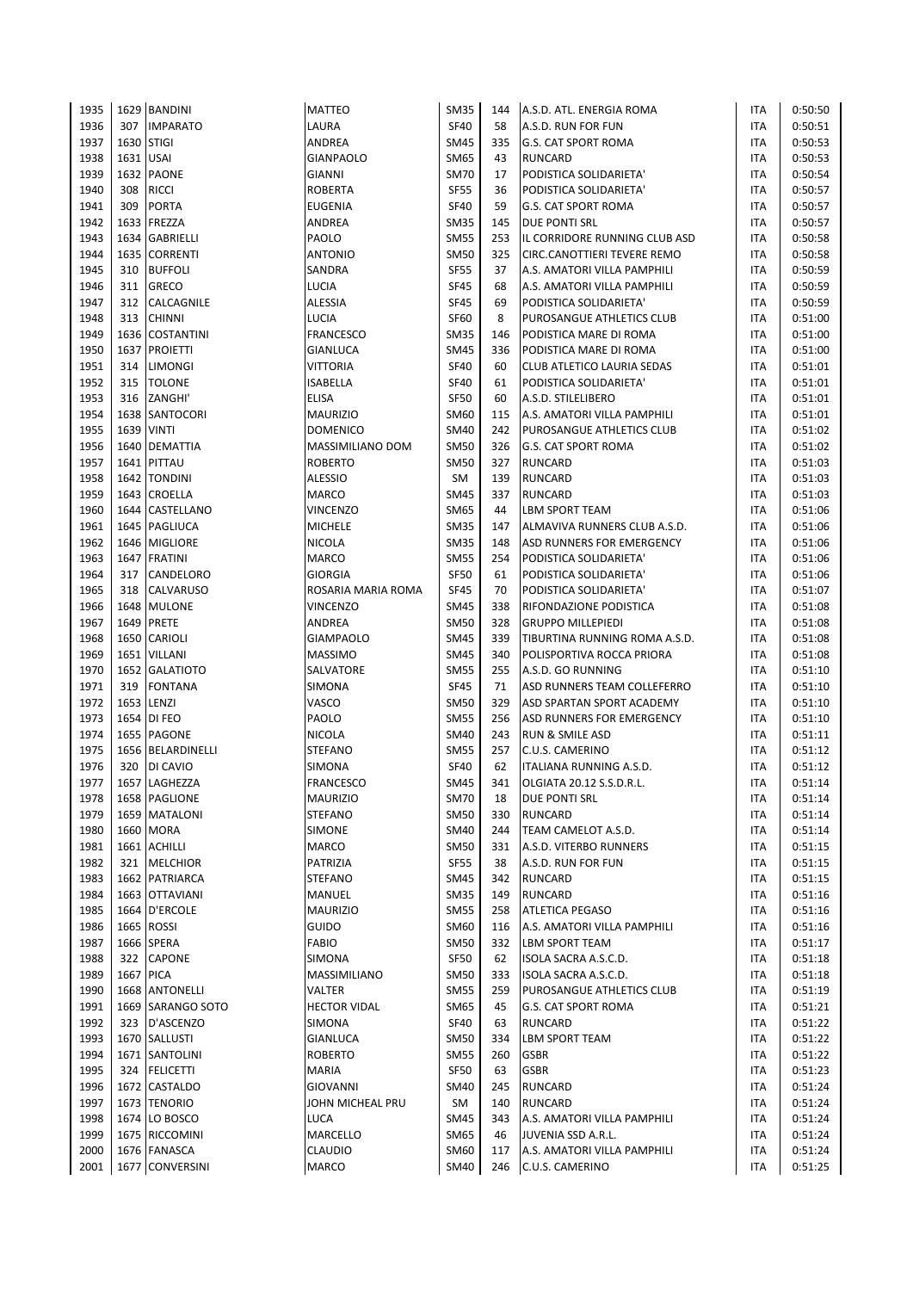| 1935         |            | 1629 BANDINI                   | <b>MATTEO</b>              | <b>SM35</b>                | 144       | A.S.D. ATL. ENERGIA ROMA        | ITA        | 0:50:50            |
|--------------|------------|--------------------------------|----------------------------|----------------------------|-----------|---------------------------------|------------|--------------------|
| 1936         | 307        | <b>IMPARATO</b>                | LAURA                      | <b>SF40</b>                | 58        | A.S.D. RUN FOR FUN              | ITA        | 0:50:51            |
| 1937         | 1630 STIGI |                                | ANDREA                     | <b>SM45</b>                | 335       | <b>G.S. CAT SPORT ROMA</b>      | ITA        | 0:50:53            |
| 1938         | 1631 USAI  |                                | <b>GIANPAOLO</b>           | SM65                       | 43        | <b>RUNCARD</b>                  | ITA        | 0:50:53            |
| 1939         |            | 1632 PAONE                     | GIANNI                     | <b>SM70</b>                | 17        | PODISTICA SOLIDARIETA'          | ITA        | 0:50:54            |
| 1940         | 308        | <b>RICCI</b>                   | <b>ROBERTA</b>             | <b>SF55</b>                | 36        | PODISTICA SOLIDARIETA'          | ITA        | 0:50:57            |
| 1941         | 309        | <b>PORTA</b>                   | <b>EUGENIA</b>             | <b>SF40</b>                | 59        | <b>G.S. CAT SPORT ROMA</b>      | ITA        | 0:50:57            |
| 1942         |            | 1633 FREZZA                    | ANDREA                     | <b>SM35</b>                | 145       | <b>DUE PONTI SRL</b>            | ITA        | 0:50:57            |
| 1943         |            | 1634 GABRIELLI                 | PAOLO                      | <b>SM55</b>                | 253       | IL CORRIDORE RUNNING CLUB ASD   | <b>ITA</b> | 0:50:58            |
| 1944         |            | 1635 CORRENTI                  | <b>ANTONIO</b>             | <b>SM50</b>                | 325       | CIRC.CANOTTIERI TEVERE REMO     | ITA        | 0:50:58            |
| 1945         | 310        | <b>BUFFOLI</b>                 | SANDRA                     | <b>SF55</b>                | 37        | A.S. AMATORI VILLA PAMPHILI     | ITA        | 0:50:59            |
| 1946         | 311        | <b>GRECO</b>                   | LUCIA                      | <b>SF45</b>                | 68        | A.S. AMATORI VILLA PAMPHILI     | ITA        | 0:50:59            |
| 1947         | 312        | CALCAGNILE                     | ALESSIA                    | <b>SF45</b>                | 69        | PODISTICA SOLIDARIETA'          | ITA        | 0:50:59            |
| 1948         | 313        | <b>CHINNI</b>                  | LUCIA                      | <b>SF60</b>                | 8         | PUROSANGUE ATHLETICS CLUB       | ITA        | 0:51:00            |
| 1949         |            | 1636 COSTANTINI                | <b>FRANCESCO</b>           | <b>SM35</b>                | 146       | PODISTICA MARE DI ROMA          | ITA        | 0:51:00            |
| 1950         |            | 1637 PROIETTI                  | GIANLUCA                   | <b>SM45</b>                | 336       | PODISTICA MARE DI ROMA          | ITA        | 0:51:00            |
| 1951         | 314        | <b>LIMONGI</b>                 | VITTORIA                   | <b>SF40</b>                | 60        | CLUB ATLETICO LAURIA SEDAS      | ITA        | 0:51:01            |
| 1952         | 315        | <b>TOLONE</b>                  | <b>ISABELLA</b>            | <b>SF40</b>                | 61        | PODISTICA SOLIDARIETA'          | ITA        | 0:51:01            |
| 1953         | 316        | ZANGHI'                        | ELISA                      | SF50                       | 60        | A.S.D. STILELIBERO              | ITA        | 0:51:01            |
| 1954         |            | 1638 SANTOCORI                 | <b>MAURIZIO</b>            | <b>SM60</b>                | 115       | A.S. AMATORI VILLA PAMPHILI     | ITA        | 0:51:01            |
| 1955         |            | <b>1639 VINTI</b>              | <b>DOMENICO</b>            | <b>SM40</b>                | 242       | PUROSANGUE ATHLETICS CLUB       | ITA        | 0:51:02            |
| 1956         |            | 1640 DEMATTIA                  | MASSIMILIANO DOM           | <b>SM50</b>                | 326       | <b>G.S. CAT SPORT ROMA</b>      | ITA        | 0:51:02            |
| 1957         |            | 1641 PITTAU                    | <b>ROBERTO</b>             | <b>SM50</b>                | 327       | <b>RUNCARD</b>                  | ITA        | 0:51:03            |
| 1958         |            | 1642 TONDINI                   | ALESSIO                    | <b>SM</b>                  | 139       | <b>RUNCARD</b>                  | ITA        | 0:51:03            |
| 1959         |            | 1643 CROELLA                   | <b>MARCO</b>               | <b>SM45</b>                | 337       | <b>RUNCARD</b>                  | ITA        | 0:51:03            |
| 1960         |            | 1644 CASTELLANO                | VINCENZO                   | <b>SM65</b>                | 44        | LBM SPORT TEAM                  | ITA        | 0:51:06            |
| 1961         |            | 1645 PAGLIUCA                  | <b>MICHELE</b>             | <b>SM35</b>                | 147       | ALMAVIVA RUNNERS CLUB A.S.D.    | ITA        | 0:51:06            |
| 1962         |            | 1646 MIGLIORE                  | <b>NICOLA</b>              | <b>SM35</b>                | 148       | ASD RUNNERS FOR EMERGENCY       | ITA        | 0:51:06            |
| 1963         |            | 1647 FRATINI                   | <b>MARCO</b>               | <b>SM55</b>                | 254       | PODISTICA SOLIDARIETA'          | ITA        | 0:51:06            |
| 1964         | 317        | CANDELORO                      | <b>GIORGIA</b>             | <b>SF50</b>                | 61        | PODISTICA SOLIDARIETA'          | ITA        | 0:51:06            |
| 1965         | 318        | <b>CALVARUSO</b>               | ROSARIA MARIA ROMA         | <b>SF45</b>                | 70        | PODISTICA SOLIDARIETA'          | ITA        | 0:51:07            |
| 1966         |            | 1648 MULONE                    | <b>VINCENZO</b>            | <b>SM45</b>                | 338       | RIFONDAZIONE PODISTICA          | ITA        | 0:51:08            |
| 1967         |            | 1649 PRETE                     | ANDREA                     | <b>SM50</b>                | 328       | <b>GRUPPO MILLEPIEDI</b>        | ITA        | 0:51:08            |
| 1968         |            | 1650 CARIOLI                   | <b>GIAMPAOLO</b>           | <b>SM45</b>                | 339       | TIBURTINA RUNNING ROMA A.S.D.   | ITA        | 0:51:08            |
| 1969         |            | 1651 VILLANI                   | <b>MASSIMO</b>             | <b>SM45</b>                | 340       | POLISPORTIVA ROCCA PRIORA       | <b>ITA</b> | 0:51:08            |
| 1970         |            | 1652 GALATIOTO                 | SALVATORE                  | <b>SM55</b>                | 255       | A.S.D. GO RUNNING               | <b>ITA</b> | 0:51:10            |
| 1971         | 319        | <b>FONTANA</b>                 | SIMONA                     | <b>SF45</b>                | 71        | ASD RUNNERS TEAM COLLEFERRO     | <b>ITA</b> | 0:51:10            |
| 1972         |            | 1653 LENZI                     | VASCO                      | <b>SM50</b>                | 329       | ASD SPARTAN SPORT ACADEMY       | ITA        | 0:51:10            |
| 1973         |            | 1654 DI FEO                    | PAOLO                      | <b>SM55</b>                | 256       | ASD RUNNERS FOR EMERGENCY       | ITA        | 0:51:10            |
| 1974         |            | 1655 PAGONE                    | <b>NICOLA</b>              | <b>SM40</b>                | 243       | RUN & SMILE ASD                 | ITA        | 0:51:11            |
| 1975         |            | 1656 BELARDINELLI              | <b>STEFANO</b>             | <b>SM55</b>                | 257       | C.U.S. CAMERINO                 | ITA        | 0:51:12            |
| 1976         | 320        | DI CAVIO                       | SIMONA                     | <b>SF40</b>                | 62        | ITALIANA RUNNING A.S.D.         | ITA        | 0:51:12            |
| 1977         |            | 1657 LAGHEZZA                  | <b>FRANCESCO</b>           | <b>SM45</b><br><b>SM70</b> | 341       | OLGIATA 20.12 S.S.D.R.L.        | <b>ITA</b> | 0:51:14            |
| 1978<br>1979 |            | 1658 PAGLIONE<br>1659 MATALONI | <b>MAURIZIO</b><br>STEFANO | <b>SM50</b>                | 18<br>330 | DUE PONTI SRL<br><b>RUNCARD</b> | ITA<br>ITA | 0:51:14<br>0:51:14 |
| 1980         |            | 1660 MORA                      | <b>SIMONE</b>              | <b>SM40</b>                | 244       | TEAM CAMELOT A.S.D.             | ITA        | 0:51:14            |
| 1981         |            | 1661 ACHILLI                   | MARCO                      | <b>SM50</b>                | 331       | A.S.D. VITERBO RUNNERS          | ITA        | 0:51:15            |
| 1982         |            | 321 MELCHIOR                   | PATRIZIA                   | <b>SF55</b>                | 38        | A.S.D. RUN FOR FUN              | ITA        | 0:51:15            |
| 1983         |            | 1662 PATRIARCA                 | STEFANO                    | SM45                       | 342       | <b>RUNCARD</b>                  | ITA        | 0:51:15            |
| 1984         |            | 1663 OTTAVIANI                 | MANUEL                     | <b>SM35</b>                | 149       | <b>RUNCARD</b>                  | ITA        | 0:51:16            |
| 1985         |            | 1664 D'ERCOLE                  | <b>MAURIZIO</b>            | <b>SM55</b>                | 258       | <b>ATLETICA PEGASO</b>          | ITA        | 0:51:16            |
| 1986         |            | 1665 ROSSI                     | <b>GUIDO</b>               | SM60                       | 116       | A.S. AMATORI VILLA PAMPHILI     | ITA        | 0:51:16            |
| 1987         |            | 1666 SPERA                     | FABIO                      | <b>SM50</b>                | 332       | LBM SPORT TEAM                  | ITA        | 0:51:17            |
| 1988         |            | 322 CAPONE                     | SIMONA                     | SF50                       | 62        | ISOLA SACRA A.S.C.D.            | ITA        | 0:51:18            |
| 1989         | 1667 PICA  |                                | MASSIMILIANO               | <b>SM50</b>                | 333       | ISOLA SACRA A.S.C.D.            | ITA        | 0:51:18            |
| 1990         |            | 1668 ANTONELLI                 | VALTER                     | <b>SM55</b>                | 259       | PUROSANGUE ATHLETICS CLUB       | ITA        | 0:51:19            |
| 1991         |            | 1669 SARANGO SOTO              | <b>HECTOR VIDAL</b>        | SM65                       | 45        | <b>G.S. CAT SPORT ROMA</b>      | ITA        | 0:51:21            |
| 1992         |            | 323 D'ASCENZO                  | SIMONA                     | <b>SF40</b>                | 63        | <b>RUNCARD</b>                  | ITA        | 0:51:22            |
| 1993         |            | 1670 SALLUSTI                  | GIANLUCA                   | <b>SM50</b>                | 334       | <b>LBM SPORT TEAM</b>           | ITA        | 0:51:22            |
| 1994         |            | 1671 SANTOLINI                 | <b>ROBERTO</b>             | <b>SM55</b>                | 260       | <b>GSBR</b>                     | ITA        | 0:51:22            |
| 1995         | 324        | <b>FELICETTI</b>               | <b>MARIA</b>               | <b>SF50</b>                | 63        | <b>GSBR</b>                     | ITA        | 0:51:23            |
| 1996         |            | 1672 CASTALDO                  | <b>GIOVANNI</b>            | <b>SM40</b>                | 245       | <b>RUNCARD</b>                  | ITA        | 0:51:24            |
| 1997         |            | 1673 TENORIO                   | JOHN MICHEAL PRU           | SM                         | 140       | <b>RUNCARD</b>                  | ITA        | 0:51:24            |
| 1998         |            | 1674 LO BOSCO                  | <b>LUCA</b>                | <b>SM45</b>                | 343       | A.S. AMATORI VILLA PAMPHILI     | ITA        | 0:51:24            |
| 1999         |            | 1675 RICCOMINI                 | MARCELLO                   | SM65                       | 46        | JUVENIA SSD A.R.L.              | ITA        | 0:51:24            |
| 2000         |            | 1676 FANASCA                   | CLAUDIO                    | SM60                       | 117       | A.S. AMATORI VILLA PAMPHILI     | ITA        | 0:51:24            |
| 2001         |            | 1677 CONVERSINI                | <b>MARCO</b>               | <b>SM40</b>                | 246       | C.U.S. CAMERINO                 | ITA        | 0:51:25            |
|              |            |                                |                            |                            |           |                                 |            |                    |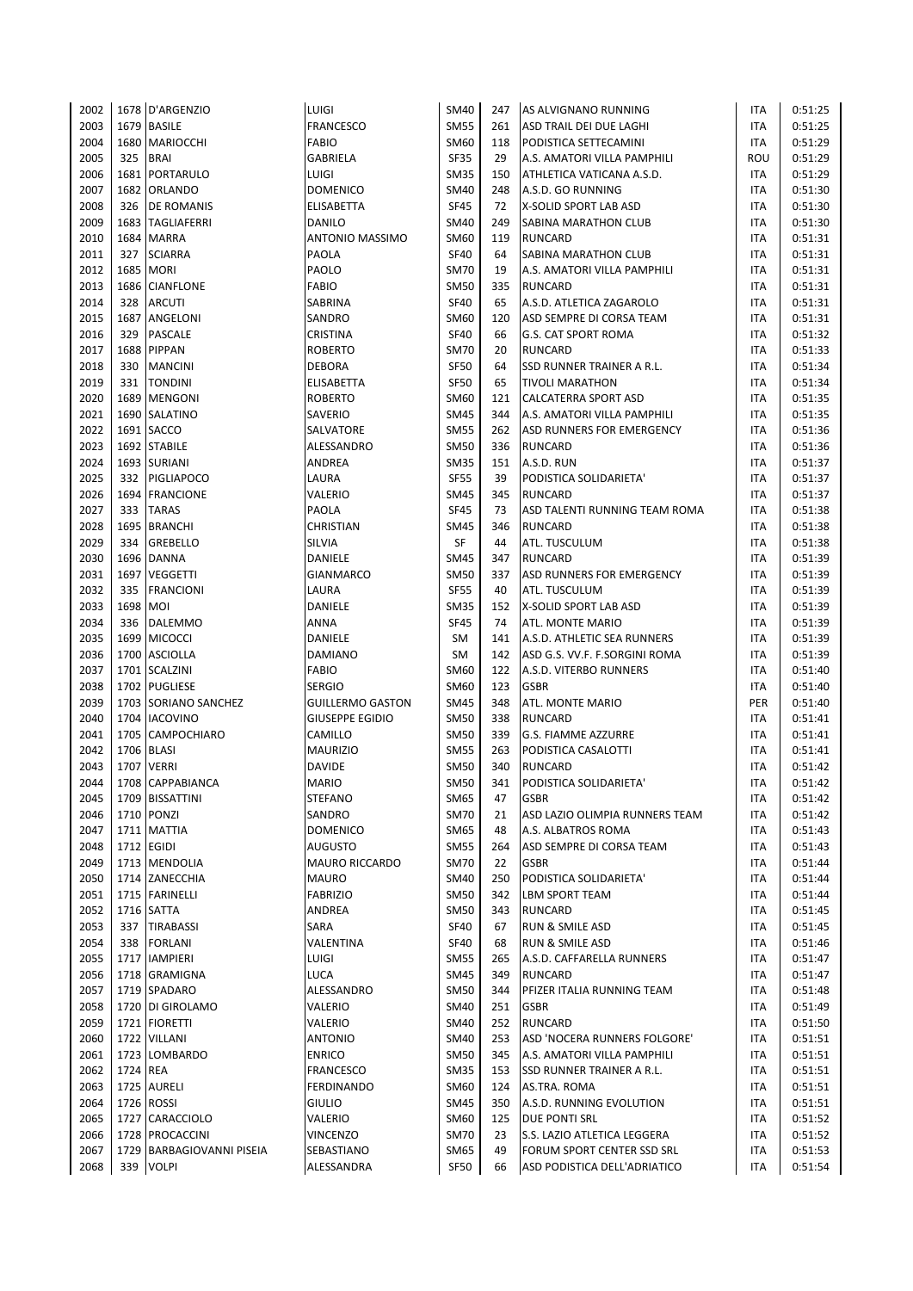| 2002 |          | 1678 D'ARGENZIO           | LUIGI                     | <b>SM40</b> | 247 | AS ALVIGNANO RUNNING                   | ITA        | 0:51:25            |
|------|----------|---------------------------|---------------------------|-------------|-----|----------------------------------------|------------|--------------------|
| 2003 |          | 1679 BASILE               | FRANCESCO                 | <b>SM55</b> | 261 | ASD TRAIL DEI DUE LAGHI                | ITA        | 0:51:25            |
| 2004 |          | 1680 MARIOCCHI            | <b>FABIO</b>              | <b>SM60</b> | 118 | PODISTICA SETTECAMINI                  | ITA        | 0:51:29            |
| 2005 | 325      | <b>BRAI</b>               | <b>GABRIELA</b>           | <b>SF35</b> | 29  | A.S. AMATORI VILLA PAMPHILI            | ROU        | 0:51:29            |
| 2006 |          | 1681   PORTARULO          | LUIGI                     | <b>SM35</b> | 150 | ATHLETICA VATICANA A.S.D.              | <b>ITA</b> | 0:51:29            |
| 2007 |          | 1682 ORLANDO              | <b>DOMENICO</b>           | <b>SM40</b> | 248 | A.S.D. GO RUNNING                      | <b>ITA</b> | 0:51:30            |
| 2008 | 326      | <b>DE ROMANIS</b>         | ELISABETTA                | <b>SF45</b> | 72  | X-SOLID SPORT LAB ASD                  | <b>ITA</b> | 0:51:30            |
| 2009 |          | 1683 TAGLIAFERRI          | DANILO                    | <b>SM40</b> | 249 | SABINA MARATHON CLUB                   | <b>ITA</b> | 0:51:30            |
| 2010 |          | 1684 MARRA                | ANTONIO MASSIMO           | SM60        | 119 | <b>RUNCARD</b>                         | ITA        | 0:51:31            |
| 2011 | 327      | <b>SCIARRA</b>            | PAOLA                     | <b>SF40</b> | 64  | SABINA MARATHON CLUB                   | ITA        | 0:51:31            |
| 2012 |          | 1685 MORI                 | PAOLO                     | <b>SM70</b> | 19  | A.S. AMATORI VILLA PAMPHILI            | <b>ITA</b> | 0:51:31            |
| 2013 |          | 1686 CIANFLONE            | <b>FABIO</b>              | <b>SM50</b> | 335 | <b>RUNCARD</b>                         | <b>ITA</b> | 0:51:31            |
| 2014 | 328      | <b>ARCUTI</b>             | SABRINA                   | <b>SF40</b> | 65  | A.S.D. ATLETICA ZAGAROLO               | <b>ITA</b> | 0:51:31            |
| 2015 | 1687     | ANGELONI                  | SANDRO                    | <b>SM60</b> | 120 | ASD SEMPRE DI CORSA TEAM               | ITA        | 0:51:31            |
| 2016 | 329      | <b>PASCALE</b>            | CRISTINA                  | <b>SF40</b> | 66  | <b>G.S. CAT SPORT ROMA</b>             | ITA        | 0:51:32            |
| 2017 |          | 1688 PIPPAN               | <b>ROBERTO</b>            | <b>SM70</b> | 20  | <b>RUNCARD</b>                         | ITA        | 0:51:33            |
| 2018 |          | 330 MANCINI               | <b>DEBORA</b>             | <b>SF50</b> | 64  | SSD RUNNER TRAINER A R.L.              | <b>ITA</b> | 0:51:34            |
| 2019 | 331      | <b>TONDINI</b>            | ELISABETTA                | <b>SF50</b> | 65  | <b>TIVOLI MARATHON</b>                 | ITA        | 0:51:34            |
| 2020 |          | 1689 MENGONI              | <b>ROBERTO</b>            | SM60        | 121 | <b>CALCATERRA SPORT ASD</b>            | <b>ITA</b> | 0:51:35            |
| 2021 |          | 1690 SALATINO             | SAVERIO                   | <b>SM45</b> | 344 | A.S. AMATORI VILLA PAMPHILI            | <b>ITA</b> | 0:51:35            |
| 2022 |          | 1691 SACCO                | SALVATORE                 | <b>SM55</b> | 262 | ASD RUNNERS FOR EMERGENCY              | <b>ITA</b> | 0:51:36            |
| 2023 |          | 1692 STABILE              | ALESSANDRO                | <b>SM50</b> | 336 | <b>RUNCARD</b>                         | ITA        | 0:51:36            |
| 2024 |          | 1693 SURIANI              | ANDREA                    | <b>SM35</b> | 151 | A.S.D. RUN                             | <b>ITA</b> | 0:51:37            |
| 2025 |          | 332 PIGLIAPOCO            | LAURA                     | <b>SF55</b> | 39  | PODISTICA SOLIDARIETA'                 | ITA        | 0:51:37            |
| 2026 |          | 1694 FRANCIONE            | VALERIO                   | <b>SM45</b> | 345 | <b>RUNCARD</b>                         | ITA        | 0:51:37            |
| 2027 | 333      | <b>TARAS</b>              | PAOLA                     | <b>SF45</b> | 73  | ASD TALENTI RUNNING TEAM ROMA          | ITA        | 0:51:38            |
| 2028 |          | 1695 BRANCHI              | CHRISTIAN                 | <b>SM45</b> | 346 | <b>RUNCARD</b>                         | <b>ITA</b> | 0:51:38            |
| 2029 | 334      | <b>GREBELLO</b>           | SILVIA                    | SF          | 44  | ATL. TUSCULUM                          | ITA        | 0:51:38            |
| 2030 |          | 1696 DANNA                | DANIELE                   | <b>SM45</b> | 347 | <b>RUNCARD</b>                         | <b>ITA</b> | 0:51:39            |
| 2031 |          | 1697 VEGGETTI             |                           | <b>SM50</b> | 337 |                                        | ITA        | 0:51:39            |
| 2032 | 335      |                           | <b>GIANMARCO</b><br>LAURA | <b>SF55</b> | 40  | ASD RUNNERS FOR EMERGENCY              | ITA        |                    |
| 2033 | 1698 MOI | FRANCIONI                 | DANIELE                   | <b>SM35</b> | 152 | ATL. TUSCULUM<br>X-SOLID SPORT LAB ASD | ITA        | 0:51:39<br>0:51:39 |
| 2034 |          | 336 DALEMMO               | <b>ANNA</b>               | <b>SF45</b> | 74  | ATL. MONTE MARIO                       | ITA        | 0:51:39            |
| 2035 |          | 1699 MICOCCI              | DANIELE                   | SM          | 141 | A.S.D. ATHLETIC SEA RUNNERS            | <b>ITA</b> | 0:51:39            |
|      |          |                           | <b>DAMIANO</b>            |             |     |                                        |            |                    |
| 2036 |          | 1700 ASCIOLLA             |                           | SM          | 142 | ASD G.S. VV.F. F.SORGINI ROMA          | <b>ITA</b> | 0:51:39            |
| 2037 |          | 1701 SCALZINI             | <b>FABIO</b>              | <b>SM60</b> | 122 | A.S.D. VITERBO RUNNERS                 | <b>ITA</b> | 0:51:40            |
| 2038 |          | 1702 PUGLIESE             | <b>SERGIO</b>             | SM60        | 123 | <b>GSBR</b>                            | ITA        | 0:51:40            |
| 2039 |          | 1703 SORIANO SANCHEZ      | <b>GUILLERMO GASTON</b>   | <b>SM45</b> | 348 | ATL. MONTE MARIO                       | PER        | 0:51:40            |
| 2040 |          | 1704   IACOVINO           | <b>GIUSEPPE EGIDIO</b>    | <b>SM50</b> | 338 | <b>RUNCARD</b>                         | ITA        | 0:51:41            |
| 2041 |          | 1705 CAMPOCHIARO          | CAMILLO                   | <b>SM50</b> | 339 | <b>G.S. FIAMME AZZURRE</b>             | <b>ITA</b> | 0:51:41            |
| 2042 |          | 1706 BLASI                | <b>MAURIZIO</b>           | <b>SM55</b> | 263 | PODISTICA CASALOTTI                    | <b>ITA</b> | 0:51:41            |
| 2043 |          | 1707 VERRI                | <b>DAVIDE</b>             | <b>SM50</b> | 340 | <b>RUNCARD</b>                         | <b>ITA</b> | 0:51:42            |
| 2044 |          | 1708 CAPPABIANCA          | <b>MARIO</b>              | <b>SM50</b> | 341 | PODISTICA SOLIDARIETA'                 | <b>ITA</b> | 0:51:42            |
| 2045 |          | 1709 BISSATTINI           | <b>STEFANO</b>            | SM65        | 47  | <b>GSBR</b>                            | ITA        | 0:51:42            |
| 2046 |          | 1710 PONZI                | SANDRO                    | <b>SM70</b> | 21  | ASD LAZIO OLIMPIA RUNNERS TEAM         | ITA        | 0:51:42            |
| 2047 |          | 1711   MATTIA             | <b>DOMENICO</b>           | SM65        | 48  | A.S. ALBATROS ROMA                     | <b>ITA</b> | 0:51:43            |
| 2048 |          | 1712 EGIDI                | AUGUSTO                   | <b>SM55</b> | 264 | ASD SEMPRE DI CORSA TEAM               | <b>ITA</b> | 0:51:43            |
| 2049 |          | 1713 MENDOLIA             | <b>MAURO RICCARDO</b>     | <b>SM70</b> | 22  | <b>GSBR</b>                            | <b>ITA</b> | 0:51:44            |
| 2050 |          | 1714 ZANECCHIA            | <b>MAURO</b>              | <b>SM40</b> | 250 | PODISTICA SOLIDARIETA'                 | ITA        | 0:51:44            |
| 2051 |          | 1715 FARINELLI            | <b>FABRIZIO</b>           | <b>SM50</b> | 342 | <b>LBM SPORT TEAM</b>                  | <b>ITA</b> | 0:51:44            |
| 2052 |          | 1716 SATTA                | ANDREA                    | <b>SM50</b> | 343 | <b>RUNCARD</b>                         | ITA        | 0:51:45            |
| 2053 |          | 337 TIRABASSI             | SARA                      | <b>SF40</b> | 67  | RUN & SMILE ASD                        | ITA        | 0:51:45            |
| 2054 | 338      | <b>FORLANI</b>            | VALENTINA                 | <b>SF40</b> | 68  | RUN & SMILE ASD                        | ITA        | 0:51:46            |
| 2055 |          | 1717   IAMPIERI           | LUIGI                     | <b>SM55</b> | 265 | A.S.D. CAFFARELLA RUNNERS              | <b>ITA</b> | 0:51:47            |
| 2056 |          | 1718 GRAMIGNA             | LUCA                      | <b>SM45</b> | 349 | <b>RUNCARD</b>                         | ITA        | 0:51:47            |
| 2057 |          | 1719 SPADARO              | ALESSANDRO                | <b>SM50</b> | 344 | PFIZER ITALIA RUNNING TEAM             | ITA        | 0:51:48            |
| 2058 |          | 1720 DI GIROLAMO          | VALERIO                   | <b>SM40</b> | 251 | <b>GSBR</b>                            | ITA        | 0:51:49            |
| 2059 |          | 1721   FIORETTI           | VALERIO                   | SM40        | 252 | <b>RUNCARD</b>                         | <b>ITA</b> | 0:51:50            |
| 2060 |          | 1722 VILLANI              | <b>ANTONIO</b>            | <b>SM40</b> | 253 | ASD 'NOCERA RUNNERS FOLGORE'           | <b>ITA</b> | 0:51:51            |
| 2061 |          | 1723 LOMBARDO             | <b>ENRICO</b>             | <b>SM50</b> | 345 | A.S. AMATORI VILLA PAMPHILI            | <b>ITA</b> | 0:51:51            |
| 2062 | 1724 REA |                           | <b>FRANCESCO</b>          | <b>SM35</b> | 153 | SSD RUNNER TRAINER A R.L.              | ITA        | 0:51:51            |
| 2063 |          | 1725 AURELI               | <b>FERDINANDO</b>         | SM60        | 124 | AS.TRA. ROMA                           | <b>ITA</b> | 0:51:51            |
| 2064 |          | 1726 ROSSI                | <b>GIULIO</b>             | <b>SM45</b> | 350 | A.S.D. RUNNING EVOLUTION               | <b>ITA</b> | 0:51:51            |
| 2065 |          | 1727 CARACCIOLO           | VALERIO                   | <b>SM60</b> | 125 | <b>DUE PONTI SRL</b>                   | <b>ITA</b> | 0:51:52            |
| 2066 |          | 1728 PROCACCINI           | <b>VINCENZO</b>           | <b>SM70</b> | 23  | S.S. LAZIO ATLETICA LEGGERA            | <b>ITA</b> | 0:51:52            |
| 2067 |          | 1729 BARBAGIOVANNI PISEIA | SEBASTIANO                | SM65        | 49  | FORUM SPORT CENTER SSD SRL             | ITA        | 0:51:53            |
| 2068 | 339      | <b>VOLPI</b>              | ALESSANDRA                | <b>SF50</b> | 66  | ASD PODISTICA DELL'ADRIATICO           | <b>ITA</b> | 0:51:54            |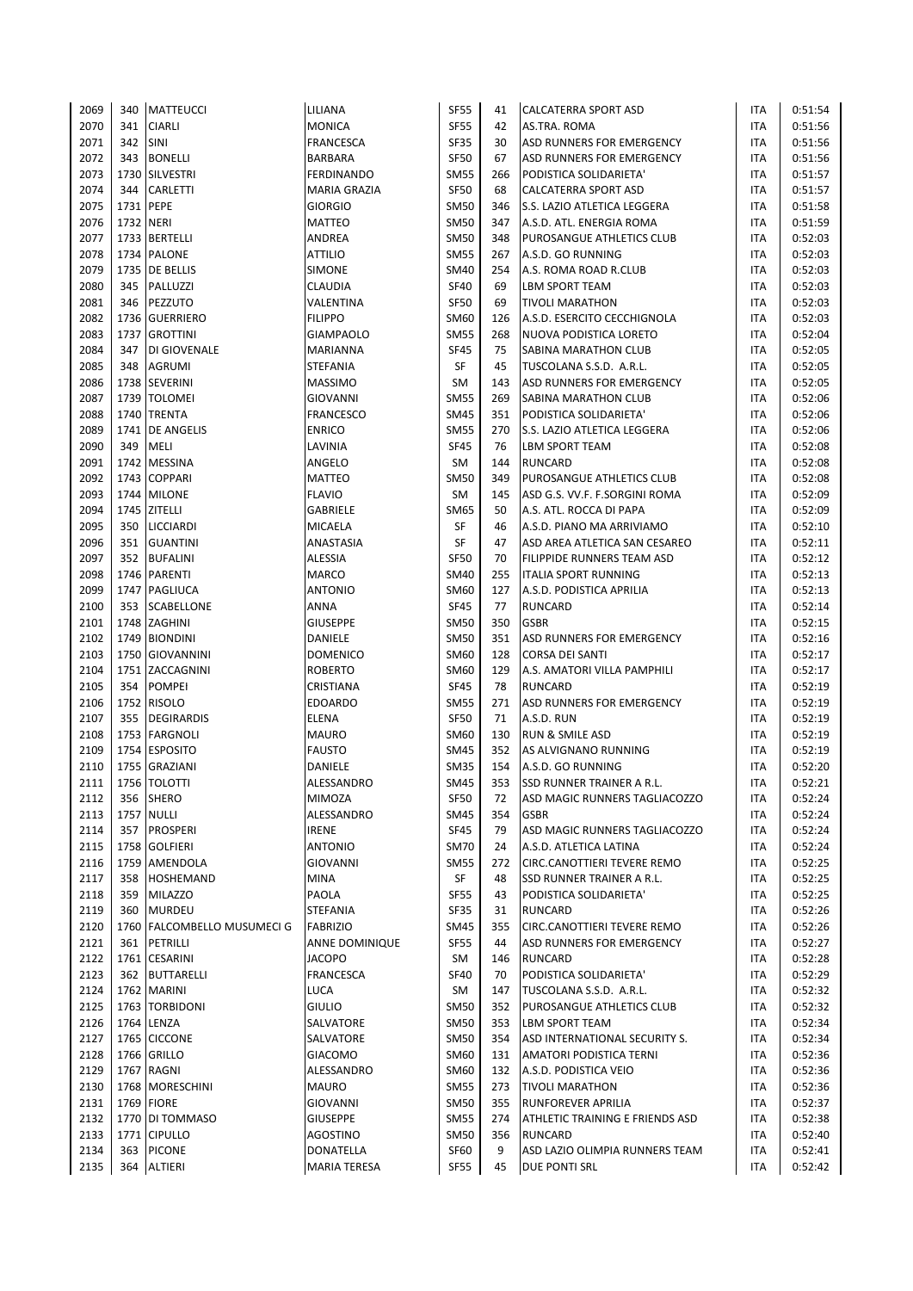| 2069         | 340       | <b>MATTEUCCI</b>                  | LILIANA               | <b>SF55</b> | 41  | <b>CALCATERRA SPORT ASD</b>                | ITA               | 0:51:54            |
|--------------|-----------|-----------------------------------|-----------------------|-------------|-----|--------------------------------------------|-------------------|--------------------|
| 2070         | 341       | <b>CIARLI</b>                     | <b>MONICA</b>         | <b>SF55</b> | 42  | AS.TRA. ROMA                               | ITA               | 0:51:56            |
| 2071         | 342       | <b>SINI</b>                       | <b>FRANCESCA</b>      | <b>SF35</b> | 30  | ASD RUNNERS FOR EMERGENCY                  | ITA               | 0:51:56            |
| 2072         | 343       | <b>BONELLI</b>                    | <b>BARBARA</b>        | <b>SF50</b> | 67  | <b>ASD RUNNERS FOR EMERGENCY</b>           | <b>ITA</b>        | 0:51:56            |
| 2073         |           | 1730 SILVESTRI                    | <b>FERDINANDO</b>     | <b>SM55</b> | 266 | PODISTICA SOLIDARIETA'                     | ITA               | 0:51:57            |
| 2074         | 344       | CARLETTI                          | <b>MARIA GRAZIA</b>   | <b>SF50</b> | 68  | CALCATERRA SPORT ASD                       | ITA               | 0:51:57            |
| 2075         | 1731 PEPE |                                   | <b>GIORGIO</b>        | <b>SM50</b> | 346 | S.S. LAZIO ATLETICA LEGGERA                | ITA               | 0:51:58            |
| 2076         | 1732 NERI |                                   | <b>MATTEO</b>         | <b>SM50</b> | 347 | A.S.D. ATL. ENERGIA ROMA                   | ITA               | 0:51:59            |
| 2077         |           | 1733 BERTELLI                     | ANDREA                | <b>SM50</b> | 348 | PUROSANGUE ATHLETICS CLUB                  | ITA               | 0:52:03            |
| 2078         |           | 1734 PALONE                       | <b>ATTILIO</b>        | <b>SM55</b> | 267 | A.S.D. GO RUNNING                          | ITA               | 0:52:03            |
| 2079         |           | 1735 DE BELLIS                    | <b>SIMONE</b>         | <b>SM40</b> | 254 | A.S. ROMA ROAD R.CLUB                      | ITA               | 0:52:03            |
| 2080         | 345       | PALLUZZI                          | CLAUDIA               | <b>SF40</b> | 69  | <b>LBM SPORT TEAM</b>                      | <b>ITA</b>        | 0:52:03            |
| 2081         | 346       | PEZZUTO                           | VALENTINA             | <b>SF50</b> | 69  | <b>TIVOLI MARATHON</b>                     | ITA               | 0:52:03            |
| 2082         |           | 1736 GUERRIERO                    | <b>FILIPPO</b>        | SM60        | 126 | A.S.D. ESERCITO CECCHIGNOLA                | ITA               | 0:52:03            |
| 2083         |           | 1737 GROTTINI                     | <b>GIAMPAOLO</b>      | <b>SM55</b> | 268 | NUOVA PODISTICA LORETO                     | ITA               | 0:52:04            |
| 2084         | 347       | DI GIOVENALE                      | MARIANNA              | <b>SF45</b> | 75  | SABINA MARATHON CLUB                       | ITA               | 0:52:05            |
| 2085         | 348       | <b>AGRUMI</b>                     | STEFANIA              | SF          | 45  | TUSCOLANA S.S.D. A.R.L.                    | ITA               | 0:52:05            |
| 2086         |           | 1738 SEVERINI                     | <b>MASSIMO</b>        | <b>SM</b>   | 143 | ASD RUNNERS FOR EMERGENCY                  | ITA               | 0:52:05            |
| 2087         |           | 1739   TOLOMEI                    | <b>GIOVANNI</b>       | <b>SM55</b> | 269 | SABINA MARATHON CLUB                       | ITA               | 0:52:06            |
| 2088         |           | 1740 TRENTA                       | <b>FRANCESCO</b>      | <b>SM45</b> | 351 | PODISTICA SOLIDARIETA'                     | <b>ITA</b>        | 0:52:06            |
| 2089         | 1741      | <b>DE ANGELIS</b>                 | <b>ENRICO</b>         | <b>SM55</b> | 270 | S.S. LAZIO ATLETICA LEGGERA                | ITA               | 0:52:06            |
| 2090         | 349       | MELI                              | LAVINIA               | <b>SF45</b> | 76  | <b>LBM SPORT TEAM</b>                      | ITA               | 0:52:08            |
| 2091         |           | 1742 MESSINA                      | ANGELO                | <b>SM</b>   | 144 | <b>RUNCARD</b>                             | ITA               | 0:52:08            |
| 2092         |           | 1743 COPPARI                      | <b>MATTEO</b>         | <b>SM50</b> | 349 | PUROSANGUE ATHLETICS CLUB                  | <b>ITA</b>        | 0:52:08            |
| 2093         |           | 1744 MILONE                       | <b>FLAVIO</b>         | <b>SM</b>   | 145 | ASD G.S. VV.F. F.SORGINI ROMA              | ITA               | 0:52:09            |
| 2094         |           | 1745 ZITELLI                      | GABRIELE              | <b>SM65</b> | 50  | A.S. ATL. ROCCA DI PAPA                    | ITA               | 0:52:09            |
| 2095         | 350       | <b>LICCIARDI</b>                  | <b>MICAELA</b>        | SF          | 46  | A.S.D. PIANO MA ARRIVIAMO                  | <b>ITA</b>        | 0:52:10            |
| 2096         | 351       | <b>GUANTINI</b>                   | ANASTASIA             | <b>SF</b>   | 47  | ASD AREA ATLETICA SAN CESAREO              | <b>ITA</b>        | 0:52:11            |
| 2097         | 352       | <b>BUFALINI</b>                   | <b>ALESSIA</b>        | <b>SF50</b> | 70  | FILIPPIDE RUNNERS TEAM ASD                 | <b>ITA</b>        | 0:52:12            |
|              |           | 1746 PARENTI                      | <b>MARCO</b>          | <b>SM40</b> | 255 | <b>ITALIA SPORT RUNNING</b>                |                   |                    |
| 2098<br>2099 |           | 1747 PAGLIUCA                     | ANTONIO               | SM60        | 127 |                                            | ITA<br><b>ITA</b> | 0:52:13            |
| 2100         | 353       |                                   | ANNA                  | <b>SF45</b> | 77  | A.S.D. PODISTICA APRILIA<br><b>RUNCARD</b> | ITA               | 0:52:13<br>0:52:14 |
|              |           | <b>SCABELLONE</b><br>1748 ZAGHINI | <b>GIUSEPPE</b>       | <b>SM50</b> | 350 | <b>GSBR</b>                                |                   | 0:52:15            |
| 2101         |           |                                   |                       | <b>SM50</b> |     |                                            | ITA               |                    |
| 2102         |           | 1749 BIONDINI                     | DANIELE               |             | 351 | ASD RUNNERS FOR EMERGENCY                  | ITA               | 0:52:16            |
| 2103         |           | 1750 GIOVANNINI                   | <b>DOMENICO</b>       | SM60        | 128 | <b>CORSA DEI SANTI</b>                     | <b>ITA</b>        | 0:52:17            |
| 2104         |           | 1751 ZACCAGNINI                   | <b>ROBERTO</b>        | <b>SM60</b> | 129 | A.S. AMATORI VILLA PAMPHILI                | <b>ITA</b>        | 0:52:17            |
| 2105         | 354       | <b>POMPEI</b>                     | CRISTIANA             | <b>SF45</b> | 78  | <b>RUNCARD</b>                             | <b>ITA</b>        | 0:52:19            |
| 2106         |           | 1752 RISOLO                       | <b>EDOARDO</b>        | <b>SM55</b> | 271 | ASD RUNNERS FOR EMERGENCY                  | ITA               | 0:52:19            |
| 2107         | 355       | DEGIRARDIS                        | <b>ELENA</b>          | <b>SF50</b> | 71  | A.S.D. RUN                                 | ITA               | 0:52:19            |
| 2108         |           | 1753 FARGNOLI                     | <b>MAURO</b>          | <b>SM60</b> | 130 | <b>RUN &amp; SMILE ASD</b>                 | ITA               | 0:52:19            |
| 2109         |           | 1754 ESPOSITO                     | <b>FAUSTO</b>         | <b>SM45</b> | 352 | AS ALVIGNANO RUNNING                       | <b>ITA</b>        | 0:52:19            |
| 2110         |           | 1755 GRAZIANI                     | DANIELE               | <b>SM35</b> | 154 | A.S.D. GO RUNNING                          | <b>ITA</b>        | 0:52:20            |
| 2111         |           | 1756 TOLOTTI                      | ALESSANDRO            | <b>SM45</b> | 353 | <b>SSD RUNNER TRAINER A R.L.</b>           | <b>ITA</b>        | 0:52:21            |
| 2112         | 356       | <b>SHERO</b>                      | MIMOZA                | <b>SF50</b> | 72  | ASD MAGIC RUNNERS TAGLIACOZZO              | ITA               | 0:52:24            |
| 2113         |           | <b>1757 NULLI</b>                 | ALESSANDRO            | SM45        | 354 | <b>GSBR</b>                                | ITA               | 0:52:24            |
| 2114         | 357       | <b>PROSPERI</b>                   | <b>IRENE</b>          | <b>SF45</b> | 79  | ASD MAGIC RUNNERS TAGLIACOZZO              | ITA               | 0:52:24            |
| 2115         |           | 1758 GOLFIERI                     | <b>ANTONIO</b>        | <b>SM70</b> | 24  | A.S.D. ATLETICA LATINA                     | ITA               | 0:52:24            |
| 2116         |           | 1759 AMENDOLA                     | GIOVANNI              | <b>SM55</b> | 272 | CIRC.CANOTTIERI TEVERE REMO                | ITA               | 0:52:25            |
| 2117         | 358       | <b>HOSHEMAND</b>                  | MINA                  | SF          | 48  | SSD RUNNER TRAINER A R.L.                  | ITA               | 0:52:25            |
| 2118         | 359       | <b>MILAZZO</b>                    | PAOLA                 | SF55        | 43  | PODISTICA SOLIDARIETA'                     | ITA               | 0:52:25            |
| 2119         | 360       | <b>MURDEU</b>                     | STEFANIA              | SF35        | 31  | <b>RUNCARD</b>                             | ITA               | 0:52:26            |
| 2120         |           | 1760 FALCOMBELLO MUSUMECI G       | <b>FABRIZIO</b>       | <b>SM45</b> | 355 | CIRC.CANOTTIERI TEVERE REMO                | ITA               | 0:52:26            |
| 2121         | 361       | PETRILLI                          | <b>ANNE DOMINIQUE</b> | <b>SF55</b> | 44  | ASD RUNNERS FOR EMERGENCY                  | ITA               | 0:52:27            |
| 2122         |           | 1761 CESARINI                     | <b>JACOPO</b>         | SM          | 146 | <b>RUNCARD</b>                             | ITA               | 0:52:28            |
| 2123         |           | 362 BUTTARELLI                    | <b>FRANCESCA</b>      | <b>SF40</b> | 70  | PODISTICA SOLIDARIETA'                     | <b>ITA</b>        | 0:52:29            |
| 2124         |           | 1762 MARINI                       | LUCA                  | SM          | 147 | TUSCOLANA S.S.D. A.R.L.                    | ITA               | 0:52:32            |
| 2125         |           | 1763   TORBIDONI                  | <b>GIULIO</b>         | <b>SM50</b> | 352 | PUROSANGUE ATHLETICS CLUB                  | ITA               | 0:52:32            |
| 2126         |           | 1764 LENZA                        | SALVATORE             | SM50        | 353 | <b>LBM SPORT TEAM</b>                      | ITA               | 0:52:34            |
| 2127         |           | 1765 CICCONE                      | SALVATORE             | <b>SM50</b> | 354 | ASD INTERNATIONAL SECURITY S.              | ITA               | 0:52:34            |
| 2128         |           | 1766 GRILLO                       | <b>GIACOMO</b>        | <b>SM60</b> | 131 | <b>AMATORI PODISTICA TERNI</b>             | ITA               | 0:52:36            |
| 2129         |           | 1767 RAGNI                        | ALESSANDRO            | SM60        | 132 | A.S.D. PODISTICA VEIO                      | ITA               | 0:52:36            |
| 2130         |           | 1768 MORESCHINI                   | <b>MAURO</b>          | <b>SM55</b> | 273 | <b>TIVOLI MARATHON</b>                     | ITA               | 0:52:36            |
| 2131         |           | 1769 FIORE                        | GIOVANNI              | <b>SM50</b> | 355 | <b>RUNFOREVER APRILIA</b>                  | ITA               | 0:52:37            |
| 2132         | 1770      | DI TOMMASO                        | <b>GIUSEPPE</b>       | <b>SM55</b> | 274 | ATHLETIC TRAINING E FRIENDS ASD            | ITA               | 0:52:38            |
| 2133         |           | 1771 CIPULLO                      | AGOSTINO              | <b>SM50</b> | 356 | <b>RUNCARD</b>                             | ITA               | 0:52:40            |
| 2134         | 363       | <b>PICONE</b>                     | DONATELLA             | SF60        | 9   | ASD LAZIO OLIMPIA RUNNERS TEAM             | ITA               | 0:52:41            |
| 2135         | 364       | <b>ALTIERI</b>                    | MARIA TERESA          | <b>SF55</b> | 45  | DUE PONTI SRL                              | ITA               | 0:52:42            |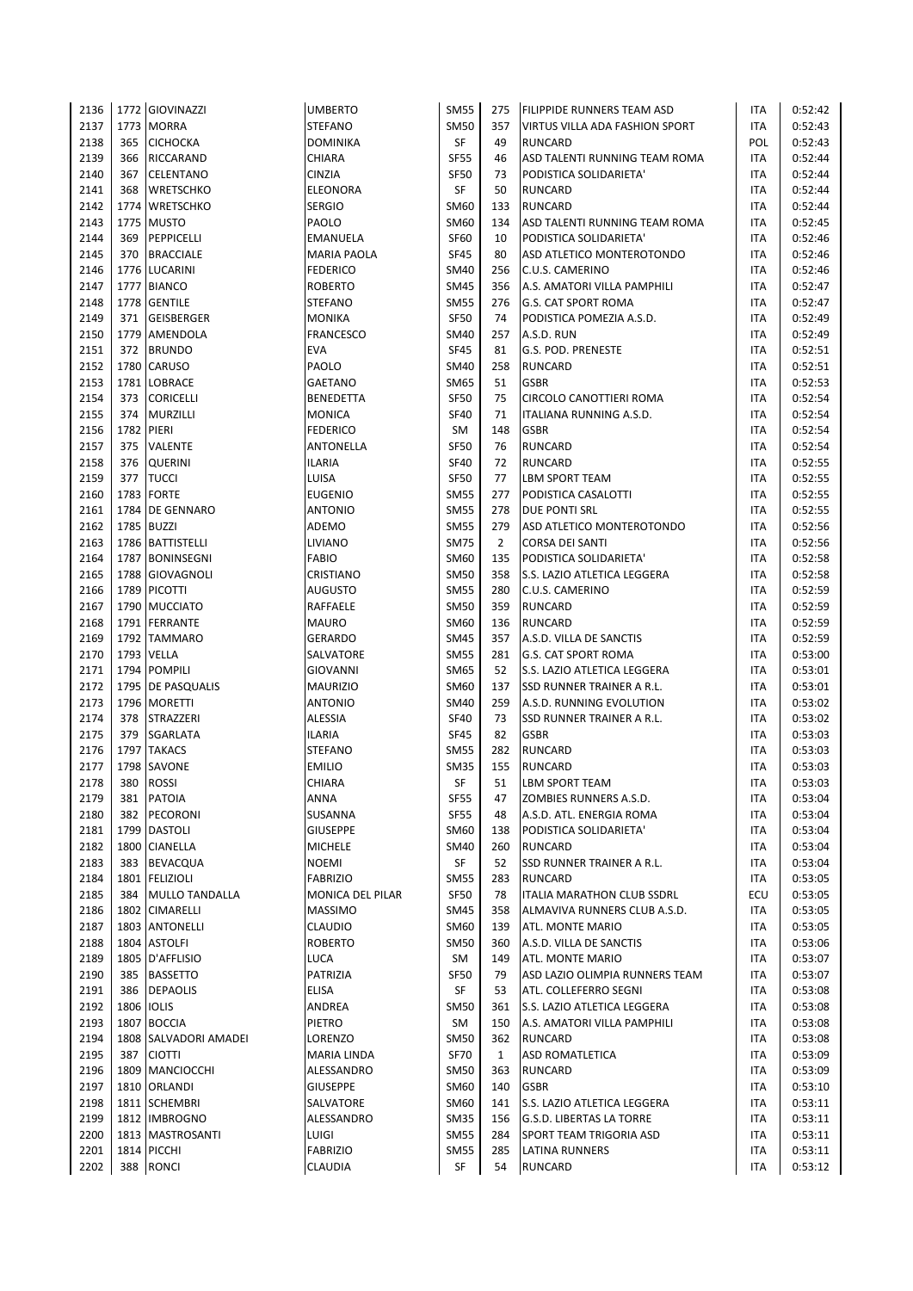| 2136         |      | 1772 GIOVINAZZI                   | <b>UMBERTO</b>                  | <b>SM55</b>                | 275            | <b>FILIPPIDE RUNNERS TEAM ASD</b>                | ITA        | 0:52:42            |
|--------------|------|-----------------------------------|---------------------------------|----------------------------|----------------|--------------------------------------------------|------------|--------------------|
| 2137         |      | 1773 MORRA                        | <b>STEFANO</b>                  | <b>SM50</b>                | 357            | <b>VIRTUS VILLA ADA FASHION SPORT</b>            | <b>ITA</b> | 0:52:43            |
| 2138         | 365  | <b>CICHOCKA</b>                   | <b>DOMINIKA</b>                 | <b>SF</b>                  | 49             | <b>RUNCARD</b>                                   | POL        | 0:52:43            |
| 2139         | 366  | RICCARAND                         | CHIARA                          | <b>SF55</b>                | 46             | ASD TALENTI RUNNING TEAM ROMA                    | <b>ITA</b> | 0:52:44            |
| 2140         | 367  | <b>CELENTANO</b>                  | <b>CINZIA</b>                   | <b>SF50</b>                | 73             | PODISTICA SOLIDARIETA'                           | <b>ITA</b> | 0:52:44            |
| 2141         | 368  | <b>WRETSCHKO</b>                  | <b>ELEONORA</b>                 | <b>SF</b>                  | 50             | <b>RUNCARD</b>                                   | ITA        | 0:52:44            |
| 2142         | 1774 | <b>WRETSCHKO</b>                  | <b>SERGIO</b>                   | <b>SM60</b>                | 133            | <b>RUNCARD</b>                                   | ITA        | 0:52:44            |
| 2143         |      | 1775 MUSTO                        | PAOLO                           | <b>SM60</b>                | 134            | ASD TALENTI RUNNING TEAM ROMA                    | <b>ITA</b> | 0:52:45            |
| 2144         | 369  | PEPPICELLI                        | <b>EMANUELA</b>                 | <b>SF60</b>                | 10             | PODISTICA SOLIDARIETA'                           | ITA        | 0:52:46            |
| 2145         | 370  | <b>BRACCIALE</b>                  | <b>MARIA PAOLA</b>              | <b>SF45</b>                | 80             | ASD ATLETICO MONTEROTONDO                        | ITA        | 0:52:46            |
| 2146         |      | 1776 LUCARINI                     | <b>FEDERICO</b>                 | <b>SM40</b>                | 256            | C.U.S. CAMERINO                                  | ITA        | 0:52:46            |
| 2147         |      | 1777 BIANCO                       | <b>ROBERTO</b>                  | <b>SM45</b>                | 356            | A.S. AMATORI VILLA PAMPHILI                      | <b>ITA</b> | 0:52:47            |
| 2148         |      | 1778 GENTILE                      | <b>STEFANO</b>                  | <b>SM55</b>                | 276            | <b>G.S. CAT SPORT ROMA</b>                       | ITA        | 0:52:47            |
| 2149         | 371  | <b>GEISBERGER</b>                 | <b>MONIKA</b>                   | <b>SF50</b>                | 74             | PODISTICA POMEZIA A.S.D.                         | ITA        | 0:52:49            |
| 2150         |      | 1779 AMENDOLA                     | <b>FRANCESCO</b>                | <b>SM40</b>                | 257            | A.S.D. RUN                                       | ITA        | 0:52:49            |
| 2151         | 372  | <b>BRUNDO</b>                     | <b>EVA</b>                      | <b>SF45</b>                | 81             | G.S. POD. PRENESTE                               | ITA        | 0:52:51            |
| 2152         |      | 1780 CARUSO                       | PAOLO                           | <b>SM40</b>                | 258            | <b>RUNCARD</b>                                   | <b>ITA</b> | 0:52:51            |
| 2153         | 1781 | <b>LOBRACE</b>                    | <b>GAETANO</b>                  | <b>SM65</b>                | 51             | <b>GSBR</b>                                      | ITA        | 0:52:53            |
| 2154         | 373  | <b>CORICELLI</b>                  | <b>BENEDETTA</b>                | SF50                       | 75             | CIRCOLO CANOTTIERI ROMA                          | ITA        | 0:52:54            |
| 2155         | 374  | <b>MURZILLI</b>                   | <b>MONICA</b>                   | <b>SF40</b>                | 71             | ITALIANA RUNNING A.S.D.                          | <b>ITA</b> | 0:52:54            |
| 2156         | 1782 | PIERI                             | <b>FEDERICO</b>                 | SM                         | 148            | <b>GSBR</b>                                      | ITA        | 0:52:54            |
| 2157         | 375  | <b>VALENTE</b>                    | <b>ANTONELLA</b>                | <b>SF50</b>                | 76             | <b>RUNCARD</b>                                   | ITA        | 0:52:54            |
| 2158         | 376  | <b>QUERINI</b>                    | <b>ILARIA</b>                   | <b>SF40</b>                | 72             | <b>RUNCARD</b>                                   | ITA        | 0:52:55            |
| 2159         | 377  | <b>TUCCI</b>                      | LUISA                           | <b>SF50</b>                | 77             | <b>LBM SPORT TEAM</b>                            | ITA        | 0:52:55            |
| 2160         | 1783 | <b>FORTE</b>                      | <b>EUGENIO</b>                  | <b>SM55</b>                | 277            | PODISTICA CASALOTTI                              | ITA        | 0:52:55            |
| 2161         |      | 1784 DE GENNARO                   | <b>ANTONIO</b>                  | <b>SM55</b>                | 278            | <b>DUE PONTI SRL</b>                             | ITA        | 0:52:55            |
| 2162         |      | 1785 BUZZI                        | ADEMO                           | <b>SM55</b>                | 279            | ASD ATLETICO MONTEROTONDO                        | <b>ITA</b> | 0:52:56            |
| 2163         |      | 1786 BATTISTELLI                  | LIVIANO                         | <b>SM75</b>                | $\overline{2}$ | <b>CORSA DEI SANTI</b>                           | <b>ITA</b> | 0:52:56            |
| 2164         |      | 1787 BONINSEGNI                   | <b>FABIO</b>                    | <b>SM60</b>                | 135            | PODISTICA SOLIDARIETA'                           | <b>ITA</b> | 0:52:58            |
| 2165         |      | 1788 GIOVAGNOLI                   | <b>CRISTIANO</b>                | <b>SM50</b>                | 358            | S.S. LAZIO ATLETICA LEGGERA                      | <b>ITA</b> | 0:52:58            |
| 2166         |      | 1789 PICOTTI                      | <b>AUGUSTO</b>                  | <b>SM55</b>                | 280            | C.U.S. CAMERINO                                  | <b>ITA</b> | 0:52:59            |
| 2167         |      | 1790 MUCCIATO                     | RAFFAELE                        | <b>SM50</b>                | 359            | <b>RUNCARD</b>                                   | ITA        | 0:52:59            |
| 2168         |      | 1791 FERRANTE                     | <b>MAURO</b>                    | <b>SM60</b>                | 136            | <b>RUNCARD</b>                                   | ITA        | 0:52:59            |
| 2169         |      | 1792 TAMMARO                      | <b>GERARDO</b>                  | <b>SM45</b>                | 357            | A.S.D. VILLA DE SANCTIS                          | ITA        | 0:52:59            |
| 2170         |      | 1793 VELLA                        | SALVATORE                       | <b>SM55</b>                | 281            | <b>G.S. CAT SPORT ROMA</b>                       | <b>ITA</b> | 0:53:00            |
| 2171         |      | 1794 POMPILI                      | <b>GIOVANNI</b>                 | <b>SM65</b>                | 52             | S.S. LAZIO ATLETICA LEGGERA                      | <b>ITA</b> | 0:53:01            |
| 2172         |      | 1795 DE PASQUALIS                 | <b>MAURIZIO</b>                 | <b>SM60</b>                | 137            | <b>SSD RUNNER TRAINER A R.L.</b>                 | <b>ITA</b> | 0:53:01            |
| 2173         |      | 1796 MORETTI                      | <b>ANTONIO</b>                  | <b>SM40</b>                | 259            | A.S.D. RUNNING EVOLUTION                         | ITA        | 0:53:02            |
| 2174         | 378  | STRAZZERI                         | <b>ALESSIA</b>                  | <b>SF40</b>                | 73             | <b>SSD RUNNER TRAINER A R.L.</b>                 | <b>ITA</b> | 0:53:02            |
| 2175         | 379  | SGARLATA                          | <b>ILARIA</b>                   | <b>SF45</b>                | 82             | <b>GSBR</b>                                      | <b>ITA</b> | 0:53:03            |
| 2176         | 1797 | <b>TAKACS</b>                     | <b>STEFANO</b>                  | <b>SM55</b>                | 282            | <b>RUNCARD</b>                                   | ITA        | 0:53:03            |
| 2177         |      | 1798 SAVONE                       | <b>EMILIO</b>                   | <b>SM35</b>                | 155            | <b>RUNCARD</b>                                   | ITA        | 0:53:03            |
| 2178         | 380  | <b>ROSSI</b>                      | <b>CHIARA</b>                   | SF                         | 51             | <b>LBM SPORT TEAM</b>                            | <b>ITA</b> | 0:53:03            |
| 2179         | 381  | <b>PATOIA</b>                     | ANNA                            | <b>SF55</b>                | 47             | ZOMBIES RUNNERS A.S.D.                           | ITA        | 0:53:04            |
| 2180         | 382  | PECORONI                          | SUSANNA                         | <b>SF55</b>                | 48             | A.S.D. ATL. ENERGIA ROMA                         | ITA        | 0:53:04            |
| 2181         |      | 1799 DASTOLI                      | <b>GIUSEPPE</b>                 | SM60                       | 138            | PODISTICA SOLIDARIETA'                           | ITA        | 0:53:04            |
| 2182         |      | 1800 CIANELLA                     | <b>MICHELE</b>                  | <b>SM40</b>                | 260            | <b>RUNCARD</b>                                   | ITA        | 0:53:04            |
| 2183         | 383  | <b>BEVACQUA</b>                   | <b>NOEMI</b>                    | SF                         | 52             | SSD RUNNER TRAINER A R.L.                        | ITA        | 0:53:04            |
| 2184         |      | 1801 FELIZIOLI                    | <b>FABRIZIO</b>                 | <b>SM55</b>                | 283            | <b>RUNCARD</b>                                   | ITA        | 0:53:05            |
| 2185         | 384  | MULLO TANDALLA                    | MONICA DEL PILAR                | <b>SF50</b>                | 78             | ITALIA MARATHON CLUB SSDRL                       | ECU        | 0:53:05            |
| 2186         |      | 1802 CIMARELLI                    | <b>MASSIMO</b>                  | <b>SM45</b>                | 358            | ALMAVIVA RUNNERS CLUB A.S.D.                     | ITA        | 0:53:05            |
| 2187         |      | 1803 ANTONELLI                    | <b>CLAUDIO</b>                  | <b>SM60</b>                | 139            | ATL. MONTE MARIO                                 | ITA        | 0:53:05            |
| 2188         |      | 1804 ASTOLFI                      | <b>ROBERTO</b>                  | <b>SM50</b>                | 360            | A.S.D. VILLA DE SANCTIS                          | ITA        | 0:53:06            |
| 2189         |      | 1805 D'AFFLISIO                   | LUCA                            | SM                         | 149            | ATL. MONTE MARIO                                 | <b>ITA</b> | 0:53:07            |
| 2190         | 385  | <b>BASSETTO</b>                   | PATRIZIA                        | <b>SF50</b>                | 79             | ASD LAZIO OLIMPIA RUNNERS TEAM                   | <b>ITA</b> | 0:53:07            |
| 2191         | 386  | <b>DEPAOLIS</b>                   | <b>ELISA</b>                    | SF                         | 53             | ATL. COLLEFERRO SEGNI                            | ITA        | 0:53:08            |
| 2192         |      | 1806 IOLIS                        | ANDREA                          | <b>SM50</b>                | 361            | S.S. LAZIO ATLETICA LEGGERA                      | ITA        | 0:53:08            |
| 2193         |      | 1807 BOCCIA                       | PIETRO                          | SM                         | 150            | A.S. AMATORI VILLA PAMPHILI                      | ITA        | 0:53:08            |
| 2194         |      | 1808 SALVADORI AMADEI             | LORENZO                         | <b>SM50</b>                | 362            | <b>RUNCARD</b>                                   | ITA        | 0:53:08            |
| 2195         | 387  | <b>CIOTTI</b>                     | MARIA LINDA                     | <b>SF70</b>                | $\mathbf{1}$   | <b>ASD ROMATLETICA</b>                           | ITA        | 0:53:09            |
| 2196         | 1809 | MANCIOCCHI                        | ALESSANDRO                      | <b>SM50</b>                | 363            | <b>RUNCARD</b>                                   | ITA        | 0:53:09            |
| 2197         |      | 1810 ORLANDI                      | <b>GIUSEPPE</b>                 | SM60                       | 140            | <b>GSBR</b>                                      | <b>ITA</b> | 0:53:10            |
| 2198         |      | 1811 SCHEMBRI                     | SALVATORE                       | SM60                       | 141            | S.S. LAZIO ATLETICA LEGGERA                      | ITA        | 0:53:11            |
| 2199<br>2200 |      | 1812 IMBROGNO                     | ALESSANDRO                      | <b>SM35</b>                | 156<br>284     | <b>G.S.D. LIBERTAS LA TORRE</b>                  | ITA<br>ITA | 0:53:11            |
| 2201         |      | 1813   MASTROSANTI<br>1814 PICCHI | <b>LUIGI</b><br><b>FABRIZIO</b> | <b>SM55</b><br><b>SM55</b> | 285            | SPORT TEAM TRIGORIA ASD<br><b>LATINA RUNNERS</b> | ITA        | 0:53:11<br>0:53:11 |
| 2202         |      | <b>RONCI</b>                      | <b>CLAUDIA</b>                  | SF                         | 54             | <b>RUNCARD</b>                                   |            | 0:53:12            |
|              | 388  |                                   |                                 |                            |                |                                                  | ITA        |                    |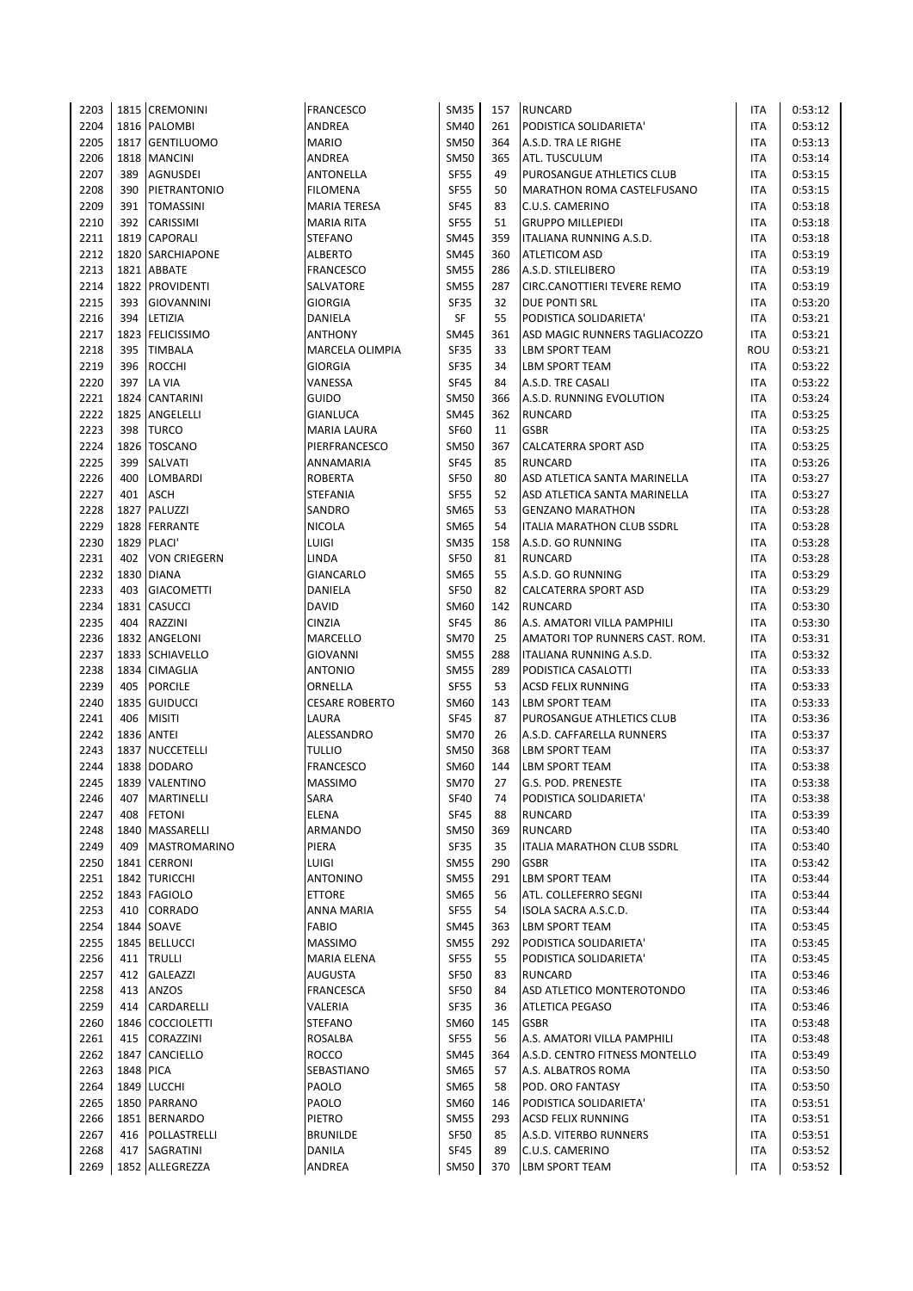| 2203         |            | 1815 CREMONINI                 | <b>FRANCESCO</b>                  | <b>SM35</b>                | 157       | <b>RUNCARD</b>                                 | ITA               | 0:53:12            |
|--------------|------------|--------------------------------|-----------------------------------|----------------------------|-----------|------------------------------------------------|-------------------|--------------------|
| 2204         |            | 1816 PALOMBI                   | ANDREA                            | <b>SM40</b>                | 261       | PODISTICA SOLIDARIETA'                         | ITA               | 0:53:12            |
| 2205         | 1817       | <b>GENTILUOMO</b>              | <b>MARIO</b>                      | <b>SM50</b>                | 364       | A.S.D. TRA LE RIGHE                            | ITA               | 0:53:13            |
| 2206         |            | 1818 MANCINI                   | ANDREA                            | <b>SM50</b>                | 365       | ATL. TUSCULUM                                  | ITA               | 0:53:14            |
| 2207         | 389        | <b>AGNUSDEI</b>                | ANTONELLA                         | <b>SF55</b>                | 49        | PUROSANGUE ATHLETICS CLUB                      | <b>ITA</b>        | 0:53:15            |
| 2208         | 390        | PIETRANTONIO                   | <b>FILOMENA</b>                   | <b>SF55</b>                | 50        | <b>MARATHON ROMA CASTELFUSANO</b>              | <b>ITA</b>        | 0:53:15            |
| 2209         | 391        | <b>TOMASSINI</b>               | <b>MARIA TERESA</b>               | <b>SF45</b>                | 83        | C.U.S. CAMERINO                                | <b>ITA</b>        | 0:53:18            |
| 2210         | 392        | CARISSIMI                      | <b>MARIA RITA</b>                 | <b>SF55</b>                | 51        | <b>GRUPPO MILLEPIEDI</b>                       | <b>ITA</b>        | 0:53:18            |
| 2211         |            | 1819 CAPORALI                  | <b>STEFANO</b>                    | <b>SM45</b>                | 359       | ITALIANA RUNNING A.S.D.                        | <b>ITA</b>        | 0:53:18            |
| 2212         |            | 1820 SARCHIAPONE               | <b>ALBERTO</b>                    | <b>SM45</b>                | 360       | ATLETICOM ASD                                  | ITA               | 0:53:19            |
| 2213         | 1821       | <b>ABBATE</b>                  | <b>FRANCESCO</b>                  | <b>SM55</b>                | 286       | A.S.D. STILELIBERO                             | ITA               | 0:53:19            |
| 2214         |            | 1822 PROVIDENTI                | SALVATORE                         | <b>SM55</b>                | 287       | CIRC.CANOTTIERI TEVERE REMO                    | <b>ITA</b>        | 0:53:19            |
| 2215         | 393        | <b>GIOVANNINI</b>              | <b>GIORGIA</b>                    | <b>SF35</b>                | 32        | <b>DUE PONTI SRL</b>                           | ITA               | 0:53:20            |
| 2216         | 394        | LETIZIA                        | DANIELA                           | SF                         | 55        | PODISTICA SOLIDARIETA'                         | <b>ITA</b>        | 0:53:21            |
| 2217         | 1823       | <b>FELICISSIMO</b>             | <b>ANTHONY</b>                    | <b>SM45</b>                | 361       | ASD MAGIC RUNNERS TAGLIACOZZO                  | ITA               | 0:53:21            |
| 2218         | 395        | <b>TIMBALA</b>                 | MARCELA OLIMPIA                   | <b>SF35</b>                | 33        | <b>LBM SPORT TEAM</b>                          | ROU               | 0:53:21            |
| 2219         | 396        | <b>ROCCHI</b>                  | <b>GIORGIA</b>                    | <b>SF35</b>                | 34        | <b>LBM SPORT TEAM</b>                          | ITA               | 0:53:22            |
| 2220         | 397        | LA VIA                         | VANESSA                           | <b>SF45</b>                | 84        | A.S.D. TRE CASALI                              | ITA               | 0:53:22            |
| 2221         |            | 1824 CANTARINI                 | <b>GUIDO</b>                      | <b>SM50</b>                | 366       | A.S.D. RUNNING EVOLUTION                       | ITA               | 0:53:24            |
| 2222         |            | 1825 ANGELELLI                 | GIANLUCA                          | <b>SM45</b>                | 362       | <b>RUNCARD</b>                                 | ITA               | 0:53:25            |
| 2223         | 398        | <b>TURCO</b>                   | <b>MARIA LAURA</b>                | <b>SF60</b>                | 11        | <b>GSBR</b>                                    | ITA               | 0:53:25            |
| 2224         | 1826       | <b>TOSCANO</b>                 | PIERFRANCESCO                     | <b>SM50</b>                | 367       | CALCATERRA SPORT ASD                           | ITA               | 0:53:25            |
| 2225         | 399<br>400 | SALVATI                        | ANNAMARIA                         | <b>SF45</b><br><b>SF50</b> | 85        | <b>RUNCARD</b><br>ASD ATLETICA SANTA MARINELLA | ITA<br><b>ITA</b> | 0:53:26            |
| 2226<br>2227 | 401        | <b>LOMBARDI</b><br><b>ASCH</b> | <b>ROBERTA</b><br><b>STEFANIA</b> | <b>SF55</b>                | 80<br>52  | ASD ATLETICA SANTA MARINELLA                   | ITA               | 0:53:27<br>0:53:27 |
| 2228         | 1827       | PALUZZI                        | SANDRO                            | <b>SM65</b>                | 53        | <b>GENZANO MARATHON</b>                        | ITA               | 0:53:28            |
| 2229         |            | 1828 FERRANTE                  | <b>NICOLA</b>                     | SM65                       | 54        | ITALIA MARATHON CLUB SSDRL                     | ITA               | 0:53:28            |
| 2230         |            | 1829 PLACI'                    | LUIGI                             | <b>SM35</b>                | 158       | A.S.D. GO RUNNING                              | ITA               | 0:53:28            |
| 2231         | 402        | <b>VON CRIEGERN</b>            | LINDA                             | <b>SF50</b>                | 81        | <b>RUNCARD</b>                                 | ITA               | 0:53:28            |
| 2232         | 1830       | <b>DIANA</b>                   | GIANCARLO                         | <b>SM65</b>                | 55        | A.S.D. GO RUNNING                              | ITA               | 0:53:29            |
| 2233         | 403        | <b>GIACOMETTI</b>              | DANIELA                           | <b>SF50</b>                | 82        | CALCATERRA SPORT ASD                           | ITA               | 0:53:29            |
| 2234         |            | 1831 CASUCCI                   | DAVID                             | SM60                       | 142       | <b>RUNCARD</b>                                 | <b>ITA</b>        | 0:53:30            |
| 2235         | 404        | RAZZINI                        | <b>CINZIA</b>                     | <b>SF45</b>                | 86        | A.S. AMATORI VILLA PAMPHILI                    | ITA               | 0:53:30            |
| 2236         |            | 1832 ANGELONI                  | MARCELLO                          | <b>SM70</b>                | 25        | AMATORI TOP RUNNERS CAST. ROM.                 | <b>ITA</b>        | 0:53:31            |
| 2237         |            | 1833 SCHIAVELLO                | GIOVANNI                          | <b>SM55</b>                | 288       | ITALIANA RUNNING A.S.D.                        | ITA               | 0:53:32            |
| 2238         |            | 1834 CIMAGLIA                  | <b>ANTONIO</b>                    | <b>SM55</b>                | 289       | PODISTICA CASALOTTI                            | <b>ITA</b>        | 0:53:33            |
| 2239         | 405        | <b>PORCILE</b>                 | ORNELLA                           | <b>SF55</b>                | 53        | <b>ACSD FELIX RUNNING</b>                      | <b>ITA</b>        | 0:53:33            |
| 2240         | 1835       | <b>GUIDUCCI</b>                | <b>CESARE ROBERTO</b>             | <b>SM60</b>                | 143       | <b>LBM SPORT TEAM</b>                          | ITA               | 0:53:33            |
| 2241         | 406        | <b>MISITI</b>                  | LAURA                             | <b>SF45</b>                | 87        | PUROSANGUE ATHLETICS CLUB                      | <b>ITA</b>        | 0:53:36            |
| 2242         |            | <b>1836 ANTEI</b>              | <b>ALESSANDRO</b>                 | <b>SM70</b>                | 26        | A.S.D. CAFFARELLA RUNNERS                      | ITA               | 0:53:37            |
| 2243         | 1837       | NUCCETELLI                     | <b>TULLIO</b>                     | <b>SM50</b>                | 368       | <b>LBM SPORT TEAM</b>                          | ITA               | 0:53:37            |
| 2244         |            | 1838 DODARO                    | <b>FRANCESCO</b>                  | SM60                       | 144       | <b>LBM SPORT TEAM</b>                          | <b>ITA</b>        | 0:53:38            |
| 2245         |            | 1839 VALENTINO                 | <b>MASSIMO</b>                    | <b>SM70</b>                | 27        | G.S. POD. PRENESTE                             | <b>ITA</b>        | 0:53:38            |
| 2246         | 407        | MARTINELLI                     | SARA                              | <b>SF40</b>                | 74        | PODISTICA SOLIDARIETA'                         | ITA               | 0:53:38            |
| 2247         | 408        | <b>FETONI</b>                  | <b>ELENA</b>                      | <b>SF45</b>                | 88        | <b>RUNCARD</b>                                 | ITA               | 0:53:39            |
| 2248         | 1840       | MASSARELLI                     | ARMANDO                           | <b>SM50</b>                | 369       | RUNCARD                                        | ITA               | 0:53:40            |
| 2249         | 409        | <b>MASTROMARINO</b>            | PIERA                             | SF35                       | 35        | ITALIA MARATHON CLUB SSDRL                     | <b>ITA</b>        | 0:53:40            |
| 2250         |            | 1841 CERRONI                   | LUIGI                             | <b>SM55</b>                | 290       | <b>GSBR</b>                                    | ITA               | 0:53:42            |
| 2251         | 1842       | <b>TURICCHI</b>                | <b>ANTONINO</b>                   | <b>SM55</b>                | 291       | LBM SPORT TEAM                                 | ITA               | 0:53:44            |
| 2252         |            | 1843 FAGIOLO                   | <b>ETTORE</b>                     | SM65                       | 56        | ATL. COLLEFERRO SEGNI                          | ITA               | 0:53:44            |
| 2253         | 410        | CORRADO                        | ANNA MARIA                        | <b>SF55</b>                | 54        | ISOLA SACRA A.S.C.D.                           | ITA               | 0:53:44            |
| 2254         |            | 1844 SOAVE                     | <b>FABIO</b>                      | <b>SM45</b>                | 363       | LBM SPORT TEAM                                 | ITA               | 0:53:45            |
| 2255         |            | 1845 BELLUCCI                  | <b>MASSIMO</b>                    | <b>SM55</b>                | 292       | PODISTICA SOLIDARIETA'                         | ITA               | 0:53:45            |
| 2256         | 411        | <b>TRULLI</b>                  | MARIA ELENA                       | <b>SF55</b>                | 55        | PODISTICA SOLIDARIETA'                         | ITA               | 0:53:45            |
| 2257         | 412        | GALEAZZI                       | <b>AUGUSTA</b>                    | <b>SF50</b>                | 83        | <b>RUNCARD</b>                                 | ITA               | 0:53:46            |
| 2258         | 413        | ANZOS                          | <b>FRANCESCA</b>                  | <b>SF50</b>                | 84        | ASD ATLETICO MONTEROTONDO                      | ITA               | 0:53:46            |
| 2259<br>2260 | 414        | CARDARELLI<br>1846 COCCIOLETTI | VALERIA<br><b>STEFANO</b>         | SF35<br>SM60               | 36<br>145 | ATLETICA PEGASO<br><b>GSBR</b>                 | ITA<br>ITA        | 0:53:46<br>0:53:48 |
| 2261         | 415        | CORAZZINI                      | ROSALBA                           | <b>SF55</b>                | 56        | A.S. AMATORI VILLA PAMPHILI                    | ITA               | 0:53:48            |
| 2262         | 1847       | CANCIELLO                      | <b>ROCCO</b>                      | <b>SM45</b>                | 364       | A.S.D. CENTRO FITNESS MONTELLO                 | ITA               | 0:53:49            |
| 2263         | 1848 PICA  |                                | SEBASTIANO                        | SM65                       | 57        | A.S. ALBATROS ROMA                             | ITA               | 0:53:50            |
| 2264         |            | 1849 LUCCHI                    | PAOLO                             | SM65                       | 58        | POD. ORO FANTASY                               | <b>ITA</b>        | 0:53:50            |
| 2265         |            | 1850 PARRANO                   | PAOLO                             | SM60                       | 146       | PODISTICA SOLIDARIETA'                         | <b>ITA</b>        | 0:53:51            |
| 2266         | 1851       | <b>BERNARDO</b>                | PIETRO                            | <b>SM55</b>                | 293       | <b>ACSD FELIX RUNNING</b>                      | ITA               | 0:53:51            |
| 2267         | 416        | POLLASTRELLI                   | <b>BRUNILDE</b>                   | SF50                       | 85        | A.S.D. VITERBO RUNNERS                         | ITA               | 0:53:51            |
| 2268         | 417        | SAGRATINI                      | DANILA                            | <b>SF45</b>                | 89        | C.U.S. CAMERINO                                | ITA               | 0:53:52            |
| 2269         |            | 1852 ALLEGREZZA                | ANDREA                            | <b>SM50</b>                | 370       | <b>LBM SPORT TEAM</b>                          | ITA               | 0:53:52            |
|              |            |                                |                                   |                            |           |                                                |                   |                    |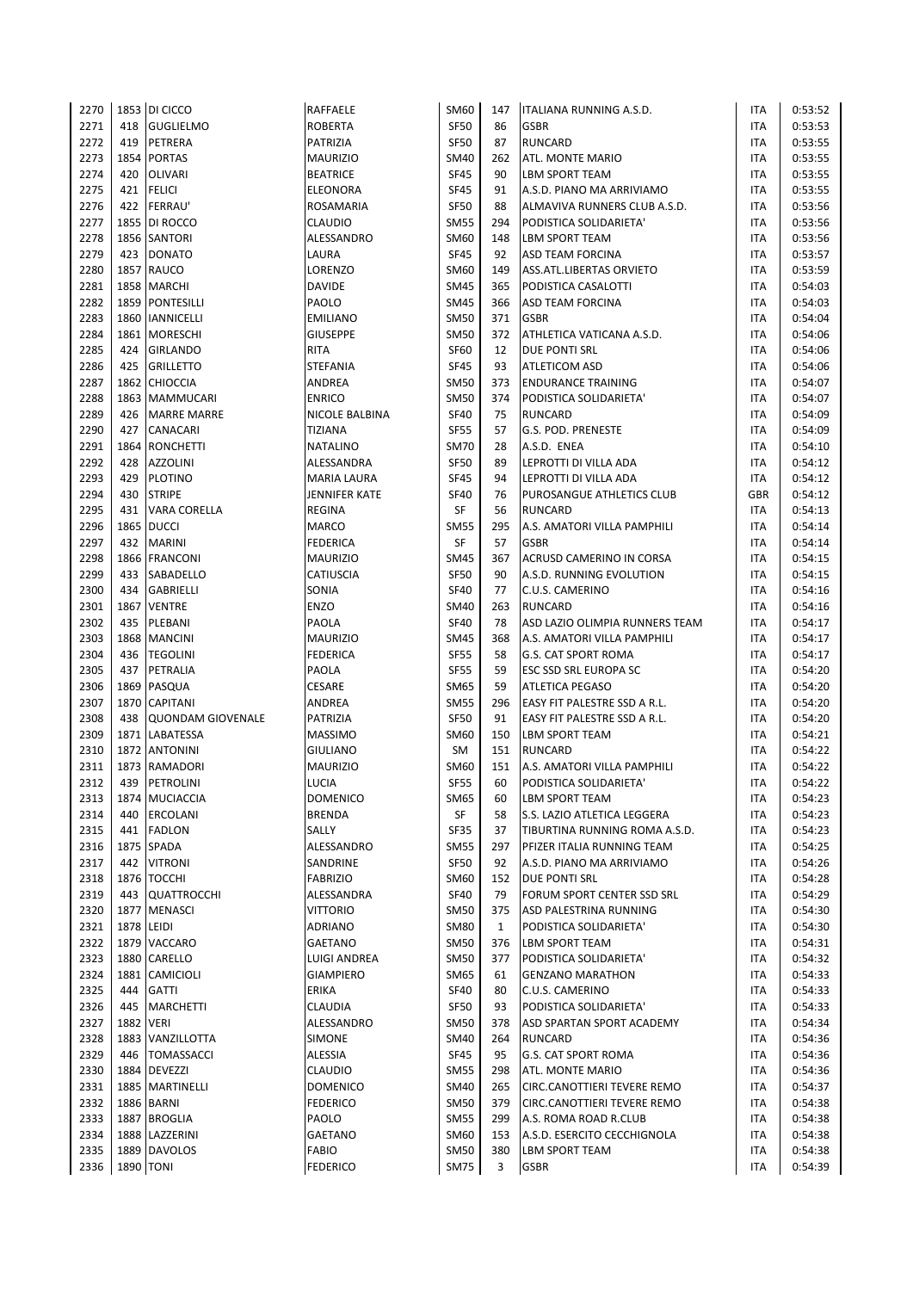| 2270 |                  | 1853 DI CICCO            | RAFFAELE         | SM60        | 147 | ITALIANA RUNNING A.S.D.        | ITA        | 0:53:52 |
|------|------------------|--------------------------|------------------|-------------|-----|--------------------------------|------------|---------|
| 2271 | 418              | <b>GUGLIELMO</b>         | <b>ROBERTA</b>   | <b>SF50</b> | 86  | <b>GSBR</b>                    | ITA        | 0:53:53 |
| 2272 | 419              | PETRERA                  | PATRIZIA         | <b>SF50</b> | 87  | <b>RUNCARD</b>                 | ITA        | 0:53:55 |
| 2273 |                  | 1854 PORTAS              | <b>MAURIZIO</b>  | <b>SM40</b> | 262 | ATL. MONTE MARIO               | ITA        | 0:53:55 |
| 2274 | 420              | <b>OLIVARI</b>           | <b>BEATRICE</b>  | <b>SF45</b> | 90  | <b>LBM SPORT TEAM</b>          | <b>ITA</b> | 0:53:55 |
| 2275 | 421              | <b>FELICI</b>            | ELEONORA         | <b>SF45</b> | 91  | A.S.D. PIANO MA ARRIVIAMO      | ITA        | 0:53:55 |
| 2276 | 422              | <b>FERRAU'</b>           | ROSAMARIA        | <b>SF50</b> | 88  | ALMAVIVA RUNNERS CLUB A.S.D.   | ITA        | 0:53:56 |
| 2277 |                  | 1855 DI ROCCO            | CLAUDIO          | <b>SM55</b> | 294 | PODISTICA SOLIDARIETA'         | ITA        | 0:53:56 |
| 2278 |                  | 1856 SANTORI             | ALESSANDRO       | SM60        | 148 | <b>LBM SPORT TEAM</b>          | <b>ITA</b> | 0:53:56 |
| 2279 | 423              | <b>DONATO</b>            | LAURA            | <b>SF45</b> | 92  | <b>ASD TEAM FORCINA</b>        | ITA        | 0:53:57 |
| 2280 |                  | 1857 RAUCO               | LORENZO          | SM60        | 149 | ASS.ATL.LIBERTAS ORVIETO       | ITA        | 0:53:59 |
| 2281 |                  | 1858 MARCHI              | <b>DAVIDE</b>    | <b>SM45</b> | 365 | PODISTICA CASALOTTI            | ITA        | 0:54:03 |
| 2282 |                  | 1859 PONTESILLI          | PAOLO            | <b>SM45</b> | 366 | <b>ASD TEAM FORCINA</b>        | <b>ITA</b> | 0:54:03 |
| 2283 |                  | 1860 IANNICELLI          | <b>EMILIANO</b>  | <b>SM50</b> | 371 | <b>GSBR</b>                    | ITA        | 0:54:04 |
| 2284 | 1861             | <b>MORESCHI</b>          | <b>GIUSEPPE</b>  | <b>SM50</b> | 372 | ATHLETICA VATICANA A.S.D.      | ITA        | 0:54:06 |
| 2285 | 424              | <b>GIRLANDO</b>          | RITA             | <b>SF60</b> | 12  | <b>DUE PONTI SRL</b>           | <b>ITA</b> | 0:54:06 |
| 2286 | 425              | <b>GRILLETTO</b>         | <b>STEFANIA</b>  | <b>SF45</b> | 93  | <b>ATLETICOM ASD</b>           | <b>ITA</b> | 0:54:06 |
| 2287 |                  | 1862 CHIOCCIA            | ANDREA           | <b>SM50</b> | 373 | <b>ENDURANCE TRAINING</b>      | <b>ITA</b> | 0:54:07 |
| 2288 |                  | 1863 MAMMUCARI           | <b>ENRICO</b>    | <b>SM50</b> | 374 | PODISTICA SOLIDARIETA'         | ITA        | 0:54:07 |
| 2289 | 426              | <b>MARRE MARRE</b>       | NICOLE BALBINA   | <b>SF40</b> | 75  | <b>RUNCARD</b>                 | <b>ITA</b> | 0:54:09 |
| 2290 | 427              | <b>CANACARI</b>          | <b>TIZIANA</b>   | <b>SF55</b> | 57  | G.S. POD. PRENESTE             | ITA        | 0:54:09 |
| 2291 |                  | 1864 RONCHETTI           | <b>NATALINO</b>  | <b>SM70</b> | 28  | A.S.D. ENEA                    | ITA        | 0:54:10 |
| 2292 | 428              | <b>AZZOLINI</b>          | ALESSANDRA       | <b>SF50</b> | 89  | LEPROTTI DI VILLA ADA          | ITA        | 0:54:12 |
| 2293 | 429              | <b>PLOTINO</b>           | MARIA LAURA      | <b>SF45</b> | 94  | LEPROTTI DI VILLA ADA          | <b>ITA</b> | 0:54:12 |
| 2294 | 430              | <b>STRIPE</b>            | JENNIFER KATE    | <b>SF40</b> | 76  | PUROSANGUE ATHLETICS CLUB      | GBR        | 0:54:12 |
| 2295 | 431              | VARA CORELLA             | <b>REGINA</b>    | SF          | 56  | <b>RUNCARD</b>                 | ITA        | 0:54:13 |
| 2296 |                  | 1865   DUCCI             | MARCO            | <b>SM55</b> | 295 | A.S. AMATORI VILLA PAMPHILI    | ITA        | 0:54:14 |
| 2297 | 432              | <b>MARINI</b>            | <b>FEDERICA</b>  | SF          | 57  | <b>GSBR</b>                    | <b>ITA</b> | 0:54:14 |
| 2298 |                  | 1866 FRANCONI            | <b>MAURIZIO</b>  | <b>SM45</b> | 367 | ACRUSD CAMERINO IN CORSA       | ITA        | 0:54:15 |
| 2299 | 433              | <b>SABADELLO</b>         | <b>CATIUSCIA</b> | <b>SF50</b> | 90  | A.S.D. RUNNING EVOLUTION       | ITA        | 0:54:15 |
| 2300 | 434              | <b>GABRIELLI</b>         | SONIA            | <b>SF40</b> | 77  | C.U.S. CAMERINO                | ITA        | 0:54:16 |
| 2301 |                  | 1867 VENTRE              | ENZO             | <b>SM40</b> | 263 | <b>RUNCARD</b>                 | ITA        | 0:54:16 |
| 2302 | 435              | PLEBANI                  | PAOLA            | <b>SF40</b> | 78  | ASD LAZIO OLIMPIA RUNNERS TEAM | ITA        | 0:54:17 |
| 2303 |                  | 1868 MANCINI             | <b>MAURIZIO</b>  | <b>SM45</b> | 368 | A.S. AMATORI VILLA PAMPHILI    | ITA        | 0:54:17 |
| 2304 | 436              | <b>TEGOLINI</b>          | <b>FEDERICA</b>  | <b>SF55</b> | 58  | <b>G.S. CAT SPORT ROMA</b>     | ITA        | 0:54:17 |
| 2305 | 437              | PETRALIA                 | PAOLA            | <b>SF55</b> | 59  | <b>ESC SSD SRL EUROPA SC</b>   | <b>ITA</b> | 0:54:20 |
| 2306 |                  | 1869 PASQUA              | <b>CESARE</b>    | <b>SM65</b> | 59  | <b>ATLETICA PEGASO</b>         | <b>ITA</b> | 0:54:20 |
| 2307 |                  | 1870 CAPITANI            | ANDREA           | <b>SM55</b> | 296 | EASY FIT PALESTRE SSD A R.L.   | ITA        | 0:54:20 |
| 2308 | 438              | <b>QUONDAM GIOVENALE</b> | PATRIZIA         | <b>SF50</b> | 91  | EASY FIT PALESTRE SSD A R.L.   | <b>ITA</b> | 0:54:20 |
| 2309 |                  | 1871 LABATESSA           | <b>MASSIMO</b>   | SM60        | 150 | <b>LBM SPORT TEAM</b>          | ITA        | 0:54:21 |
| 2310 |                  | 1872 ANTONINI            | <b>GIULIANO</b>  | SM          | 151 | <b>RUNCARD</b>                 | ITA        | 0:54:22 |
| 2311 |                  | 1873 RAMADORI            | <b>MAURIZIO</b>  | SM60        | 151 | A.S. AMATORI VILLA PAMPHILI    | ITA        | 0:54:22 |
| 2312 |                  | 439 PETROLINI            | LUCIA            | <b>SF55</b> | 60  | PODISTICA SOLIDARIETA'         | <b>ITA</b> | 0:54:22 |
| 2313 |                  | 1874 MUCIACCIA           | <b>DOMENICO</b>  | SM65        | 60  | <b>LBM SPORT TEAM</b>          | ITA        | 0:54:23 |
| 2314 | 440              | <b>ERCOLANI</b>          | <b>BRENDA</b>    | SF          | 58  | S.S. LAZIO ATLETICA LEGGERA    | ITA        | 0:54:23 |
| 2315 | 441              | <b>FADLON</b>            | SALLY            | <b>SF35</b> | 37  | TIBURTINA RUNNING ROMA A.S.D.  | ITA        | 0:54:23 |
| 2316 |                  | 1875 SPADA               | ALESSANDRO       | <b>SM55</b> | 297 | PFIZER ITALIA RUNNING TEAM     | ITA        | 0:54:25 |
| 2317 | 442              | <b>VITRONI</b>           | SANDRINE         | <b>SF50</b> | 92  | A.S.D. PIANO MA ARRIVIAMO      | ITA        | 0:54:26 |
| 2318 |                  | 1876 TOCCHI              | <b>FABRIZIO</b>  | SM60        | 152 | DUE PONTI SRL                  | ITA        | 0:54:28 |
| 2319 |                  | 443 QUATTROCCHI          | ALESSANDRA       | <b>SF40</b> | 79  | FORUM SPORT CENTER SSD SRL     | ITA        | 0:54:29 |
| 2320 |                  | 1877 MENASCI             | <b>VITTORIO</b>  | <b>SM50</b> | 375 | ASD PALESTRINA RUNNING         | ITA        | 0:54:30 |
| 2321 |                  | 1878 LEIDI               | ADRIANO          | <b>SM80</b> | 1   | PODISTICA SOLIDARIETA'         | ITA        | 0:54:30 |
| 2322 |                  | 1879 VACCARO             |                  | SM50        | 376 |                                | ITA        | 0:54:31 |
|      |                  | 1880 CARELLO             | GAETANO          |             |     | LBM SPORT TEAM                 |            |         |
| 2323 |                  |                          | LUIGI ANDREA     | <b>SM50</b> | 377 | PODISTICA SOLIDARIETA'         | ITA        | 0:54:32 |
| 2324 | 1881             | CAMICIOLI                | <b>GIAMPIERO</b> | SM65        | 61  | <b>GENZANO MARATHON</b>        | ITA        | 0:54:33 |
| 2325 | 444              | <b>GATTI</b>             | ERIKA            | <b>SF40</b> | 80  | C.U.S. CAMERINO                | ITA        | 0:54:33 |
| 2326 | 445              | <b>MARCHETTI</b>         | CLAUDIA          | <b>SF50</b> | 93  | PODISTICA SOLIDARIETA'         | ITA        | 0:54:33 |
| 2327 | <b>1882 VERI</b> |                          | ALESSANDRO       | <b>SM50</b> | 378 | ASD SPARTAN SPORT ACADEMY      | ITA        | 0:54:34 |
| 2328 |                  | 1883 VANZILLOTTA         | SIMONE           | <b>SM40</b> | 264 | <b>RUNCARD</b>                 | ITA        | 0:54:36 |
| 2329 | 446              | <b>TOMASSACCI</b>        | ALESSIA          | <b>SF45</b> | 95  | <b>G.S. CAT SPORT ROMA</b>     | ITA        | 0:54:36 |
| 2330 |                  | 1884 DEVEZZI             | CLAUDIO          | <b>SM55</b> | 298 | ATL. MONTE MARIO               | ITA        | 0:54:36 |
| 2331 |                  | 1885 MARTINELLI          | <b>DOMENICO</b>  | SM40        | 265 | CIRC.CANOTTIERI TEVERE REMO    | ITA        | 0:54:37 |
| 2332 |                  | 1886 BARNI               | <b>FEDERICO</b>  | <b>SM50</b> | 379 | CIRC.CANOTTIERI TEVERE REMO    | ITA        | 0:54:38 |
| 2333 |                  | 1887 BROGLIA             | PAOLO            | <b>SM55</b> | 299 | A.S. ROMA ROAD R.CLUB          | ITA        | 0:54:38 |
| 2334 |                  | 1888 LAZZERINI           | GAETANO          | SM60        | 153 | A.S.D. ESERCITO CECCHIGNOLA    | ITA        | 0:54:38 |
| 2335 |                  | 1889 DAVOLOS             | <b>FABIO</b>     | <b>SM50</b> | 380 | <b>LBM SPORT TEAM</b>          | ITA        | 0:54:38 |
| 2336 |                  | <b>1890 TONI</b>         | <b>FEDERICO</b>  | <b>SM75</b> | 3   | <b>GSBR</b>                    | <b>ITA</b> | 0:54:39 |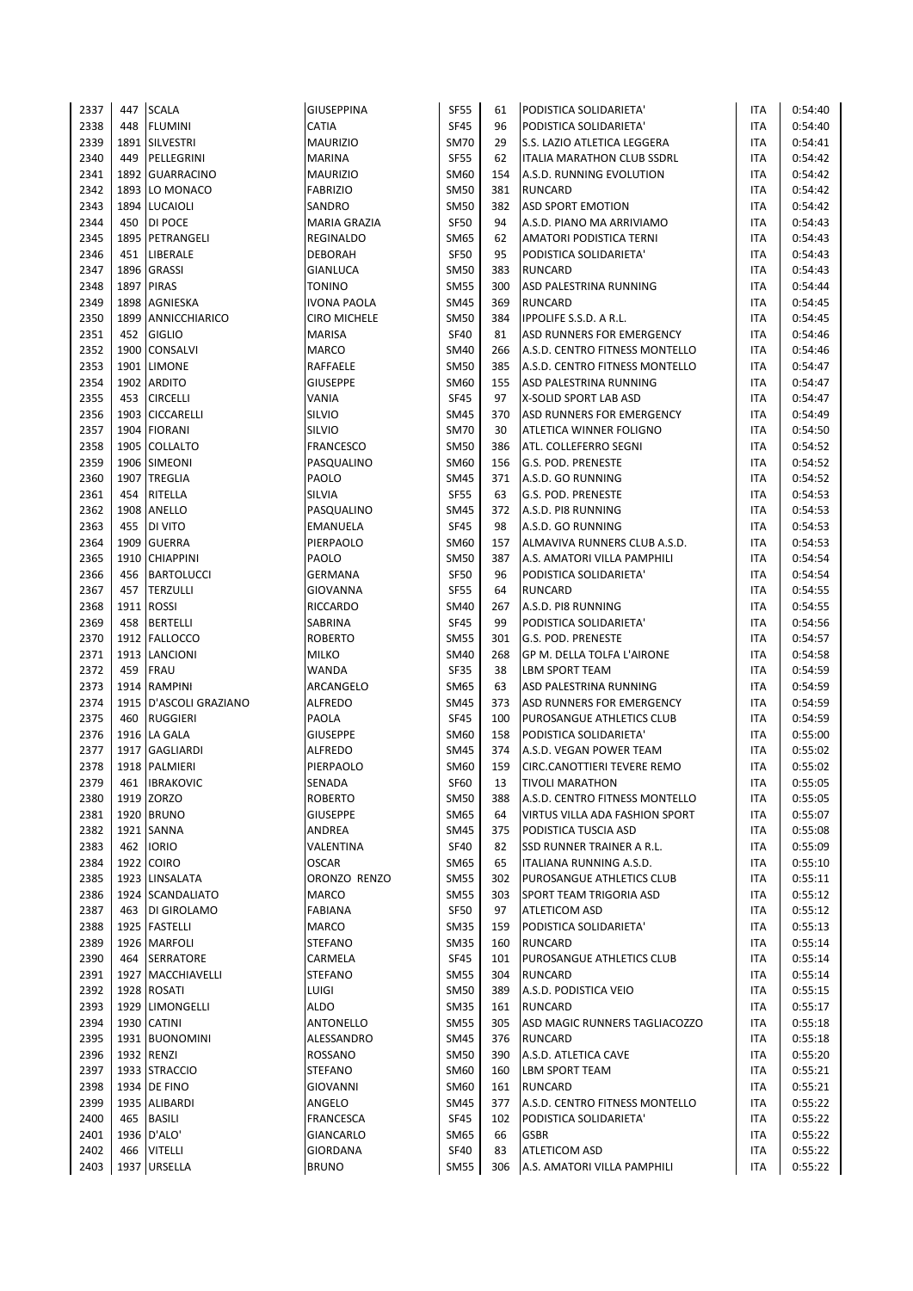| 2337         | 447  | <b>SCALA</b>                  | <b>GIUSEPPINA</b>             | <b>SF55</b>                | 61         | PODISTICA SOLIDARIETA'            | ITA        | 0:54:40            |
|--------------|------|-------------------------------|-------------------------------|----------------------------|------------|-----------------------------------|------------|--------------------|
| 2338         | 448  | <b>FLUMINI</b>                | CATIA                         | <b>SF45</b>                | 96         | PODISTICA SOLIDARIETA'            | ITA        | 0:54:40            |
| 2339         | 1891 | <b>SILVESTRI</b>              | <b>MAURIZIO</b>               | <b>SM70</b>                | 29         | S.S. LAZIO ATLETICA LEGGERA       | ITA        | 0:54:41            |
| 2340         | 449  | PELLEGRINI                    | <b>MARINA</b>                 | <b>SF55</b>                | 62         | <b>ITALIA MARATHON CLUB SSDRL</b> | <b>ITA</b> | 0:54:42            |
| 2341         |      | 1892 GUARRACINO               | <b>MAURIZIO</b>               | <b>SM60</b>                | 154        | A.S.D. RUNNING EVOLUTION          | <b>ITA</b> | 0:54:42            |
| 2342         | 1893 | LO MONACO                     | <b>FABRIZIO</b>               | <b>SM50</b>                | 381        | <b>RUNCARD</b>                    | ITA        | 0:54:42            |
| 2343         |      | 1894 LUCAIOLI                 | SANDRO                        | <b>SM50</b>                | 382        | <b>ASD SPORT EMOTION</b>          | ITA        | 0:54:42            |
| 2344         | 450  | DI POCE                       | <b>MARIA GRAZIA</b>           | <b>SF50</b>                | 94         | A.S.D. PIANO MA ARRIVIAMO         | <b>ITA</b> | 0:54:43            |
| 2345         |      | 1895   PETRANGELI             | <b>REGINALDO</b>              | <b>SM65</b>                | 62         | AMATORI PODISTICA TERNI           | ITA        | 0:54:43            |
| 2346         | 451  | LIBERALE                      | <b>DEBORAH</b>                | <b>SF50</b>                | 95         | PODISTICA SOLIDARIETA'            | ITA        | 0:54:43            |
| 2347         | 1896 | <b>GRASSI</b>                 | <b>GIANLUCA</b>               | <b>SM50</b>                | 383        | <b>RUNCARD</b>                    | ITA        | 0:54:43            |
| 2348         |      | 1897 PIRAS                    | <b>TONINO</b>                 | <b>SM55</b>                | 300        | ASD PALESTRINA RUNNING            | <b>ITA</b> | 0:54:44            |
| 2349         |      | 1898 AGNIESKA                 | <b>IVONA PAOLA</b>            | <b>SM45</b>                | 369        | <b>RUNCARD</b>                    | <b>ITA</b> | 0:54:45            |
| 2350         | 1899 | ANNICCHIARICO                 | <b>CIRO MICHELE</b>           | <b>SM50</b>                | 384        | <b>IPPOLIFE S.S.D. A R.L.</b>     | ITA        | 0:54:45            |
| 2351         | 452  | <b>GIGLIO</b>                 | MARISA                        | <b>SF40</b>                | 81         | ASD RUNNERS FOR EMERGENCY         | ITA        | 0:54:46            |
| 2352         |      | 1900 CONSALVI                 | <b>MARCO</b>                  | <b>SM40</b>                | 266        | A.S.D. CENTRO FITNESS MONTELLO    | <b>ITA</b> | 0:54:46            |
| 2353         |      | 1901 LIMONE                   | RAFFAELE                      | <b>SM50</b>                | 385        | A.S.D. CENTRO FITNESS MONTELLO    | <b>ITA</b> | 0:54:47            |
| 2354         | 1902 | <b>ARDITO</b>                 | <b>GIUSEPPE</b>               | <b>SM60</b>                | 155        | ASD PALESTRINA RUNNING            | ITA        | 0:54:47            |
| 2355         | 453  | <b>CIRCELLI</b>               | VANIA                         | <b>SF45</b>                | 97         | X-SOLID SPORT LAB ASD             | ITA        | 0:54:47            |
| 2356         |      | 1903 CICCARELLI               | SILVIO                        | <b>SM45</b>                | 370        | ASD RUNNERS FOR EMERGENCY         | <b>ITA</b> | 0:54:49            |
| 2357         |      | 1904 FIORANI                  | SILVIO                        | <b>SM70</b>                | 30         | ATLETICA WINNER FOLIGNO           | ITA        | 0:54:50            |
| 2358         | 1905 | <b>COLLALTO</b>               | <b>FRANCESCO</b>              | <b>SM50</b>                | 386        | ATL. COLLEFERRO SEGNI             | ITA        | 0:54:52            |
| 2359         |      | 1906 SIMEONI                  | PASQUALINO                    | <b>SM60</b>                | 156        | G.S. POD. PRENESTE                | ITA        | 0:54:52            |
| 2360         |      | 1907 TREGLIA                  | PAOLO                         | <b>SM45</b>                | 371        | A.S.D. GO RUNNING                 | ITA        | 0:54:52            |
| 2361         | 454  | RITELLA                       | SILVIA                        | <b>SF55</b>                | 63         | G.S. POD. PRENESTE                | ITA        | 0:54:53            |
| 2362         |      | 1908 ANELLO                   | PASQUALINO                    | <b>SM45</b>                | 372        | A.S.D. PI8 RUNNING                | ITA        | 0:54:53            |
| 2363         | 455  | DI VITO                       | <b>EMANUELA</b>               | <b>SF45</b>                | 98         | A.S.D. GO RUNNING                 | <b>ITA</b> | 0:54:53            |
| 2364         |      | 1909 GUERRA                   | PIERPAOLO                     | <b>SM60</b>                | 157        | ALMAVIVA RUNNERS CLUB A.S.D.      | <b>ITA</b> | 0:54:53            |
| 2365         | 1910 | <b>CHIAPPINI</b>              | PAOLO                         | <b>SM50</b>                | 387        | A.S. AMATORI VILLA PAMPHILI       | <b>ITA</b> | 0:54:54            |
| 2366         | 456  | <b>BARTOLUCCI</b>             | <b>GERMANA</b>                | <b>SF50</b>                | 96         | PODISTICA SOLIDARIETA'            | ITA        | 0:54:54            |
| 2367         | 457  | <b>TERZULLI</b>               | <b>GIOVANNA</b>               | <b>SF55</b>                | 64         | <b>RUNCARD</b>                    | <b>ITA</b> | 0:54:55            |
| 2368         |      | 1911 ROSSI                    | <b>RICCARDO</b>               | <b>SM40</b>                | 267        | A.S.D. PI8 RUNNING                | ITA        | 0:54:55            |
| 2369         | 458  | <b>BERTELLI</b>               | SABRINA                       | <b>SF45</b>                | 99         | PODISTICA SOLIDARIETA'            | ITA        | 0:54:56            |
| 2370         | 1912 | <b>FALLOCCO</b>               | <b>ROBERTO</b>                | <b>SM55</b>                | 301        | G.S. POD. PRENESTE                | ITA        | 0:54:57            |
| 2371         |      | 1913 LANCIONI                 | <b>MILKO</b>                  | <b>SM40</b>                | 268        | GP M. DELLA TOLFA L'AIRONE        | <b>ITA</b> | 0:54:58            |
| 2372         | 459  | <b>FRAU</b>                   | WANDA                         | <b>SF35</b>                | 38         | <b>LBM SPORT TEAM</b>             | ITA        | 0:54:59            |
| 2373         | 1914 | <b>RAMPINI</b>                | ARCANGELO                     | <b>SM65</b>                | 63         | ASD PALESTRINA RUNNING            | <b>ITA</b> | 0:54:59            |
| 2374         |      | 1915   D'ASCOLI GRAZIANO      | <b>ALFREDO</b>                | <b>SM45</b>                | 373        | ASD RUNNERS FOR EMERGENCY         | ITA        | 0:54:59            |
| 2375         | 460  | <b>RUGGIERI</b>               | PAOLA                         | <b>SF45</b>                | 100        | PUROSANGUE ATHLETICS CLUB         | ITA        | 0:54:59            |
| 2376         |      | 1916 LA GALA                  | <b>GIUSEPPE</b>               | <b>SM60</b>                | 158        | PODISTICA SOLIDARIETA'            | ITA        | 0:55:00            |
| 2377         | 1917 | GAGLIARDI                     | ALFREDO                       | <b>SM45</b>                | 374        | A.S.D. VEGAN POWER TEAM           | <b>ITA</b> | 0:55:02            |
| 2378         |      | 1918 PALMIERI                 | PIERPAOLO                     | SM60                       | 159        | CIRC.CANOTTIERI TEVERE REMO       | ITA        | 0:55:02            |
| 2379         | 461  | <b>IBRAKOVIC</b>              | <b>SENADA</b>                 | <b>SF60</b>                | 13         | <b>TIVOLI MARATHON</b>            | <b>ITA</b> | 0:55:05            |
| 2380         |      | 1919 ZORZO                    | <b>ROBERTO</b>                | <b>SM50</b>                | 388        | A.S.D. CENTRO FITNESS MONTELLO    | ITA        | 0:55:05            |
| 2381         |      | 1920 BRUNO                    | <b>GIUSEPPE</b>               | SM65                       | 64         | VIRTUS VILLA ADA FASHION SPORT    | ITA        | 0:55:07            |
| 2382         |      | 1921 SANNA                    | ANDREA                        | SM45                       | 375        | PODISTICA TUSCIA ASD              | ITA        | 0:55:08            |
| 2383         | 462  | <b>IORIO</b>                  | VALENTINA                     | <b>SF40</b>                | 82         | SSD RUNNER TRAINER A R.L.         | ITA        | 0:55:09            |
| 2384         |      | 1922 COIRO                    | <b>OSCAR</b>                  | SM65                       | 65         | ITALIANA RUNNING A.S.D.           | ITA        | 0:55:10            |
| 2385         |      | 1923 LINSALATA                | ORONZO RENZO                  | <b>SM55</b>                | 302        | PUROSANGUE ATHLETICS CLUB         | ITA        | 0:55:11            |
| 2386         |      | 1924 SCANDALIATO              | MARCO                         | <b>SM55</b>                | 303        | SPORT TEAM TRIGORIA ASD           | ITA        | 0:55:12            |
| 2387         | 463  | DI GIROLAMO                   | <b>FABIANA</b>                | SF50                       | 97         | <b>ATLETICOM ASD</b>              | ITA        | 0:55:12            |
| 2388         |      | 1925 FASTELLI                 | <b>MARCO</b>                  | <b>SM35</b>                | 159        | PODISTICA SOLIDARIETA'            | ITA        | 0:55:13            |
| 2389         |      | 1926 MARFOLI                  | <b>STEFANO</b>                | <b>SM35</b>                | 160        | <b>RUNCARD</b>                    | ITA        | 0:55:14            |
| 2390         | 464  | SERRATORE                     | CARMELA                       | <b>SF45</b>                | 101        | PUROSANGUE ATHLETICS CLUB         | ITA        | 0:55:14            |
| 2391         |      | 1927 MACCHIAVELLI             | <b>STEFANO</b>                | <b>SM55</b>                | 304        | <b>RUNCARD</b>                    | ITA        | 0:55:14            |
| 2392         |      | 1928 ROSATI                   | LUIGI                         | <b>SM50</b>                | 389        | A.S.D. PODISTICA VEIO             | ITA        | 0:55:15            |
| 2393         |      | 1929 LIMONGELLI               | <b>ALDO</b>                   | <b>SM35</b>                | 161        | <b>RUNCARD</b>                    | ITA        | 0:55:17            |
| 2394         |      | 1930 CATINI                   | ANTONELLO                     | <b>SM55</b>                | 305        | ASD MAGIC RUNNERS TAGLIACOZZO     | ITA        | 0:55:18            |
| 2395         |      | 1931 BUONOMINI                | ALESSANDRO                    | <b>SM45</b>                | 376        | <b>RUNCARD</b>                    | ITA        | 0:55:18            |
| 2396         |      | 1932 RENZI                    | ROSSANO                       | <b>SM50</b>                | 390        | A.S.D. ATLETICA CAVE              | ITA        | 0:55:20            |
| 2397         |      | 1933 STRACCIO                 | <b>STEFANO</b>                | SM60                       | 160        | <b>LBM SPORT TEAM</b>             | ITA        | 0:55:21            |
| 2398         |      | 1934 DE FINO<br>1935 ALIBARDI | GIOVANNI                      | <b>SM60</b><br><b>SM45</b> | 161<br>377 | RUNCARD                           | ITA        | 0:55:21            |
| 2399<br>2400 | 465  | <b>BASILI</b>                 | ANGELO                        | <b>SF45</b>                |            | A.S.D. CENTRO FITNESS MONTELLO    | ITA        | 0:55:22            |
| 2401         |      | 1936 D'ALO'                   | <b>FRANCESCA</b><br>GIANCARLO | SM65                       | 102<br>66  | PODISTICA SOLIDARIETA'<br>GSBR    | ITA<br>ITA | 0:55:22<br>0:55:22 |
| 2402         | 466  | <b>VITELLI</b>                | GIORDANA                      | <b>SF40</b>                | 83         | ATLETICOM ASD                     | ITA        | 0:55:22            |
| 2403         |      | 1937 URSELLA                  | <b>BRUNO</b>                  | <b>SM55</b>                | 306        | A.S. AMATORI VILLA PAMPHILI       | <b>ITA</b> | 0:55:22            |
|              |      |                               |                               |                            |            |                                   |            |                    |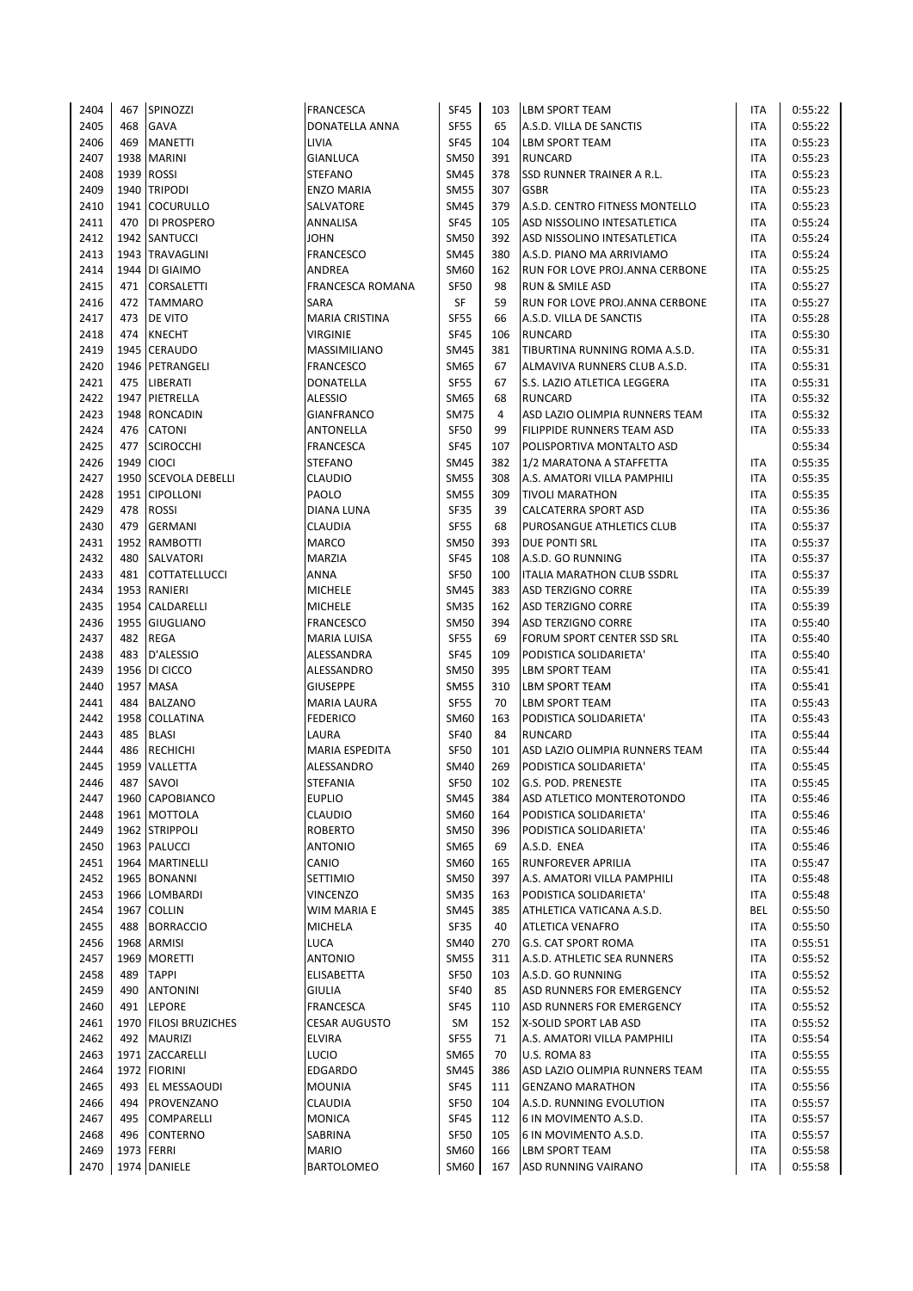| 2404         | 467  | SPINOZZI                    | <b>FRANCESCA</b>                    | <b>SF45</b>                | 103       | <b>LBM SPORT TEAM</b>                   | <b>ITA</b>               | 0:55:22            |
|--------------|------|-----------------------------|-------------------------------------|----------------------------|-----------|-----------------------------------------|--------------------------|--------------------|
| 2405         | 468  | <b>GAVA</b>                 | DONATELLA ANNA                      | <b>SF55</b>                | 65        | A.S.D. VILLA DE SANCTIS                 | <b>ITA</b>               | 0:55:22            |
| 2406         | 469  | <b>MANETTI</b>              | LIVIA                               | <b>SF45</b>                | 104       | <b>LBM SPORT TEAM</b>                   | <b>ITA</b>               | 0:55:23            |
| 2407         |      | 1938   MARINI               | GIANLUCA                            | <b>SM50</b>                | 391       | <b>RUNCARD</b>                          | <b>ITA</b>               | 0:55:23            |
| 2408         |      | 1939 ROSSI                  | <b>STEFANO</b>                      | <b>SM45</b>                | 378       | SSD RUNNER TRAINER A R.L.               | <b>ITA</b>               | 0:55:23            |
| 2409         |      | 1940 TRIPODI                | <b>ENZO MARIA</b>                   | <b>SM55</b>                | 307       | <b>GSBR</b>                             | <b>ITA</b>               | 0:55:23            |
| 2410         |      | 1941 COCURULLO              | SALVATORE                           | <b>SM45</b>                | 379       | A.S.D. CENTRO FITNESS MONTELLO          | <b>ITA</b>               | 0:55:23            |
| 2411         | 470  | <b>DI PROSPERO</b>          | ANNALISA                            | <b>SF45</b>                | 105       | ASD NISSOLINO INTESATLETICA             | <b>ITA</b>               | 0:55:24            |
| 2412         |      | 1942 SANTUCCI               | <b>JOHN</b>                         | <b>SM50</b>                | 392       | ASD NISSOLINO INTESATLETICA             | <b>ITA</b>               | 0:55:24            |
| 2413         |      | 1943 TRAVAGLINI             | <b>FRANCESCO</b>                    | <b>SM45</b>                | 380       | A.S.D. PIANO MA ARRIVIAMO               | <b>ITA</b>               | 0:55:24            |
| 2414         |      | 1944 DI GIAIMO              | <b>ANDREA</b>                       | SM60                       | 162       | RUN FOR LOVE PROJ. ANNA CERBONE         | <b>ITA</b>               | 0:55:25            |
| 2415         | 471  | <b>CORSALETTI</b>           | <b>FRANCESCA ROMANA</b>             | <b>SF50</b>                | 98        | RUN & SMILE ASD                         | <b>ITA</b>               | 0:55:27            |
| 2416         |      | 472 TAMMARO                 | <b>SARA</b>                         | SF                         | 59        | RUN FOR LOVE PROJ. ANNA CERBONE         | <b>ITA</b>               | 0:55:27            |
| 2417         | 473  | <b>DE VITO</b>              | <b>MARIA CRISTINA</b>               | <b>SF55</b>                | 66        | A.S.D. VILLA DE SANCTIS                 | <b>ITA</b>               | 0:55:28            |
| 2418         | 474  | <b>KNECHT</b>               | <b>VIRGINIE</b>                     | <b>SF45</b>                | 106       | <b>RUNCARD</b>                          | <b>ITA</b>               | 0:55:30            |
| 2419         |      | 1945 CERAUDO                | MASSIMILIANO                        | <b>SM45</b>                | 381       | TIBURTINA RUNNING ROMA A.S.D.           | <b>ITA</b>               | 0:55:31            |
| 2420         |      | 1946 PETRANGELI             | <b>FRANCESCO</b>                    | <b>SM65</b>                | 67        | ALMAVIVA RUNNERS CLUB A.S.D.            | <b>ITA</b>               | 0:55:31            |
| 2421         | 475  | <b>LIBERATI</b>             | <b>DONATELLA</b>                    | <b>SF55</b>                | 67        | S.S. LAZIO ATLETICA LEGGERA             | <b>ITA</b>               | 0:55:31            |
| 2422         |      | 1947 PIETRELLA              | ALESSIO                             | <b>SM65</b>                | 68        | <b>RUNCARD</b>                          | <b>ITA</b>               | 0:55:32            |
| 2423         |      | 1948 RONCADIN               | <b>GIANFRANCO</b>                   | <b>SM75</b>                | 4         | ASD LAZIO OLIMPIA RUNNERS TEAM          | <b>ITA</b>               | 0:55:32            |
| 2424         | 476  | <b>CATONI</b>               | <b>ANTONELLA</b>                    | <b>SF50</b>                | 99        | FILIPPIDE RUNNERS TEAM ASD              | <b>ITA</b>               | 0:55:33            |
| 2425         | 477  | <b>SCIROCCHI</b>            | <b>FRANCESCA</b>                    | <b>SF45</b>                | 107       | POLISPORTIVA MONTALTO ASD               |                          | 0:55:34            |
| 2426         |      | 1949 CIOCI                  | <b>STEFANO</b>                      | <b>SM45</b>                | 382       | 1/2 MARATONA A STAFFETTA                | <b>ITA</b>               | 0:55:35            |
| 2427         |      | 1950 SCEVOLA DEBELLI        | <b>CLAUDIO</b>                      | <b>SM55</b>                | 308       | A.S. AMATORI VILLA PAMPHILI             | <b>ITA</b>               | 0:55:35            |
| 2428         |      | 1951 CIPOLLONI              | PAOLO                               | <b>SM55</b>                | 309       | <b>TIVOLI MARATHON</b>                  | <b>ITA</b>               | 0:55:35            |
| 2429         | 478  | <b>ROSSI</b>                | DIANA LUNA                          | <b>SF35</b>                | 39        | CALCATERRA SPORT ASD                    | <b>ITA</b>               | 0:55:36            |
| 2430         | 479  | <b>GERMANI</b>              | CLAUDIA                             | <b>SF55</b>                | 68        | PUROSANGUE ATHLETICS CLUB               | <b>ITA</b>               | 0:55:37            |
| 2431         |      | 1952 RAMBOTTI               | <b>MARCO</b>                        | <b>SM50</b>                | 393       | <b>DUE PONTI SRL</b>                    | <b>ITA</b>               | 0:55:37            |
| 2432         | 480  | <b>SALVATORI</b>            | <b>MARZIA</b>                       | <b>SF45</b>                | 108       | A.S.D. GO RUNNING                       | <b>ITA</b>               | 0:55:37            |
| 2433         | 481  | <b>COTTATELLUCCI</b>        | <b>ANNA</b>                         | <b>SF50</b>                | 100       | <b>ITALIA MARATHON CLUB SSDRL</b>       | <b>ITA</b>               | 0:55:37            |
| 2434         |      | 1953 RANIERI                | <b>MICHELE</b>                      | <b>SM45</b>                | 383       | ASD TERZIGNO CORRE                      | <b>ITA</b>               | 0:55:39            |
| 2435         |      | 1954 CALDARELLI             | <b>MICHELE</b>                      | <b>SM35</b>                | 162       | <b>ASD TERZIGNO CORRE</b>               | <b>ITA</b>               | 0:55:39            |
| 2436         |      | 1955 GIUGLIANO              | <b>FRANCESCO</b>                    | <b>SM50</b>                | 394       | <b>ASD TERZIGNO CORRE</b>               | <b>ITA</b>               | 0:55:40            |
|              |      |                             |                                     |                            |           |                                         |                          |                    |
| 2437         | 482  | REGA                        | <b>MARIA LUISA</b>                  | <b>SF55</b>                | 69        | FORUM SPORT CENTER SSD SRL              | <b>ITA</b>               | 0:55:40            |
| 2438         | 483  | D'ALESSIO                   | ALESSANDRA                          | <b>SF45</b>                | 109       | PODISTICA SOLIDARIETA'                  | <b>ITA</b>               | 0:55:40            |
| 2439         |      | 1956 DI CICCO               | ALESSANDRO                          | <b>SM50</b>                | 395       | LBM SPORT TEAM                          | <b>ITA</b>               | 0:55:41            |
| 2440<br>2441 | 484  | 1957 MASA<br><b>BALZANO</b> | <b>GIUSEPPE</b>                     | <b>SM55</b><br><b>SF55</b> | 310<br>70 | LBM SPORT TEAM<br><b>LBM SPORT TEAM</b> | <b>ITA</b><br><b>ITA</b> | 0:55:41<br>0:55:43 |
|              |      | 1958 COLLATINA              | <b>MARIA LAURA</b>                  |                            |           |                                         |                          |                    |
| 2442         |      |                             | <b>FEDERICO</b>                     | <b>SM60</b>                | 163       | PODISTICA SOLIDARIETA'                  | <b>ITA</b>               | 0:55:43            |
| 2443         | 485  | <b>BLASI</b>                | LAURA                               | <b>SF40</b>                | 84        | <b>RUNCARD</b>                          | <b>ITA</b>               | 0:55:44            |
| 2444         | 486  | <b>RECHICHI</b>             | <b>MARIA ESPEDITA</b><br>ALESSANDRO | <b>SF50</b>                | 101       | ASD LAZIO OLIMPIA RUNNERS TEAM          | <b>ITA</b>               | 0:55:44            |
| 2445         | 1959 | VALLETTA                    |                                     | <b>SM40</b>                | 269       | PODISTICA SOLIDARIETA'                  | <b>ITA</b>               | 0:55:45            |
| 2446         | 487  | SAVOI                       | <b>STEFANIA</b>                     | <b>SF50</b>                | 102       | G.S. POD. PRENESTE                      | <b>ITA</b>               | 0:55:45            |
| 2447         |      | 1960 CAPOBIANCO             | <b>EUPLIO</b>                       | <b>SM45</b>                | 384       | ASD ATLETICO MONTEROTONDO               | <b>ITA</b>               | 0:55:46            |
| 2448         |      | 1961 MOTTOLA                | CLAUDIO                             | SM60                       | 164       | PODISTICA SOLIDARIETA'                  | <b>ITA</b>               | 0:55:46            |
| 2449         |      | 1962 STRIPPOLI              | <b>ROBERTO</b>                      | <b>SM50</b>                | 396       | PODISTICA SOLIDARIETA'                  | <b>ITA</b>               | 0:55:46            |
| 2450         |      | 1963 PALUCCI                | <b>ANTONIO</b>                      | <b>SM65</b>                | 69        | A.S.D. ENEA                             | <b>ITA</b>               | 0:55:46            |
| 2451         |      | 1964 MARTINELLI             | CANIO                               | SM60                       | 165       | RUNFOREVER APRILIA                      | <b>ITA</b>               | 0:55:47            |
| 2452         |      | 1965 BONANNI                | SETTIMIO                            | <b>SM50</b>                | 397       | A.S. AMATORI VILLA PAMPHILI             | <b>ITA</b>               | 0:55:48            |
| 2453         |      | 1966 LOMBARDI               | <b>VINCENZO</b>                     | <b>SM35</b>                | 163       | PODISTICA SOLIDARIETA'                  | <b>ITA</b>               | 0:55:48            |
| 2454         |      | 1967 COLLIN                 | WIM MARIA E                         | <b>SM45</b>                | 385       | ATHLETICA VATICANA A.S.D.               | BEL                      | 0:55:50            |
| 2455         |      | 488 BORRACCIO               | <b>MICHELA</b>                      | SF35                       | 40        | <b>ATLETICA VENAFRO</b>                 | <b>ITA</b>               | 0:55:50            |
| 2456         |      | 1968 ARMISI                 | LUCA                                | <b>SM40</b>                | 270       | G.S. CAT SPORT ROMA                     | <b>ITA</b>               | 0:55:51            |
| 2457         |      | 1969 MORETTI                | <b>ANTONIO</b>                      | <b>SM55</b>                | 311       | A.S.D. ATHLETIC SEA RUNNERS             | <b>ITA</b>               | 0:55:52            |
| 2458         | 489  | <b>TAPPI</b>                | ELISABETTA                          | <b>SF50</b>                | 103       | A.S.D. GO RUNNING                       | <b>ITA</b>               | 0:55:52            |
| 2459         | 490  | <b>ANTONINI</b>             | <b>GIULIA</b>                       | <b>SF40</b>                | 85        | ASD RUNNERS FOR EMERGENCY               | <b>ITA</b>               | 0:55:52            |
| 2460         | 491  | <b>LEPORE</b>               | <b>FRANCESCA</b>                    | SF45                       | 110       | ASD RUNNERS FOR EMERGENCY               | <b>ITA</b>               | 0:55:52            |
| 2461         |      | 1970 FILOSI BRUZICHES       | <b>CESAR AUGUSTO</b>                | SM                         | 152       | X-SOLID SPORT LAB ASD                   | ITA                      | 0:55:52            |
| 2462         |      | 492 MAURIZI                 | <b>ELVIRA</b>                       | <b>SF55</b>                | 71        | A.S. AMATORI VILLA PAMPHILI             | <b>ITA</b>               | 0:55:54            |
| 2463         |      | 1971 ZACCARELLI             | <b>LUCIO</b>                        | SM65                       | 70        | U.S. ROMA 83                            | ITA                      | 0:55:55            |
| 2464         |      | 1972 FIORINI                | EDGARDO                             | <b>SM45</b>                | 386       | ASD LAZIO OLIMPIA RUNNERS TEAM          | ITA                      | 0:55:55            |
| 2465         | 493  | EL MESSAOUDI                | <b>MOUNIA</b>                       | <b>SF45</b>                | 111       | <b>GENZANO MARATHON</b>                 | <b>ITA</b>               | 0:55:56            |
| 2466         | 494  | PROVENZANO                  | CLAUDIA                             | <b>SF50</b>                | 104       | A.S.D. RUNNING EVOLUTION                | <b>ITA</b>               | 0:55:57            |
| 2467         | 495  | <b>COMPARELLI</b>           | <b>MONICA</b>                       | <b>SF45</b>                | 112       | 6 IN MOVIMENTO A.S.D.                   | ITA                      | 0:55:57            |
| 2468         | 496  | <b>CONTERNO</b>             | SABRINA                             | <b>SF50</b>                | 105       | 6 IN MOVIMENTO A.S.D.                   | <b>ITA</b>               | 0:55:57            |
| 2469         |      | 1973 FERRI                  | <b>MARIO</b>                        | SM60                       | 166       | <b>LBM SPORT TEAM</b>                   | <b>ITA</b>               | 0:55:58            |
| 2470         |      | 1974 DANIELE                | BARTOLOMEO                          | SM60                       | 167       | ASD RUNNING VAIRANO                     | <b>ITA</b>               | 0:55:58            |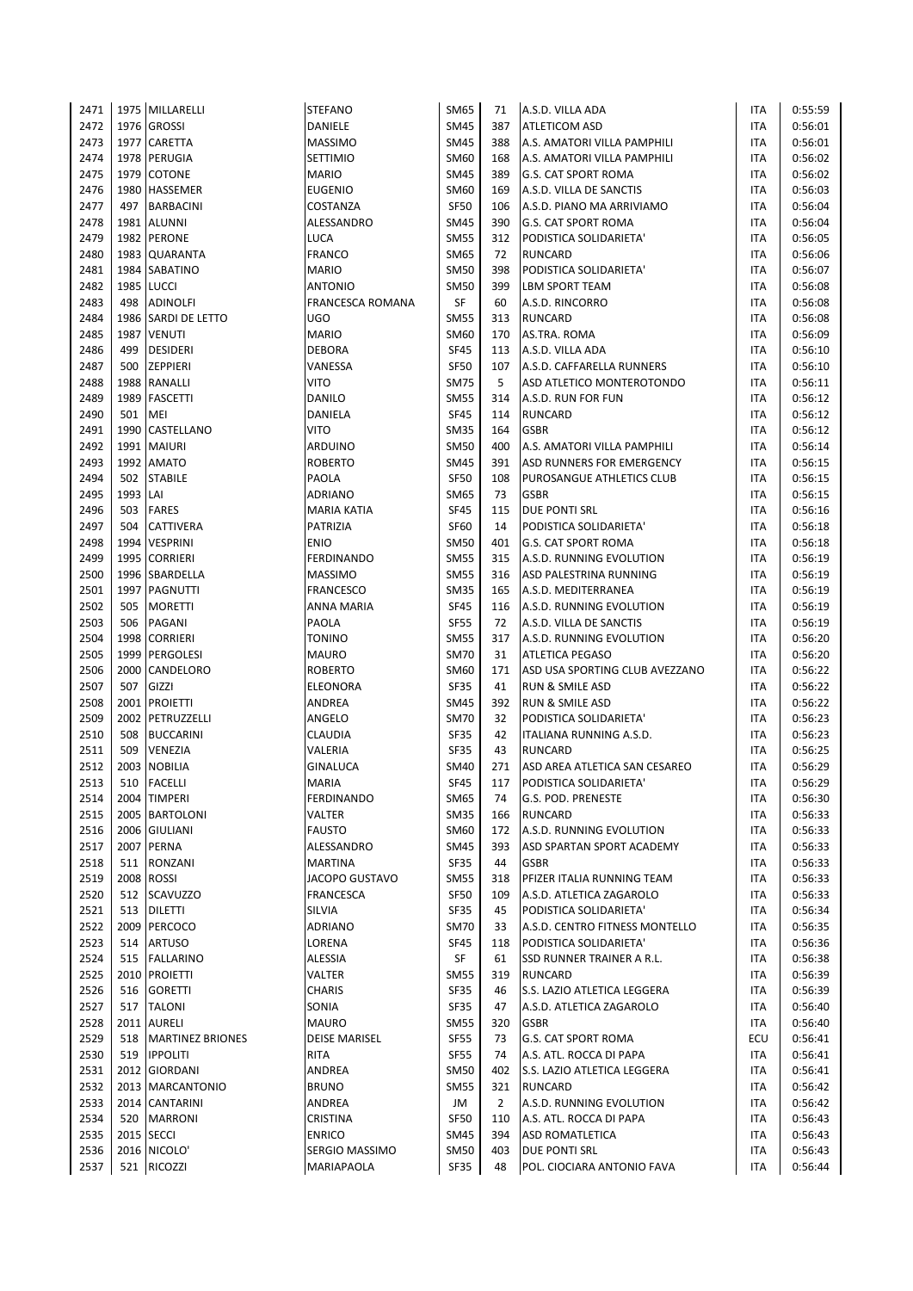| 2471 |          | 1975 MILLARELLI         | <b>STEFANO</b>          | SM65        | 71             | A.S.D. VILLA ADA               | ITA        | 0:55:59 |
|------|----------|-------------------------|-------------------------|-------------|----------------|--------------------------------|------------|---------|
| 2472 |          | 1976 GROSSI             | DANIELE                 | <b>SM45</b> | 387            | ATLETICOM ASD                  | ITA        | 0:56:01 |
| 2473 | 1977     | <b>CARETTA</b>          | <b>MASSIMO</b>          | <b>SM45</b> | 388            | A.S. AMATORI VILLA PAMPHILI    | ITA        | 0:56:01 |
| 2474 |          | 1978 PERUGIA            | <b>SETTIMIO</b>         | SM60        | 168            | A.S. AMATORI VILLA PAMPHILI    | <b>ITA</b> | 0:56:02 |
| 2475 |          | 1979 COTONE             | <b>MARIO</b>            | <b>SM45</b> | 389            | G.S. CAT SPORT ROMA            | <b>ITA</b> | 0:56:02 |
| 2476 |          | 1980 HASSEMER           | <b>EUGENIO</b>          | <b>SM60</b> | 169            | A.S.D. VILLA DE SANCTIS        | ITA        | 0:56:03 |
| 2477 | 497      | <b>BARBACINI</b>        | COSTANZA                | <b>SF50</b> | 106            | A.S.D. PIANO MA ARRIVIAMO      | ITA        | 0:56:04 |
| 2478 |          | 1981 ALUNNI             | ALESSANDRO              | <b>SM45</b> | 390            | <b>G.S. CAT SPORT ROMA</b>     | ITA        | 0:56:04 |
| 2479 |          | 1982 PERONE             | LUCA                    | <b>SM55</b> | 312            | PODISTICA SOLIDARIETA'         | ITA        | 0:56:05 |
| 2480 |          | 1983 QUARANTA           | <b>FRANCO</b>           | <b>SM65</b> | 72             | <b>RUNCARD</b>                 | ITA        | 0:56:06 |
| 2481 |          | 1984 SABATINO           | <b>MARIO</b>            | <b>SM50</b> | 398            | PODISTICA SOLIDARIETA'         | ITA        | 0:56:07 |
| 2482 |          | 1985 LUCCI              | <b>ANTONIO</b>          | <b>SM50</b> | 399            | <b>LBM SPORT TEAM</b>          | <b>ITA</b> | 0:56:08 |
| 2483 | 498      | <b>ADINOLFI</b>         | <b>FRANCESCA ROMANA</b> | <b>SF</b>   | 60             | A.S.D. RINCORRO                | <b>ITA</b> | 0:56:08 |
| 2484 |          | 1986 SARDI DE LETTO     | <b>UGO</b>              | <b>SM55</b> | 313            | <b>RUNCARD</b>                 | <b>ITA</b> | 0:56:08 |
| 2485 | 1987     | <b>VENUTI</b>           | <b>MARIO</b>            | <b>SM60</b> | 170            | AS.TRA. ROMA                   | <b>ITA</b> | 0:56:09 |
| 2486 | 499      | <b>DESIDERI</b>         | <b>DEBORA</b>           | <b>SF45</b> | 113            | A.S.D. VILLA ADA               | <b>ITA</b> | 0:56:10 |
| 2487 | 500      | <b>ZEPPIERI</b>         | VANESSA                 | <b>SF50</b> | 107            | A.S.D. CAFFARELLA RUNNERS      | <b>ITA</b> | 0:56:10 |
| 2488 |          | 1988 RANALLI            | <b>VITO</b>             | <b>SM75</b> | 5              | ASD ATLETICO MONTEROTONDO      | ITA        | 0:56:11 |
| 2489 | 1989     | <b>FASCETTI</b>         | <b>DANILO</b>           | <b>SM55</b> | 314            | A.S.D. RUN FOR FUN             | ITA        | 0:56:12 |
| 2490 | 501      | MEI                     | DANIELA                 | <b>SF45</b> | 114            | <b>RUNCARD</b>                 | ITA        | 0:56:12 |
| 2491 |          | 1990 CASTELLANO         | VITO                    | <b>SM35</b> | 164            | <b>GSBR</b>                    | <b>ITA</b> | 0:56:12 |
| 2492 | 1991     | <b>MAIURI</b>           | ARDUINO                 | <b>SM50</b> | 400            | A.S. AMATORI VILLA PAMPHILI    | ITA        | 0:56:14 |
| 2493 |          | 1992 AMATO              | <b>ROBERTO</b>          | <b>SM45</b> | 391            | ASD RUNNERS FOR EMERGENCY      | ITA        | 0:56:15 |
| 2494 | 502      | <b>STABILE</b>          | PAOLA                   | <b>SF50</b> | 108            | PUROSANGUE ATHLETICS CLUB      | <b>ITA</b> | 0:56:15 |
| 2495 | 1993 LAI |                         | ADRIANO                 | <b>SM65</b> | 73             | <b>GSBR</b>                    | <b>ITA</b> | 0:56:15 |
| 2496 | 503      | <b>FARES</b>            | MARIA KATIA             | <b>SF45</b> | 115            | <b>DUE PONTI SRL</b>           | ITA        | 0:56:16 |
| 2497 | 504      | <b>CATTIVERA</b>        | PATRIZIA                | SF60        | 14             | PODISTICA SOLIDARIETA'         | ITA        | 0:56:18 |
| 2498 |          | 1994 VESPRINI           | <b>ENIO</b>             | <b>SM50</b> | 401            | <b>G.S. CAT SPORT ROMA</b>     | ITA        | 0:56:18 |
| 2499 |          | 1995 CORRIERI           | <b>FERDINANDO</b>       | <b>SM55</b> | 315            | A.S.D. RUNNING EVOLUTION       | ITA        | 0:56:19 |
| 2500 |          | 1996 SBARDELLA          | <b>MASSIMO</b>          | <b>SM55</b> | 316            | ASD PALESTRINA RUNNING         | ITA        | 0:56:19 |
| 2501 |          | 1997 PAGNUTTI           | <b>FRANCESCO</b>        | <b>SM35</b> | 165            | A.S.D. MEDITERRANEA            | ITA        | 0:56:19 |
| 2502 | 505      | <b>MORETTI</b>          | ANNA MARIA              | <b>SF45</b> | 116            | A.S.D. RUNNING EVOLUTION       | ITA        | 0:56:19 |
| 2503 | 506      | PAGANI                  | PAOLA                   | <b>SF55</b> | 72             | A.S.D. VILLA DE SANCTIS        | ITA        | 0:56:19 |
| 2504 | 1998     | <b>CORRIERI</b>         | <b>TONINO</b>           | <b>SM55</b> | 317            | A.S.D. RUNNING EVOLUTION       | ITA        | 0:56:20 |
| 2505 |          | 1999 PERGOLESI          | <b>MAURO</b>            | <b>SM70</b> | 31             | <b>ATLETICA PEGASO</b>         | ITA        | 0:56:20 |
| 2506 |          | 2000 CANDELORO          | <b>ROBERTO</b>          | SM60        | 171            | ASD USA SPORTING CLUB AVEZZANO | <b>ITA</b> | 0:56:22 |
| 2507 | 507      | GIZZI                   | ELEONORA                | <b>SF35</b> | 41             | <b>RUN &amp; SMILE ASD</b>     | <b>ITA</b> | 0:56:22 |
| 2508 |          | 2001 PROIETTI           | <b>ANDREA</b>           | <b>SM45</b> | 392            | <b>RUN &amp; SMILE ASD</b>     | ITA        | 0:56:22 |
| 2509 |          | 2002 PETRUZZELLI        | ANGELO                  | <b>SM70</b> | 32             | PODISTICA SOLIDARIETA'         | <b>ITA</b> | 0:56:23 |
| 2510 | 508      | <b>BUCCARINI</b>        | <b>CLAUDIA</b>          | <b>SF35</b> | 42             | ITALIANA RUNNING A.S.D.        | <b>ITA</b> | 0:56:23 |
| 2511 | 509      | VENEZIA                 | VALERIA                 | <b>SF35</b> | 43             | <b>RUNCARD</b>                 | ITA        | 0:56:25 |
| 2512 | 2003     | <b>NOBILIA</b>          | GINALUCA                | <b>SM40</b> | 271            | ASD AREA ATLETICA SAN CESAREO  | <b>ITA</b> | 0:56:29 |
| 2513 | 510      | <b>FACELLI</b>          | <b>MARIA</b>            | <b>SF45</b> | 117            | PODISTICA SOLIDARIETA'         | <b>ITA</b> | 0:56:29 |
| 2514 |          | 2004 TIMPERI            | <b>FERDINANDO</b>       | <b>SM65</b> | 74             | G.S. POD. PRENESTE             | ITA        | 0:56:30 |
| 2515 |          | 2005 BARTOLONI          | VALTER                  | <b>SM35</b> | 166            | <b>RUNCARD</b>                 | ITA        | 0:56:33 |
| 2516 |          | 2006 GIULIANI           | <b>FAUSTO</b>           | SM60        | 172            | A.S.D. RUNNING EVOLUTION       | ITA        | 0:56:33 |
| 2517 |          | 2007 PERNA              | ALESSANDRO              | <b>SM45</b> | 393            | ASD SPARTAN SPORT ACADEMY      | ITA        | 0:56:33 |
| 2518 | 511      | RONZANI                 | MARTINA                 | <b>SF35</b> | 44             | <b>GSBR</b>                    | ITA        | 0:56:33 |
| 2519 |          | 2008 ROSSI              | JACOPO GUSTAVO          | <b>SM55</b> | 318            | PFIZER ITALIA RUNNING TEAM     | ITA        | 0:56:33 |
| 2520 | 512      | <b>SCAVUZZO</b>         | <b>FRANCESCA</b>        | <b>SF50</b> | 109            | A.S.D. ATLETICA ZAGAROLO       | ITA        | 0:56:33 |
| 2521 |          | 513 DILETTI             | SILVIA                  | SF35        | 45             | PODISTICA SOLIDARIETA'         | ITA        | 0:56:34 |
| 2522 |          | 2009 PERCOCO            | ADRIANO                 | <b>SM70</b> | 33             | A.S.D. CENTRO FITNESS MONTELLO | ITA        | 0:56:35 |
| 2523 | 514      | <b>ARTUSO</b>           | LORENA                  | <b>SF45</b> | 118            | PODISTICA SOLIDARIETA'         | ITA        | 0:56:36 |
| 2524 | 515      | <b>FALLARINO</b>        | ALESSIA                 | SF          | 61             | SSD RUNNER TRAINER A R.L.      | ITA        | 0:56:38 |
| 2525 |          | 2010 PROIETTI           | VALTER                  | <b>SM55</b> | 319            | <b>RUNCARD</b>                 | ITA        | 0:56:39 |
| 2526 | 516      | <b>GORETTI</b>          | <b>CHARIS</b>           | SF35        | 46             | S.S. LAZIO ATLETICA LEGGERA    | ITA        | 0:56:39 |
| 2527 | 517      | <b>TALONI</b>           | SONIA                   | SF35        | 47             | A.S.D. ATLETICA ZAGAROLO       | ITA        | 0:56:40 |
| 2528 |          | 2011 AURELI             | <b>MAURO</b>            | <b>SM55</b> | 320            | <b>GSBR</b>                    | ITA        | 0:56:40 |
| 2529 | 518      | <b>MARTINEZ BRIONES</b> | <b>DEISE MARISEL</b>    | SF55        | 73             | G.S. CAT SPORT ROMA            | ECU        | 0:56:41 |
| 2530 | 519      | <b>IPPOLITI</b>         | RITA                    | <b>SF55</b> | 74             | A.S. ATL. ROCCA DI PAPA        | ITA        | 0:56:41 |
| 2531 |          | 2012 GIORDANI           | ANDREA                  | <b>SM50</b> | 402            | S.S. LAZIO ATLETICA LEGGERA    | ITA        | 0:56:41 |
| 2532 |          | 2013   MARCANTONIO      | <b>BRUNO</b>            | <b>SM55</b> | 321            | <b>RUNCARD</b>                 | ITA        | 0:56:42 |
| 2533 |          | 2014 CANTARINI          | ANDREA                  | JM          | $\overline{2}$ | A.S.D. RUNNING EVOLUTION       | ITA        | 0:56:42 |
| 2534 | 520      | <b>MARRONI</b>          | CRISTINA                | <b>SF50</b> | 110            | A.S. ATL. ROCCA DI PAPA        | ITA        | 0:56:43 |
| 2535 |          | 2015   SECCI            | <b>ENRICO</b>           | SM45        | 394            | <b>ASD ROMATLETICA</b>         | ITA        | 0:56:43 |
| 2536 |          | 2016 NICOLO'            | SERGIO MASSIMO          | SM50        | 403            | DUE PONTI SRL                  | ITA        | 0:56:43 |
| 2537 |          | 521 RICOZZI             | MARIAPAOLA              | <b>SF35</b> | 48             | POL. CIOCIARA ANTONIO FAVA     | ITA        | 0:56:44 |
|      |          |                         |                         |             |                |                                |            |         |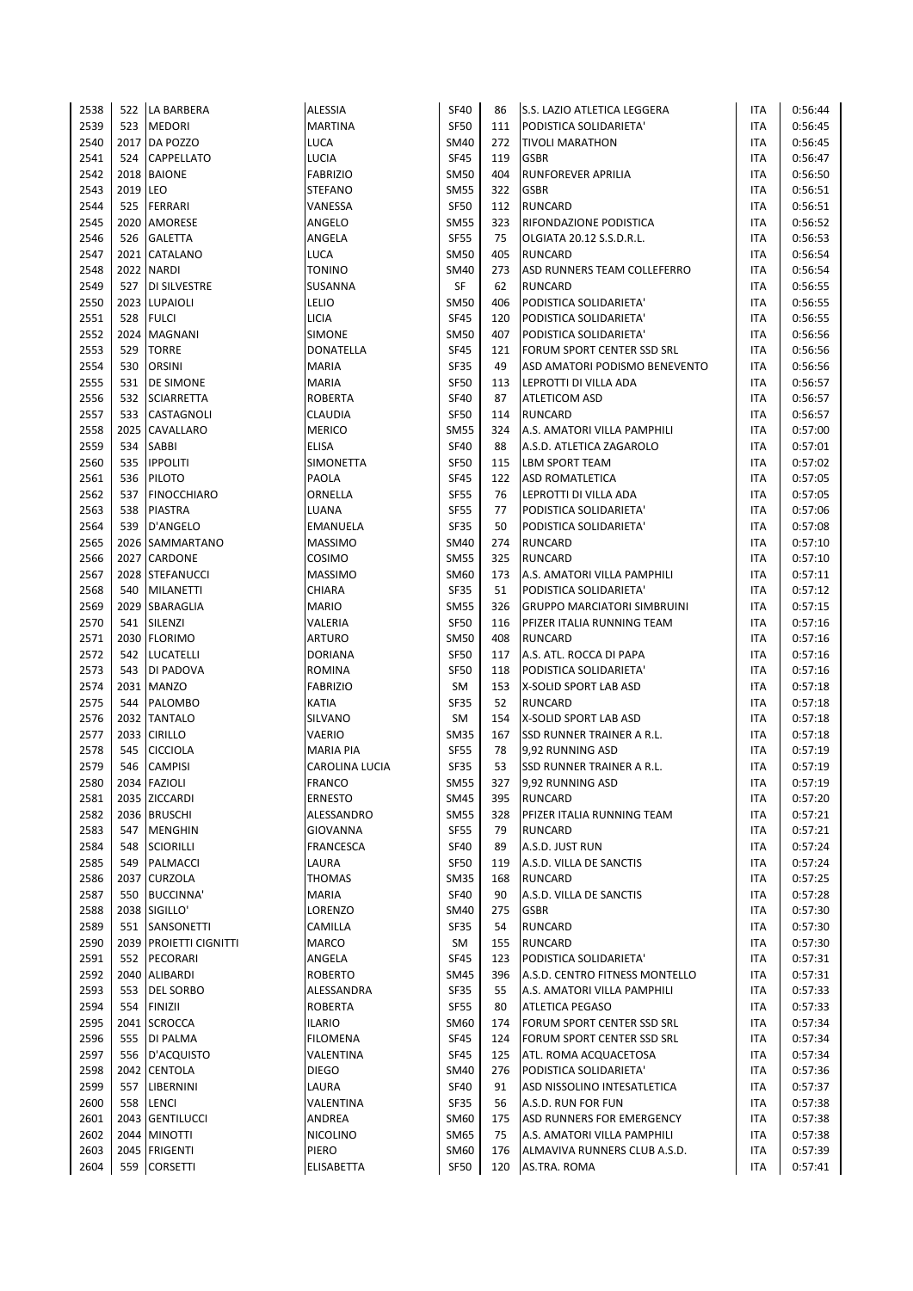| 2538 |          | 522 LA BARBERA           | <b>ALESSIA</b>   | <b>SF40</b> | 86  | <b>S.S. LAZIO ATLETICA LEGGERA</b> | ITA        | 0:56:44 |
|------|----------|--------------------------|------------------|-------------|-----|------------------------------------|------------|---------|
| 2539 | 523      | <b>MEDORI</b>            | <b>MARTINA</b>   | <b>SF50</b> | 111 | PODISTICA SOLIDARIETA'             | <b>ITA</b> | 0:56:45 |
| 2540 | 2017     | DA POZZO                 | LUCA             | <b>SM40</b> | 272 | <b>TIVOLI MARATHON</b>             | <b>ITA</b> | 0:56:45 |
| 2541 | 524      | <b>CAPPELLATO</b>        | LUCIA            | <b>SF45</b> | 119 | <b>GSBR</b>                        | <b>ITA</b> | 0:56:47 |
| 2542 |          | 2018 BAIONE              | <b>FABRIZIO</b>  | <b>SM50</b> | 404 | <b>RUNFOREVER APRILIA</b>          | <b>ITA</b> | 0:56:50 |
| 2543 | 2019 LEO |                          | <b>STEFANO</b>   | <b>SM55</b> | 322 | <b>GSBR</b>                        | <b>ITA</b> | 0:56:51 |
| 2544 | 525      | FERRARI                  | VANESSA          | <b>SF50</b> | 112 | <b>RUNCARD</b>                     | <b>ITA</b> | 0:56:51 |
| 2545 |          | 2020 AMORESE             | ANGELO           | <b>SM55</b> | 323 | RIFONDAZIONE PODISTICA             | <b>ITA</b> | 0:56:52 |
| 2546 | 526      | <b>GALETTA</b>           | ANGELA           | <b>SF55</b> | 75  | OLGIATA 20.12 S.S.D.R.L.           | ITA        | 0:56:53 |
| 2547 | 2021     | CATALANO                 | <b>LUCA</b>      | <b>SM50</b> | 405 | <b>RUNCARD</b>                     | ITA        | 0:56:54 |
| 2548 |          | 2022 NARDI               | <b>TONINO</b>    | <b>SM40</b> | 273 | ASD RUNNERS TEAM COLLEFERRO        | ITA        | 0:56:54 |
| 2549 | 527      | <b>DI SILVESTRE</b>      | SUSANNA          | SF          | 62  | <b>RUNCARD</b>                     | <b>ITA</b> | 0:56:55 |
| 2550 |          | 2023 LUPAIOLI            | LELIO            | <b>SM50</b> | 406 | PODISTICA SOLIDARIETA'             | ITA        | 0:56:55 |
| 2551 | 528      | <b>FULCI</b>             | <b>LICIA</b>     | <b>SF45</b> | 120 | PODISTICA SOLIDARIETA'             | ITA        | 0:56:55 |
| 2552 |          | 2024 MAGNANI             | SIMONE           | <b>SM50</b> | 407 | PODISTICA SOLIDARIETA'             | ITA        | 0:56:56 |
| 2553 | 529      | <b>TORRE</b>             | DONATELLA        | <b>SF45</b> | 121 | FORUM SPORT CENTER SSD SRL         | <b>ITA</b> | 0:56:56 |
| 2554 | 530      | <b>ORSINI</b>            | <b>MARIA</b>     | <b>SF35</b> | 49  | ASD AMATORI PODISMO BENEVENTO      | ITA        | 0:56:56 |
| 2555 | 531      | DE SIMONE                | <b>MARIA</b>     | <b>SF50</b> | 113 | LEPROTTI DI VILLA ADA              | ITA        | 0:56:57 |
| 2556 | 532      | <b>SCIARRETTA</b>        | <b>ROBERTA</b>   | <b>SF40</b> | 87  | <b>ATLETICOM ASD</b>               | ITA        | 0:56:57 |
| 2557 | 533      | <b>CASTAGNOLI</b>        | <b>CLAUDIA</b>   | <b>SF50</b> | 114 | <b>RUNCARD</b>                     | <b>ITA</b> | 0:56:57 |
| 2558 | 2025     | <b>CAVALLARO</b>         | <b>MERICO</b>    | <b>SM55</b> | 324 | A.S. AMATORI VILLA PAMPHILI        | ITA        | 0:57:00 |
| 2559 | 534      | SABBI                    | <b>ELISA</b>     | <b>SF40</b> | 88  | A.S.D. ATLETICA ZAGAROLO           | ITA        | 0:57:01 |
| 2560 | 535      | <b>IPPOLITI</b>          | <b>SIMONETTA</b> | <b>SF50</b> | 115 | <b>LBM SPORT TEAM</b>              | ITA        | 0:57:02 |
| 2561 | 536      | <b>PILOTO</b>            | PAOLA            | <b>SF45</b> | 122 | <b>ASD ROMATLETICA</b>             | <b>ITA</b> | 0:57:05 |
| 2562 | 537      | <b>FINOCCHIARO</b>       | ORNELLA          | <b>SF55</b> | 76  | LEPROTTI DI VILLA ADA              | ITA        | 0:57:05 |
| 2563 | 538      | <b>PIASTRA</b>           | LUANA            | <b>SF55</b> | 77  | PODISTICA SOLIDARIETA'             | ITA        | 0:57:06 |
| 2564 | 539      | D'ANGELO                 | EMANUELA         | <b>SF35</b> | 50  | PODISTICA SOLIDARIETA'             | <b>ITA</b> | 0:57:08 |
| 2565 |          | 2026 SAMMARTANO          | <b>MASSIMO</b>   | <b>SM40</b> | 274 | <b>RUNCARD</b>                     | <b>ITA</b> | 0:57:10 |
| 2566 |          | 2027 CARDONE             | COSIMO           | <b>SM55</b> | 325 | <b>RUNCARD</b>                     | <b>ITA</b> | 0:57:10 |
| 2567 |          | 2028 STEFANUCCI          | <b>MASSIMO</b>   | SM60        | 173 | A.S. AMATORI VILLA PAMPHILI        | <b>ITA</b> | 0:57:11 |
| 2568 | 540      | <b>MILANETTI</b>         | CHIARA           | <b>SF35</b> | 51  | PODISTICA SOLIDARIETA'             | <b>ITA</b> | 0:57:12 |
| 2569 |          | 2029 SBARAGLIA           | <b>MARIO</b>     | <b>SM55</b> | 326 | <b>GRUPPO MARCIATORI SIMBRUINI</b> | <b>ITA</b> | 0:57:15 |
| 2570 | 541      | <b>SILENZI</b>           | VALERIA          | <b>SF50</b> | 116 | PFIZER ITALIA RUNNING TEAM         | ITA        | 0:57:16 |
| 2571 |          | 2030 FLORIMO             | <b>ARTURO</b>    | <b>SM50</b> | 408 | <b>RUNCARD</b>                     | ITA        | 0:57:16 |
| 2572 | 542      | <b>LUCATELLI</b>         | <b>DORIANA</b>   | <b>SF50</b> | 117 | A.S. ATL. ROCCA DI PAPA            | <b>ITA</b> | 0:57:16 |
| 2573 | 543      | DI PADOVA                | <b>ROMINA</b>    | <b>SF50</b> | 118 | PODISTICA SOLIDARIETA'             | <b>ITA</b> | 0:57:16 |
| 2574 |          | 2031 MANZO               | <b>FABRIZIO</b>  | SM          | 153 | X-SOLID SPORT LAB ASD              | <b>ITA</b> | 0:57:18 |
| 2575 | 544      | PALOMBO                  | <b>KATIA</b>     | <b>SF35</b> | 52  | <b>RUNCARD</b>                     | ITA        | 0:57:18 |
| 2576 |          | 2032 TANTALO             | SILVANO          | SM          | 154 | X-SOLID SPORT LAB ASD              | <b>ITA</b> | 0:57:18 |
| 2577 |          | 2033 CIRILLO             | <b>VAERIO</b>    | <b>SM35</b> | 167 | SSD RUNNER TRAINER A R.L.          | ITA        | 0:57:18 |
| 2578 | 545      | CICCIOLA                 | <b>MARIA PIA</b> | <b>SF55</b> | 78  | 9,92 RUNNING ASD                   | ITA        | 0:57:19 |
| 2579 | 546      | <b>CAMPISI</b>           | CAROLINA LUCIA   | SF35        | 53  | SSD RUNNER TRAINER A R.L.          | ITA        | 0:57:19 |
| 2580 |          | 2034 FAZIOLI             | <b>FRANCO</b>    | <b>SM55</b> | 327 | 9,92 RUNNING ASD                   | <b>ITA</b> | 0:57:19 |
| 2581 |          | 2035 ZICCARDI            | <b>ERNESTO</b>   | <b>SM45</b> | 395 | <b>RUNCARD</b>                     | ITA        | 0:57:20 |
| 2582 |          | 2036 BRUSCHI             | ALESSANDRO       | <b>SM55</b> | 328 | PFIZER ITALIA RUNNING TEAM         | ITA        | 0:57:21 |
| 2583 | 547      | <b>MENGHIN</b>           | GIOVANNA         | <b>SF55</b> | 79  | RUNCARD                            | ITA        | 0:57:21 |
| 2584 | 548      | <b>SCIORILLI</b>         | <b>FRANCESCA</b> | <b>SF40</b> | 89  | A.S.D. JUST RUN                    | ITA        | 0:57:24 |
| 2585 | 549      | PALMACCI                 | LAURA            | <b>SF50</b> | 119 | A.S.D. VILLA DE SANCTIS            | ITA        | 0:57:24 |
| 2586 | 2037     | <b>CURZOLA</b>           | THOMAS           | <b>SM35</b> | 168 | <b>RUNCARD</b>                     | ITA        | 0:57:25 |
| 2587 | 550      | <b>BUCCINNA'</b>         | <b>MARIA</b>     | <b>SF40</b> | 90  | A.S.D. VILLA DE SANCTIS            | ITA        | 0:57:28 |
| 2588 |          | 2038 SIGILLO'            | LORENZO          | SM40        | 275 | <b>GSBR</b>                        | ITA        | 0:57:30 |
| 2589 | 551      | SANSONETTI               | CAMILLA          | <b>SF35</b> | 54  | <b>RUNCARD</b>                     | ITA        | 0:57:30 |
| 2590 | 2039     | <b>PROJETTI CIGNITTI</b> | <b>MARCO</b>     | SM          | 155 | <b>RUNCARD</b>                     | ITA        | 0:57:30 |
| 2591 | 552      | PECORARI                 | ANGELA           | <b>SF45</b> | 123 | PODISTICA SOLIDARIETA'             | <b>ITA</b> | 0:57:31 |
| 2592 |          | 2040 ALIBARDI            | <b>ROBERTO</b>   | <b>SM45</b> | 396 | A.S.D. CENTRO FITNESS MONTELLO     | <b>ITA</b> | 0:57:31 |
| 2593 | 553      | DEL SORBO                | ALESSANDRA       | <b>SF35</b> | 55  | A.S. AMATORI VILLA PAMPHILI        | ITA        | 0:57:33 |
| 2594 | 554      | <b>FINIZII</b>           | <b>ROBERTA</b>   | <b>SF55</b> | 80  | <b>ATLETICA PEGASO</b>             | ITA        | 0:57:33 |
| 2595 |          | 2041 SCROCCA             | <b>ILARIO</b>    | SM60        | 174 | FORUM SPORT CENTER SSD SRL         | ITA        | 0:57:34 |
| 2596 | 555      | DI PALMA                 | <b>FILOMENA</b>  | <b>SF45</b> | 124 | FORUM SPORT CENTER SSD SRL         | ITA        | 0:57:34 |
| 2597 | 556      | D'ACQUISTO               | VALENTINA        | <b>SF45</b> | 125 | ATL. ROMA ACQUACETOSA              | ITA        | 0:57:34 |
| 2598 | 2042     | <b>CENTOLA</b>           | <b>DIEGO</b>     | <b>SM40</b> | 276 | PODISTICA SOLIDARIETA'             | ITA        | 0:57:36 |
| 2599 | 557      | LIBERNINI                | LAURA            | <b>SF40</b> | 91  | ASD NISSOLINO INTESATLETICA        | ITA        | 0:57:37 |
| 2600 | 558      | <b>LENCI</b>             | VALENTINA        | <b>SF35</b> | 56  | A.S.D. RUN FOR FUN                 | ITA        | 0:57:38 |
| 2601 | 2043     | <b>GENTILUCCI</b>        | ANDREA           | <b>SM60</b> | 175 | ASD RUNNERS FOR EMERGENCY          | ITA        | 0:57:38 |
| 2602 |          | 2044 MINOTTI             | <b>NICOLINO</b>  | SM65        | 75  | A.S. AMATORI VILLA PAMPHILI        | ITA        | 0:57:38 |
| 2603 |          | 2045 FRIGENTI            | PIERO            | SM60        | 176 | ALMAVIVA RUNNERS CLUB A.S.D.       | ITA        | 0:57:39 |
| 2604 | 559      | <b>CORSETTI</b>          | ELISABETTA       | <b>SF50</b> | 120 | AS.TRA. ROMA                       | ITA        | 0:57:41 |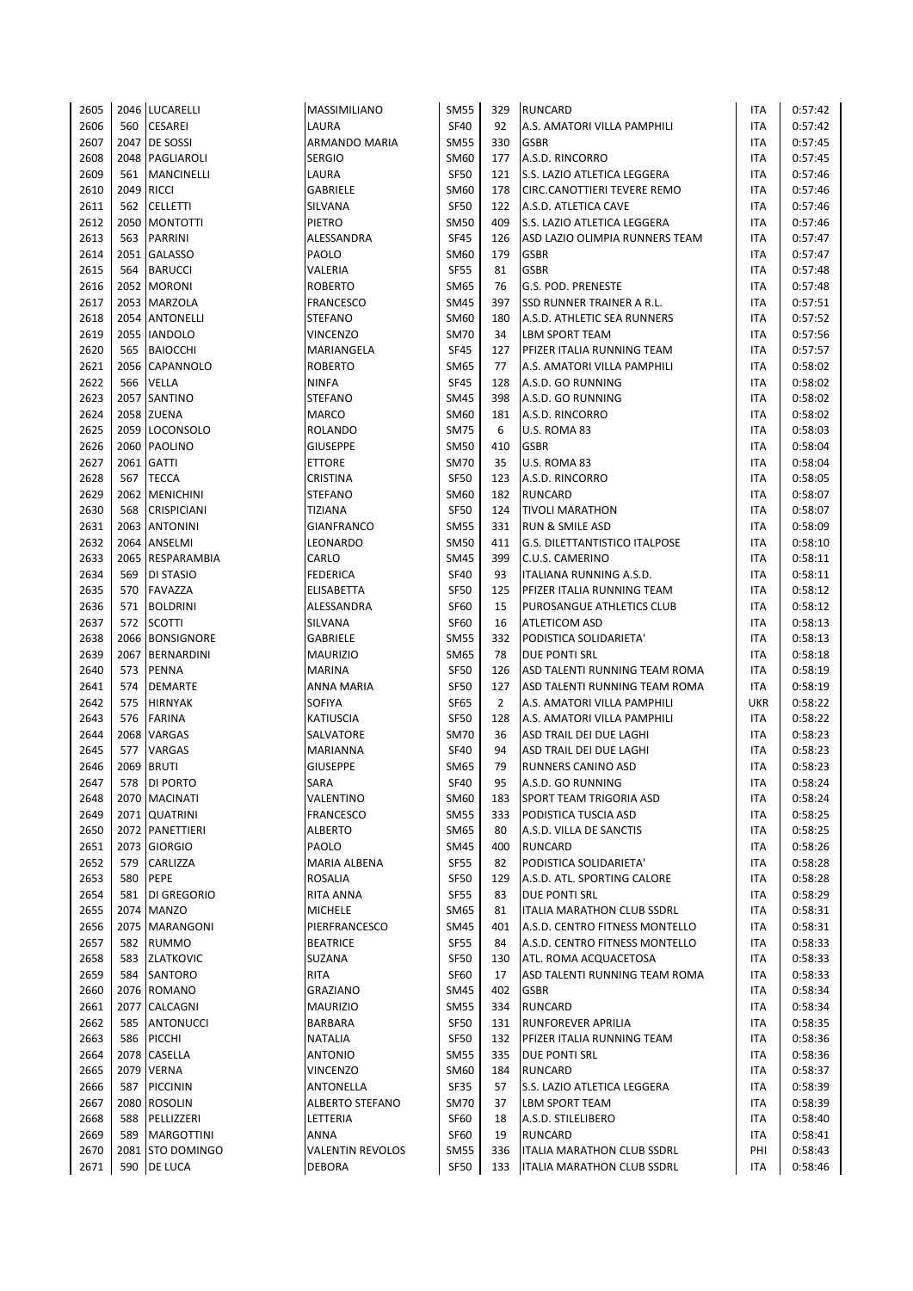| 2605         |            | 2046 LUCARELLI               | MASSIMILIANO                     | SM55                       | 329            | <b>RUNCARD</b>                                          | ITA               | 0:57:42            |
|--------------|------------|------------------------------|----------------------------------|----------------------------|----------------|---------------------------------------------------------|-------------------|--------------------|
| 2606         | 560        | <b>CESAREI</b>               | LAURA                            | <b>SF40</b>                | 92             | A.S. AMATORI VILLA PAMPHILI                             | <b>ITA</b>        | 0:57:42            |
| 2607         | 2047       | <b>DE SOSSI</b>              | ARMANDO MARIA                    | SM55                       | 330            | <b>GSBR</b>                                             | <b>ITA</b>        | 0:57:45            |
| 2608         |            | 2048 PAGLIAROLI              | <b>SERGIO</b>                    | SM60                       | 177            | A.S.D. RINCORRO                                         | <b>ITA</b>        | 0:57:45            |
| 2609         |            | 561   MANCINELLI             | LAURA                            | <b>SF50</b>                | 121            | S.S. LAZIO ATLETICA LEGGERA                             | <b>ITA</b>        | 0:57:46            |
| 2610         | 2049 RICCI |                              | GABRIELE                         | SM60                       | 178            | CIRC.CANOTTIERI TEVERE REMO                             | <b>ITA</b>        | 0:57:46            |
| 2611         |            | 562 CELLETTI                 | SILVANA                          | <b>SF50</b>                | 122            | A.S.D. ATLETICA CAVE                                    | <b>ITA</b>        | 0:57:46            |
| 2612         |            | 2050 MONTOTTI                | PIETRO                           | SM50                       | 409            | S.S. LAZIO ATLETICA LEGGERA                             | <b>ITA</b>        | 0:57:46            |
| 2613         |            | 563 PARRINI                  | ALESSANDRA                       | <b>SF45</b>                | 126            | ASD LAZIO OLIMPIA RUNNERS TEAM                          | <b>ITA</b>        | 0:57:47            |
| 2614         |            | 2051 GALASSO                 | PAOLO                            | SM60                       | 179            | <b>GSBR</b>                                             | <b>ITA</b>        | 0:57:47            |
| 2615         | 564        | <b>BARUCCI</b>               | VALERIA                          | <b>SF55</b>                | 81             | <b>GSBR</b>                                             | <b>ITA</b>        | 0:57:48            |
| 2616         |            | 2052 MORONI                  | <b>ROBERTO</b>                   | SM65                       | 76             | G.S. POD. PRENESTE                                      | <b>ITA</b>        | 0:57:48            |
| 2617         |            | 2053 MARZOLA                 | <b>FRANCESCO</b>                 | SM45                       | 397            | SSD RUNNER TRAINER A R.L.                               | <b>ITA</b>        | 0:57:51            |
| 2618         |            | 2054 ANTONELLI               | <b>STEFANO</b>                   | SM60                       | 180            | A.S.D. ATHLETIC SEA RUNNERS                             | <b>ITA</b>        | 0:57:52            |
| 2619         |            | 2055 IANDOLO                 | <b>VINCENZO</b>                  | <b>SM70</b>                | 34             | <b>LBM SPORT TEAM</b>                                   | ITA               | 0:57:56            |
| 2620         |            | 565 BAIOCCHI                 | MARIANGELA                       | <b>SF45</b>                | 127            | PFIZER ITALIA RUNNING TEAM                              | <b>ITA</b>        | 0:57:57            |
| 2621         |            | 2056 CAPANNOLO               | <b>ROBERTO</b>                   | SM65                       | 77             | A.S. AMATORI VILLA PAMPHILI                             | <b>ITA</b>        | 0:58:02            |
| 2622         | 566        | VELLA                        | <b>NINFA</b>                     | <b>SF45</b>                | 128            | A.S.D. GO RUNNING                                       | <b>ITA</b>        | 0:58:02            |
| 2623         |            | 2057 SANTINO                 | <b>STEFANO</b>                   | SM45                       | 398            | A.S.D. GO RUNNING                                       | <b>ITA</b>        | 0:58:02            |
| 2624         |            | 2058 ZUENA                   | MARCO                            | SM60                       | 181            | A.S.D. RINCORRO                                         | <b>ITA</b>        | 0:58:02            |
| 2625         |            | 2059 LOCONSOLO               | ROLANDO                          | <b>SM75</b>                | 6              | U.S. ROMA 83                                            | <b>ITA</b>        | 0:58:03            |
| 2626         |            | 2060 PAOLINO                 | <b>GIUSEPPE</b>                  | <b>SM50</b>                | 410            | <b>GSBR</b>                                             | <b>ITA</b>        | 0:58:04            |
| 2627         |            | 2061 GATTI                   | <b>ETTORE</b>                    | <b>SM70</b>                | 35             | U.S. ROMA 83                                            | <b>ITA</b>        | 0:58:04            |
| 2628         | 567        | <b>TECCA</b>                 | CRISTINA                         | <b>SF50</b>                | 123            | A.S.D. RINCORRO                                         | <b>ITA</b>        | 0:58:05            |
| 2629         |            | 2062   MENICHINI             | <b>STEFANO</b>                   | SM60                       | 182            | <b>RUNCARD</b>                                          | <b>ITA</b>        | 0:58:07            |
| 2630         | 568        | <b>CRISPICIANI</b>           | <b>TIZIANA</b>                   | <b>SF50</b>                | 124            | <b>TIVOLI MARATHON</b>                                  | <b>ITA</b>        | 0:58:07            |
| 2631         |            | 2063 ANTONINI                | <b>GIANFRANCO</b>                | SM55                       | 331            | RUN & SMILE ASD                                         | <b>ITA</b>        | 0:58:09            |
| 2632         |            | 2064 ANSELMI                 | LEONARDO                         | <b>SM50</b>                | 411            | G.S. DILETTANTISTICO ITALPOSE                           | <b>ITA</b>        | 0:58:10            |
| 2633         |            | 2065 RESPARAMBIA             | CARLO                            | SM45                       | 399            | C.U.S. CAMERINO                                         | <b>ITA</b>        | 0:58:11            |
| 2634         | 569        | DI STASIO                    | <b>FEDERICA</b>                  | <b>SF40</b>                | 93             | ITALIANA RUNNING A.S.D.                                 | <b>ITA</b>        | 0:58:11            |
| 2635         |            | 570 FAVAZZA                  | ELISABETTA                       | <b>SF50</b>                | 125            | PFIZER ITALIA RUNNING TEAM                              | <b>ITA</b>        | 0:58:12            |
| 2636         |            | 571 BOLDRINI                 | ALESSANDRA                       | <b>SF60</b>                | 15             | PUROSANGUE ATHLETICS CLUB                               | <b>ITA</b>        | 0:58:12            |
| 2637         | 572        | <b>SCOTTI</b>                | SILVANA                          | <b>SF60</b>                | 16             | ATLETICOM ASD                                           | <b>ITA</b>        | 0:58:13            |
| 2638         |            | 2066 BONSIGNORE              | GABRIELE                         | <b>SM55</b>                | 332            | PODISTICA SOLIDARIETA'                                  | <b>ITA</b>        | 0:58:13            |
| 2639         |            | 2067 BERNARDINI              | <b>MAURIZIO</b>                  | SM65                       | 78             | DUE PONTI SRL                                           | <b>ITA</b>        | 0:58:18            |
| 2640         | 573        | <b>PENNA</b>                 | <b>MARINA</b>                    | <b>SF50</b>                | 126            | ASD TALENTI RUNNING TEAM ROMA                           | <b>ITA</b>        | 0:58:19            |
| 2641         | 574        | <b>DEMARTE</b>               | ANNA MARIA                       | <b>SF50</b>                | 127            | ASD TALENTI RUNNING TEAM ROMA                           | <b>ITA</b>        | 0:58:19            |
| 2642         | 575        | <b>HIRNYAK</b>               | SOFIYA                           | <b>SF65</b>                | $\overline{2}$ | A.S. AMATORI VILLA PAMPHILI                             | <b>UKR</b>        | 0:58:22            |
| 2643         | 576        | <b>FARINA</b>                | <b>KATIUSCIA</b>                 | <b>SF50</b>                | 128            | A.S. AMATORI VILLA PAMPHILI                             | <b>ITA</b>        | 0:58:22            |
| 2644         |            | 2068 VARGAS                  | SALVATORE                        | <b>SM70</b>                | 36             | ASD TRAIL DEI DUE LAGHI                                 | <b>ITA</b>        | 0:58:23            |
| 2645         | 577        | VARGAS                       | <b>MARIANNA</b>                  | <b>SF40</b>                | 94             | ASD TRAIL DEI DUE LAGHI                                 | <b>ITA</b>        | 0:58:23            |
| 2646         | 2069       | <b>BRUTI</b>                 | <b>GIUSEPPE</b>                  | SM65                       | 79             | RUNNERS CANINO ASD                                      | <b>ITA</b>        | 0:58:23            |
| 2647         |            | 578 DI PORTO                 | SARA                             | <b>SF40</b>                | 95             | A.S.D. GO RUNNING                                       | <b>ITA</b>        | 0:58:24            |
| 2648         |            | 2070 MACINATI                | VALENTINO                        | SM60                       | 183            | <b>SPORT TEAM TRIGORIA ASD</b>                          | ITA               | 0:58:24            |
| 2649         |            | 2071 QUATRINI                | <b>FRANCESCO</b>                 | <b>SM55</b>                | 333            | PODISTICA TUSCIA ASD                                    | ITA               | 0:58:25            |
| 2650         |            | 2072 PANETTIERI              | <b>ALBERTO</b>                   | SM65                       | 80             | A.S.D. VILLA DE SANCTIS                                 | <b>ITA</b>        | 0:58:25            |
| 2651         |            | 2073 GIORGIO                 | PAOLO                            | SM45                       | 400            | RUNCARD                                                 | <b>ITA</b>        | 0:58:26            |
| 2652         | 579        | CARLIZZA                     | MARIA ALBENA                     | <b>SF55</b>                | 82             | PODISTICA SOLIDARIETA'                                  | <b>ITA</b>        | 0:58:28            |
| 2653         | 580        | PEPE                         | ROSALIA                          | <b>SF50</b>                | 129            | A.S.D. ATL. SPORTING CALORE                             | ITA               | 0:58:28            |
| 2654         |            | 581 DI GREGORIO              | RITA ANNA                        | <b>SF55</b>                | 83             | DUE PONTI SRL                                           | <b>ITA</b>        | 0:58:29            |
| 2655         |            | 2074 MANZO<br>2075 MARANGONI | <b>MICHELE</b>                   | SM65                       | 81             | ITALIA MARATHON CLUB SSDRL                              | ITA               | 0:58:31            |
| 2656         |            |                              | PIERFRANCESCO<br><b>BEATRICE</b> | SM45                       | 401            | A.S.D. CENTRO FITNESS MONTELLO                          | <b>ITA</b>        | 0:58:31            |
| 2657<br>2658 | 582        | <b>RUMMO</b>                 |                                  | <b>SF55</b>                | 84<br>130      | A.S.D. CENTRO FITNESS MONTELLO                          | ITA<br><b>ITA</b> | 0:58:33            |
|              |            | 583 ZLATKOVIC                | SUZANA                           | SF50<br><b>SF60</b>        | 17             | ATL. ROMA ACQUACETOSA                                   |                   | 0:58:33            |
| 2659         |            | 584 SANTORO                  | RITA                             |                            |                | ASD TALENTI RUNNING TEAM ROMA                           | ITA               | 0:58:33            |
| 2660         |            | 2076 ROMANO                  | <b>GRAZIANO</b>                  | SM45                       | 402            | <b>GSBR</b>                                             | <b>ITA</b>        | 0:58:34            |
| 2661         |            | 2077 CALCAGNI                | <b>MAURIZIO</b>                  | SM55                       | 334            | <b>RUNCARD</b>                                          | ITA               | 0:58:34            |
| 2662<br>2663 |            | 585 ANTONUCCI<br>586 PICCHI  | BARBARA<br><b>NATALIA</b>        | <b>SF50</b><br><b>SF50</b> | 131<br>132     | <b>RUNFOREVER APRILIA</b><br>PFIZER ITALIA RUNNING TEAM | <b>ITA</b><br>ITA | 0:58:35<br>0:58:36 |
| 2664         |            | 2078 CASELLA                 | <b>ANTONIO</b>                   | SM55                       | 335            | <b>DUE PONTI SRL</b>                                    | ITA               | 0:58:36            |
| 2665         |            | 2079 VERNA                   | VINCENZO                         | SM60                       | 184            | <b>RUNCARD</b>                                          | ITA               | 0:58:37            |
| 2666         | 587        | <b>PICCININ</b>              | ANTONELLA                        | <b>SF35</b>                | 57             | S.S. LAZIO ATLETICA LEGGERA                             | <b>ITA</b>        | 0:58:39            |
| 2667         |            | 2080 ROSOLIN                 | ALBERTO STEFANO                  | SM70                       | 37             | <b>LBM SPORT TEAM</b>                                   | <b>ITA</b>        | 0:58:39            |
| 2668         | 588        | PELLIZZERI                   | LETTERIA                         | <b>SF60</b>                | 18             | A.S.D. STILELIBERO                                      | <b>ITA</b>        | 0:58:40            |
| 2669         | 589        | <b>MARGOTTINI</b>            | ANNA                             | SF60                       | 19             | <b>RUNCARD</b>                                          | <b>ITA</b>        | 0:58:41            |
| 2670         |            | 2081 STO DOMINGO             | <b>VALENTIN REVOLOS</b>          | SM55                       | 336            | ITALIA MARATHON CLUB SSDRL                              | PHI               | 0:58:43            |
| 2671         |            | 590 DE LUCA                  | <b>DEBORA</b>                    | <b>SF50</b>                | 133            | ITALIA MARATHON CLUB SSDRL                              | <b>ITA</b>        | 0:58:46            |
|              |            |                              |                                  |                            |                |                                                         |                   |                    |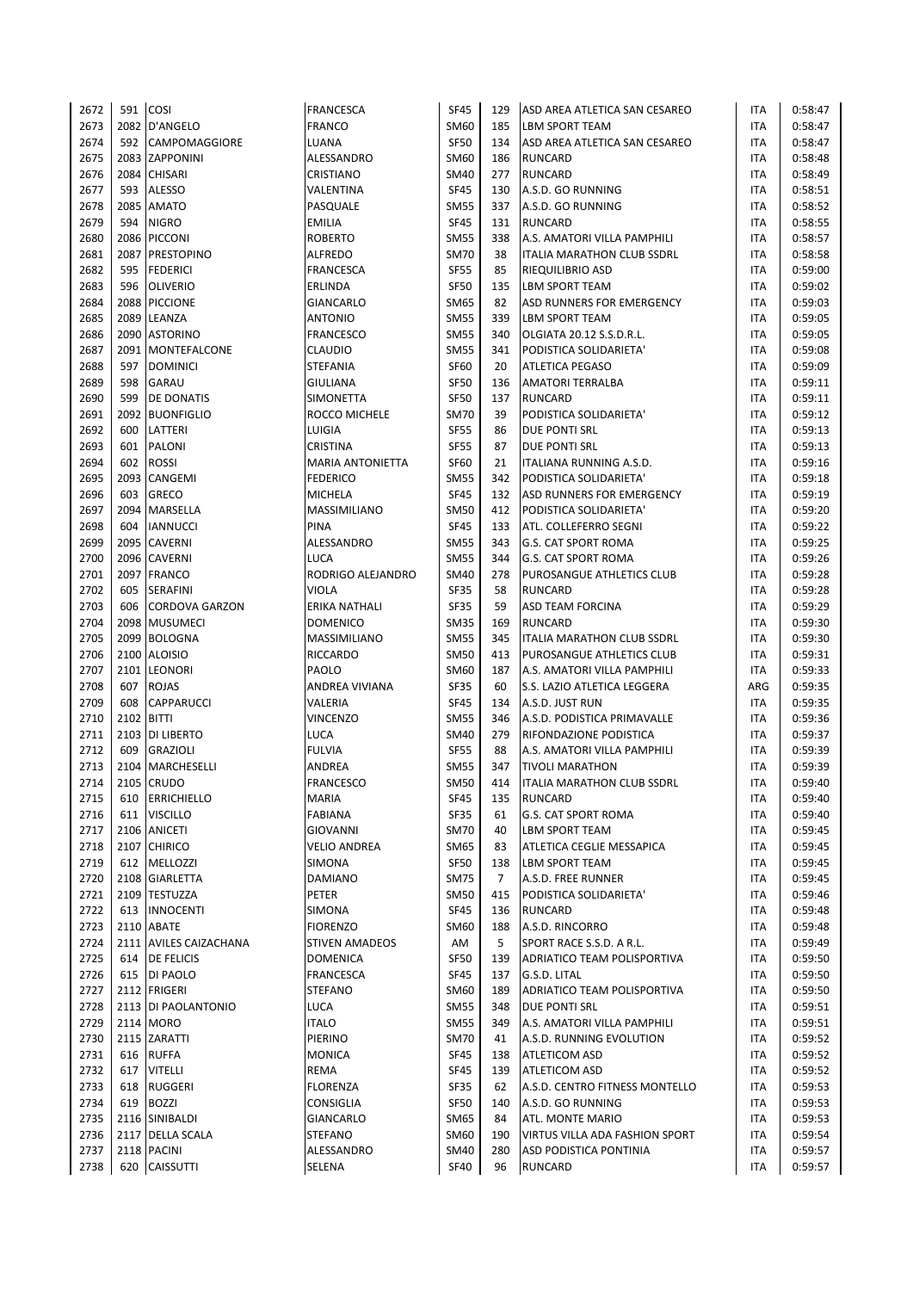| 2672         | 591        | <b>COSI</b>                          | <b>FRANCESCA</b>               | <b>SF45</b> | 129 | ASD AREA ATLETICA SAN CESAREO                         | ITA        | 0:58:47            |
|--------------|------------|--------------------------------------|--------------------------------|-------------|-----|-------------------------------------------------------|------------|--------------------|
| 2673         |            | 2082 D'ANGELO                        | <b>FRANCO</b>                  | SM60        | 185 | <b>LBM SPORT TEAM</b>                                 | <b>ITA</b> | 0:58:47            |
| 2674         | 592        | <b>CAMPOMAGGIORE</b>                 | LUANA                          | <b>SF50</b> | 134 | ASD AREA ATLETICA SAN CESAREO                         | <b>ITA</b> | 0:58:47            |
| 2675         |            | 2083 ZAPPONINI                       | ALESSANDRO                     | SM60        | 186 | <b>RUNCARD</b>                                        | <b>ITA</b> | 0:58:48            |
| 2676         |            | 2084 CHISARI                         | CRISTIANO                      | SM40        | 277 | <b>RUNCARD</b>                                        | <b>ITA</b> | 0:58:49            |
| 2677         | 593        | <b>ALESSO</b>                        | VALENTINA                      | <b>SF45</b> | 130 | A.S.D. GO RUNNING                                     | ITA        | 0:58:51            |
| 2678         | 2085       | <b>AMATO</b>                         | PASQUALE                       | <b>SM55</b> | 337 | A.S.D. GO RUNNING                                     | ITA        | 0:58:52            |
| 2679         | 594        | <b>NIGRO</b>                         | <b>EMILIA</b>                  | <b>SF45</b> | 131 | <b>RUNCARD</b>                                        | ITA        | 0:58:55            |
| 2680         | 2086       | <b>PICCONI</b>                       | <b>ROBERTO</b>                 | <b>SM55</b> | 338 | A.S. AMATORI VILLA PAMPHILI                           | ITA        | 0:58:57            |
| 2681         | 2087       | <b>PRESTOPINO</b>                    | <b>ALFREDO</b>                 | <b>SM70</b> | 38  | ITALIA MARATHON CLUB SSDRL                            | ITA        | 0:58:58            |
| 2682         | 595        | <b>FEDERICI</b>                      | <b>FRANCESCA</b>               | <b>SF55</b> | 85  | <b>RIEQUILIBRIO ASD</b>                               | ITA        | 0:59:00            |
| 2683         | 596        | <b>OLIVERIO</b>                      | ERLINDA                        | <b>SF50</b> | 135 | LBM SPORT TEAM                                        | <b>ITA</b> | 0:59:02            |
| 2684         | 2088       | <b>PICCIONE</b>                      | GIANCARLO                      | SM65        | 82  | ASD RUNNERS FOR EMERGENCY                             | <b>ITA</b> | 0:59:03            |
| 2685         | 2089       | LEANZA                               | <b>ANTONIO</b>                 | <b>SM55</b> | 339 | <b>LBM SPORT TEAM</b>                                 | <b>ITA</b> | 0:59:05            |
| 2686         |            | 2090 ASTORINO                        | <b>FRANCESCO</b>               | SM55        | 340 | OLGIATA 20.12 S.S.D.R.L.                              | <b>ITA</b> | 0:59:05            |
| 2687         |            | 2091 MONTEFALCONE                    | CLAUDIO                        | <b>SM55</b> | 341 | PODISTICA SOLIDARIETA'                                | <b>ITA</b> | 0:59:08            |
| 2688         | 597        | <b>DOMINICI</b>                      | <b>STEFANIA</b>                | <b>SF60</b> | 20  | <b>ATLETICA PEGASO</b>                                | <b>ITA</b> | 0:59:09            |
| 2689         | 598        | <b>GARAU</b>                         | GIULIANA                       | <b>SF50</b> | 136 | AMATORI TERRALBA                                      | ITA        | 0:59:11            |
| 2690         | 599        | <b>DE DONATIS</b>                    | SIMONETTA                      | <b>SF50</b> | 137 | <b>RUNCARD</b>                                        | <b>ITA</b> | 0:59:11            |
| 2691         |            | 2092 BUONFIGLIO                      | ROCCO MICHELE                  | <b>SM70</b> | 39  | PODISTICA SOLIDARIETA'                                | ITA        | 0:59:12            |
| 2692         | 600        | LATTERI                              | LUIGIA                         | <b>SF55</b> | 86  | DUE PONTI SRL                                         | ITA        | 0:59:13            |
| 2693         | 601        | PALONI                               | CRISTINA                       | <b>SF55</b> | 87  | <b>DUE PONTI SRL</b>                                  | ITA        | 0:59:13            |
| 2694         | 602        | <b>ROSSI</b>                         | <b>MARIA ANTONIETTA</b>        | <b>SF60</b> | 21  | ITALIANA RUNNING A.S.D.                               | ITA        | 0:59:16            |
| 2695         | 2093       | <b>CANGEMI</b>                       | <b>FEDERICO</b>                | <b>SM55</b> | 342 | PODISTICA SOLIDARIETA'                                | <b>ITA</b> | 0:59:18            |
| 2696         | 603        | <b>GRECO</b>                         | <b>MICHELA</b>                 | <b>SF45</b> | 132 | ASD RUNNERS FOR EMERGENCY                             | <b>ITA</b> | 0:59:19            |
| 2697         | 2094       | <b>MARSELLA</b>                      | MASSIMILIANO                   | SM50        | 412 | PODISTICA SOLIDARIETA'                                | <b>ITA</b> | 0:59:20            |
| 2698         | 604        | <b>IANNUCCI</b>                      | PINA                           | <b>SF45</b> | 133 | ATL. COLLEFERRO SEGNI                                 | <b>ITA</b> | 0:59:22            |
| 2699         |            | 2095 CAVERNI                         | ALESSANDRO                     | <b>SM55</b> | 343 | <b>G.S. CAT SPORT ROMA</b>                            | <b>ITA</b> | 0:59:25            |
| 2700         |            | 2096 CAVERNI                         | LUCA                           | <b>SM55</b> | 344 | <b>G.S. CAT SPORT ROMA</b>                            | ITA        | 0:59:26            |
| 2701         |            | 2097 FRANCO                          | RODRIGO ALEJANDRO              | SM40        | 278 | PUROSANGUE ATHLETICS CLUB                             | ITA        | 0:59:28            |
| 2702         | 605        | <b>SERAFINI</b>                      | VIOLA                          | <b>SF35</b> | 58  | <b>RUNCARD</b>                                        | <b>ITA</b> | 0:59:28            |
| 2703         | 606        | <b>CORDOVA GARZON</b>                | ERIKA NATHALI                  | <b>SF35</b> | 59  | ASD TEAM FORCINA                                      | ITA        | 0:59:29            |
| 2704         | 2098       | <b>MUSUMECI</b>                      | <b>DOMENICO</b>                | <b>SM35</b> | 169 | <b>RUNCARD</b>                                        | ITA        | 0:59:30            |
| 2705         | 2099       | <b>BOLOGNA</b>                       | MASSIMILIANO                   | <b>SM55</b> | 345 | ITALIA MARATHON CLUB SSDRL                            | ITA        | 0:59:30            |
| 2706         |            | 2100 ALOISIO                         | <b>RICCARDO</b>                | <b>SM50</b> | 413 | PUROSANGUE ATHLETICS CLUB                             | <b>ITA</b> | 0:59:31            |
| 2707         |            | 2101 LEONORI                         | PAOLO                          | SM60        | 187 | A.S. AMATORI VILLA PAMPHILI                           | ITA        | 0:59:33            |
| 2708         | 607        | <b>ROJAS</b>                         | ANDREA VIVIANA                 | <b>SF35</b> | 60  | S.S. LAZIO ATLETICA LEGGERA                           | ARG        | 0:59:35            |
| 2709         | 608        | <b>CAPPARUCCI</b>                    | VALERIA                        | <b>SF45</b> | 134 | A.S.D. JUST RUN                                       | ITA        | 0:59:35            |
| 2710         | 2102 BITTI |                                      | VINCENZO                       | <b>SM55</b> | 346 | A.S.D. PODISTICA PRIMAVALLE                           | ITA        | 0:59:36            |
|              | 2103       |                                      | LUCA                           | SM40        | 279 |                                                       | <b>ITA</b> |                    |
| 2711<br>2712 | 609        | <b>DI LIBERTO</b><br><b>GRAZIOLI</b> | <b>FULVIA</b>                  | <b>SF55</b> | 88  | RIFONDAZIONE PODISTICA                                | <b>ITA</b> | 0:59:37<br>0:59:39 |
| 2713         | 2104       | MARCHESELLI                          |                                | SM55        | 347 | A.S. AMATORI VILLA PAMPHILI<br><b>TIVOLI MARATHON</b> | <b>ITA</b> |                    |
|              |            | 2105 CRUDO                           | ANDREA                         | <b>SM50</b> | 414 |                                                       | <b>ITA</b> | 0:59:39            |
| 2714         |            |                                      | <b>FRANCESCO</b>               |             |     | <b>ITALIA MARATHON CLUB SSDRL</b>                     |            | 0:59:40            |
| 2715         | 610        | <b>ERRICHIELLO</b>                   | <b>MARIA</b><br><b>FABIANA</b> | <b>SF45</b> | 135 | <b>RUNCARD</b>                                        | ITA        | 0:59:40            |
| 2716         | 611        | <b>VISCILLO</b>                      |                                | <b>SF35</b> | 61  | G.S. CAT SPORT ROMA                                   | ITA        | 0:59:40            |
| 2717         |            | 2106 ANICETI                         | <b>GIOVANNI</b>                | SM70        | 40  | LBM SPORT TEAM                                        | ITA        | 0:59:45            |
| 2718         |            | 2107 CHIRICO                         | <b>VELIO ANDREA</b>            | SM65        | 83  | ATLETICA CEGLIE MESSAPICA                             | ITA        | 0:59:45            |
| 2719         | 612        | MELLOZZI                             | SIMONA                         | <b>SF50</b> | 138 | LBM SPORT TEAM                                        | ITA        | 0:59:45            |
| 2720         |            | 2108 GIARLETTA                       | DAMIANO                        | <b>SM75</b> | 7   | A.S.D. FREE RUNNER                                    | ITA        | 0:59:45            |
| 2721         |            | 2109 TESTUZZA                        | PETER                          | SM50        | 415 | PODISTICA SOLIDARIETA'                                | ITA        | 0:59:46            |
| 2722         |            | 613  INNOCENTI                       | SIMONA                         | <b>SF45</b> | 136 | <b>RUNCARD</b>                                        | ITA        | 0:59:48            |
| 2723         |            | 2110 ABATE                           | <b>FIORENZO</b>                | SM60        | 188 | A.S.D. RINCORRO                                       | ITA        | 0:59:48            |
| 2724         |            | 2111 AVILES CAIZACHANA               | <b>STIVEN AMADEOS</b>          | AM          | 5   | SPORT RACE S.S.D. A R.L.                              | ITA        | 0:59:49            |
| 2725         | 614        | <b>DE FELICIS</b>                    | <b>DOMENICA</b>                | <b>SF50</b> | 139 | ADRIATICO TEAM POLISPORTIVA                           | <b>ITA</b> | 0:59:50            |
| 2726         | 615        | DI PAOLO                             | <b>FRANCESCA</b>               | <b>SF45</b> | 137 | G.S.D. LITAL                                          | ITA        | 0:59:50            |
| 2727         |            | 2112 FRIGERI                         | <b>STEFANO</b>                 | SM60        | 189 | ADRIATICO TEAM POLISPORTIVA                           | ITA        | 0:59:50            |
| 2728         |            | 2113 DI PAOLANTONIO                  | <b>LUCA</b>                    | <b>SM55</b> | 348 | <b>DUE PONTI SRL</b>                                  | ITA        | 0:59:51            |
| 2729         |            | 2114 MORO                            | <b>ITALO</b>                   | <b>SM55</b> | 349 | A.S. AMATORI VILLA PAMPHILI                           | ITA        | 0:59:51            |
| 2730         |            | 2115 ZARATTI                         | PIERINO                        | <b>SM70</b> | 41  | A.S.D. RUNNING EVOLUTION                              | ITA        | 0:59:52            |
| 2731         | 616        | <b>RUFFA</b>                         | <b>MONICA</b>                  | <b>SF45</b> | 138 | <b>ATLETICOM ASD</b>                                  | ITA        | 0:59:52            |
| 2732         | 617        | <b>VITELLI</b>                       | REMA                           | <b>SF45</b> | 139 | ATLETICOM ASD                                         | ITA        | 0:59:52            |
| 2733         | 618        | <b>RUGGERI</b>                       | <b>FLORENZA</b>                | <b>SF35</b> | 62  | A.S.D. CENTRO FITNESS MONTELLO                        | ITA        | 0:59:53            |
| 2734         | 619        | <b>BOZZI</b>                         | <b>CONSIGLIA</b>               | <b>SF50</b> | 140 | A.S.D. GO RUNNING                                     | ITA        | 0:59:53            |
| 2735         |            | 2116 SINIBALDI                       | GIANCARLO                      | SM65        | 84  | ATL. MONTE MARIO                                      | ITA        | 0:59:53            |
| 2736         |            | 2117 DELLA SCALA                     | <b>STEFANO</b>                 | SM60        | 190 | VIRTUS VILLA ADA FASHION SPORT                        | ITA        | 0:59:54            |
| 2737         |            | 2118 PACINI                          | ALESSANDRO                     | <b>SM40</b> | 280 | ASD PODISTICA PONTINIA                                | ITA        | 0:59:57            |
| 2738         |            | 620 CAISSUTTI                        | SELENA                         | <b>SF40</b> | 96  | <b>RUNCARD</b>                                        | ITA        | 0:59:57            |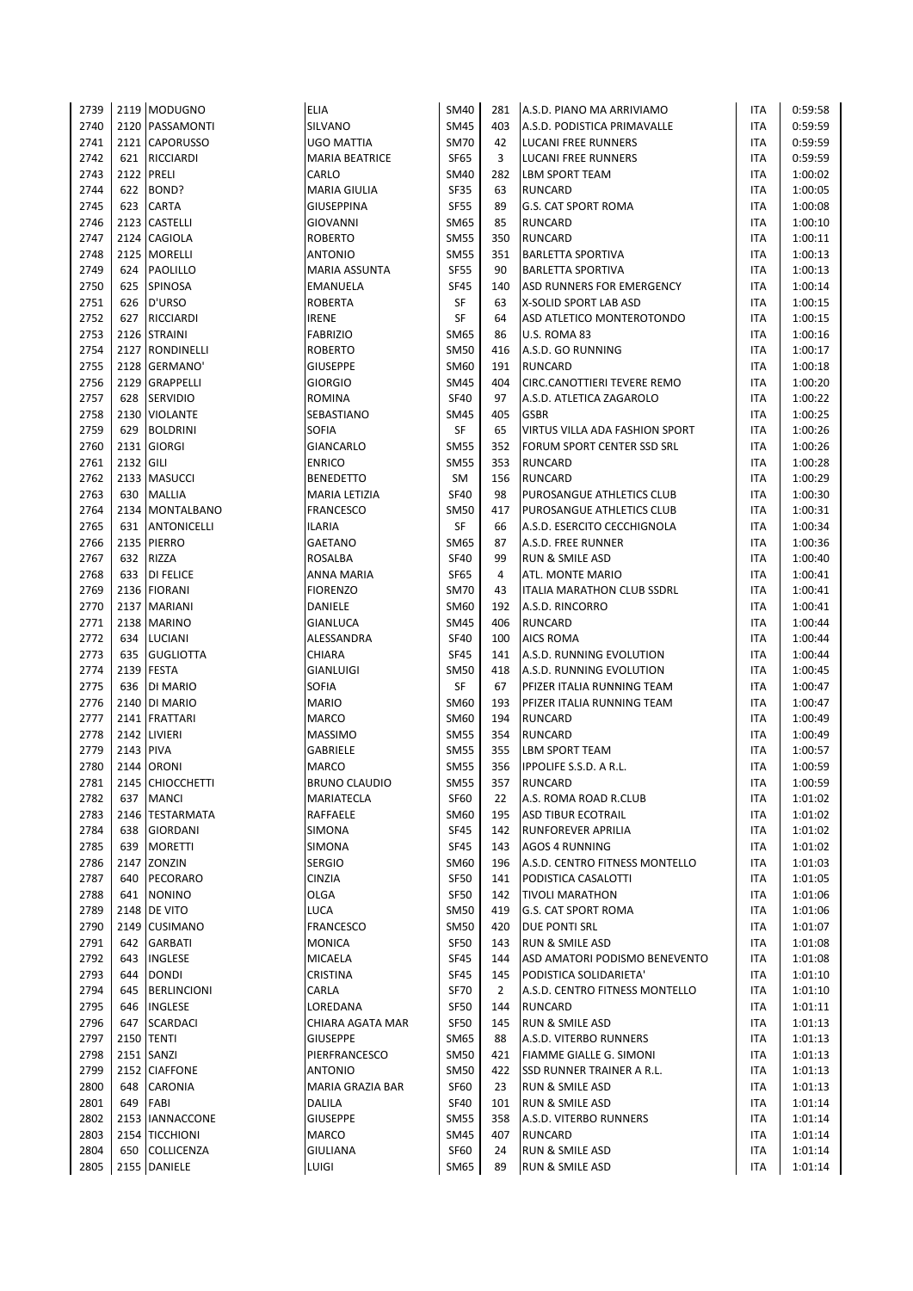| 2739         |           | 2119 MODUGNO                    | <b>ELIA</b>                | <b>SM40</b>                | 281            | A.S.D. PIANO MA ARRIVIAMO                       | ITA                      | 0:59:58            |
|--------------|-----------|---------------------------------|----------------------------|----------------------------|----------------|-------------------------------------------------|--------------------------|--------------------|
| 2740         |           | 2120 PASSAMONTI                 | SILVANO                    | <b>SM45</b>                | 403            | A.S.D. PODISTICA PRIMAVALLE                     | <b>ITA</b>               | 0:59:59            |
| 2741         |           | 2121 CAPORUSSO                  | UGO MATTIA                 | <b>SM70</b>                | 42             | <b>LUCANI FREE RUNNERS</b>                      | <b>ITA</b>               | 0:59:59            |
| 2742         | 621       | <b>RICCIARDI</b>                | <b>MARIA BEATRICE</b>      | <b>SF65</b>                | 3              | <b>LUCANI FREE RUNNERS</b>                      | <b>ITA</b>               | 0:59:59            |
| 2743         |           | 2122 PRELI                      | CARLO                      | <b>SM40</b>                | 282            | <b>LBM SPORT TEAM</b>                           | <b>ITA</b>               | 1:00:02            |
| 2744         | 622       | BOND?                           | <b>MARIA GIULIA</b>        | <b>SF35</b>                | 63             | <b>RUNCARD</b>                                  | <b>ITA</b>               | 1:00:05            |
| 2745         | 623       | <b>CARTA</b>                    | GIUSEPPINA                 | <b>SF55</b>                | 89             | <b>G.S. CAT SPORT ROMA</b>                      | <b>ITA</b>               | 1:00:08            |
| 2746         |           | 2123 CASTELLI                   | GIOVANNI                   | SM65                       | 85             | <b>RUNCARD</b>                                  | <b>ITA</b>               | 1:00:10            |
| 2747         |           | 2124 CAGIOLA                    | ROBERTO                    | <b>SM55</b>                | 350            | <b>RUNCARD</b>                                  | <b>ITA</b>               | 1:00:11            |
| 2748         |           | 2125 MORELLI                    | <b>ANTONIO</b>             | <b>SM55</b>                | 351            | <b>BARLETTA SPORTIVA</b>                        | <b>ITA</b>               | 1:00:13            |
| 2749         | 624       | <b>PAOLILLO</b>                 | MARIA ASSUNTA              | <b>SF55</b>                | 90             | <b>BARLETTA SPORTIVA</b>                        | <b>ITA</b>               | 1:00:13            |
| 2750         | 625       | SPINOSA                         | EMANUELA                   | <b>SF45</b>                | 140            | ASD RUNNERS FOR EMERGENCY                       | <b>ITA</b>               | 1:00:14            |
| 2751         | 626       | D'URSO                          | ROBERTA                    | SF                         | 63             | X-SOLID SPORT LAB ASD                           | <b>ITA</b>               | 1:00:15            |
| 2752<br>2753 | 627       | <b>RICCIARDI</b>                | <b>IRENE</b>               | <b>SF</b>                  | 64             | ASD ATLETICO MONTEROTONDO                       | <b>ITA</b>               | 1:00:15            |
|              |           | 2126 STRAINI<br>2127 RONDINELLI | <b>FABRIZIO</b>            | <b>SM65</b><br><b>SM50</b> | 86<br>416      | U.S. ROMA 83                                    | <b>ITA</b><br><b>ITA</b> | 1:00:16            |
| 2754<br>2755 |           | 2128 GERMANO'                   | ROBERTO<br><b>GIUSEPPE</b> | SM60                       | 191            | A.S.D. GO RUNNING<br><b>RUNCARD</b>             | <b>ITA</b>               | 1:00:17<br>1:00:18 |
| 2756         |           | 2129 GRAPPELLI                  | <b>GIORGIO</b>             | <b>SM45</b>                | 404            | CIRC.CANOTTIERI TEVERE REMO                     | <b>ITA</b>               | 1:00:20            |
| 2757         | 628       | <b>SERVIDIO</b>                 | ROMINA                     | <b>SF40</b>                | 97             | A.S.D. ATLETICA ZAGAROLO                        | <b>ITA</b>               | 1:00:22            |
| 2758         |           | 2130 VIOLANTE                   | SEBASTIANO                 | <b>SM45</b>                | 405            | <b>GSBR</b>                                     | <b>ITA</b>               | 1:00:25            |
| 2759         | 629       | <b>BOLDRINI</b>                 | SOFIA                      | <b>SF</b>                  | 65             | VIRTUS VILLA ADA FASHION SPORT                  | <b>ITA</b>               | 1:00:26            |
| 2760         |           | 2131 GIORGI                     | GIANCARLO                  | <b>SM55</b>                | 352            | FORUM SPORT CENTER SSD SRL                      | <b>ITA</b>               | 1:00:26            |
| 2761         | 2132 GILI |                                 | <b>ENRICO</b>              | <b>SM55</b>                | 353            | <b>RUNCARD</b>                                  | <b>ITA</b>               | 1:00:28            |
| 2762         |           | 2133 MASUCCI                    | <b>BENEDETTO</b>           | SM                         | 156            | <b>RUNCARD</b>                                  | <b>ITA</b>               | 1:00:29            |
| 2763         | 630       | <b>MALLIA</b>                   | MARIA LETIZIA              | <b>SF40</b>                | 98             | PUROSANGUE ATHLETICS CLUB                       | <b>ITA</b>               | 1:00:30            |
| 2764         |           | 2134   MONTALBANO               | FRANCESCO                  | <b>SM50</b>                | 417            | PUROSANGUE ATHLETICS CLUB                       | <b>ITA</b>               | 1:00:31            |
| 2765         | 631       | <b>ANTONICELLI</b>              | ILARIA                     | SF                         | 66             | A.S.D. ESERCITO CECCHIGNOLA                     | <b>ITA</b>               | 1:00:34            |
| 2766         |           | 2135 PIERRO                     | <b>GAETANO</b>             | <b>SM65</b>                | 87             | A.S.D. FREE RUNNER                              | <b>ITA</b>               | 1:00:36            |
| 2767         | 632       | RIZZA                           | ROSALBA                    | <b>SF40</b>                | 99             | <b>RUN &amp; SMILE ASD</b>                      | <b>ITA</b>               | 1:00:40            |
| 2768         | 633       | <b>DI FELICE</b>                | ANNA MARIA                 | <b>SF65</b>                | 4              | ATL. MONTE MARIO                                | <b>ITA</b>               | 1:00:41            |
| 2769         |           | 2136 FIORANI                    | <b>FIORENZO</b>            | <b>SM70</b>                | 43             | <b>ITALIA MARATHON CLUB SSDRL</b>               | <b>ITA</b>               | 1:00:41            |
| 2770         |           | 2137 MARIANI                    | DANIELE                    | SM60                       | 192            | A.S.D. RINCORRO                                 | <b>ITA</b>               | 1:00:41            |
| 2771         |           | 2138 MARINO                     | GIANLUCA                   | <b>SM45</b>                | 406            | <b>RUNCARD</b>                                  | <b>ITA</b>               | 1:00:44            |
| 2772         | 634       | LUCIANI                         | ALESSANDRA                 | <b>SF40</b>                | 100            | <b>AICS ROMA</b>                                | <b>ITA</b>               | 1:00:44            |
| 2773         | 635       | <b>GUGLIOTTA</b>                | CHIARA                     | <b>SF45</b>                | 141            | A.S.D. RUNNING EVOLUTION                        | <b>ITA</b>               | 1:00:44            |
| 2774         |           | 2139 FESTA                      | <b>GIANLUIGI</b>           | <b>SM50</b>                | 418            | A.S.D. RUNNING EVOLUTION                        | <b>ITA</b>               | 1:00:45            |
| 2775         | 636       | DI MARIO                        | SOFIA                      | SF                         | 67             | PFIZER ITALIA RUNNING TEAM                      | ITA                      | 1:00:47            |
| 2776         |           | 2140 DI MARIO                   | <b>MARIO</b>               | SM60                       | 193            | PFIZER ITALIA RUNNING TEAM                      | <b>ITA</b>               | 1:00:47            |
| 2777         |           | 2141 FRATTARI                   | MARCO                      | SM60                       | 194            | <b>RUNCARD</b>                                  | <b>ITA</b>               | 1:00:49            |
| 2778<br>2779 | 2143 PIVA | 2142 LIVIERI                    | <b>MASSIMO</b>             | <b>SM55</b>                | 354<br>355     | <b>RUNCARD</b>                                  | <b>ITA</b><br><b>ITA</b> | 1:00:49            |
| 2780         |           | 2144 ORONI                      | GABRIELE<br>MARCO          | <b>SM55</b><br><b>SM55</b> | 356            | <b>LBM SPORT TEAM</b><br>IPPOLIFE S.S.D. A R.L. | <b>ITA</b>               | 1:00:57<br>1:00:59 |
| 2781         |           | 2145 CHIOCCHETTI                | <b>BRUNO CLAUDIO</b>       | <b>SM55</b>                | 357            | <b>RUNCARD</b>                                  | <b>ITA</b>               | 1:00:59            |
| 2782         | 637       | <b>MANCI</b>                    | MARIATECLA                 | SF60                       | 22             | A.S. ROMA ROAD R.CLUB                           | ITA                      | 1:01:02            |
| 2783         |           | 2146 TESTARMATA                 | RAFFAELE                   | SM60                       | 195            | <b>ASD TIBUR ECOTRAIL</b>                       | <b>ITA</b>               | 1:01:02            |
| 2784         | 638       | <b>GIORDANI</b>                 | SIMONA                     | <b>SF45</b>                | 142            | RUNFOREVER APRILIA                              | <b>ITA</b>               | 1:01:02            |
| 2785         | 639       | <b>MORETTI</b>                  | SIMONA                     | <b>SF45</b>                | 143            | <b>AGOS 4 RUNNING</b>                           | <b>ITA</b>               | 1:01:02            |
| 2786         | 2147      | ZONZIN                          | <b>SERGIO</b>              | <b>SM60</b>                | 196            | A.S.D. CENTRO FITNESS MONTELLO                  | ITA                      | 1:01:03            |
| 2787         | 640       | PECORARO                        | CINZIA                     | <b>SF50</b>                | 141            | PODISTICA CASALOTTI                             | ITA                      | 1:01:05            |
| 2788         | 641       | <b>NONINO</b>                   | OLGA                       | <b>SF50</b>                | 142            | <b>TIVOLI MARATHON</b>                          | <b>ITA</b>               | 1:01:06            |
| 2789         |           | 2148 DE VITO                    | LUCA                       | <b>SM50</b>                | 419            | <b>G.S. CAT SPORT ROMA</b>                      | <b>ITA</b>               | 1:01:06            |
| 2790         | 2149      | <b>CUSIMANO</b>                 | <b>FRANCESCO</b>           | <b>SM50</b>                | 420            | <b>DUE PONTI SRL</b>                            | ITA                      | 1:01:07            |
| 2791         | 642       | GARBATI                         | <b>MONICA</b>              | SF50                       | 143            | RUN & SMILE ASD                                 | ITA                      | 1:01:08            |
| 2792         | 643       | INGLESE                         | MICAELA                    | <b>SF45</b>                | 144            | ASD AMATORI PODISMO BENEVENTO                   | <b>ITA</b>               | 1:01:08            |
| 2793         | 644       | <b>DONDI</b>                    | CRISTINA                   | <b>SF45</b>                | 145            | PODISTICA SOLIDARIETA'                          | ITA                      | 1:01:10            |
| 2794         | 645       | <b>BERLINCIONI</b>              | CARLA                      | <b>SF70</b>                | $\overline{2}$ | A.S.D. CENTRO FITNESS MONTELLO                  | ITA                      | 1:01:10            |
| 2795         | 646       | INGLESE                         | LOREDANA                   | <b>SF50</b>                | 144            | <b>RUNCARD</b>                                  | ITA                      | 1:01:11            |
| 2796         | 647       | <b>SCARDACI</b>                 | CHIARA AGATA MAR           | <b>SF50</b>                | 145            | RUN & SMILE ASD                                 | <b>ITA</b>               | 1:01:13            |
| 2797         |           | <b>2150 TENTI</b>               | GIUSEPPE                   | SM65                       | 88             | A.S.D. VITERBO RUNNERS                          | ITA                      | 1:01:13            |
| 2798         |           | 2151 SANZI                      | PIERFRANCESCO              | <b>SM50</b>                | 421            | FIAMME GIALLE G. SIMONI                         | ITA                      | 1:01:13            |
| 2799         |           | 2152 CIAFFONE                   | ANTONIO                    | <b>SM50</b>                | 422            | SSD RUNNER TRAINER A R.L.                       | <b>ITA</b>               | 1:01:13            |
| 2800         | 648       | <b>CARONIA</b>                  | MARIA GRAZIA BAR           | SF60                       | 23             | RUN & SMILE ASD                                 | ITA                      | 1:01:13            |
| 2801<br>2802 | 649       | FABI<br>2153 IANNACCONE         | DALILA<br><b>GIUSEPPE</b>  | <b>SF40</b><br><b>SM55</b> | 101<br>358     | RUN & SMILE ASD                                 | ITA<br>ITA               | 1:01:14            |
| 2803         |           | 2154 TICCHIONI                  | MARCO                      | SM45                       | 407            | A.S.D. VITERBO RUNNERS<br><b>RUNCARD</b>        | ITA                      | 1:01:14<br>1:01:14 |
| 2804         | 650       | <b>COLLICENZA</b>               | GIULIANA                   | <b>SF60</b>                | 24             | RUN & SMILE ASD                                 | <b>ITA</b>               | 1:01:14            |
| 2805         |           | 2155 DANIELE                    | LUIGI                      | SM65                       | 89             | <b>RUN &amp; SMILE ASD</b>                      | <b>ITA</b>               | 1:01:14            |
|              |           |                                 |                            |                            |                |                                                 |                          |                    |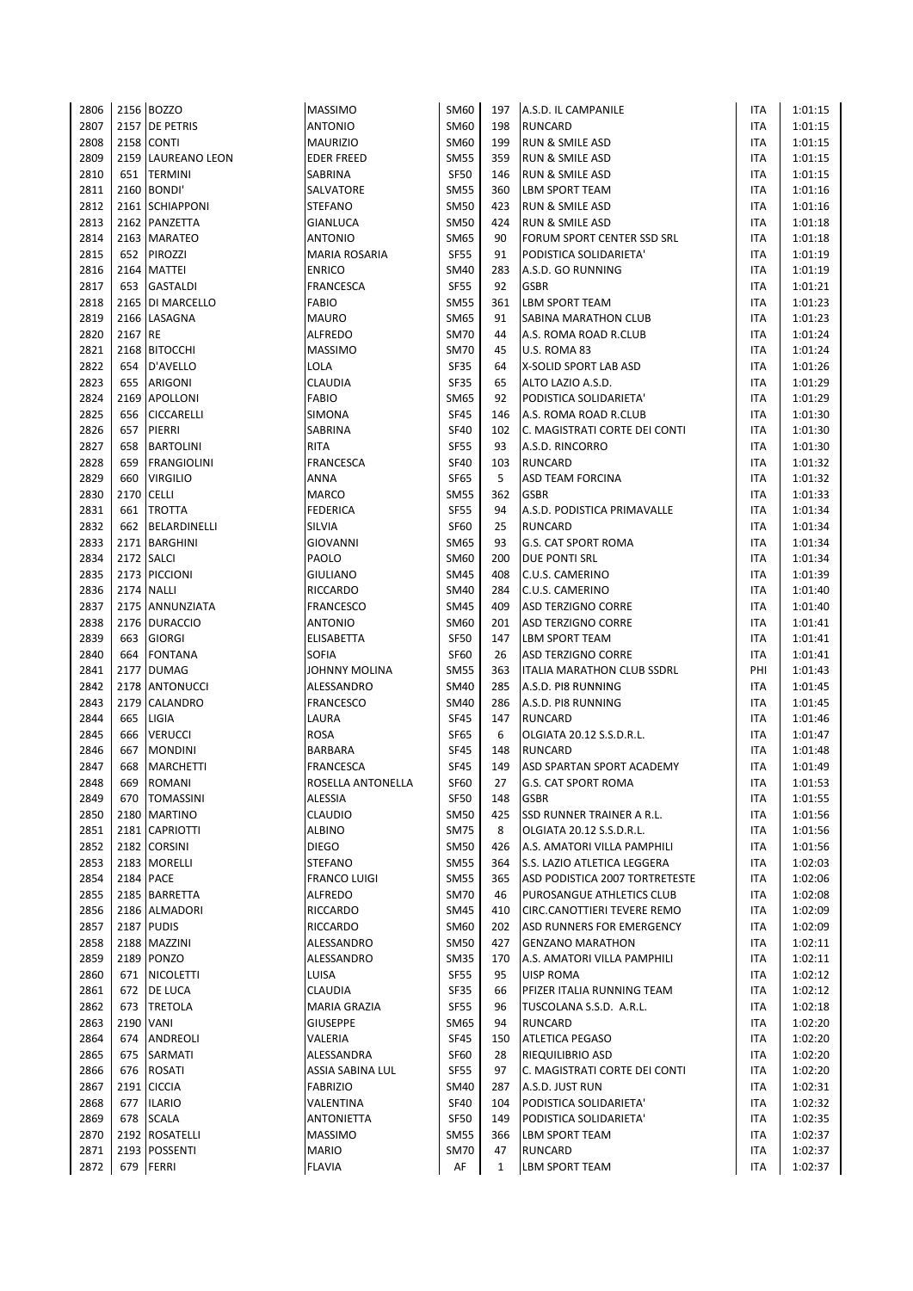| 2806 |           | 2156 BOZZO         | <b>MASSIMO</b>               | SM60        | 197          | A.S.D. IL CAMPANILE                                | ITA        | 1:01:15            |
|------|-----------|--------------------|------------------------------|-------------|--------------|----------------------------------------------------|------------|--------------------|
| 2807 |           | 2157 DE PETRIS     | <b>ANTONIO</b>               | SM60        | 198          | <b>RUNCARD</b>                                     | ITA        | 1:01:15            |
| 2808 |           | <b>2158 CONTI</b>  | <b>MAURIZIO</b>              | <b>SM60</b> | 199          | <b>RUN &amp; SMILE ASD</b>                         | ITA        | 1:01:15            |
| 2809 |           | 2159 LAUREANO LEON | <b>EDER FREED</b>            | <b>SM55</b> | 359          | <b>RUN &amp; SMILE ASD</b>                         | <b>ITA</b> | 1:01:15            |
| 2810 |           | 651 TERMINI        | SABRINA                      | <b>SF50</b> | 146          | RUN & SMILE ASD                                    | <b>ITA</b> | 1:01:15            |
| 2811 |           | 2160 BONDI'        | SALVATORE                    | <b>SM55</b> | 360          | <b>LBM SPORT TEAM</b>                              | <b>ITA</b> | 1:01:16            |
| 2812 |           | 2161 SCHIAPPONI    | <b>STEFANO</b>               | <b>SM50</b> | 423          | RUN & SMILE ASD                                    | <b>ITA</b> | 1:01:16            |
| 2813 |           | 2162 PANZETTA      | GIANLUCA                     | <b>SM50</b> | 424          | <b>RUN &amp; SMILE ASD</b>                         | <b>ITA</b> | 1:01:18            |
| 2814 |           | 2163 MARATEO       | <b>ANTONIO</b>               | <b>SM65</b> | 90           | FORUM SPORT CENTER SSD SRL                         | <b>ITA</b> | 1:01:18            |
| 2815 | 652       | <b>PIROZZI</b>     | <b>MARIA ROSARIA</b>         | <b>SF55</b> | 91           | PODISTICA SOLIDARIETA'                             | <b>ITA</b> | 1:01:19            |
| 2816 |           | 2164 MATTEI        | <b>ENRICO</b>                | <b>SM40</b> | 283          | A.S.D. GO RUNNING                                  | <b>ITA</b> | 1:01:19            |
| 2817 | 653       | GASTALDI           | <b>FRANCESCA</b>             | <b>SF55</b> | 92           | <b>GSBR</b>                                        | <b>ITA</b> | 1:01:21            |
| 2818 |           | 2165 DI MARCELLO   | <b>FABIO</b>                 | <b>SM55</b> | 361          | <b>LBM SPORT TEAM</b>                              | <b>ITA</b> | 1:01:23            |
| 2819 |           | 2166 LASAGNA       | <b>MAURO</b>                 | <b>SM65</b> | 91           | SABINA MARATHON CLUB                               | ITA        | 1:01:23            |
| 2820 | 2167 RE   |                    | <b>ALFREDO</b>               | <b>SM70</b> | 44           | A.S. ROMA ROAD R.CLUB                              | ITA        | 1:01:24            |
| 2821 |           | 2168 BITOCCHI      | <b>MASSIMO</b>               | <b>SM70</b> | 45           | U.S. ROMA 83                                       | ITA        | 1:01:24            |
| 2822 | 654       | D'AVELLO           | LOLA                         | <b>SF35</b> | 64           | X-SOLID SPORT LAB ASD                              | ITA        | 1:01:26            |
| 2823 | 655       | <b>ARIGONI</b>     | <b>CLAUDIA</b>               | <b>SF35</b> | 65           | ALTO LAZIO A.S.D.                                  | ITA        | 1:01:29            |
| 2824 |           | 2169 APOLLONI      | <b>FABIO</b>                 | SM65        | 92           | PODISTICA SOLIDARIETA'                             | <b>ITA</b> | 1:01:29            |
| 2825 | 656       | <b>CICCARELLI</b>  | SIMONA                       | <b>SF45</b> | 146          | A.S. ROMA ROAD R.CLUB                              | <b>ITA</b> | 1:01:30            |
| 2826 | 657       | PIERRI             | SABRINA                      | <b>SF40</b> | 102          | C. MAGISTRATI CORTE DEI CONTI                      | <b>ITA</b> | 1:01:30            |
| 2827 | 658       | <b>BARTOLINI</b>   | <b>RITA</b>                  | <b>SF55</b> | 93           | A.S.D. RINCORRO                                    | ITA        | 1:01:30            |
| 2828 | 659       | <b>FRANGIOLINI</b> | <b>FRANCESCA</b>             | <b>SF40</b> | 103          | <b>RUNCARD</b>                                     | <b>ITA</b> | 1:01:32            |
| 2829 | 660       | <b>VIRGILIO</b>    | ANNA                         | <b>SF65</b> | 5            | <b>ASD TEAM FORCINA</b>                            | ITA        | 1:01:32            |
| 2830 | 2170      | <b>CELLI</b>       | <b>MARCO</b>                 | <b>SM55</b> | 362          | <b>GSBR</b>                                        | ITA        | 1:01:33            |
| 2831 | 661       | <b>TROTTA</b>      | <b>FEDERICA</b>              | <b>SF55</b> | 94           | A.S.D. PODISTICA PRIMAVALLE                        | ITA        | 1:01:34            |
| 2832 | 662       | BELARDINELLI       | SILVIA                       | <b>SF60</b> | 25           | <b>RUNCARD</b>                                     | <b>ITA</b> | 1:01:34            |
| 2833 |           | 2171   BARGHINI    | <b>GIOVANNI</b>              | SM65        | 93           | <b>G.S. CAT SPORT ROMA</b>                         | ITA        | 1:01:34            |
| 2834 |           | 2172 SALCI         | PAOLO                        | SM60        | 200          | DUE PONTI SRL                                      | ITA        | 1:01:34            |
| 2835 |           | 2173 PICCIONI      | GIULIANO                     | <b>SM45</b> | 408          | C.U.S. CAMERINO                                    | ITA        | 1:01:39            |
| 2836 |           | <b>2174 NALLI</b>  |                              | <b>SM40</b> | 284          |                                                    | ITA        |                    |
| 2837 |           | 2175 ANNUNZIATA    | RICCARDO<br><b>FRANCESCO</b> | <b>SM45</b> | 409          | C.U.S. CAMERINO<br><b>ASD TERZIGNO CORRE</b>       | <b>ITA</b> | 1:01:40<br>1:01:40 |
| 2838 |           | 2176 DURACCIO      | <b>ANTONIO</b>               | SM60        | 201          |                                                    | <b>ITA</b> | 1:01:41            |
|      | 663       | <b>GIORGI</b>      |                              | <b>SF50</b> | 147          | <b>ASD TERZIGNO CORRE</b><br><b>LBM SPORT TEAM</b> |            |                    |
| 2839 | 664       |                    | <b>ELISABETTA</b>            |             |              |                                                    | <b>ITA</b> | 1:01:41            |
| 2840 |           | <b>FONTANA</b>     | <b>SOFIA</b>                 | <b>SF60</b> | 26           | <b>ASD TERZIGNO CORRE</b>                          | <b>ITA</b> | 1:01:41            |
| 2841 |           | 2177 DUMAG         | JOHNNY MOLINA                | <b>SM55</b> | 363          | ITALIA MARATHON CLUB SSDRL                         | PHI        | 1:01:43            |
| 2842 |           | 2178 ANTONUCCI     | ALESSANDRO                   | <b>SM40</b> | 285          | A.S.D. PI8 RUNNING                                 | <b>ITA</b> | 1:01:45            |
| 2843 |           | 2179 CALANDRO      | <b>FRANCESCO</b>             | <b>SM40</b> | 286          | A.S.D. PI8 RUNNING                                 | ITA        | 1:01:45            |
| 2844 | 665       | LIGIA              | LAURA                        | <b>SF45</b> | 147          | <b>RUNCARD</b>                                     | <b>ITA</b> | 1:01:46            |
| 2845 | 666       | <b>VERUCCI</b>     | ROSA                         | <b>SF65</b> | 6            | OLGIATA 20.12 S.S.D.R.L.                           | <b>ITA</b> | 1:01:47            |
| 2846 | 667       | <b>MONDINI</b>     | BARBARA                      | <b>SF45</b> | 148          | <b>RUNCARD</b>                                     | <b>ITA</b> | 1:01:48            |
| 2847 | 668       | <b>MARCHETTI</b>   | <b>FRANCESCA</b>             | <b>SF45</b> | 149          | ASD SPARTAN SPORT ACADEMY                          | <b>ITA</b> | 1:01:49            |
| 2848 | 669       | <b>ROMANI</b>      | ROSELLA ANTONELLA            | <b>SF60</b> | 27           | <b>G.S. CAT SPORT ROMA</b>                         | <b>ITA</b> | 1:01:53            |
| 2849 | 670       | <b>TOMASSINI</b>   | ALESSIA                      | <b>SF50</b> | 148          | <b>GSBR</b>                                        | ITA        | 1:01:55            |
| 2850 |           | 2180 MARTINO       | <b>CLAUDIO</b>               | <b>SM50</b> | 425          | SSD RUNNER TRAINER A R.L.                          | ITA        | 1:01:56            |
| 2851 |           | 2181 CAPRIOTTI     | <b>ALBINO</b>                | <b>SM75</b> | 8            | OLGIATA 20.12 S.S.D.R.L.                           | ITA        | 1:01:56            |
| 2852 |           | 2182 CORSINI       | <b>DIEGO</b>                 | <b>SM50</b> | 426          | A.S. AMATORI VILLA PAMPHILI                        | ITA        | 1:01:56            |
| 2853 |           | 2183 MORELLI       | <b>STEFANO</b>               | <b>SM55</b> | 364          | S.S. LAZIO ATLETICA LEGGERA                        | ITA        | 1:02:03            |
| 2854 |           | 2184 PACE          | <b>FRANCO LUIGI</b>          | <b>SM55</b> | 365          | ASD PODISTICA 2007 TORTRETESTE                     | ITA        | 1:02:06            |
| 2855 |           | 2185 BARRETTA      | ALFREDO                      | <b>SM70</b> | 46           | PUROSANGUE ATHLETICS CLUB                          | ITA        | 1:02:08            |
| 2856 |           | 2186 ALMADORI      | RICCARDO                     | <b>SM45</b> | 410          | CIRC.CANOTTIERI TEVERE REMO                        | <b>ITA</b> | 1:02:09            |
| 2857 |           | 2187 PUDIS         | RICCARDO                     | SM60        | 202          | ASD RUNNERS FOR EMERGENCY                          | ITA        | 1:02:09            |
| 2858 |           | 2188 MAZZINI       | ALESSANDRO                   | <b>SM50</b> | 427          | <b>GENZANO MARATHON</b>                            | ITA        | 1:02:11            |
| 2859 |           | 2189 PONZO         | ALESSANDRO                   | <b>SM35</b> | 170          | A.S. AMATORI VILLA PAMPHILI                        | ITA        | 1:02:11            |
| 2860 |           | 671 NICOLETTI      | LUISA                        | SF55        | 95           | UISP ROMA                                          | ITA        | 1:02:12            |
| 2861 |           | 672 DE LUCA        | <b>CLAUDIA</b>               | <b>SF35</b> | 66           | PFIZER ITALIA RUNNING TEAM                         | ITA        | 1:02:12            |
| 2862 |           | 673 TRETOLA        | MARIA GRAZIA                 | <b>SF55</b> | 96           | TUSCOLANA S.S.D. A.R.L.                            | ITA        | 1:02:18            |
| 2863 | 2190 VANI |                    | <b>GIUSEPPE</b>              | <b>SM65</b> | 94           | <b>RUNCARD</b>                                     | ITA        | 1:02:20            |
| 2864 | 674       | ANDREOLI           | VALERIA                      | <b>SF45</b> | 150          | <b>ATLETICA PEGASO</b>                             | ITA        | 1:02:20            |
| 2865 | 675       | SARMATI            | ALESSANDRA                   | <b>SF60</b> | 28           | RIEQUILIBRIO ASD                                   | ITA        | 1:02:20            |
| 2866 | 676       | <b>ROSATI</b>      | ASSIA SABINA LUL             | <b>SF55</b> | 97           | C. MAGISTRATI CORTE DEI CONTI                      | ITA        | 1:02:20            |
| 2867 |           | 2191 CICCIA        | <b>FABRIZIO</b>              | <b>SM40</b> | 287          | A.S.D. JUST RUN                                    | ITA        | 1:02:31            |
| 2868 |           | 677 ILARIO         | VALENTINA                    | <b>SF40</b> | 104          | PODISTICA SOLIDARIETA'                             | <b>ITA</b> | 1:02:32            |
| 2869 | 678       | <b>SCALA</b>       | <b>ANTONIETTA</b>            | <b>SF50</b> | 149          | PODISTICA SOLIDARIETA'                             | ITA        | 1:02:35            |
| 2870 |           | 2192 ROSATELLI     | <b>MASSIMO</b>               | <b>SM55</b> | 366          | LBM SPORT TEAM                                     | ITA        | 1:02:37            |
| 2871 |           | 2193 POSSENTI      | <b>MARIO</b>                 | <b>SM70</b> | 47           | <b>RUNCARD</b>                                     | ITA        | 1:02:37            |
| 2872 | 679       | <b>FERRI</b>       | <b>FLAVIA</b>                | AF          | $\mathbf{1}$ | LBM SPORT TEAM                                     | ITA        | 1:02:37            |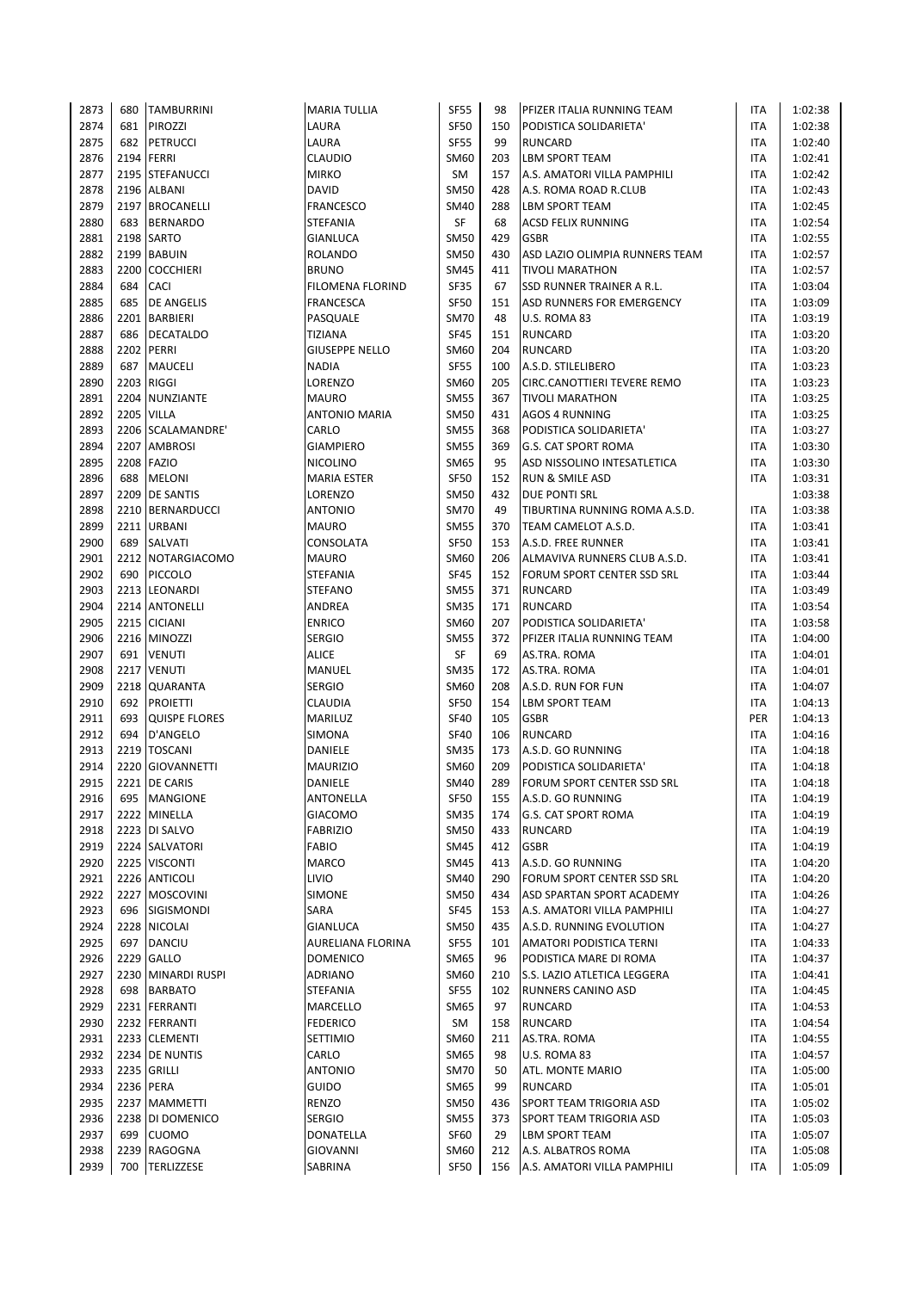| 2873         | 680  | <b>TAMBURRINI</b>              | <b>MARIA TULLIA</b>      | <b>SF55</b>         | 98        | PFIZER ITALIA RUNNING TEAM         | ITA        | 1:02:38            |
|--------------|------|--------------------------------|--------------------------|---------------------|-----------|------------------------------------|------------|--------------------|
| 2874         | 681  | PIROZZI                        | LAURA                    | <b>SF50</b>         | 150       | PODISTICA SOLIDARIETA'             | <b>ITA</b> | 1:02:38            |
| 2875         | 682  | <b>PETRUCCI</b>                | LAURA                    | <b>SF55</b>         | 99        | <b>RUNCARD</b>                     | ITA        | 1:02:40            |
| 2876         |      | 2194 FERRI                     | <b>CLAUDIO</b>           | SM60                | 203       | <b>LBM SPORT TEAM</b>              | <b>ITA</b> | 1:02:41            |
| 2877         |      | 2195 STEFANUCCI                | <b>MIRKO</b>             | SM                  | 157       | A.S. AMATORI VILLA PAMPHILI        | <b>ITA</b> | 1:02:42            |
| 2878         |      | 2196 ALBANI                    | DAVID                    | <b>SM50</b>         | 428       | A.S. ROMA ROAD R.CLUB              | ITA        | 1:02:43            |
| 2879         |      | 2197 BROCANELLI                | <b>FRANCESCO</b>         | <b>SM40</b>         | 288       | LBM SPORT TEAM                     | ITA        | 1:02:45            |
| 2880         | 683  | <b>BERNARDO</b>                | STEFANIA                 | SF                  | 68        | <b>ACSD FELIX RUNNING</b>          | ITA        | 1:02:54            |
| 2881         |      | 2198 SARTO                     | <b>GIANLUCA</b>          | <b>SM50</b>         | 429       | <b>GSBR</b>                        | ITA        | 1:02:55            |
| 2882         | 2199 | <b>BABUIN</b>                  | <b>ROLANDO</b>           | <b>SM50</b>         | 430       | ASD LAZIO OLIMPIA RUNNERS TEAM     | <b>ITA</b> | 1:02:57            |
| 2883         | 2200 | <b>COCCHIERI</b>               | <b>BRUNO</b>             | SM45                | 411       | <b>TIVOLI MARATHON</b>             | ITA        | 1:02:57            |
| 2884         | 684  | <b>CACI</b>                    | FILOMENA FLORIND         | <b>SF35</b>         | 67        | SSD RUNNER TRAINER A R.L.          | <b>ITA</b> | 1:03:04            |
| 2885         | 685  | <b>DE ANGELIS</b>              | <b>FRANCESCA</b>         | <b>SF50</b>         | 151       | ASD RUNNERS FOR EMERGENCY          | <b>ITA</b> | 1:03:09            |
| 2886         | 2201 | <b>BARBIERI</b>                | PASQUALE                 | <b>SM70</b>         | 48        | U.S. ROMA 83                       | ITA        | 1:03:19            |
| 2887         | 686  | <b>DECATALDO</b>               | <b>TIZIANA</b>           | <b>SF45</b>         | 151       | <b>RUNCARD</b>                     | ITA        | 1:03:20            |
| 2888         |      | 2202 PERRI                     | <b>GIUSEPPE NELLO</b>    | SM60                | 204       | <b>RUNCARD</b>                     | ITA        | 1:03:20            |
| 2889         | 687  | <b>MAUCELI</b>                 | <b>NADIA</b>             | <b>SF55</b>         | 100       | A.S.D. STILELIBERO                 | ITA        | 1:03:23            |
| 2890         | 2203 | <b>RIGGI</b>                   | LORENZO                  | SM60                | 205       | CIRC.CANOTTIERI TEVERE REMO        | ITA        | 1:03:23            |
| 2891         |      | 2204 NUNZIANTE                 | <b>MAURO</b>             | SM55                | 367       | <b>TIVOLI MARATHON</b>             | ITA        | 1:03:25            |
| 2892         |      | <b>2205 VILLA</b>              | <b>ANTONIO MARIA</b>     | <b>SM50</b>         | 431       | <b>AGOS 4 RUNNING</b>              | ITA        | 1:03:25            |
| 2893         |      | 2206 SCALAMANDRE'              | CARLO                    | <b>SM55</b>         | 368       | PODISTICA SOLIDARIETA'             | ITA        | 1:03:27            |
| 2894         |      | 2207 AMBROSI                   | <b>GIAMPIERO</b>         | <b>SM55</b>         | 369       | G.S. CAT SPORT ROMA                | ITA        | 1:03:30            |
| 2895         |      | 2208 FAZIO                     | <b>NICOLINO</b>          | SM65                | 95        | ASD NISSOLINO INTESATLETICA        | ITA        | 1:03:30            |
| 2896         | 688  | <b>MELONI</b>                  | <b>MARIA ESTER</b>       | <b>SF50</b>         | 152       | <b>RUN &amp; SMILE ASD</b>         | ITA        | 1:03:31            |
| 2897         |      | 2209 DE SANTIS                 | LORENZO                  | <b>SM50</b>         | 432       | <b>DUE PONTI SRL</b>               |            | 1:03:38            |
| 2898         | 2210 | <b>BERNARDUCCI</b>             | <b>ANTONIO</b>           | <b>SM70</b>         | 49        | TIBURTINA RUNNING ROMA A.S.D.      | ITA        | 1:03:38            |
| 2899         |      | 2211 URBANI                    | <b>MAURO</b>             | <b>SM55</b>         | 370       | TEAM CAMELOT A.S.D.                | ITA        | 1:03:41            |
| 2900         | 689  | <b>SALVATI</b>                 | CONSOLATA                | <b>SF50</b>         | 153       | A.S.D. FREE RUNNER                 | ITA        | 1:03:41            |
| 2901         |      | 2212 NOTARGIACOMO              | <b>MAURO</b>             | SM60                | 206       | ALMAVIVA RUNNERS CLUB A.S.D.       | ITA        | 1:03:41            |
| 2902         | 690  | <b>PICCOLO</b>                 | <b>STEFANIA</b>          | <b>SF45</b>         | 152       | FORUM SPORT CENTER SSD SRL         | ITA        | 1:03:44            |
| 2903         |      | 2213 LEONARDI                  | <b>STEFANO</b>           | SM55                | 371       | <b>RUNCARD</b>                     | <b>ITA</b> | 1:03:49            |
| 2904         |      | 2214 ANTONELLI                 | ANDREA                   | <b>SM35</b>         | 171       | <b>RUNCARD</b>                     | ITA        | 1:03:54            |
| 2905         |      | 2215 CICIANI                   | <b>ENRICO</b>            | SM60                | 207       | PODISTICA SOLIDARIETA'             | ITA        | 1:03:58            |
| 2906         |      | 2216 MINOZZI                   | <b>SERGIO</b>            | <b>SM55</b>         | 372       | PFIZER ITALIA RUNNING TEAM         | ITA        | 1:04:00            |
| 2907         | 691  | <b>VENUTI</b>                  | <b>ALICE</b>             | SF                  | 69        | AS.TRA. ROMA                       | ITA        | 1:04:01            |
| 2908         |      | 2217 VENUTI                    | MANUEL                   | <b>SM35</b>         | 172       | AS.TRA. ROMA                       | ITA        | 1:04:01            |
| 2909         |      | 2218 QUARANTA                  | <b>SERGIO</b>            | SM60                | 208       | A.S.D. RUN FOR FUN                 | ITA        | 1:04:07            |
| 2910         | 692  | <b>PROIETTI</b>                | <b>CLAUDIA</b>           | <b>SF50</b>         | 154       | LBM SPORT TEAM                     | ITA        | 1:04:13            |
| 2911         | 693  | <b>QUISPE FLORES</b>           | MARILUZ                  | <b>SF40</b>         | 105       | <b>GSBR</b>                        | PER        | 1:04:13            |
| 2912         | 694  | D'ANGELO                       | SIMONA                   | <b>SF40</b>         | 106       | <b>RUNCARD</b>                     | <b>ITA</b> | 1:04:16            |
| 2913         | 2219 | <b>TOSCANI</b>                 | DANIELE                  | <b>SM35</b>         | 173       | A.S.D. GO RUNNING                  | ITA        | 1:04:18            |
| 2914         |      | 2220 GIOVANNETTI               | <b>MAURIZIO</b>          | SM60                | 209       | PODISTICA SOLIDARIETA'             | <b>ITA</b> | 1:04:18            |
| 2915         |      | 2221 DE CARIS                  | <b>DANIELE</b>           | <b>SM40</b>         | 289       | FORUM SPORT CENTER SSD SRL         | <b>ITA</b> | 1:04:18            |
| 2916         |      | 695 MANGIONE                   | ANTONELLA                | <b>SF50</b>         | 155       | A.S.D. GO RUNNING                  | ITA        | 1:04:19            |
| 2917         |      | 2222 MINELLA                   | <b>GIACOMO</b>           | SM35                | 174       | <b>G.S. CAT SPORT ROMA</b>         | ITA        | 1:04:19            |
| 2918         |      | 2223 DI SALVO                  | <b>FABRIZIO</b>          | <b>SM50</b>         | 433       | <b>RUNCARD</b>                     | ITA        | 1:04:19            |
| 2919         |      | 2224 SALVATORI                 | <b>FABIO</b>             | <b>SM45</b>         | 412       | <b>GSBR</b>                        | ITA        | 1:04:19            |
| 2920         |      | 2225 VISCONTI                  | <b>MARCO</b>             | <b>SM45</b>         | 413       | A.S.D. GO RUNNING                  | ITA        | 1:04:20            |
| 2921         |      | 2226 ANTICOLI                  | LIVIO                    | <b>SM40</b>         | 290       | FORUM SPORT CENTER SSD SRL         | ITA        | 1:04:20            |
| 2922         |      | 2227 MOSCOVINI                 | SIMONE                   | SM50                | 434       | ASD SPARTAN SPORT ACADEMY          | ITA        | 1:04:26            |
| 2923         | 696  | SIGISMONDI                     | SARA                     | <b>SF45</b>         | 153       | A.S. AMATORI VILLA PAMPHILI        | ITA        | 1:04:27            |
| 2924         |      | 2228 NICOLAI                   | GIANLUCA                 | <b>SM50</b>         | 435       | A.S.D. RUNNING EVOLUTION           | ITA        | 1:04:27            |
| 2925         | 697  | <b>DANCIU</b>                  | <b>AURELIANA FLORINA</b> | <b>SF55</b>         | 101       | AMATORI PODISTICA TERNI            | ITA        | 1:04:33            |
| 2926         |      | 2229 GALLO                     | <b>DOMENICO</b>          | SM65                | 96        | PODISTICA MARE DI ROMA             | <b>ITA</b> | 1:04:37            |
| 2927         |      | 2230 MINARDI RUSPI             | <b>ADRIANO</b>           | SM60                | 210       | S.S. LAZIO ATLETICA LEGGERA        | <b>ITA</b> | 1:04:41            |
| 2928         | 698  | <b>BARBATO</b>                 | STEFANIA                 | <b>SF55</b>         | 102       | RUNNERS CANINO ASD                 | ITA        | 1:04:45            |
| 2929         |      | 2231 FERRANTI                  | MARCELLO                 | SM65                | 97        | <b>RUNCARD</b>                     | ITA        | 1:04:53            |
| 2930         |      | 2232 FERRANTI<br>2233 CLEMENTI | <b>FEDERICO</b>          | SM                  | 158       | <b>RUNCARD</b>                     | ITA        | 1:04:54            |
| 2931<br>2932 |      |                                | SETTIMIO                 | SM60                | 211<br>98 | AS.TRA. ROMA                       | ITA        | 1:04:55            |
| 2933         |      | 2234 DE NUNTIS<br>2235 GRILLI  | CARLO<br><b>ANTONIO</b>  | SM65<br><b>SM70</b> | 50        | U.S. ROMA 83                       | ITA<br>ITA | 1:04:57            |
| 2934         |      | 2236 PERA                      | GUIDO                    | <b>SM65</b>         | 99        | ATL. MONTE MARIO                   | ITA        | 1:05:00            |
| 2935         |      | 2237 MAMMETTI                  | RENZO                    | <b>SM50</b>         | 436       | RUNCARD<br>SPORT TEAM TRIGORIA ASD | ITA        | 1:05:01<br>1:05:02 |
| 2936         |      | 2238 DI DOMENICO               | <b>SERGIO</b>            | <b>SM55</b>         | 373       | SPORT TEAM TRIGORIA ASD            | ITA        | 1:05:03            |
| 2937         | 699  | <b>CUOMO</b>                   | DONATELLA                | SF60                | 29        | LBM SPORT TEAM                     | ITA        | 1:05:07            |
| 2938         |      | 2239 RAGOGNA                   | GIOVANNI                 | SM60                | 212       | A.S. ALBATROS ROMA                 | <b>ITA</b> | 1:05:08            |
| 2939         | 700  | <b>TERLIZZESE</b>              | SABRINA                  | <b>SF50</b>         | 156       | A.S. AMATORI VILLA PAMPHILI        | <b>ITA</b> | 1:05:09            |
|              |      |                                |                          |                     |           |                                    |            |                    |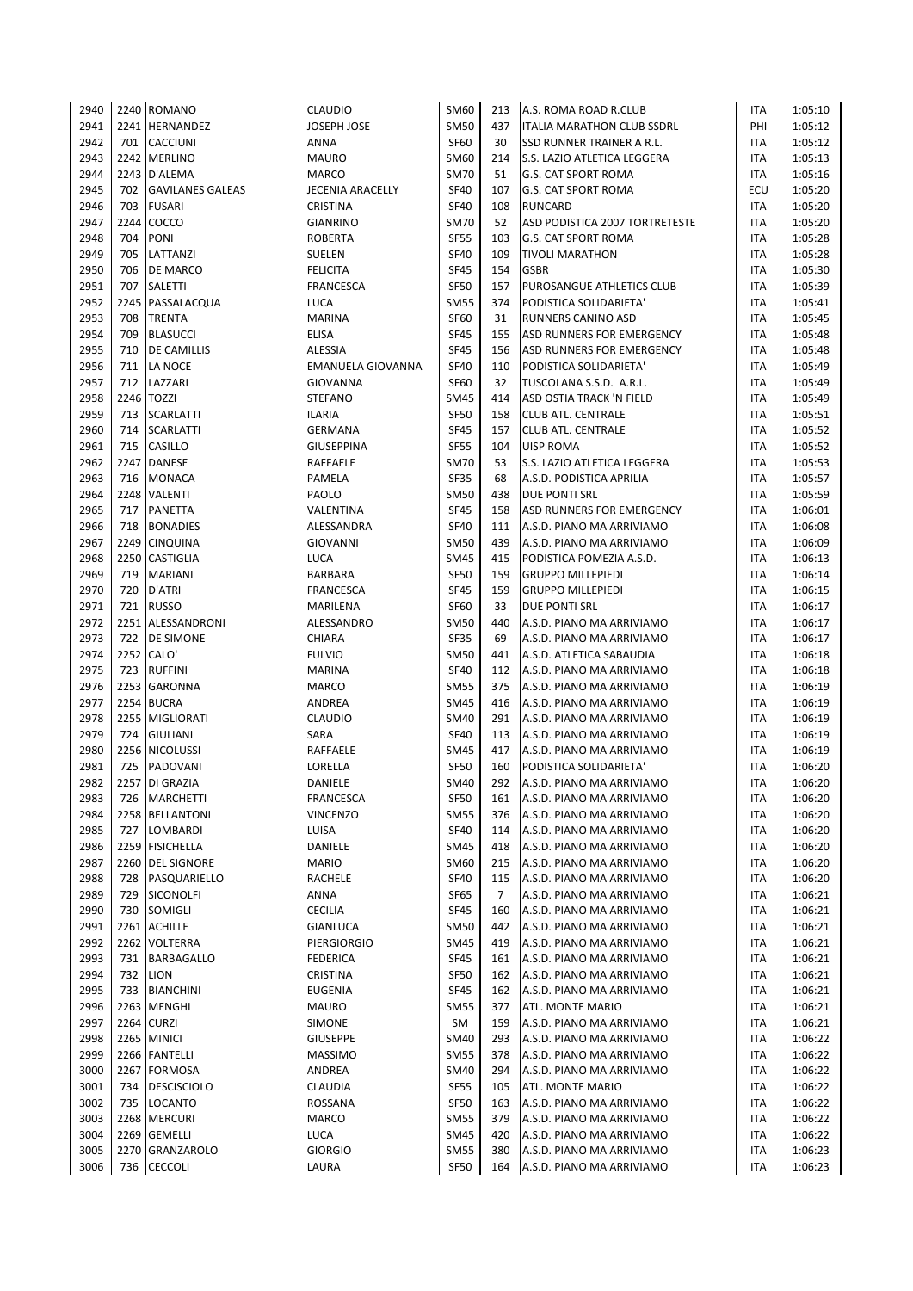| 2940         |      | 2240 ROMANO                       | <b>CLAUDIO</b>                       | SM60                       | 213        | A.S. ROMA ROAD R.CLUB                                  | ITA               | 1:05:10            |
|--------------|------|-----------------------------------|--------------------------------------|----------------------------|------------|--------------------------------------------------------|-------------------|--------------------|
| 2941         |      | 2241 HERNANDEZ                    | <b>JOSEPH JOSE</b>                   | <b>SM50</b>                | 437        | ITALIA MARATHON CLUB SSDRL                             | PHI               | 1:05:12            |
| 2942         | 701  | <b>CACCIUNI</b>                   | ANNA                                 | <b>SF60</b>                | 30         | <b>SSD RUNNER TRAINER A R.L.</b>                       | ITA               | 1:05:12            |
| 2943         |      | 2242 MERLINO                      | <b>MAURO</b>                         | <b>SM60</b>                | 214        | S.S. LAZIO ATLETICA LEGGERA                            | ITA               | 1:05:13            |
| 2944         |      | 2243 D'ALEMA                      | <b>MARCO</b>                         | <b>SM70</b>                | 51         | <b>G.S. CAT SPORT ROMA</b>                             | <b>ITA</b>        | 1:05:16            |
| 2945         | 702  | <b>GAVILANES GALEAS</b>           | JECENIA ARACELLY                     | <b>SF40</b>                | 107        | G.S. CAT SPORT ROMA                                    | ECU               | 1:05:20            |
| 2946         | 703  | <b>FUSARI</b>                     | <b>CRISTINA</b>                      | <b>SF40</b>                | 108        | <b>RUNCARD</b>                                         | <b>ITA</b>        | 1:05:20            |
| 2947         |      | 2244 COCCO                        | <b>GIANRINO</b>                      | <b>SM70</b>                | 52         | ASD PODISTICA 2007 TORTRETESTE                         | <b>ITA</b>        | 1:05:20            |
| 2948         | 704  | <b>PONI</b>                       | <b>ROBERTA</b>                       | <b>SF55</b>                | 103        | <b>G.S. CAT SPORT ROMA</b>                             | <b>ITA</b>        | 1:05:28            |
| 2949         | 705  | LATTANZI                          | SUELEN                               | <b>SF40</b>                | 109        | <b>TIVOLI MARATHON</b>                                 | ITA               | 1:05:28            |
| 2950         | 706  | <b>DE MARCO</b>                   | <b>FELICITA</b>                      | <b>SF45</b>                | 154        | <b>GSBR</b>                                            | ITA               | 1:05:30            |
| 2951         | 707  | <b>SALETTI</b>                    | <b>FRANCESCA</b>                     | <b>SF50</b>                | 157        | PUROSANGUE ATHLETICS CLUB                              | ITA               | 1:05:39            |
| 2952         |      | 2245 PASSALACQUA                  | LUCA                                 | <b>SM55</b>                | 374        | PODISTICA SOLIDARIETA'                                 | <b>ITA</b>        | 1:05:41            |
| 2953         | 708  | <b>TRENTA</b>                     | <b>MARINA</b>                        | <b>SF60</b>                | 31         | <b>RUNNERS CANINO ASD</b>                              | ITA               | 1:05:45            |
| 2954         | 709  | <b>BLASUCCI</b>                   | <b>ELISA</b>                         | <b>SF45</b>                | 155        | ASD RUNNERS FOR EMERGENCY                              | ITA               | 1:05:48            |
| 2955         | 710  | <b>DE CAMILLIS</b>                | <b>ALESSIA</b>                       | <b>SF45</b>                | 156        | ASD RUNNERS FOR EMERGENCY                              | ITA               | 1:05:48            |
| 2956         | 712  | 711 LA NOCE<br>LAZZARI            | EMANUELA GIOVANNA<br><b>GIOVANNA</b> | <b>SF40</b><br><b>SF60</b> | 110<br>32  | PODISTICA SOLIDARIETA'                                 | ITA               | 1:05:49<br>1:05:49 |
| 2957<br>2958 |      | 2246 TOZZI                        | STEFANO                              | <b>SM45</b>                | 414        | TUSCOLANA S.S.D. A.R.L.<br>ASD OSTIA TRACK 'N FIELD    | ITA<br>ITA        | 1:05:49            |
| 2959         | 713  | <b>SCARLATTI</b>                  | ILARIA                               | <b>SF50</b>                | 158        | <b>CLUB ATL. CENTRALE</b>                              | <b>ITA</b>        | 1:05:51            |
| 2960         | 714  | <b>SCARLATTI</b>                  | <b>GERMANA</b>                       | <b>SF45</b>                | 157        | CLUB ATL. CENTRALE                                     | ITA               | 1:05:52            |
| 2961         | 715  | <b>CASILLO</b>                    | <b>GIUSEPPINA</b>                    | <b>SF55</b>                | 104        | <b>UISP ROMA</b>                                       | <b>ITA</b>        | 1:05:52            |
| 2962         |      | 2247 DANESE                       | RAFFAELE                             | <b>SM70</b>                | 53         | S.S. LAZIO ATLETICA LEGGERA                            | ITA               | 1:05:53            |
| 2963         |      | 716 MONACA                        | PAMELA                               | <b>SF35</b>                | 68         | A.S.D. PODISTICA APRILIA                               | ITA               | 1:05:57            |
| 2964         |      | 2248 VALENTI                      | PAOLO                                | <b>SM50</b>                | 438        | DUE PONTI SRL                                          | ITA               | 1:05:59            |
| 2965         | 717  | <b>PANETTA</b>                    | VALENTINA                            | <b>SF45</b>                | 158        | ASD RUNNERS FOR EMERGENCY                              | ITA               | 1:06:01            |
| 2966         | 718  | <b>BONADIES</b>                   | ALESSANDRA                           | <b>SF40</b>                | 111        | A.S.D. PIANO MA ARRIVIAMO                              | ITA               | 1:06:08            |
| 2967         |      | 2249 CINQUINA                     | <b>GIOVANNI</b>                      | <b>SM50</b>                | 439        | A.S.D. PIANO MA ARRIVIAMO                              | ITA               | 1:06:09            |
| 2968         | 2250 | <b>CASTIGLIA</b>                  | <b>LUCA</b>                          | <b>SM45</b>                | 415        | PODISTICA POMEZIA A.S.D.                               | ITA               | 1:06:13            |
| 2969         | 719  | <b>MARIANI</b>                    | <b>BARBARA</b>                       | <b>SF50</b>                | 159        | <b>GRUPPO MILLEPIEDI</b>                               | ITA               | 1:06:14            |
| 2970         | 720  | D'ATRI                            | FRANCESCA                            | <b>SF45</b>                | 159        | <b>GRUPPO MILLEPIEDI</b>                               | ITA               | 1:06:15            |
| 2971         | 721  | <b>RUSSO</b>                      | MARILENA                             | <b>SF60</b>                | 33         | DUE PONTI SRL                                          | <b>ITA</b>        | 1:06:17            |
| 2972         |      | 2251 ALESSANDRONI                 | ALESSANDRO                           | <b>SM50</b>                | 440        | A.S.D. PIANO MA ARRIVIAMO                              | ITA               | 1:06:17            |
| 2973         | 722  | <b>DE SIMONE</b>                  | CHIARA                               | <b>SF35</b>                | 69         | A.S.D. PIANO MA ARRIVIAMO                              | ITA               | 1:06:17            |
| 2974         |      | 2252 CALO'                        | <b>FULVIO</b>                        | <b>SM50</b>                | 441        | A.S.D. ATLETICA SABAUDIA                               | <b>ITA</b>        | 1:06:18            |
| 2975         | 723  | <b>RUFFINI</b>                    | <b>MARINA</b>                        | <b>SF40</b>                | 112        | A.S.D. PIANO MA ARRIVIAMO                              | <b>ITA</b>        | 1:06:18            |
| 2976         |      | 2253 GARONNA                      | MARCO                                | <b>SM55</b>                | 375        | A.S.D. PIANO MA ARRIVIAMO                              | <b>ITA</b>        | 1:06:19            |
| 2977         |      | 2254 BUCRA                        | ANDREA                               | <b>SM45</b>                | 416        | A.S.D. PIANO MA ARRIVIAMO                              | ITA               | 1:06:19            |
| 2978         |      | 2255 MIGLIORATI                   | <b>CLAUDIO</b>                       | <b>SM40</b>                | 291        | A.S.D. PIANO MA ARRIVIAMO                              | ITA               | 1:06:19            |
| 2979         | 724  | <b>GIULIANI</b>                   | SARA                                 | <b>SF40</b>                | 113        | A.S.D. PIANO MA ARRIVIAMO                              | ITA               | 1:06:19            |
| 2980         | 725  | 2256 NICOLUSSI<br><b>PADOVANI</b> | RAFFAELE                             | <b>SM45</b>                | 417        | A.S.D. PIANO MA ARRIVIAMO<br>PODISTICA SOLIDARIETA'    | ITA               | 1:06:19            |
| 2981<br>2982 |      | 2257 DI GRAZIA                    | LORELLA<br>DANIELE                   | <b>SF50</b><br><b>SM40</b> | 160<br>292 | A.S.D. PIANO MA ARRIVIAMO                              | ITA<br><b>ITA</b> | 1:06:20<br>1:06:20 |
| 2983         | 726  | <b>MARCHETTI</b>                  | <b>FRANCESCA</b>                     | SF50                       | 161        | A.S.D. PIANO MA ARRIVIAMO                              | ITA               | 1:06:20            |
| 2984         |      | 2258 BELLANTONI                   | <b>VINCENZO</b>                      | <b>SM55</b>                | 376        | A.S.D. PIANO MA ARRIVIAMO                              | ITA               | 1:06:20            |
| 2985         | 727  | LOMBARDI                          | LUISA                                | <b>SF40</b>                | 114        | A.S.D. PIANO MA ARRIVIAMO                              | <b>ITA</b>        | 1:06:20            |
| 2986         |      | 2259 FISICHELLA                   | DANIELE                              | <b>SM45</b>                | 418        | A.S.D. PIANO MA ARRIVIAMO                              | ITA               | 1:06:20            |
| 2987         |      | 2260 DEL SIGNORE                  | <b>MARIO</b>                         | SM60                       | 215        | A.S.D. PIANO MA ARRIVIAMO                              | ITA               | 1:06:20            |
| 2988         | 728  | PASQUARIELLO                      | RACHELE                              | <b>SF40</b>                | 115        | A.S.D. PIANO MA ARRIVIAMO                              | ITA               | 1:06:20            |
| 2989         | 729  | <b>SICONOLFI</b>                  | ANNA                                 | SF65                       | 7          | A.S.D. PIANO MA ARRIVIAMO                              | ITA               | 1:06:21            |
| 2990         |      | 730 SOMIGLI                       | <b>CECILIA</b>                       | SF45                       | 160        | A.S.D. PIANO MA ARRIVIAMO                              | ITA               | 1:06:21            |
| 2991         |      | 2261 ACHILLE                      | <b>GIANLUCA</b>                      | <b>SM50</b>                | 442        | A.S.D. PIANO MA ARRIVIAMO                              | ITA               | 1:06:21            |
| 2992         |      | 2262 VOLTERRA                     | <b>PIERGIORGIO</b>                   | <b>SM45</b>                | 419        | A.S.D. PIANO MA ARRIVIAMO                              | ITA               | 1:06:21            |
| 2993         |      | 731 BARBAGALLO                    | <b>FEDERICA</b>                      | SF45                       | 161        | A.S.D. PIANO MA ARRIVIAMO                              | ITA               | 1:06:21            |
| 2994         |      | 732 LION                          | <b>CRISTINA</b>                      | SF50                       | 162        | A.S.D. PIANO MA ARRIVIAMO                              | ITA               | 1:06:21            |
| 2995         |      | 733 BIANCHINI                     | <b>EUGENIA</b>                       | <b>SF45</b>                | 162        | A.S.D. PIANO MA ARRIVIAMO                              | ITA               | 1:06:21            |
| 2996         |      | 2263 MENGHI                       | MAURO                                | <b>SM55</b>                | 377        | ATL. MONTE MARIO                                       | ITA               | 1:06:21            |
| 2997         |      | 2264 CURZI                        | SIMONE                               | SM                         | 159        | A.S.D. PIANO MA ARRIVIAMO                              | ITA               | 1:06:21            |
| 2998         |      | 2265 MINICI                       | <b>GIUSEPPE</b>                      | SM40                       | 293        | A.S.D. PIANO MA ARRIVIAMO                              | <b>ITA</b>        | 1:06:22            |
| 2999         |      | 2266 FANTELLI                     | <b>MASSIMO</b>                       | <b>SM55</b>                | 378        | A.S.D. PIANO MA ARRIVIAMO                              | ITA               | 1:06:22            |
| 3000         |      | 2267 FORMOSA                      | ANDREA                               | SM40                       | 294        | A.S.D. PIANO MA ARRIVIAMO                              | ITA               | 1:06:22            |
| 3001         | 734  | <b>DESCISCIOLO</b>                | <b>CLAUDIA</b>                       | <b>SF55</b>                | 105        | ATL. MONTE MARIO                                       | <b>ITA</b>        | 1:06:22            |
| 3002         |      | 735 LOCANTO                       | ROSSANA                              | <b>SF50</b>                | 163        | A.S.D. PIANO MA ARRIVIAMO                              | <b>ITA</b>        | 1:06:22            |
| 3003<br>3004 |      | 2268 MERCURI<br>2269 GEMELLI      | <b>MARCO</b><br>LUCA                 | <b>SM55</b><br><b>SM45</b> | 379<br>420 | A.S.D. PIANO MA ARRIVIAMO<br>A.S.D. PIANO MA ARRIVIAMO | <b>ITA</b><br>ITA | 1:06:22<br>1:06:22 |
| 3005         |      | 2270 GRANZAROLO                   | <b>GIORGIO</b>                       | <b>SM55</b>                | 380        | A.S.D. PIANO MA ARRIVIAMO                              | ITA               | 1:06:23            |
| 3006         | 736  | <b>CECCOLI</b>                    | LAURA                                | SF50                       | 164        | A.S.D. PIANO MA ARRIVIAMO                              | ITA               | 1:06:23            |
|              |      |                                   |                                      |                            |            |                                                        |                   |                    |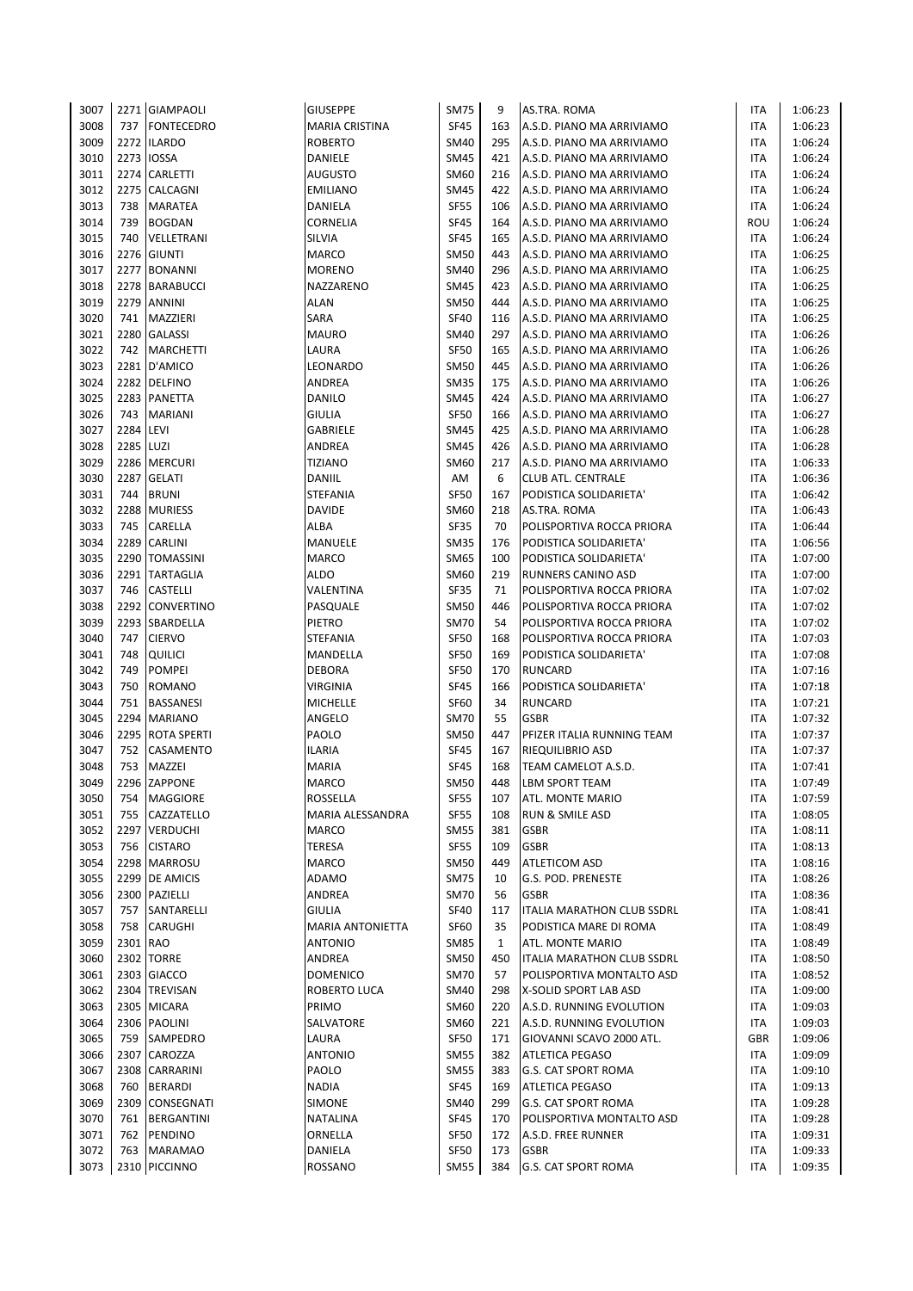| 3007 |           | 2271 GIAMPAOLI    | <b>GIUSEPPE</b>         | <b>SM75</b>      | 9            | AS.TRA. ROMA                      | ITA        | 1:06:23 |
|------|-----------|-------------------|-------------------------|------------------|--------------|-----------------------------------|------------|---------|
| 3008 |           | 737 FONTECEDRO    | MARIA CRISTINA          | <b>SF45</b>      | 163          | A.S.D. PIANO MA ARRIVIAMO         | ITA        | 1:06:23 |
| 3009 |           | 2272 ILARDO       | <b>ROBERTO</b>          | <b>SM40</b>      | 295          | A.S.D. PIANO MA ARRIVIAMO         | ITA        | 1:06:24 |
| 3010 | 2273      | <b>IOSSA</b>      | DANIELE                 | <b>SM45</b>      | 421          | A.S.D. PIANO MA ARRIVIAMO         | ITA        | 1:06:24 |
| 3011 |           | 2274 CARLETTI     | <b>AUGUSTO</b>          | SM60             | 216          | A.S.D. PIANO MA ARRIVIAMO         | ITA        | 1:06:24 |
| 3012 |           | 2275 CALCAGNI     | <b>EMILIANO</b>         | <b>SM45</b>      | 422          | A.S.D. PIANO MA ARRIVIAMO         | ITA        | 1:06:24 |
| 3013 | 738       | MARATEA           | DANIELA                 | <b>SF55</b>      | 106          | A.S.D. PIANO MA ARRIVIAMO         | ITA        | 1:06:24 |
| 3014 | 739       | <b>BOGDAN</b>     | CORNELIA                | <b>SF45</b>      | 164          | A.S.D. PIANO MA ARRIVIAMO         | ROU        | 1:06:24 |
| 3015 | 740       | VELLETRANI        | SILVIA                  | <b>SF45</b>      | 165          | A.S.D. PIANO MA ARRIVIAMO         | ITA        | 1:06:24 |
| 3016 |           | 2276 GIUNTI       | <b>MARCO</b>            | <b>SM50</b>      | 443          | A.S.D. PIANO MA ARRIVIAMO         | ITA        | 1:06:25 |
| 3017 | 2277      | <b>BONANNI</b>    | <b>MORENO</b>           | <b>SM40</b>      | 296          | A.S.D. PIANO MA ARRIVIAMO         | ITA        | 1:06:25 |
| 3018 |           | 2278 BARABUCCI    | NAZZARENO               | <b>SM45</b>      | 423          | A.S.D. PIANO MA ARRIVIAMO         | ITA        | 1:06:25 |
| 3019 |           | 2279 ANNINI       | <b>ALAN</b>             | <b>SM50</b>      | 444          | A.S.D. PIANO MA ARRIVIAMO         | ITA        | 1:06:25 |
| 3020 | 741       | MAZZIERI          | SARA                    | <b>SF40</b>      | 116          | A.S.D. PIANO MA ARRIVIAMO         | ITA        | 1:06:25 |
| 3021 | 2280      | <b>GALASSI</b>    | <b>MAURO</b>            | <b>SM40</b>      | 297          | A.S.D. PIANO MA ARRIVIAMO         | ITA        | 1:06:26 |
| 3022 |           | 742 MARCHETTI     | LAURA                   | <b>SF50</b>      | 165          | A.S.D. PIANO MA ARRIVIAMO         | ITA        | 1:06:26 |
| 3023 |           | 2281 D'AMICO      | LEONARDO                | <b>SM50</b>      | 445          | A.S.D. PIANO MA ARRIVIAMO         | ITA        | 1:06:26 |
| 3024 |           | 2282 DELFINO      | ANDREA                  | <b>SM35</b>      | 175          | A.S.D. PIANO MA ARRIVIAMO         | ITA        | 1:06:26 |
| 3025 |           | 2283 PANETTA      | DANILO                  | <b>SM45</b>      | 424          | A.S.D. PIANO MA ARRIVIAMO         | ITA        | 1:06:27 |
| 3026 | 743       | <b>MARIANI</b>    | <b>GIULIA</b>           | <b>SF50</b>      | 166          | A.S.D. PIANO MA ARRIVIAMO         | ITA        | 1:06:27 |
| 3027 | 2284 LEVI |                   | GABRIELE                | <b>SM45</b>      | 425          | A.S.D. PIANO MA ARRIVIAMO         | ITA        | 1:06:28 |
| 3028 | 2285 LUZI |                   | ANDREA                  | <b>SM45</b>      | 426          | A.S.D. PIANO MA ARRIVIAMO         | ITA        | 1:06:28 |
| 3029 |           | 2286 MERCURI      | <b>TIZIANO</b>          | SM60             | 217          | A.S.D. PIANO MA ARRIVIAMO         | ITA        | 1:06:33 |
| 3030 |           | 2287 GELATI       | DANIIL                  | AM               | 6            | <b>CLUB ATL. CENTRALE</b>         | ITA        | 1:06:36 |
| 3031 | 744       | <b>BRUNI</b>      | STEFANIA                | SF50             | 167          | PODISTICA SOLIDARIETA'            | ITA        | 1:06:42 |
| 3032 | 2288      | <b>MURIESS</b>    | <b>DAVIDE</b>           | SM60             | 218          | AS.TRA. ROMA                      | ITA        | 1:06:43 |
| 3033 | 745       | CARELLA           | ALBA                    | <b>SF35</b>      | 70           | POLISPORTIVA ROCCA PRIORA         | ITA        | 1:06:44 |
| 3034 |           | 2289 CARLINI      | MANUELE                 | <b>SM35</b>      | 176          | PODISTICA SOLIDARIETA'            | ITA        | 1:06:56 |
| 3035 |           | 2290 TOMASSINI    | <b>MARCO</b>            | <b>SM65</b>      | 100          | PODISTICA SOLIDARIETA'            | ITA        | 1:07:00 |
| 3036 | 2291      | <b>TARTAGLIA</b>  | <b>ALDO</b>             | SM60             | 219          | RUNNERS CANINO ASD                | ITA        | 1:07:00 |
| 3037 | 746       | <b>CASTELLI</b>   | VALENTINA               | <b>SF35</b>      | 71           | POLISPORTIVA ROCCA PRIORA         | ITA        | 1:07:02 |
| 3038 |           | 2292 CONVERTINO   | PASQUALE                | <b>SM50</b>      | 446          | POLISPORTIVA ROCCA PRIORA         | ITA        | 1:07:02 |
| 3039 |           | 2293 SBARDELLA    | PIETRO                  | <b>SM70</b>      | 54           | POLISPORTIVA ROCCA PRIORA         | ITA        | 1:07:02 |
| 3040 | 747       | <b>CIERVO</b>     | STEFANIA                | <b>SF50</b>      | 168          | POLISPORTIVA ROCCA PRIORA         | ITA        | 1:07:03 |
| 3041 | 748       | <b>QUILICI</b>    | MANDELLA                | SF <sub>50</sub> | 169          | PODISTICA SOLIDARIETA'            | ITA        | 1:07:08 |
| 3042 | 749       | <b>POMPEI</b>     | <b>DEBORA</b>           | <b>SF50</b>      | 170          | <b>RUNCARD</b>                    | ITA        | 1:07:16 |
| 3043 | 750       | <b>ROMANO</b>     | VIRGINIA                | <b>SF45</b>      | 166          | PODISTICA SOLIDARIETA'            | <b>ITA</b> | 1:07:18 |
| 3044 | 751       | <b>BASSANESI</b>  | <b>MICHELLE</b>         | <b>SF60</b>      | 34           | <b>RUNCARD</b>                    | ITA        | 1:07:21 |
| 3045 |           | 2294 MARIANO      | ANGELO                  | <b>SM70</b>      | 55           | <b>GSBR</b>                       | ITA        | 1:07:32 |
| 3046 |           | 2295 ROTA SPERTI  | PAOLO                   | <b>SM50</b>      | 447          | PFIZER ITALIA RUNNING TEAM        | <b>ITA</b> | 1:07:37 |
| 3047 | 752       | CASAMENTO         | ILARIA                  | <b>SF45</b>      | 167          | <b>RIEQUILIBRIO ASD</b>           | ITA        | 1:07:37 |
| 3048 | 753       | MAZZEI            | <b>MARIA</b>            | <b>SF45</b>      | 168          | TEAM CAMELOT A.S.D.               | ITA        | 1:07:41 |
| 3049 |           | 2296 ZAPPONE      | <b>MARCO</b>            | <b>SM50</b>      | 448          | <b>LBM SPORT TEAM</b>             | <b>ITA</b> | 1:07:49 |
| 3050 | 754       | <b>MAGGIORE</b>   | ROSSELLA                | <b>SF55</b>      | 107          | ATL. MONTE MARIO                  | ITA        | 1:07:59 |
| 3051 | 755       | CAZZATELLO        | MARIA ALESSANDRA        | <b>SF55</b>      | 108          | RUN & SMILE ASD                   | ITA        | 1:08:05 |
| 3052 | 2297      | <b>VERDUCHI</b>   | MARCO                   | SM55             | 381          | <b>GSBR</b>                       | ITA        | 1:08:11 |
| 3053 | 756       | <b>CISTARO</b>    | TERESA                  | <b>SF55</b>      | 109          | <b>GSBR</b>                       | ITA        | 1:08:13 |
| 3054 |           | 2298 MARROSU      | MARCO                   | <b>SM50</b>      | 449          | <b>ATLETICOM ASD</b>              | ITA        | 1:08:16 |
| 3055 |           | 2299 DE AMICIS    | ADAMO                   | <b>SM75</b>      | 10           | G.S. POD. PRENESTE                | ITA        | 1:08:26 |
| 3056 |           | 2300 PAZIELLI     | ANDREA                  | <b>SM70</b>      | 56           | <b>GSBR</b>                       | ITA        | 1:08:36 |
| 3057 | 757       | SANTARELLI        | <b>GIULIA</b>           | <b>SF40</b>      | 117          | <b>ITALIA MARATHON CLUB SSDRL</b> | ITA        | 1:08:41 |
| 3058 | 758       | <b>CARUGHI</b>    | <b>MARIA ANTONIETTA</b> | <b>SF60</b>      | 35           | PODISTICA MARE DI ROMA            | ITA        | 1:08:49 |
| 3059 | 2301 RAO  |                   | <b>ANTONIO</b>          | <b>SM85</b>      | $\mathbf{1}$ | ATL. MONTE MARIO                  | ITA        | 1:08:49 |
| 3060 |           | 2302 TORRE        | ANDREA                  | <b>SM50</b>      | 450          | ITALIA MARATHON CLUB SSDRL        | ITA        | 1:08:50 |
| 3061 |           | 2303 GIACCO       | <b>DOMENICO</b>         | <b>SM70</b>      | 57           | POLISPORTIVA MONTALTO ASD         | ITA        | 1:08:52 |
| 3062 |           | 2304 TREVISAN     | ROBERTO LUCA            | <b>SM40</b>      | 298          | X-SOLID SPORT LAB ASD             | ITA        | 1:09:00 |
| 3063 |           | 2305 MICARA       | PRIMO                   | SM60             | 220          | A.S.D. RUNNING EVOLUTION          | ITA        | 1:09:03 |
| 3064 |           | 2306 PAOLINI      | SALVATORE               | SM60             | 221          | A.S.D. RUNNING EVOLUTION          | ITA        | 1:09:03 |
| 3065 |           | 759 SAMPEDRO      | LAURA                   | <b>SF50</b>      | 171          | GIOVANNI SCAVO 2000 ATL.          | GBR        | 1:09:06 |
| 3066 | 2307      | CAROZZA           | <b>ANTONIO</b>          | <b>SM55</b>      | 382          | <b>ATLETICA PEGASO</b>            | ITA        | 1:09:09 |
| 3067 |           | 2308 CARRARINI    | PAOLO                   | <b>SM55</b>      | 383          | G.S. CAT SPORT ROMA               | ITA        | 1:09:10 |
| 3068 | 760       | <b>BERARDI</b>    | NADIA                   | SF45             | 169          | <b>ATLETICA PEGASO</b>            | ITA        | 1:09:13 |
| 3069 |           | 2309 CONSEGNATI   | SIMONE                  | <b>SM40</b>      | 299          | G.S. CAT SPORT ROMA               | ITA        | 1:09:28 |
| 3070 | 761       | <b>BERGANTINI</b> | NATALINA                | <b>SF45</b>      | 170          | POLISPORTIVA MONTALTO ASD         | ITA        | 1:09:28 |
| 3071 | 762       | PENDINO           | ORNELLA                 | SF50             | 172          | A.S.D. FREE RUNNER                | ITA        | 1:09:31 |
| 3072 | 763       | <b>MARAMAO</b>    | DANIELA                 | <b>SF50</b>      | 173          | <b>GSBR</b>                       | ITA        | 1:09:33 |
| 3073 |           | 2310 PICCINNO     | ROSSANO                 | <b>SM55</b>      | 384          | <b>G.S. CAT SPORT ROMA</b>        | ITA        | 1:09:35 |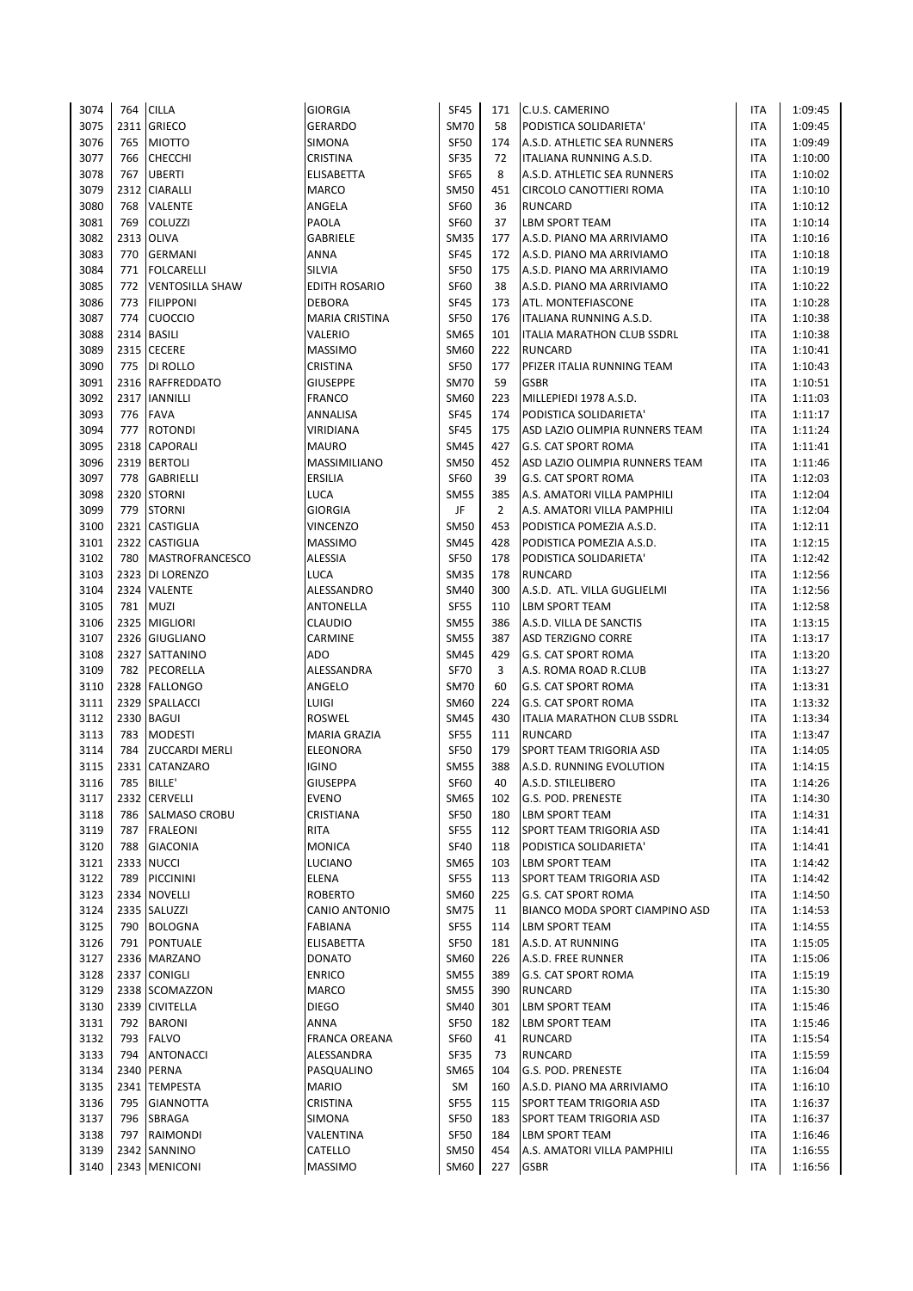| 3074 | 764 | <b>CILLA</b>           | <b>GIORGIA</b>        | <b>SF45</b> | 171            | C.U.S. CAMERINO                   | ITA        | 1:09:45 |
|------|-----|------------------------|-----------------------|-------------|----------------|-----------------------------------|------------|---------|
| 3075 |     | 2311 GRIECO            | <b>GERARDO</b>        | <b>SM70</b> | 58             | PODISTICA SOLIDARIETA'            | ITA        | 1:09:45 |
| 3076 | 765 | <b>MIOTTO</b>          | SIMONA                | <b>SF50</b> | 174            | A.S.D. ATHLETIC SEA RUNNERS       | ITA        | 1:09:49 |
| 3077 | 766 | <b>CHECCHI</b>         | CRISTINA              | SF35        | 72             | ITALIANA RUNNING A.S.D.           | ITA        | 1:10:00 |
| 3078 | 767 | <b>UBERTI</b>          | ELISABETTA            | <b>SF65</b> | 8              | A.S.D. ATHLETIC SEA RUNNERS       | ITA        | 1:10:02 |
| 3079 |     | 2312 CIARALLI          | <b>MARCO</b>          | <b>SM50</b> | 451            | CIRCOLO CANOTTIERI ROMA           | ITA        | 1:10:10 |
| 3080 | 768 | <b>VALENTE</b>         | ANGELA                | <b>SF60</b> | 36             | <b>RUNCARD</b>                    | ITA        | 1:10:12 |
| 3081 | 769 | <b>COLUZZI</b>         | PAOLA                 | <b>SF60</b> | 37             | <b>LBM SPORT TEAM</b>             | ITA        | 1:10:14 |
| 3082 |     | 2313 OLIVA             | <b>GABRIELE</b>       | <b>SM35</b> | 177            | A.S.D. PIANO MA ARRIVIAMO         | <b>ITA</b> | 1:10:16 |
| 3083 | 770 | <b>GERMANI</b>         | <b>ANNA</b>           | <b>SF45</b> | 172            | A.S.D. PIANO MA ARRIVIAMO         | ITA        | 1:10:18 |
| 3084 | 771 | <b>FOLCARELLI</b>      | SILVIA                | <b>SF50</b> | 175            | A.S.D. PIANO MA ARRIVIAMO         | ITA        | 1:10:19 |
| 3085 | 772 | <b>VENTOSILLA SHAW</b> | <b>EDITH ROSARIO</b>  | <b>SF60</b> | 38             | A.S.D. PIANO MA ARRIVIAMO         | ITA        | 1:10:22 |
| 3086 | 773 | <b>FILIPPONI</b>       | <b>DEBORA</b>         | <b>SF45</b> | 173            | ATL. MONTEFIASCONE                | <b>ITA</b> | 1:10:28 |
| 3087 | 774 | <b>CUOCCIO</b>         | <b>MARIA CRISTINA</b> | <b>SF50</b> | 176            | ITALIANA RUNNING A.S.D.           | ITA        | 1:10:38 |
| 3088 |     | 2314 BASILI            | VALERIO               | <b>SM65</b> | 101            |                                   | ITA        | 1:10:38 |
| 3089 |     |                        |                       | SM60        |                | <b>ITALIA MARATHON CLUB SSDRL</b> |            |         |
|      |     | 2315 CECERE            | <b>MASSIMO</b>        |             | 222            | <b>RUNCARD</b>                    | ITA        | 1:10:41 |
| 3090 |     | 775   DI ROLLO         | <b>CRISTINA</b>       | <b>SF50</b> | 177            | PFIZER ITALIA RUNNING TEAM        | <b>ITA</b> | 1:10:43 |
| 3091 |     | 2316 RAFFREDDATO       | <b>GIUSEPPE</b>       | <b>SM70</b> | 59             | <b>GSBR</b>                       | ITA        | 1:10:51 |
| 3092 |     | 2317 IANNILLI          | <b>FRANCO</b>         | <b>SM60</b> | 223            | MILLEPIEDI 1978 A.S.D.            | ITA        | 1:11:03 |
| 3093 | 776 | <b>FAVA</b>            | ANNALISA              | <b>SF45</b> | 174            | PODISTICA SOLIDARIETA'            | <b>ITA</b> | 1:11:17 |
| 3094 | 777 | <b>ROTONDI</b>         | <b>VIRIDIANA</b>      | <b>SF45</b> | 175            | ASD LAZIO OLIMPIA RUNNERS TEAM    | ITA        | 1:11:24 |
| 3095 |     | 2318 CAPORALI          | <b>MAURO</b>          | <b>SM45</b> | 427            | <b>G.S. CAT SPORT ROMA</b>        | <b>ITA</b> | 1:11:41 |
| 3096 |     | 2319 BERTOLI           | MASSIMILIANO          | <b>SM50</b> | 452            | ASD LAZIO OLIMPIA RUNNERS TEAM    | ITA        | 1:11:46 |
| 3097 | 778 | <b>GABRIELLI</b>       | ERSILIA               | <b>SF60</b> | 39             | <b>G.S. CAT SPORT ROMA</b>        | <b>ITA</b> | 1:12:03 |
| 3098 |     | 2320 STORNI            | LUCA                  | <b>SM55</b> | 385            | A.S. AMATORI VILLA PAMPHILI       | ITA        | 1:12:04 |
| 3099 | 779 | <b>STORNI</b>          | <b>GIORGIA</b>        | JF          | $\overline{2}$ | A.S. AMATORI VILLA PAMPHILI       | ITA        | 1:12:04 |
| 3100 |     | 2321 CASTIGLIA         | <b>VINCENZO</b>       | <b>SM50</b> | 453            | PODISTICA POMEZIA A.S.D.          | ITA        | 1:12:11 |
| 3101 |     | 2322 CASTIGLIA         | <b>MASSIMO</b>        | <b>SM45</b> | 428            | PODISTICA POMEZIA A.S.D.          | <b>ITA</b> | 1:12:15 |
| 3102 | 780 | <b>MASTROFRANCESCO</b> | <b>ALESSIA</b>        | <b>SF50</b> | 178            | PODISTICA SOLIDARIETA'            | <b>ITA</b> | 1:12:42 |
| 3103 |     | 2323 DI LORENZO        | LUCA                  | <b>SM35</b> | 178            | <b>RUNCARD</b>                    | ITA        | 1:12:56 |
| 3104 |     | 2324 VALENTE           | ALESSANDRO            | <b>SM40</b> | 300            | A.S.D. ATL. VILLA GUGLIELMI       | ITA        | 1:12:56 |
| 3105 |     | 781 MUZI               | ANTONELLA             | <b>SF55</b> | 110            | <b>LBM SPORT TEAM</b>             | ITA        | 1:12:58 |
| 3106 |     | 2325 MIGLIORI          | <b>CLAUDIO</b>        | <b>SM55</b> | 386            | A.S.D. VILLA DE SANCTIS           | ITA        | 1:13:15 |
| 3107 |     | 2326 GIUGLIANO         | CARMINE               | <b>SM55</b> | 387            | <b>ASD TERZIGNO CORRE</b>         | ITA        | 1:13:17 |
| 3108 |     | 2327 SATTANINO         | ADO                   | <b>SM45</b> | 429            | <b>G.S. CAT SPORT ROMA</b>        | ITA        | 1:13:20 |
| 3109 |     | 782 PECORELLA          | ALESSANDRA            | <b>SF70</b> | 3              | A.S. ROMA ROAD R.CLUB             | <b>ITA</b> | 1:13:27 |
| 3110 |     | 2328 FALLONGO          | ANGELO                | <b>SM70</b> | 60             | <b>G.S. CAT SPORT ROMA</b>        | <b>ITA</b> | 1:13:31 |
| 3111 |     | 2329 SPALLACCI         | LUIGI                 | <b>SM60</b> | 224            | <b>G.S. CAT SPORT ROMA</b>        | ITA        | 1:13:32 |
| 3112 |     | 2330 BAGUI             | ROSWEL                | <b>SM45</b> | 430            | <b>ITALIA MARATHON CLUB SSDRL</b> | ITA        | 1:13:34 |
| 3113 | 783 | <b>MODESTI</b>         | MARIA GRAZIA          | <b>SF55</b> | 111            | <b>RUNCARD</b>                    | ITA        | 1:13:47 |
| 3114 | 784 | <b>ZUCCARDI MERLI</b>  | <b>ELEONORA</b>       | <b>SF50</b> | 179            | SPORT TEAM TRIGORIA ASD           | ITA        | 1:14:05 |
| 3115 |     | 2331 CATANZARO         | <b>IGINO</b>          | <b>SM55</b> | 388            | A.S.D. RUNNING EVOLUTION          | <b>ITA</b> | 1:14:15 |
| 3116 | 785 | <b>BILLE'</b>          | <b>GIUSEPPA</b>       | <b>SF60</b> | 40             | A.S.D. STILELIBERO                | <b>ITA</b> | 1:14:26 |
| 3117 |     | 2332 CERVELLI          | <b>EVENO</b>          | <b>SM65</b> | 102            | G.S. POD. PRENESTE                | ITA        | 1:14:30 |
| 3118 | 786 | <b>SALMASO CROBU</b>   | CRISTIANA             | <b>SF50</b> | 180            | <b>LBM SPORT TEAM</b>             | ITA        | 1:14:31 |
| 3119 | 787 | <b>FRALEONI</b>        | RITA                  | <b>SF55</b> | 112            | SPORT TEAM TRIGORIA ASD           | ITA        | 1:14:41 |
| 3120 | 788 | <b>GIACONIA</b>        | <b>MONICA</b>         | <b>SF40</b> | 118            | PODISTICA SOLIDARIETA'            | ITA        | 1:14:41 |
| 3121 |     | 2333 NUCCI             | LUCIANO               | <b>SM65</b> | 103            | <b>LBM SPORT TEAM</b>             | ITA        | 1:14:42 |
| 3122 | 789 | <b>PICCININI</b>       | ELENA                 | <b>SF55</b> | 113            | SPORT TEAM TRIGORIA ASD           | ITA        | 1:14:42 |
| 3123 |     | 2334 NOVELLI           | <b>ROBERTO</b>        | <b>SM60</b> | 225            | <b>G.S. CAT SPORT ROMA</b>        | ITA        | 1:14:50 |
| 3124 |     | 2335 SALUZZI           | CANIO ANTONIO         | <b>SM75</b> | 11             | BIANCO MODA SPORT CIAMPINO ASD    | ITA        | 1:14:53 |
| 3125 | 790 | <b>BOLOGNA</b>         | <b>FABIANA</b>        | <b>SF55</b> | 114            | <b>LBM SPORT TEAM</b>             | ITA        | 1:14:55 |
| 3126 | 791 | <b>PONTUALE</b>        | ELISABETTA            | SF50        | 181            | A.S.D. AT RUNNING                 | ITA        | 1:15:05 |
| 3127 |     | 2336 MARZANO           | <b>DONATO</b>         | <b>SM60</b> | 226            | A.S.D. FREE RUNNER                | ITA        | 1:15:06 |
| 3128 |     | 2337 CONIGLI           | <b>ENRICO</b>         | <b>SM55</b> | 389            | <b>G.S. CAT SPORT ROMA</b>        | ITA        | 1:15:19 |
| 3129 |     | 2338 SCOMAZZON         | MARCO                 | <b>SM55</b> | 390            | <b>RUNCARD</b>                    | ITA        | 1:15:30 |
| 3130 |     | 2339 CIVITELLA         | <b>DIEGO</b>          | <b>SM40</b> | 301            | <b>LBM SPORT TEAM</b>             | ITA        | 1:15:46 |
| 3131 | 792 | <b>BARONI</b>          | ANNA                  | <b>SF50</b> | 182            | <b>LBM SPORT TEAM</b>             | ITA        | 1:15:46 |
| 3132 | 793 | <b>FALVO</b>           | <b>FRANCA OREANA</b>  | SF60        | 41             | <b>RUNCARD</b>                    | ITA        | 1:15:54 |
| 3133 | 794 | <b>ANTONACCI</b>       | ALESSANDRA            | <b>SF35</b> | 73             | <b>RUNCARD</b>                    | ITA        | 1:15:59 |
| 3134 |     | 2340 PERNA             | PASQUALINO            | <b>SM65</b> | 104            | G.S. POD. PRENESTE                | ITA        | 1:16:04 |
| 3135 |     | 2341 TEMPESTA          | <b>MARIO</b>          | SM          | 160            | A.S.D. PIANO MA ARRIVIAMO         | ITA        | 1:16:10 |
| 3136 | 795 | <b>GIANNOTTA</b>       | CRISTINA              | <b>SF55</b> | 115            | SPORT TEAM TRIGORIA ASD           | ITA        | 1:16:37 |
| 3137 | 796 | SBRAGA                 | SIMONA                | <b>SF50</b> | 183            | SPORT TEAM TRIGORIA ASD           | ITA        | 1:16:37 |
| 3138 | 797 | RAIMONDI               | VALENTINA             | <b>SF50</b> | 184            | <b>LBM SPORT TEAM</b>             | ITA        | 1:16:46 |
| 3139 |     | 2342 SANNINO           | CATELLO               | <b>SM50</b> | 454            | A.S. AMATORI VILLA PAMPHILI       | <b>ITA</b> | 1:16:55 |
| 3140 |     | 2343 MENICONI          | MASSIMO               | SM60        | 227            | <b>GSBR</b>                       | ITA        | 1:16:56 |